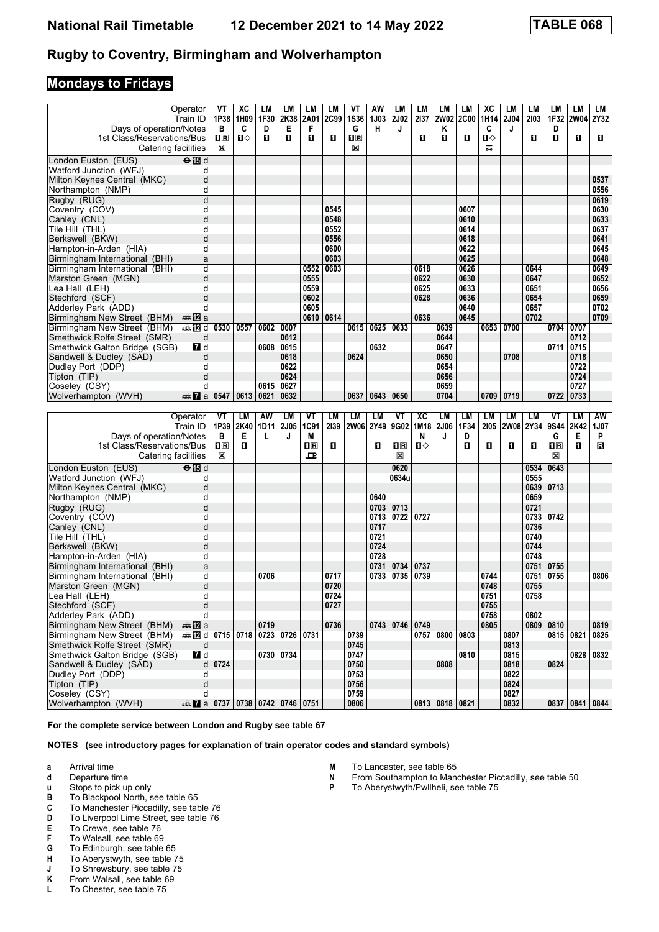## **Mondays to Fridays**

| Operator<br>Train ID<br>Days of operation/Notes<br>1st Class/Reservations/Bus<br>Catering facilities | VT<br>1P38<br>в<br>1R<br>$\boxtimes$ | XC<br>1H09<br>C<br>Ⅱ♦ | LМ<br>1F30<br>D<br>п | LM<br>2K38<br>Е<br>0 | LM<br>2A01<br>F<br>O    | LM<br>2C99<br>O | VT<br><b>1S36</b><br>G<br>$\overline{\mathbf{R}}$<br>X | AW<br><b>1J03</b><br>н | LM<br><b>2J02</b><br>J  | LM<br>2137<br>0 | LM<br>Κ<br>O      | LМ<br>2W02 2C00<br>O | хc<br>1H14<br>C<br>п⇔<br>ᠼ | LМ<br><b>2J04</b><br>J | LМ<br>2103<br>п | LМ<br>1F32<br>D<br>O                            | LM<br>2W04 2Y32<br>O | LМ<br>O    |
|------------------------------------------------------------------------------------------------------|--------------------------------------|-----------------------|----------------------|----------------------|-------------------------|-----------------|--------------------------------------------------------|------------------------|-------------------------|-----------------|-------------------|----------------------|----------------------------|------------------------|-----------------|-------------------------------------------------|----------------------|------------|
| $\Theta$ is d<br>London Euston (EUS)                                                                 |                                      |                       |                      |                      |                         |                 |                                                        |                        |                         |                 |                   |                      |                            |                        |                 |                                                 |                      |            |
| Watford Junction (WFJ)<br>d                                                                          |                                      |                       |                      |                      |                         |                 |                                                        |                        |                         |                 |                   |                      |                            |                        |                 |                                                 |                      |            |
| d<br>Milton Keynes Central (MKC)                                                                     |                                      |                       |                      |                      |                         |                 |                                                        |                        |                         |                 |                   |                      |                            |                        |                 |                                                 |                      | 0537       |
| d<br>Northampton (NMP)                                                                               |                                      |                       |                      |                      |                         |                 |                                                        |                        |                         |                 |                   |                      |                            |                        |                 |                                                 |                      | 0556       |
| d<br>Rugby (RUG)                                                                                     |                                      |                       |                      |                      |                         |                 |                                                        |                        |                         |                 |                   |                      |                            |                        |                 |                                                 |                      | 0619       |
| d<br>Coventry (COV)                                                                                  |                                      |                       |                      |                      |                         | 0545            |                                                        |                        |                         |                 |                   | 0607                 |                            |                        |                 |                                                 |                      | 0630       |
| d<br>Canley (CNL)                                                                                    |                                      |                       |                      |                      |                         | 0548            |                                                        |                        |                         |                 |                   | 0610                 |                            |                        |                 |                                                 |                      | 0633       |
| d<br>Tile Hill (THL)                                                                                 |                                      |                       |                      |                      |                         | 0552            |                                                        |                        |                         |                 |                   | 0614                 |                            |                        |                 |                                                 |                      | 0637       |
| d<br>Berkswell (BKW)                                                                                 |                                      |                       |                      |                      |                         | 0556            |                                                        |                        |                         |                 |                   | 0618                 |                            |                        |                 |                                                 |                      | 0641       |
| d<br>Hampton-in-Arden (HIA)                                                                          |                                      |                       |                      |                      |                         | 0600            |                                                        |                        |                         |                 |                   | 0622                 |                            |                        |                 |                                                 |                      | 0645       |
|                                                                                                      |                                      |                       |                      |                      |                         | 0603            |                                                        |                        |                         |                 |                   | 0625                 |                            |                        |                 |                                                 |                      | 0648       |
| Birmingham International (BHI)<br>a                                                                  |                                      |                       |                      |                      |                         |                 |                                                        |                        |                         |                 |                   |                      |                            |                        |                 |                                                 |                      |            |
| d<br>Birmingham International (BHI)                                                                  |                                      |                       |                      |                      | 0552                    | 0603            |                                                        |                        |                         | 0618            |                   | 0626                 |                            |                        | 0644            |                                                 |                      | 0649       |
| Marston Green (MGN)<br>d                                                                             |                                      |                       |                      |                      | 0555                    |                 |                                                        |                        |                         | 0622            |                   | 0630                 |                            |                        | 0647            |                                                 |                      | 0652       |
| d<br>Lea Hall (LEH)                                                                                  |                                      |                       |                      |                      | 0559                    |                 |                                                        |                        |                         | 0625            |                   | 0633                 |                            |                        | 0651            |                                                 |                      | 0656       |
| d<br>Stechford (SCF)                                                                                 |                                      |                       |                      |                      | 0602                    |                 |                                                        |                        |                         | 0628            |                   | 0636                 |                            |                        | 0654            |                                                 |                      | 0659       |
| d<br>Adderley Park (ADD)                                                                             |                                      |                       |                      |                      | 0605                    |                 |                                                        |                        |                         |                 |                   | 0640                 |                            |                        | 0657            |                                                 |                      | 0702       |
| Birmingham New Street (BHM)<br>ana <mark>na</mark> ma                                                |                                      |                       |                      |                      | 0610                    | 0614            |                                                        |                        |                         | 0636            |                   | 0645                 |                            |                        | 0702            |                                                 |                      | 0709       |
| Birmingham New Street (BHM)                                                                          | 0530                                 | 0557                  | 0602                 | 0607                 |                         |                 | 0615                                                   | 0625                   | 0633                    |                 | 0639              |                      | 0653                       | 0700                   |                 | 0704                                            | 0707                 |            |
| Smethwick Rolfe Street (SMR)<br>d                                                                    |                                      |                       |                      | 0612                 |                         |                 |                                                        |                        |                         |                 | 0644              |                      |                            |                        |                 |                                                 | 0712                 |            |
| 7d<br>Smethwick Galton Bridge (SGB)                                                                  |                                      |                       | 0608                 | 0615                 |                         |                 |                                                        | 0632                   |                         |                 | 0647              |                      |                            |                        |                 | 0711                                            | 0715                 |            |
| d<br>Sandwell & Dudley (SAD)                                                                         |                                      |                       |                      | 0618                 |                         |                 | 0624                                                   |                        |                         |                 | 0650              |                      |                            | 0708                   |                 |                                                 | 0718                 |            |
| Dudley Port (DDP)<br>d                                                                               |                                      |                       |                      | 0622                 |                         |                 |                                                        |                        |                         |                 | 0654              |                      |                            |                        |                 |                                                 | 0722                 |            |
| Tipton (TIP)<br>d                                                                                    |                                      |                       |                      | 0624                 |                         |                 |                                                        |                        |                         |                 | 0656              |                      |                            |                        |                 |                                                 | 0724                 |            |
| Coseley (CSY)<br>d                                                                                   |                                      |                       | 0615                 | 0627                 |                         |                 |                                                        |                        |                         |                 | 0659              |                      |                            |                        |                 |                                                 | 0727                 |            |
| Wolverhampton (WVH)<br>dan <mark>7</mark> a                                                          | 0547                                 | 0613                  | 0621                 | 0632                 |                         |                 | 0637                                                   | 0643                   | 0650                    |                 | 0704              |                      | 0709                       | 0719                   |                 | 0722                                            | 0733                 |            |
|                                                                                                      |                                      |                       |                      |                      |                         |                 |                                                        |                        |                         |                 |                   |                      |                            |                        |                 |                                                 |                      |            |
|                                                                                                      |                                      |                       |                      |                      |                         |                 |                                                        |                        |                         |                 |                   |                      |                            |                        |                 |                                                 |                      |            |
| Operator<br>Train ID                                                                                 | VT<br>1P39                           | LM<br>2K40            | AW<br>1D11           | LM<br><b>2J05</b>    | VT<br>1C91              | LM<br>2139      | LM<br>2W06 2Y49                                        | LM                     | VT<br>9G02              | XC<br>1M18      | <b>LM</b><br>2J06 | <b>LM</b><br>1F34    | LM<br>2105                 | LM                     | LM<br>2W08 2Y34 | VT<br>9S44                                      | LM<br>2K42           | AW<br>1J07 |
|                                                                                                      | в                                    | Е                     | L                    | J                    | М                       |                 |                                                        |                        |                         | N               | J                 | D                    |                            |                        |                 | G                                               | Е                    | P          |
| Days of operation/Notes<br>1st Class/Reservations/Bus                                                | $1\text{R}$                          | п                     |                      |                      | $\overline{\mathbf{B}}$ | п               |                                                        | O                      | $\overline{\mathbf{H}}$ | П⇔              |                   | п                    | п                          | O                      | п               | $\overline{\mathbf{H}}$ $\overline{\mathbf{R}}$ | O                    | в          |
|                                                                                                      | X                                    |                       |                      |                      | ᇁ                       |                 |                                                        |                        | X                       |                 |                   |                      |                            |                        |                 | X                                               |                      |            |
| Catering facilities                                                                                  |                                      |                       |                      |                      |                         |                 |                                                        |                        |                         |                 |                   |                      |                            |                        |                 |                                                 |                      |            |
| $\Theta$ $\blacksquare$ d<br>London Euston (EUS)                                                     |                                      |                       |                      |                      |                         |                 |                                                        |                        | 0620                    |                 |                   |                      |                            |                        | 0534            | 0643                                            |                      |            |
| Watford Junction (WFJ)<br>d                                                                          |                                      |                       |                      |                      |                         |                 |                                                        |                        | 0634u                   |                 |                   |                      |                            |                        | 0555            |                                                 |                      |            |
| Milton Keynes Central (MKC)<br>d                                                                     |                                      |                       |                      |                      |                         |                 |                                                        |                        |                         |                 |                   |                      |                            |                        | 0639            | 0713                                            |                      |            |
| d<br>Northampton (NMP)                                                                               |                                      |                       |                      |                      |                         |                 |                                                        | 0640                   |                         |                 |                   |                      |                            |                        | 0659            |                                                 |                      |            |
| d<br>Rugby (RUG)                                                                                     |                                      |                       |                      |                      |                         |                 |                                                        | 0703                   | 0713                    |                 |                   |                      |                            |                        | 0721            |                                                 |                      |            |
| Coventry (COV)<br>d                                                                                  |                                      |                       |                      |                      |                         |                 |                                                        | 0713                   | 0722                    | 0727            |                   |                      |                            |                        | 0733            | 0742                                            |                      |            |
| d<br>Canley (CNL)                                                                                    |                                      |                       |                      |                      |                         |                 |                                                        | 0717                   |                         |                 |                   |                      |                            |                        | 0736            |                                                 |                      |            |
| Tile Hill (THL)<br>d                                                                                 |                                      |                       |                      |                      |                         |                 |                                                        | 0721                   |                         |                 |                   |                      |                            |                        | 0740            |                                                 |                      |            |
| d<br>Berkswell (BKW)                                                                                 |                                      |                       |                      |                      |                         |                 |                                                        | 0724                   |                         |                 |                   |                      |                            |                        | 0744            |                                                 |                      |            |
| Hampton-in-Arden (HIA)<br>d                                                                          |                                      |                       |                      |                      |                         |                 |                                                        | 0728                   |                         |                 |                   |                      |                            |                        | 0748            |                                                 |                      |            |
| Birmingham International (BHI)<br>a                                                                  |                                      |                       |                      |                      |                         |                 |                                                        | 0731                   | 0734                    | 0737            |                   |                      |                            |                        | 0751            | 0755                                            |                      |            |
| d<br>Birmingham International (BHI)                                                                  |                                      |                       | 0706                 |                      |                         | 0717            |                                                        | 0733                   | 0735                    | 0739            |                   |                      | 0744                       |                        | 0751            | 0755                                            |                      | 0806       |
| d<br>Marston Green (MGN)                                                                             |                                      |                       |                      |                      |                         | 0720            |                                                        |                        |                         |                 |                   |                      | 0748                       |                        | 0755            |                                                 |                      |            |
| d<br>Lea Hall (LEH)                                                                                  |                                      |                       |                      |                      |                         | 0724            |                                                        |                        |                         |                 |                   |                      | 0751                       |                        | 0758            |                                                 |                      |            |
| ${\sf d}$<br>Stechford (SCF)                                                                         |                                      |                       |                      |                      |                         | 0727            |                                                        |                        |                         |                 |                   |                      | 0755                       |                        |                 |                                                 |                      |            |
| Adderley Park (ADD)<br>d                                                                             |                                      |                       |                      |                      |                         |                 |                                                        |                        |                         |                 |                   |                      | 0758                       |                        | 0802            |                                                 |                      |            |
| Birmingham New Street (BHM)<br><b>⊯ 12</b> a                                                         |                                      |                       | 0719                 |                      |                         | 0736            |                                                        |                        | 0743 0746 0749          |                 |                   |                      | 0805                       |                        |                 | 0809 0810                                       |                      | 0819       |
| Birmingham New Street (BHM)<br><b>AD</b> d 0715 0718                                                 |                                      |                       | 0723                 | 0726 0731            |                         |                 | 0739                                                   |                        |                         | 0757            | 0800              | 0803                 |                            | 0807                   |                 | 0815 0821                                       |                      | 0825       |
| Smethwick Rolfe Street (SMR)<br>d                                                                    |                                      |                       |                      |                      |                         |                 | 0745                                                   |                        |                         |                 |                   |                      |                            | 0813                   |                 |                                                 |                      |            |
|                                                                                                      |                                      |                       | 0730                 | 0734                 |                         |                 | 0747                                                   |                        |                         |                 |                   | 0810                 |                            | 0815                   |                 |                                                 |                      | 0828 0832  |
| $\overline{\mathbf{u}}$ d<br>Smethwick Galton Bridge (SGB)<br>Sandwell & Dudley (SAD)<br>d           | 0724                                 |                       |                      |                      |                         |                 | 0750                                                   |                        |                         |                 | 0808              |                      |                            | 0818                   |                 | 0824                                            |                      |            |
| d                                                                                                    |                                      |                       |                      |                      |                         |                 | 0753                                                   |                        |                         |                 |                   |                      |                            | 0822                   |                 |                                                 |                      |            |
| Dudley Port (DDP)<br>d                                                                               |                                      |                       |                      |                      |                         |                 |                                                        |                        |                         |                 |                   |                      |                            |                        |                 |                                                 |                      |            |
| Tipton (TIP)<br>Coseley (CSY)<br>d                                                                   |                                      |                       |                      |                      |                         |                 | 0756<br>0759                                           |                        |                         |                 |                   |                      |                            | 0824<br>0827           |                 |                                                 |                      |            |

**For the complete service between London and Rugby see table** 

- **a** Arrival time<br>**d** Departure t
- **d** Departure time
- **x** Stops to pick up only<br>**B** To Blackpool North, s
- **B** To Blackpool North, see table 65<br>**C** To Manchester Piccadilly, see table
- **C** To Manchester Piccadilly, see table 76<br>**D** To Liverpool Lime Street, see table 76
- To Liverpool Lime Street, see table 76
- 
- **E** To Crewe, see table 76<br>**F** To Walsall, see table 69
- **F** To Walsall, see table 69<br>**G** To Edinburgh, see table To Edinburgh, see table 65
- 
- **+** To Aberystwyth, see table 75<br>**+** To Shrewsbury, see table 75
- **J** To Shrewsbury, see table 75<br>**K** From Walsall, see table 69
- **K** From Walsall, see table 69<br>**L** To Chester, see table 75
- To Chester, see table 75
- 
- **M** To Lancaster, see table 65<br>**N** From Southampton to Mand **N** From Southampton to Manchester Piccadilly, see table 50<br>**P** To Aberystwyth/Pwllheli, see table 75
- To Aberystwyth/Pwllheli, see table 75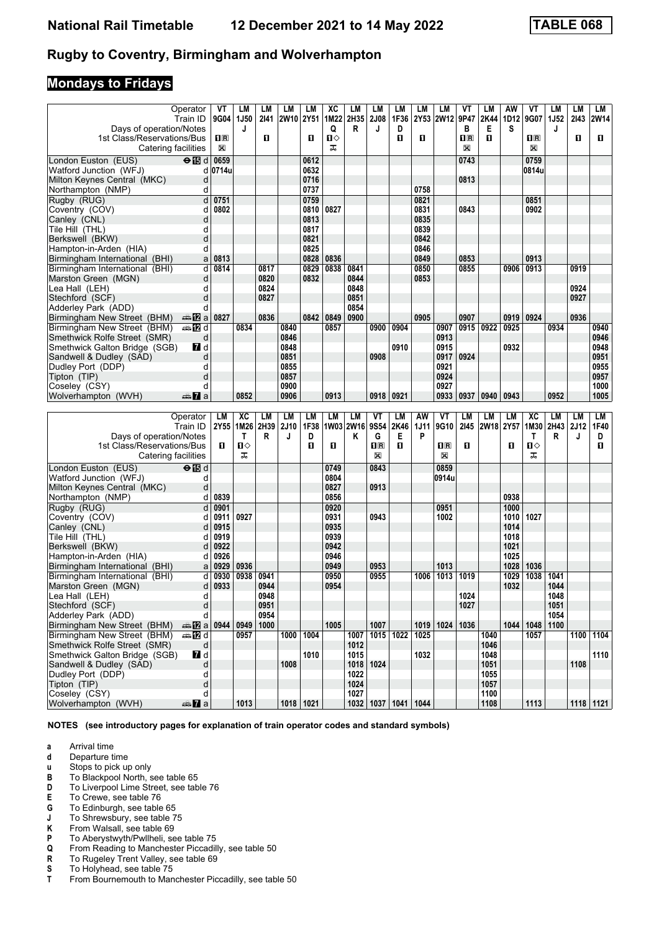# **Mondays to Fridays**

| Operator                                                      | VT                              | LМ          | LМ           | LM          | LM            | ХC        | LМ           | LM                        | LM               | LМ   | LM                 | ۷T               | LM           | AW   | ۷T                 | LМ           | LM          | LM        |
|---------------------------------------------------------------|---------------------------------|-------------|--------------|-------------|---------------|-----------|--------------|---------------------------|------------------|------|--------------------|------------------|--------------|------|--------------------|--------------|-------------|-----------|
| Train ID                                                      | 9G04                            | <b>1J50</b> | 2141         | <b>2W10</b> | 2Y51          | 1M22      | 2H35         | <b>2J08</b>               | 1F36             | 2Y53 | <b>2W12</b>        | 9P47             | 2K44         | 1D12 | 9G07               | 1J52         | 2143        | 2W14      |
| Days of operation/Notes                                       |                                 | J           |              |             |               | Q         | R            | J                         | D                |      |                    | в                | Е            | S    |                    | J            |             |           |
| 1st Class/Reservations/Bus                                    | 1 <sup>R</sup>                  |             | O            |             | O             | п⇔        |              |                           | п                | O    |                    | $n_{\mathbb{R}}$ | п            |      | $n_{\rm R}$        |              | O           | O         |
| Catering facilities                                           | $\boxtimes$                     |             |              |             |               | ᠼ         |              |                           |                  |      |                    | X                |              |      | X                  |              |             |           |
| London Euston (EUS)<br>⊖ 15 d                                 | 0659                            |             |              |             | 0612          |           |              |                           |                  |      |                    | 0743             |              |      | 0759               |              |             |           |
| Watford Junction (WFJ)                                        | d 0714u                         |             |              |             | 0632          |           |              |                           |                  |      |                    |                  |              |      | 0814u              |              |             |           |
| Milton Keynes Central (MKC)                                   | d                               |             |              |             | 0716          |           |              |                           |                  |      |                    | 0813             |              |      |                    |              |             |           |
| Northampton (NMP)                                             | d                               |             |              |             | 0737          |           |              |                           |                  | 0758 |                    |                  |              |      |                    |              |             |           |
| Rugby (RUG)                                                   | $\overline{\mathsf{d}}$<br>0751 |             |              |             | 0759          |           |              |                           |                  | 0821 |                    |                  |              |      | 0851               |              |             |           |
| Coventry (COV)                                                | 0802<br>d                       |             |              |             | 0810          | 0827      |              |                           |                  | 0831 |                    | 0843             |              |      | 0902               |              |             |           |
| Canley (CNL)                                                  | d                               |             |              |             | 0813          |           |              |                           |                  | 0835 |                    |                  |              |      |                    |              |             |           |
| Tile Hill (THL)                                               | d                               |             |              |             | 0817          |           |              |                           |                  | 0839 |                    |                  |              |      |                    |              |             |           |
| Berkswell (BKW)                                               | d                               |             |              |             | 0821          |           |              |                           |                  | 0842 |                    |                  |              |      |                    |              |             |           |
| Hampton-in-Arden (HIA)                                        | d                               |             |              |             | 0825          |           |              |                           |                  | 0846 |                    |                  |              |      |                    |              |             |           |
| Birmingham International (BHI)                                | 0813<br>a                       |             |              |             | 0828          | 0836      |              |                           |                  | 0849 |                    | 0853             |              |      | 0913               |              |             |           |
| Birmingham International (BHI)                                | 0814<br>d                       |             | 0817         |             | 0829          | 0838      | 0841         |                           |                  | 0850 |                    | 0855             |              | 0906 | 0913               |              | 0919        |           |
| Marston Green (MGN)                                           | d                               |             | 0820         |             | 0832          |           | 0844         |                           |                  | 0853 |                    |                  |              |      |                    |              |             |           |
| Lea Hall (LEH)                                                | d                               |             | 0824         |             |               |           | 0848         |                           |                  |      |                    |                  |              |      |                    |              | 0924        |           |
| Stechford (SCF)                                               | d                               |             | 0827         |             |               |           | 0851         |                           |                  |      |                    |                  |              |      |                    |              | 0927        |           |
| Adderley Park (ADD)                                           | d                               |             |              |             |               |           | 0854         |                           |                  |      |                    |                  |              |      |                    |              |             |           |
| Birmingham New Street (BHM)<br>ana ny ⊡a                      | 0827                            |             | 0836         |             | 0842          | 0849      | 0900         |                           |                  | 0905 |                    | 0907             |              | 0919 | 0924               |              | 0936        |           |
| <b>⊯ 12</b> d<br>Birmingham New Street (BHM)                  |                                 | 0834        |              | 0840        |               | 0857      |              | 0900                      | 0904             |      | 0907               | 0915             | 0922         | 0925 |                    | 0934         |             | 0940      |
| Smethwick Rolfe Street (SMR)                                  | d                               |             |              | 0846        |               |           |              |                           |                  |      | 0913               |                  |              |      |                    |              |             | 0946      |
| $\blacksquare$<br>Smethwick Galton Bridge (SGB)               |                                 |             |              | 0848        |               |           |              |                           | 0910             |      | 0915               |                  |              | 0932 |                    |              |             | 0948      |
| Sandwell & Dudley (SAD)                                       | d                               |             |              | 0851        |               |           |              | 0908                      |                  |      | 0917               | 0924             |              |      |                    |              |             | 0951      |
| Dudley Port (DDP)                                             | d                               |             |              | 0855        |               |           |              |                           |                  |      | 0921               |                  |              |      |                    |              |             | 0955      |
| Tipton (TIP)                                                  | d                               |             |              | 0857        |               |           |              |                           |                  |      | 0924               |                  |              |      |                    |              |             | 0957      |
| Coseley (CSY)                                                 | d                               |             |              | 0900        |               |           |              |                           |                  |      | 0927               |                  |              |      |                    |              |             | 1000      |
| Wolverhampton (WVH)<br>dan <b>7</b> a                         |                                 | 0852        |              | 0906        |               | 0913      |              | 0918                      | 0921             |      | 0933               | 0937             | 0940         | 0943 |                    | 0952         |             | 1005      |
|                                                               |                                 |             |              |             |               |           |              |                           |                  |      |                    |                  |              |      |                    |              |             |           |
|                                                               |                                 |             |              |             |               |           |              |                           |                  |      |                    |                  |              |      |                    |              |             |           |
| Operator                                                      | LM                              | <b>XC</b>   | LМ           | LM          | LM            | LМ        | <b>LM</b>    | VT                        | <b>LM</b>        | AW   | VT                 | LM               | LM           | LM   | ХC                 | LM           | LM          | LM        |
| Train ID                                                      |                                 | 2Y55   1M26 | 2H39         | <b>2J10</b> | 1F38          | 1W03 2W16 |              | 9S54                      | 2K46             | 1J11 | 9G10               | 2145             | 2W18 2Y57    |      | 1M30               | 2H43         | <b>2J12</b> | 1F40      |
| Days of operation/Notes                                       |                                 | T           | R            | J           | D             |           | Κ            | G                         | Е                | P    |                    |                  |              |      | Τ                  | R            | J           | D         |
| 1st Class/Reservations/Bus                                    | П.                              | П⇔          |              |             | O.            | O         |              | 1 <sup>R</sup>            | п                |      | $n_{\rm R}$        | O                |              | 0    | п⇔                 |              |             | O         |
| Catering facilities                                           |                                 | ᠼ           |              |             |               |           |              | X                         |                  |      | X                  |                  |              |      | ᠼ                  |              |             |           |
| $\Theta$ $\blacksquare$ d<br>London Euston (EUS)              |                                 |             |              |             |               | 0749      |              | 0843                      |                  |      | 0859               |                  |              |      |                    |              |             |           |
| Watford Junction (WFJ)                                        | d                               |             |              |             |               | 0804      |              |                           |                  |      | 0914u              |                  |              |      |                    |              |             |           |
| Milton Keynes Central (MKC)                                   | d                               |             |              |             |               | 0827      |              | 0913                      |                  |      |                    |                  |              |      |                    |              |             |           |
| Northampton (NMP)                                             | 0839<br>d                       |             |              |             |               | 0856      |              |                           |                  |      |                    |                  |              | 0938 |                    |              |             |           |
| Rugby (RUG)                                                   | d<br>0901                       |             |              |             |               | 0920      |              |                           |                  |      | 0951               |                  |              | 1000 |                    |              |             |           |
| Coventry (COV)                                                | d<br>0911                       | 0927        |              |             |               | 0931      |              | 0943                      |                  |      | 1002               |                  |              | 1010 | 1027               |              |             |           |
| Canley (CNL)                                                  | 0915<br>d                       |             |              |             |               | 0935      |              |                           |                  |      |                    |                  |              | 1014 |                    |              |             |           |
| Tile Hill (THL)                                               | 0919<br>d                       |             |              |             |               | 0939      |              |                           |                  |      |                    |                  |              | 1018 |                    |              |             |           |
| Berkswell (BKW)                                               | 0922<br>d                       |             |              |             |               | 0942      |              |                           |                  |      |                    |                  |              | 1021 |                    |              |             |           |
| Hampton-in-Arden (HIA)                                        | 0926<br>d                       |             |              |             |               | 0946      |              |                           |                  |      |                    |                  |              | 1025 |                    |              |             |           |
| Birmingham International (BHI)                                | 0929<br>a                       | 0936        |              |             |               | 0949      |              | 0953                      |                  |      | 1013               |                  |              | 1028 | 1036               |              |             |           |
| Birmingham International (BHI)                                | d<br>0930                       | 0938        | 0941         |             |               | 0950      |              | 0955                      |                  | 1006 | 1013               | 1019             |              | 1029 | 1038               | 1041         |             |           |
| Marston Green (MGN)                                           | 0933<br>d                       |             | 0944         |             |               | 0954      |              |                           |                  |      |                    |                  |              | 1032 |                    | 1044         |             |           |
| Lea Hall (LEH)                                                | d                               |             | 0948         |             |               |           |              |                           |                  |      |                    | 1024             |              |      |                    | 1048         |             |           |
| Stechford (SCF)<br>Adderley Park (ADD)                        | d<br>d                          |             | 0951<br>0954 |             |               |           |              |                           |                  |      |                    | 1027             |              |      |                    | 1051<br>1054 |             |           |
|                                                               |                                 |             | 1000         |             |               | 1005      |              |                           |                  |      |                    |                  |              |      | 1044   1048   1100 |              |             |           |
| Birmingham New Street (BHM)                                   | $\triangle$ 22 a 0944 0949      |             |              |             |               |           | 1007         | 1007                      |                  |      | 1019   1024   1036 |                  | 1040         |      |                    |              |             |           |
| Birmingham New Street (BHM)<br>dan <mark>ma</mark> nd         |                                 | 0957        |              |             | 1000 1004     |           |              | 1015                      | $\frac{1022}{ }$ | 1025 |                    |                  |              |      | 1057               |              |             | 1100 1104 |
| Smethwick Rolfe Street (SMR)<br>Smethwick Galton Bridge (SGB) | d                               |             |              |             | 1010          |           | 1012<br>1015 |                           |                  | 1032 |                    |                  | 1046<br>1048 |      |                    |              |             | 1110      |
| 7d<br>Sandwell & Dudley (SAD)                                 | d                               |             |              | 1008        |               |           |              | 1018 1024                 |                  |      |                    |                  | 1051         |      |                    |              | 1108        |           |
| Dudley Port (DDP)                                             | d                               |             |              |             |               |           | 1022         |                           |                  |      |                    |                  | 1055         |      |                    |              |             |           |
| Tipton (TIP)                                                  | d                               |             |              |             |               |           | 1024         |                           |                  |      |                    |                  | 1057         |      |                    |              |             |           |
| Coseley (CSY)<br>Wolverhampton (WVH)<br><del>m</del> ⊾ a      | d                               | 1013        |              |             | $1018$   1021 |           | 1027         | 1032   1037   1041   1044 |                  |      |                    |                  | 1100<br>1108 |      | 1113               |              |             | 1118 1121 |

- **a** Arrival time<br>**d** Departure t
- **d** Departure time<br>**u** Stops to pick up
- **x** Stops to pick up only<br>**B** To Blackpool North. s
- To Blackpool North, see table 65
- **D** To Liverpool Lime Street, see table 76<br>**E** To Crewe, see table 76
- **E** To Crewe, see table 76<br>**G** To Edinburgh, see table
- 
- **6** To Edinburgh, see table 65<br>**J** To Shrewsbury, see table 7
- From Walsall, see table 69
- **-** To Shrewsbury see table 75
- **P** To Aberystwyth/Pwllheli, see table 75<br>**Q** From Reading to Manchester Piccadil **4** From Reading to Manchester Piccadilly, see table 50<br>**R** To Rugeley Trent Valley, see table 69
- **R** To Rugeley Trent Valley, see table 69<br>**S** To Holyhead, see table 75
- **6** To Holyhead, see table 75<br>**T** From Bournemouth to Man
- From Bournemouth to Manchester Piccadilly, see table 50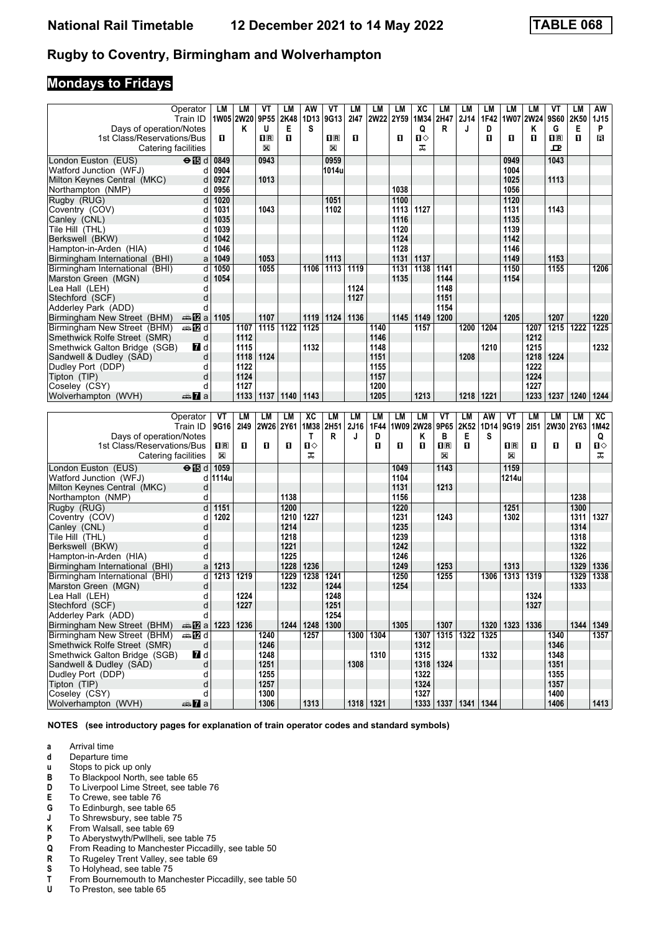# **Mondays to Fridays**

|                                                          | Operator                   | LM             | LM        | VT                      | LM           | AW            | VT    | LМ   | LM          | LM           | ХC        | LM                        | LM               | LМ        | LM           | LM        | ۷T           | LM           | AW           |
|----------------------------------------------------------|----------------------------|----------------|-----------|-------------------------|--------------|---------------|-------|------|-------------|--------------|-----------|---------------------------|------------------|-----------|--------------|-----------|--------------|--------------|--------------|
| Days of operation/Notes                                  | Train ID                   | 1W05 2W20      |           | 9P55<br>U               | 2K48         | 1D13<br>S     | 9G13  | 2147 | 2W22        | 2Y59         | 1M34      | 2H47<br>R                 | <b>2J14</b><br>J | 1F42<br>D |              | 1W07 2W24 | 9S60<br>G    | 2K50<br>Е    | 1J15<br>P    |
| 1st Class/Reservations/Bus                               |                            | 0              | ĸ         | $\overline{\mathbf{R}}$ | Е<br>O.      |               | 1R    | О    |             | O            | Q<br>п    |                           |                  | п         | О            | Κ<br>п    | $\Pi$ R      | $\mathbf{u}$ | в            |
|                                                          | Catering facilities        |                |           | ⊠                       |              |               | X     |      |             |              | ᠼ         |                           |                  |           |              |           | ᇁ            |              |              |
|                                                          |                            |                |           |                         |              |               |       |      |             |              |           |                           |                  |           |              |           |              |              |              |
| London Euston (EUS)                                      | $\Theta$ is d              | 0849           |           | 0943                    |              |               | 0959  |      |             |              |           |                           |                  |           | 0949         |           | 1043         |              |              |
| Watford Junction (WFJ)                                   | d                          | 0904           |           |                         |              |               | 1014u |      |             |              |           |                           |                  |           | 1004         |           |              |              |              |
| Milton Keynes Central (MKC)                              | d                          | 0927           |           | 1013                    |              |               |       |      |             | 1038         |           |                           |                  |           | 1025<br>1056 |           | 1113         |              |              |
| Northampton (NMP)                                        | d                          | 0956           |           |                         |              |               |       |      |             |              |           |                           |                  |           |              |           |              |              |              |
| Rugby (RUG)                                              | d<br>d                     | 1020           |           | 1043                    |              |               | 1051  |      |             | 1100<br>1113 | 1127      |                           |                  |           | 1120<br>1131 |           | 1143         |              |              |
| Coventry (COV)                                           | d                          | 1031<br>1035   |           |                         |              |               | 1102  |      |             | 1116         |           |                           |                  |           | 1135         |           |              |              |              |
| Canley (CNL)<br>Tile Hill (THL)                          | d                          | 1039           |           |                         |              |               |       |      |             | 1120         |           |                           |                  |           | 1139         |           |              |              |              |
| Berkswell (BKW)                                          | d                          | 1042           |           |                         |              |               |       |      |             | 1124         |           |                           |                  |           | 1142         |           |              |              |              |
| Hampton-in-Arden (HIA)                                   | d                          | 1046           |           |                         |              |               |       |      |             | 1128         |           |                           |                  |           | 1146         |           |              |              |              |
| Birmingham International (BHI)                           | a                          | 1049           |           | 1053                    |              |               | 1113  |      |             | 1131         | 1137      |                           |                  |           | 1149         |           | 1153         |              |              |
| Birmingham International (BHI)                           | d                          | 1050           |           | 1055                    |              | 1106          | 1113  | 1119 |             | 1131         | 1138      | 1141                      |                  |           | 1150         |           | 1155         |              | 1206         |
| Marston Green (MGN)                                      | d                          | 1054           |           |                         |              |               |       |      |             | 1135         |           | 1144                      |                  |           | 1154         |           |              |              |              |
| Lea Hall (LEH)                                           | d                          |                |           |                         |              |               |       | 1124 |             |              |           | 1148                      |                  |           |              |           |              |              |              |
| Stechford (SCF)                                          | d                          |                |           |                         |              |               |       | 1127 |             |              |           | 1151                      |                  |           |              |           |              |              |              |
| Adderley Park (ADD)                                      | d                          |                |           |                         |              |               |       |      |             |              |           | 1154                      |                  |           |              |           |              |              |              |
| Birmingham New Street (BHM)                              | ana ny ⊡a                  | 1105           |           | 1107                    |              | 1119          | 1124  | 1136 |             | 1145         | 1149      | 1200                      |                  |           | 1205         |           | 1207         |              | 1220         |
| Birmingham New Street (BHM)                              | <b>⊯ 12</b> d              |                | 1107      | 1115                    | 1122         | 1125          |       |      | 1140        |              | 1157      |                           | 1200             | 1204      |              | 1207      | 1215         | 1222         | 1225         |
| Smethwick Rolfe Street (SMR)                             | d                          |                | 1112      |                         |              |               |       |      | 1146        |              |           |                           |                  |           |              | 1212      |              |              |              |
| Smethwick Galton Bridge (SGB)                            | <b>7</b> d                 |                | 1115      |                         |              | 1132          |       |      | 1148        |              |           |                           |                  | 1210      |              | 1215      |              |              | 1232         |
| Sandwell & Dudley (SAD)                                  | d                          |                | 1118      | 1124                    |              |               |       |      | 1151        |              |           |                           | 1208             |           |              | 1218      | 1224         |              |              |
| Dudley Port (DDP)                                        | d                          |                | 1122      |                         |              |               |       |      | 1155        |              |           |                           |                  |           |              | 1222      |              |              |              |
| Tipton (TIP)                                             | d                          |                | 1124      |                         |              |               |       |      | 1157        |              |           |                           |                  |           |              | 1224      |              |              |              |
| Coseley (CSY)                                            | d                          |                | 1127      |                         |              |               |       |      | 1200        |              |           |                           |                  |           |              | 1227      |              |              |              |
| Wolverhampton (WVH)                                      | dan <mark>7</mark> a       |                | 1133      | 1137                    | 1140         | 1143          |       |      | 1205        |              | 1213      |                           | 1218             | 1221      |              | 1233      | 1237         | 1240         | 1244         |
|                                                          |                            |                |           |                         |              |               |       |      |             |              |           |                           |                  |           |              |           |              |              |              |
|                                                          |                            |                |           |                         |              |               |       |      |             |              |           |                           |                  |           |              |           |              |              |              |
|                                                          | Operator                   | VT             | <b>LM</b> | LМ                      | LM           | XC            | LM    | LM   | LM          | LМ           | <b>LM</b> | VT                        | LM               | AW        | VT           | <b>LM</b> | LМ           | LM           | XC           |
|                                                          | Train ID                   | 9G16           | 2149      | <b>2W26</b>             | 2Y61         | 1M38          | 2H51  | 2J16 | 1F44        |              | 1W09 2W28 | 9P65                      | 2K52             | 1D14      | 9G19         | 2151      |              | 2W30 2Y63    | 1M42         |
| Days of operation/Notes                                  |                            |                |           |                         |              | Т             | R     | J    | D           |              | Κ         | в                         | Е                | s         |              |           |              |              | Q            |
| 1st Class/Reservations/Bus                               |                            | $\mathbf{H}$ R | п         | 0                       | П            | П⇔            |       |      | п           | O            | п         | $\mathbf{I}^{\mathbb{R}}$ | п                |           | $n_{\rm R}$  | п         | п            | П            | п⇔           |
|                                                          | Catering facilities        | $\boxtimes$    |           |                         |              | ᠼ             |       |      |             |              |           | $\mathbb{X}$              |                  |           | $\boxtimes$  |           |              |              | ᠼ            |
| London Euston (EUS)                                      | $\Theta$ is d              | 1059           |           |                         |              |               |       |      |             | 1049         |           | 1143                      |                  |           | 1159         |           |              |              |              |
| Watford Junction (WFJ)                                   | d                          | 1114u          |           |                         |              |               |       |      |             | 1104         |           |                           |                  |           | 1214u        |           |              |              |              |
| Milton Keynes Central (MKC)                              | d                          |                |           |                         |              |               |       |      |             | 1131         |           | 1213                      |                  |           |              |           |              |              |              |
| Northampton (NMP)                                        | d                          |                |           |                         | 1138         |               |       |      |             | 1156         |           |                           |                  |           |              |           |              | 1238         |              |
| Rugby (RUG)                                              | d                          | 1151           |           |                         | 1200         |               |       |      |             | 1220         |           |                           |                  |           | 1251         |           |              | 1300         |              |
| Coventry (COV)                                           | d                          | 1202           |           |                         | 1210         | 1227          |       |      |             | 1231         |           | 1243                      |                  |           | 1302         |           |              | 1311         |              |
| Canley (CNL)                                             | d                          |                |           |                         | 1214         |               |       |      |             | 1235         |           |                           |                  |           |              |           |              | 1314         |              |
| Tile Hill (THL)                                          | d                          |                |           |                         | 1218         |               |       |      |             | 1239         |           |                           |                  |           |              |           |              | 1318         |              |
| Berkswell (BKW)                                          | d<br>d                     |                |           |                         | 1221<br>1225 |               |       |      |             | 1242<br>1246 |           |                           |                  |           |              |           |              | 1322<br>1326 |              |
| Hampton-in-Arden (HIA)<br>Birmingham International (BHI) | a                          | 1213           |           |                         | 1228         | 1236          |       |      |             | 1249         |           | 1253                      |                  |           | 1313         |           |              | 1329         | 1327<br>1336 |
| Birmingham International (BHI)                           | d                          | 1213           | 1219      |                         | 1229         | 1238          | 1241  |      |             | 1250         |           | 1255                      |                  | 1306      | 1313         | 1319      |              | 1329         | 1338         |
| Marston Green (MGN)                                      | d                          |                |           |                         | 1232         |               | 1244  |      |             | 1254         |           |                           |                  |           |              |           |              | 1333         |              |
| Lea Hall (LEH)                                           | d                          |                | 1224      |                         |              |               | 1248  |      |             |              |           |                           |                  |           |              | 1324      |              |              |              |
| Stechford (SCF)                                          | d                          |                | 1227      |                         |              |               | 1251  |      |             |              |           |                           |                  |           |              | 1327      |              |              |              |
| Adderley Park (ADD)                                      | d                          |                |           |                         |              |               | 1254  |      |             |              |           |                           |                  |           |              |           |              |              |              |
| Birmingham New Street (BHM)                              | $\triangle$ 223   1236     |                |           |                         |              | $1244$   1248 | 1300  |      |             | 1305         |           | 1307                      |                  | 1320      | 1323         | 1336      |              |              | 1344   1349  |
| Birmingham New Street (BHM)                              | <b>美卫d</b>                 |                |           | 1240                    |              | 1257          |       |      | 1300 1304   |              |           | 1307 1315 1322            |                  | 1325      |              |           | 1340         |              | 1357         |
| Smethwick Rolfe Street (SMR)                             | d                          |                |           | 1246                    |              |               |       |      |             |              | 1312      |                           |                  |           |              |           | 1346         |              |              |
| Smethwick Galton Bridge (SGB)                            | $\blacksquare$ d           |                |           | 1248                    |              |               |       |      | 1310        |              | 1315      |                           |                  | 1332      |              |           | 1348         |              |              |
| Sandwell & Dudley (SAD)                                  | d                          |                |           | 1251                    |              |               |       | 1308 |             |              |           | 1318 1324                 |                  |           |              |           | 1351         |              |              |
| Dudley Port (DDP)                                        | d                          |                |           | 1255                    |              |               |       |      |             |              | 1322      |                           |                  |           |              |           | 1355         |              |              |
| Tipton (TIP)                                             | d                          |                |           | 1257                    |              |               |       |      |             |              | 1324      |                           |                  |           |              |           | 1357         |              |              |
| Coseley (CSY)<br>Wolverhampton (WVH)                     | d<br>$\oplus \mathbf{Z}$ a |                |           | 1300<br>1306            |              | 1313          |       |      | 1318   1321 |              | 1327      | 1333   1337   1341   1344 |                  |           |              |           | 1400<br>1406 |              | 1413         |

**NOTES (see introductory pages for explanation of train operator codes and standard symbols)**

- **d** Departure time<br>**u** Stops to pick up
- **x** Stops to pick up only<br>**B** To Blackpool North. s
- To Blackpool North, see table 65
- **D** To Liverpool Lime Street, see table 76<br>**E** To Crewe, see table 76
- **E** To Crewe, see table 76<br>**G** To Edinburgh, see table
- 
- **6** To Edinburgh, see table 65<br>**J** To Shrewsbury, see table 7
- From Walsall, see table 69
- **-** To Shrewsbury see table 75
- **P** To Aberystwyth/Pwllheli, see table 75<br>**Q** From Reading to Manchester Piccadil **4** From Reading to Manchester Piccadilly, see table 50<br>**R** To Rugeley Trent Valley, see table 69
- **R** To Rugeley Trent Valley, see table 69<br>**S** To Holyhead, see table 75
- **6** To Holyhead, see table 75<br>**T** From Bournemouth to Man
- **T** From Bournemouth to Manchester Piccadilly, see table 50<br>**U** To Preston, see table 65
- To Preston, see table 65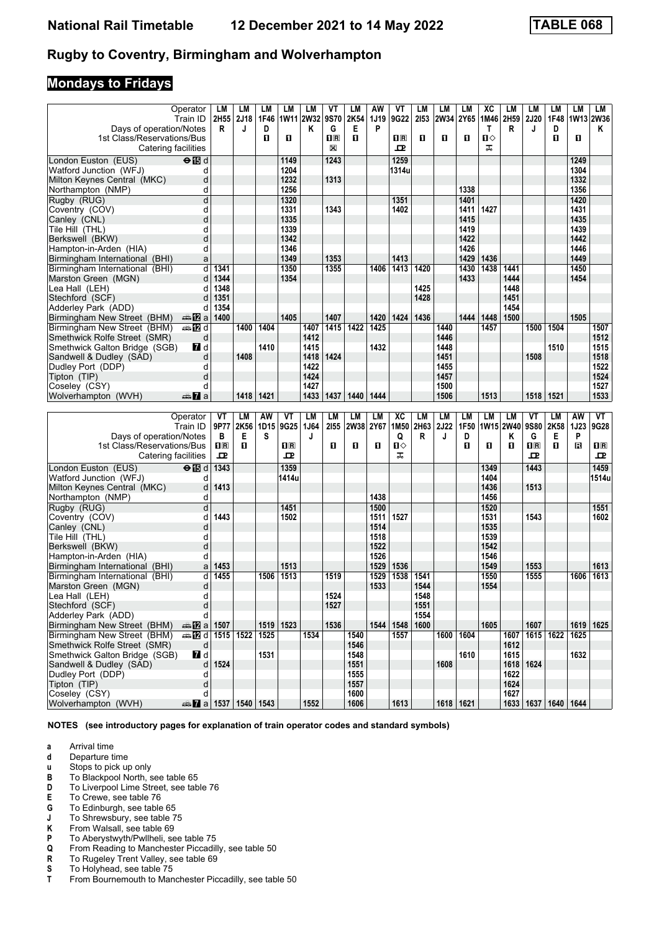# **Mondays to Fridays**

|                                                               | Operator                           | LM                                              | LM        | LМ   | LM           | LM           | VT                                              | LM           | AW           | VT                      | LM        | LM           | LM        | хc           | LМ        | LМ                      | LМ                        | LM           | LМ           |
|---------------------------------------------------------------|------------------------------------|-------------------------------------------------|-----------|------|--------------|--------------|-------------------------------------------------|--------------|--------------|-------------------------|-----------|--------------|-----------|--------------|-----------|-------------------------|---------------------------|--------------|--------------|
|                                                               | Train ID                           | 2H55 2J18                                       |           | 1F46 |              | 1W11 2W32    | 9S70                                            | 2K54         | 1J19         | 9G22                    | 2153      | 2W34         | 2Y65      | 1M46         | 2H59      | <b>2J20</b>             | 1F48                      | 1W13 2W36    |              |
| Days of operation/Notes                                       |                                    | R                                               | J         | D    |              | Κ            | G                                               | Е            | P            |                         |           |              |           | T            | R         | J                       | D                         |              | Κ            |
| 1st Class/Reservations/Bus                                    |                                    |                                                 |           | п    | П            |              | $\overline{\mathbf{H}}$ $\overline{\mathbf{R}}$ | п            |              | $\overline{\mathbf{R}}$ | п         | 0            | O         | п⇔           |           |                         | O                         | O            |              |
|                                                               | Catering facilities                |                                                 |           |      |              |              | ⊠                                               |              |              | ᇁ                       |           |              |           | ᠼ            |           |                         |                           |              |              |
| London Euston (EUS)                                           | $\Theta$ $\overline{\mathbb{B}}$ d |                                                 |           |      | 1149         |              | 1243                                            |              |              | 1259                    |           |              |           |              |           |                         |                           | 1249         |              |
| Watford Junction (WFJ)                                        | d                                  |                                                 |           |      | 1204         |              |                                                 |              |              | 1314u                   |           |              |           |              |           |                         |                           | 1304         |              |
| Milton Keynes Central (MKC)                                   | d                                  |                                                 |           |      | 1232<br>1256 |              | 1313                                            |              |              |                         |           |              | 1338      |              |           |                         |                           | 1332<br>1356 |              |
| Northampton (NMP)<br>Rugby (RUG)                              | d<br>d                             |                                                 |           |      | 1320         |              |                                                 |              |              | 1351                    |           |              | 1401      |              |           |                         |                           | 1420         |              |
| Coventry (COV)                                                | d                                  |                                                 |           |      | 1331         |              | 1343                                            |              |              | 1402                    |           |              | 1411      | 1427         |           |                         |                           | 1431         |              |
| Canley (CNL)                                                  | d                                  |                                                 |           |      | 1335         |              |                                                 |              |              |                         |           |              | 1415      |              |           |                         |                           | 1435         |              |
| Tile Hill (THL)                                               | d                                  |                                                 |           |      | 1339         |              |                                                 |              |              |                         |           |              | 1419      |              |           |                         |                           | 1439         |              |
| Berkswell (BKW)                                               | d                                  |                                                 |           |      | 1342         |              |                                                 |              |              |                         |           |              | 1422      |              |           |                         |                           | 1442         |              |
| Hampton-in-Arden (HIA)                                        | d                                  |                                                 |           |      | 1346         |              |                                                 |              |              |                         |           |              | 1426      |              |           |                         |                           | 1446         |              |
| Birmingham International (BHI)                                | a                                  |                                                 |           |      | 1349         |              | 1353                                            |              |              | 1413                    |           |              | 1429      | 1436         |           |                         |                           | 1449         |              |
| Birmingham International (BHI)                                | d                                  | 1341                                            |           |      | 1350         |              | 1355                                            |              | 1406         | 1413                    | 1420      |              | 1430      | 1438         | 1441      |                         |                           | 1450         |              |
| Marston Green (MGN)                                           | d                                  | 1344                                            |           |      | 1354         |              |                                                 |              |              |                         |           |              | 1433      |              | 1444      |                         |                           | 1454         |              |
| Lea Hall (LEH)                                                | d                                  | 1348                                            |           |      |              |              |                                                 |              |              |                         | 1425      |              |           |              | 1448      |                         |                           |              |              |
| Stechford (SCF)                                               | d                                  | 1351                                            |           |      |              |              |                                                 |              |              |                         | 1428      |              |           |              | 1451      |                         |                           |              |              |
| Adderley Park (ADD)                                           | d                                  | 1354                                            |           |      |              |              |                                                 |              |              |                         |           |              |           |              | 1454      |                         |                           |              |              |
| Birmingham New Street (BHM)                                   | dan 122 a                          | 1400                                            |           |      | 1405         |              | 1407                                            |              | 1420         | 1424                    | 1436      |              | 1444      | 1448         | 1500      |                         |                           | 1505         |              |
| Birmingham New Street (BHM)                                   | <del>⊯</del> ПИd                   |                                                 | 1400      | 1404 |              | 1407         | 1415                                            | 1422         | 1425         |                         |           | 1440         |           | 1457         |           | 1500                    | 1504                      |              | 1507         |
| Smethwick Rolfe Street (SMR)<br>Smethwick Galton Bridge (SGB) | d<br>$\blacksquare$                |                                                 |           | 1410 |              | 1412<br>1415 |                                                 |              | 1432         |                         |           | 1446<br>1448 |           |              |           |                         |                           |              | 1512<br>1515 |
| Sandwell & Dudley (SAD)                                       | d                                  |                                                 | 1408      |      |              | 1418         | 1424                                            |              |              |                         |           | 1451         |           |              |           | 1508                    | 1510                      |              | 1518         |
| Dudley Port (DDP)                                             | d                                  |                                                 |           |      |              | 1422         |                                                 |              |              |                         |           | 1455         |           |              |           |                         |                           |              | 1522         |
| Tipton (TIP)                                                  | d                                  |                                                 |           |      |              | 1424         |                                                 |              |              |                         |           | 1457         |           |              |           |                         |                           |              | 1524         |
| Coseley (CSY)                                                 | d                                  |                                                 |           |      |              | 1427         |                                                 |              |              |                         |           | 1500         |           |              |           |                         |                           |              | 1527         |
| Wolverhampton (WVH)                                           | $\frac{1}{2}$ a                    |                                                 | 1418      | 1421 |              | 1433         | 1437                                            | 1440         | 1444         |                         |           | 1506         |           | 1513         |           | 1518                    | 1521                      |              | 1533         |
|                                                               |                                    |                                                 |           |      |              |              |                                                 |              |              |                         |           |              |           |              |           |                         |                           |              |              |
|                                                               |                                    |                                                 |           |      |              |              |                                                 |              |              |                         |           |              |           |              |           |                         |                           |              |              |
|                                                               | Operator                           | VT                                              | LM        | AW   | VT           | <b>LM</b>    | LM                                              | <b>LM</b>    | LM           | XC                      | <b>LM</b> | <b>LM</b>    | LM        | <b>LM</b>    | LM        | VT                      | LМ                        | AW           | VT           |
|                                                               | Train ID                           | 9P77                                            | 2K56      | 1D15 | 9G25         | 1J64         | 2155                                            | 2W38 2Y67    |              | 1M50                    | 2H63      | <b>2J22</b>  | 1F50      |              | 1W15 2W40 | 9S80                    | 2K58                      | <b>1J23</b>  | 9G28         |
| Days of operation/Notes                                       |                                    | в                                               | Е         | s    |              | J            |                                                 |              |              | Q                       | R         | J            | D         |              | Κ         | G                       | Е                         | P            |              |
| 1st Class/Reservations/Bus                                    |                                    | $\overline{\mathbf{H}}$ $\overline{\mathbf{R}}$ | п         |      | 0 R          |              | п                                               | O.           | O            | п⇔                      |           |              | O         | O            | O         | $\overline{\mathbf{H}}$ | п                         | в            | $n_{\rm R}$  |
| Catering facilities                                           |                                    | ᇁ                                               |           |      | ᇁ            |              |                                                 |              |              | ᠼ                       |           |              |           |              |           | ᇁ                       |                           |              | ᇁ            |
| London Euston (EUS)                                           | $\Theta$ $\mathbb{E}$ d            | 1343                                            |           |      | 1359         |              |                                                 |              |              |                         |           |              |           | 1349         |           | 1443                    |                           |              | 1459         |
| Watford Junction (WFJ)                                        | d                                  |                                                 |           |      | 1414u        |              |                                                 |              |              |                         |           |              |           | 1404         |           |                         |                           |              | 1514u        |
| Milton Keynes Central (MKC)                                   | d                                  | 1413                                            |           |      |              |              |                                                 |              |              |                         |           |              |           | 1436         |           | 1513                    |                           |              |              |
| Northampton (NMP)                                             | d                                  |                                                 |           |      |              |              |                                                 |              | 1438         |                         |           |              |           | 1456         |           |                         |                           |              |              |
| Rugby (RUG)                                                   | d                                  |                                                 |           |      | 1451         |              |                                                 |              | 1500         |                         |           |              |           | 1520         |           |                         |                           |              | 1551         |
| Coventry (COV)<br>Canley (CNL)                                | d<br>d                             | 1443                                            |           |      | 1502         |              |                                                 |              | 1511<br>1514 | 1527                    |           |              |           | 1531<br>1535 |           | 1543                    |                           |              | 1602         |
| Tile Hill (THL)                                               | d                                  |                                                 |           |      |              |              |                                                 |              | 1518         |                         |           |              |           | 1539         |           |                         |                           |              |              |
| Berkswell (BKW)                                               | d                                  |                                                 |           |      |              |              |                                                 |              | 1522         |                         |           |              |           | 1542         |           |                         |                           |              |              |
| Hampton-in-Arden (HIA)                                        | d                                  |                                                 |           |      |              |              |                                                 |              | 1526         |                         |           |              |           | 1546         |           |                         |                           |              |              |
| Birmingham International (BHI)                                | a                                  | 1453                                            |           |      | 1513         |              |                                                 |              | 1529         | 1536                    |           |              |           | 1549         |           | 1553                    |                           |              | 1613         |
| Birmingham International (BHI)                                | d                                  | 1455                                            |           | 1506 | 1513         |              | 1519                                            |              | 1529         | 1538                    | 1541      |              |           | 1550         |           | 1555                    |                           | 1606         | 1613         |
| Marston Green (MGN)                                           | d                                  |                                                 |           |      |              |              |                                                 |              | 1533         |                         | 1544      |              |           | 1554         |           |                         |                           |              |              |
| Lea Hall (LEH)                                                | d                                  |                                                 |           |      |              |              | 1524                                            |              |              |                         | 1548      |              |           |              |           |                         |                           |              |              |
| Stechford (SCF)                                               | d                                  |                                                 |           |      |              |              | 1527                                            |              |              |                         | 1551      |              |           |              |           |                         |                           |              |              |
| Adderley Park (ADD)                                           | d                                  |                                                 |           |      |              |              | 1536                                            |              |              | 1544 1548               | 1554      |              |           | 1605         |           |                         |                           |              |              |
| Birmingham New Street (BHM)<br>Birmingham New Street (BHM)    | <b>as 122</b> a 1507               |                                                 | 1515 1522 | 1525 | 1519 1523    | 1534         |                                                 | 1540         |              | 1557                    | 1600      | 1600         | 1604      |              | 1607      | 1607                    |                           | 1625         | 1619   1625  |
| Smethwick Rolfe Street (SMR)                                  | <del>◎</del> 卫d<br>d               |                                                 |           |      |              |              |                                                 | 1546         |              |                         |           |              |           |              | 1612      | 1615 1622               |                           |              |              |
| Smethwick Galton Bridge (SGB)                                 | 7d                                 |                                                 |           | 1531 |              |              |                                                 | 1548         |              |                         |           |              | 1610      |              | 1615      |                         |                           | 1632         |              |
| Sandwell & Dudley (SAD)                                       | d                                  | 1524                                            |           |      |              |              |                                                 | 1551         |              |                         |           | 1608         |           |              |           | 1618   1624             |                           |              |              |
| Dudley Port (DDP)                                             | d                                  |                                                 |           |      |              |              |                                                 | 1555         |              |                         |           |              |           |              | 1622      |                         |                           |              |              |
| Tipton (TIP)                                                  | d                                  |                                                 |           |      |              |              |                                                 | 1557         |              |                         |           |              |           |              | 1624      |                         |                           |              |              |
| Coseley (CSY)<br>Wolverhampton (WVH)                          | d<br>de <b>1537</b> 1540 1543      |                                                 |           |      |              | 1552         |                                                 | 1600<br>1606 |              | 1613                    |           |              | 1618 1621 |              | 1627      |                         | 1633   1637   1640   1644 |              |              |

**NOTES (see introductory pages for explanation of train operator codes and standard symbols)**

**a** Arrival time<br>**d** Departure t

**d** Departure time<br>**u** Stops to pick up

**x** Stops to pick up only<br>**B** To Blackpool North. s

- To Blackpool North, see table 65
- **D** To Liverpool Lime Street, see table 76<br>**E** To Crewe, see table 76
- **E** To Crewe, see table 76<br>**G** To Edinburgh, see table
- 
- **6** To Edinburgh, see table 65<br>**J** To Shrewsbury, see table 7
- From Walsall, see table 69
- **-** To Shrewsbury see table 75
- **P** To Aberystwyth/Pwllheli, see table 75<br>**Q** From Reading to Manchester Piccadil **4** From Reading to Manchester Piccadilly, see table 50<br>**R** To Rugeley Trent Valley, see table 69
- **R** To Rugeley Trent Valley, see table 69<br>**S** To Holyhead, see table 75
- **6** To Holyhead, see table 75<br>**T** From Bournemouth to Man
- From Bournemouth to Manchester Piccadilly, see table 50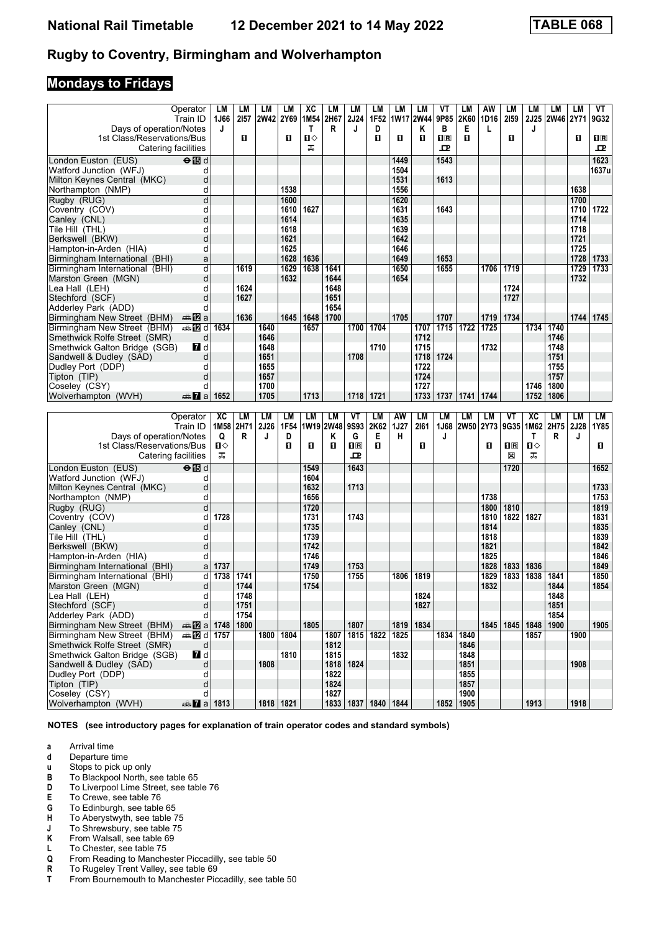## **Mondays to Fridays**

|                                                       | Operator<br>Train ID               | LM              | LM<br>2157   | LМ<br> 2W42              | LM<br>2Y69   | хc<br>1M54      | LM<br>2H67 | LM<br><b>2J24</b>       | LM<br>1F <sub>52</sub> | LM<br> 1W17 2W44 | LM                | ۷T<br>9P85              | LМ<br>2K60             | AW<br>1D16   | LМ<br>2159                | LМ           | LМ<br>2J25 2W46 2Y71 | LM           | VT<br>9G32   |
|-------------------------------------------------------|------------------------------------|-----------------|--------------|--------------------------|--------------|-----------------|------------|-------------------------|------------------------|------------------|-------------------|-------------------------|------------------------|--------------|---------------------------|--------------|----------------------|--------------|--------------|
| Days of operation/Notes                               |                                    | 1J66<br>J       |              |                          |              | T               | R          | J                       | D                      |                  | Κ                 | в                       | Е                      | L            |                           | J            |                      |              |              |
| 1st Class/Reservations/Bus                            |                                    |                 | п            |                          | O            | П⇔              |            |                         | O                      | O                | п                 | $\overline{\mathbf{B}}$ | п                      |              | O                         |              |                      | O            | $n_{\rm R}$  |
| Catering facilities                                   |                                    |                 |              |                          |              | ᠼ               |            |                         |                        |                  |                   | ᇁ                       |                        |              |                           |              |                      |              | ᇁ            |
| London Euston (EUS)                                   | $\Theta$ $\overline{\mathbb{B}}$ d |                 |              |                          |              |                 |            |                         |                        | 1449             |                   | 1543                    |                        |              |                           |              |                      |              | 1623         |
| Watford Junction (WFJ)                                | d                                  |                 |              |                          |              |                 |            |                         |                        | 1504             |                   |                         |                        |              |                           |              |                      |              | 1637u        |
| Milton Keynes Central (MKC)                           | d                                  |                 |              |                          |              |                 |            |                         |                        | 1531             |                   | 1613                    |                        |              |                           |              |                      |              |              |
| Northampton (NMP)                                     | d                                  |                 |              |                          | 1538         |                 |            |                         |                        | 1556             |                   |                         |                        |              |                           |              |                      | 1638         |              |
| Rugby (RUG)                                           | d                                  |                 |              |                          | 1600         |                 |            |                         |                        | 1620             |                   |                         |                        |              |                           |              |                      | 1700         |              |
| Coventry (COV)                                        | d                                  |                 |              |                          | 1610         | 1627            |            |                         |                        | 1631             |                   | 1643                    |                        |              |                           |              |                      | 1710         | 1722         |
| Canley (CNL)                                          | d<br>d                             |                 |              |                          | 1614<br>1618 |                 |            |                         |                        | 1635<br>1639     |                   |                         |                        |              |                           |              |                      | 1714<br>1718 |              |
| Tile Hill (THL)<br>Berkswell (BKW)                    | d                                  |                 |              |                          | 1621         |                 |            |                         |                        | 1642             |                   |                         |                        |              |                           |              |                      | 1721         |              |
| Hampton-in-Arden (HIA)                                | d                                  |                 |              |                          | 1625         |                 |            |                         |                        | 1646             |                   |                         |                        |              |                           |              |                      | 1725         |              |
| Birmingham International (BHI)                        | a                                  |                 |              |                          | 1628         | 1636            |            |                         |                        | 1649             |                   | 1653                    |                        |              |                           |              |                      | 1728         | 1733         |
| Birmingham International (BHI)                        | d                                  |                 | 1619         |                          | 1629         | 1638            | 1641       |                         |                        | 1650             |                   | 1655                    |                        | 1706         | 1719                      |              |                      | 1729         | 1733         |
| Marston Green (MGN)                                   | d                                  |                 |              |                          | 1632         |                 | 1644       |                         |                        | 1654             |                   |                         |                        |              |                           |              |                      | 1732         |              |
| Lea Hall (LEH)                                        | d                                  |                 | 1624         |                          |              |                 | 1648       |                         |                        |                  |                   |                         |                        |              | 1724                      |              |                      |              |              |
| Stechford (SCF)                                       | d                                  |                 | 1627         |                          |              |                 | 1651       |                         |                        |                  |                   |                         |                        |              | 1727                      |              |                      |              |              |
| Adderley Park (ADD)                                   | d                                  |                 |              |                          |              |                 | 1654       |                         |                        |                  |                   |                         |                        |              |                           |              |                      |              |              |
| Birmingham New Street (BHM)                           | ana <mark>na</mark> ma             |                 | 1636         |                          | 1645         | 1648            | 1700       |                         |                        | 1705             |                   | 1707                    |                        | 1719         | 1734                      |              |                      | 1744         | 1745         |
| Birmingham New Street (BHM)                           | dan Dana d                         | 1634            |              | 1640                     |              | 1657            |            | 1700                    | 1704                   |                  | 1707              | 1715                    | $\overline{1722}$      | 1725         |                           | 1734         | 1740                 |              |              |
| Smethwick Rolfe Street (SMR)                          | d                                  |                 |              | 1646                     |              |                 |            |                         |                        |                  | 1712              |                         |                        |              |                           |              | 1746                 |              |              |
| Smethwick Galton Bridge (SGB)                         | 7d                                 |                 |              | 1648                     |              |                 |            |                         | 1710                   |                  | 1715              |                         |                        | 1732         |                           |              | 1748                 |              |              |
| Sandwell & Dudley (SAD)                               | d                                  |                 |              | 1651                     |              |                 |            | 1708                    |                        |                  | 1718              | 1724                    |                        |              |                           |              | 1751                 |              |              |
| Dudley Port (DDP)                                     | d                                  |                 |              | 1655                     |              |                 |            |                         |                        |                  | 1722              |                         |                        |              |                           |              | 1755                 |              |              |
| Tipton (TIP)                                          | d                                  |                 |              | 1657                     |              |                 |            |                         |                        |                  | 1724              |                         |                        |              |                           |              | 1757                 |              |              |
| Coseley (CSY)<br>Wolverhampton (WVH)                  | d                                  | 1652            |              | 1700<br>1705             |              | 1713            |            | 1718                    | 1721                   |                  | 1727<br>1733      | 1737                    | 1741                   | 1744         |                           | 1746<br>1752 | 1800<br>1806         |              |              |
|                                                       | dan <mark>7</mark> a               |                 |              |                          |              |                 |            |                         |                        |                  |                   |                         |                        |              |                           |              |                      |              |              |
|                                                       |                                    |                 |              |                          |              |                 |            |                         |                        |                  |                   |                         |                        |              |                           |              |                      |              |              |
|                                                       |                                    |                 |              |                          |              |                 |            |                         |                        |                  |                   |                         |                        |              |                           |              |                      |              |              |
|                                                       | Operator<br>Train ID               | XC<br>1M58 2H71 | <b>LM</b>    | <b>LM</b><br><b>2J26</b> | LM<br>1F54   | LM<br>1W19 2W48 | LM         | VT<br>9S93              | LM<br>2K62             | AW<br>1J27       | <b>LM</b><br>2161 | <b>LM</b>               | <b>LM</b><br>1J68 2W50 | <b>LM</b>    | VT<br>9G35                | XC<br>1M62   | <b>LM</b><br>2H75    | LM<br>2J28   | LM<br>1Y85   |
| Days of operation/Notes                               |                                    | Q               | R            | J                        | D            |                 | Κ          | G                       | Е                      | н                |                   | J                       |                        | <b>2Y73</b>  |                           | Τ            | R                    | J            |              |
| 1st Class/Reservations/Bus                            |                                    | ்ப              |              |                          | O            | п               | п          | $\overline{\mathbf{H}}$ | O                      |                  | п                 |                         |                        | п            | $\mathbf{I}^{\mathbb{R}}$ | ப⇔           |                      |              | O            |
| Catering facilities                                   |                                    | ᠼ               |              |                          |              |                 |            | 고                       |                        |                  |                   |                         |                        |              | X                         | ᠼ            |                      |              |              |
| London Euston (EUS)                                   | $\Theta$ $\blacksquare$ d          |                 |              |                          |              | 1549            |            | 1643                    |                        |                  |                   |                         |                        |              | 1720                      |              |                      |              | 1652         |
| Watford Junction (WFJ)                                | d                                  |                 |              |                          |              | 1604            |            |                         |                        |                  |                   |                         |                        |              |                           |              |                      |              |              |
| Milton Keynes Central (MKC)                           | d                                  |                 |              |                          |              | 1632            |            | 1713                    |                        |                  |                   |                         |                        |              |                           |              |                      |              | 1733         |
| Northampton (NMP)                                     | d                                  |                 |              |                          |              | 1656            |            |                         |                        |                  |                   |                         |                        | 1738         |                           |              |                      |              | 1753         |
| Rugby (RUG)                                           | d                                  |                 |              |                          |              | 1720            |            |                         |                        |                  |                   |                         |                        | 1800         | 1810                      |              |                      |              | 1819         |
| Coventry (COV)                                        | d                                  | 1728            |              |                          |              | 1731            |            | 1743                    |                        |                  |                   |                         |                        | 1810         | 1822                      | 1827         |                      |              | 1831         |
| Canley (CNL)                                          | d                                  |                 |              |                          |              | 1735            |            |                         |                        |                  |                   |                         |                        | 1814         |                           |              |                      |              | 1835         |
| Tile Hill (THL)                                       | d                                  |                 |              |                          |              | 1739            |            |                         |                        |                  |                   |                         |                        | 1818         |                           |              |                      |              | 1839         |
| Berkswell (BKW)                                       | d                                  |                 |              |                          |              | 1742            |            |                         |                        |                  |                   |                         |                        | 1821         |                           |              |                      |              | 1842         |
| Hampton-in-Arden (HIA)                                | d                                  |                 |              |                          |              | 1746            |            |                         |                        |                  |                   |                         |                        | 1825         |                           |              |                      |              | 1846         |
| Birmingham International (BHI)                        | a<br>d                             | 1737            |              |                          |              | 1749            |            | 1753                    |                        |                  |                   |                         |                        | 1828         | 1833                      | 1836         |                      |              | 1849         |
| Birmingham International (BHI)<br>Marston Green (MGN) | d                                  | 1738            | 1741<br>1744 |                          |              | 1750<br>1754    |            | 1755                    |                        | 1806             | 1819              |                         |                        | 1829<br>1832 | 1833                      | 1838         | 1841<br>1844         |              | 1850<br>1854 |
|                                                       | d                                  |                 |              |                          |              |                 |            |                         |                        |                  | 1824              |                         |                        |              |                           |              | 1848                 |              |              |
| Lea Hall (LEH)<br>Stechford (SCF)                     | $\sf d$                            |                 | 1748<br>1751 |                          |              |                 |            |                         |                        |                  | 1827              |                         |                        |              |                           |              | 1851                 |              |              |
| Adderley Park (ADD)                                   | d                                  |                 | 1754         |                          |              |                 |            |                         |                        |                  |                   |                         |                        |              |                           |              | 1854                 |              |              |
| Birmingham New Street (BHM)                           | <b>▲图 a 1748 1800</b>              |                 |              |                          |              | 1805            |            | 1807                    |                        |                  | 1819 1834         |                         |                        |              | $1845$   1845             |              | 1848 1900            |              | 1905         |
| Birmingham New Street (BHM)                           | <b>4 72 d 1757</b>                 |                 |              | 1800                     | 1804         |                 | 1807       |                         | 1815 1822              | 1825             |                   | 1834                    | 1840                   |              |                           | 1857         |                      | 1900         |              |
| Smethwick Rolfe Street (SMR)                          | d                                  |                 |              |                          |              |                 | 1812       |                         |                        |                  |                   |                         | 1846                   |              |                           |              |                      |              |              |
| Smethwick Galton Bridge (SGB)                         | $\blacksquare$ d                   |                 |              |                          | 1810         |                 | 1815       |                         |                        | 1832             |                   |                         | 1848                   |              |                           |              |                      |              |              |
| Sandwell & Dudley (SAD)                               | d                                  |                 |              | 1808                     |              |                 | 1818       | 1824                    |                        |                  |                   |                         | 1851                   |              |                           |              |                      | 1908         |              |
| Dudley Port (DDP)                                     | d                                  |                 |              |                          |              |                 | 1822       |                         |                        |                  |                   |                         | 1855                   |              |                           |              |                      |              |              |
| Tipton (TIP)                                          | d                                  |                 |              |                          |              |                 | 1824       |                         |                        |                  |                   |                         | 1857                   |              |                           |              |                      |              |              |
| Coseley (CSY)<br>Wolverhampton (WVH)                  | d<br>$\frac{1}{2}$ a 1813          |                 |              |                          | 1818 1821    |                 | 1827       |                         | 1833 1837 1840 1844    |                  |                   |                         | 1900<br>1852   1905    |              |                           | 1913         |                      | 1918         |              |

**NOTES (see introductory pages for explanation of train operator codes and standard symbols)**

**a** Arrival time<br>**d** Departure t

**d** Departure time<br>**u** Stops to pick up

**x** Stops to pick up only<br>**B** To Blackpool North. s

- To Blackpool North, see table 65
- **D** To Liverpool Lime Street, see table 76<br>**E** To Crewe, see table 76
- **E** To Crewe, see table 76<br>**G** To Edinburgh, see table
- To Edinburgh, see table 65
- **+** To Aberystwyth, see table 75
- **-** To Shrewsbury, see table 75<br>**K** From Walsall, see table 69
- **K** From Walsall, see table 69<br>**L** To Chester, see table 75
- To Chester, see table 75
- **4** From Reading to Manchester Piccadilly, see table 50<br>**R** To Rugeley Trent Valley, see table 69
- **R** To Rugeley Trent Valley, see table 69<br>**T** From Bournemouth to Manchester Pic
- From Bournemouth to Manchester Piccadilly, see table 50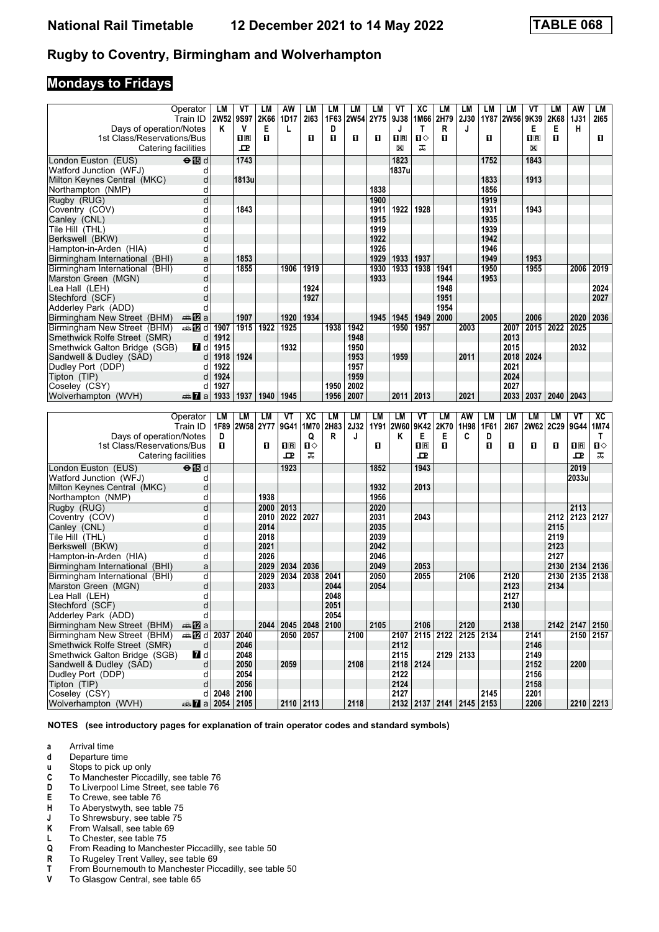## **Mondays to Fridays**

|                                                       | Operator<br>Train ID      | LM<br>2W52 9S97 | ٧T                           | LM<br>2K66   | AW<br>1D17        | LM<br>2163   | LM<br>1F63   | LM<br><b>2W54</b>        | LM<br>2Y75   | VT<br>9J38             | ХC<br>1M66              | LM<br>2H79 | LМ<br><b>2J30</b>        | LM           | LM<br>1Y87 2W56 9K39 | ۷T                                                   | LМ<br>2K68   | AW<br>1J31           | LМ<br>2165 |
|-------------------------------------------------------|---------------------------|-----------------|------------------------------|--------------|-------------------|--------------|--------------|--------------------------|--------------|------------------------|-------------------------|------------|--------------------------|--------------|----------------------|------------------------------------------------------|--------------|----------------------|------------|
| Days of operation/Notes                               |                           | ĸ               | V                            | Е            | L                 |              | D            |                          |              | J                      | $\mathsf{T}$            | R          | J                        |              |                      | Е                                                    | Е            | н                    |            |
| 1st Class/Reservations/Bus<br>Catering facilities     |                           |                 | $\overline{\mathbf{R}}$<br>ᇁ | п            |                   | O            | п            | O                        | O            | $n_{\rm R}$<br>X       | п⇔<br>ᠼ                 | П          |                          | O            |                      | $\overline{\mathbf{H}}$ $\overline{\mathbf{R}}$<br>X | п            |                      | O          |
| London Euston (EUS)                                   | $\Theta$ is d             |                 | 1743                         |              |                   |              |              |                          |              | 1823                   |                         |            |                          | 1752         |                      | 1843                                                 |              |                      |            |
| Watford Junction (WFJ)                                | d                         |                 |                              |              |                   |              |              |                          |              | 1837u                  |                         |            |                          |              |                      |                                                      |              |                      |            |
| Milton Keynes Central (MKC)                           | d                         |                 | 1813u                        |              |                   |              |              |                          |              |                        |                         |            |                          | 1833         |                      | 1913                                                 |              |                      |            |
| Northampton (NMP)                                     | d                         |                 |                              |              |                   |              |              |                          | 1838         |                        |                         |            |                          | 1856         |                      |                                                      |              |                      |            |
| Rugby (RUG)                                           | d                         |                 |                              |              |                   |              |              |                          | 1900         |                        |                         |            |                          | 1919         |                      |                                                      |              |                      |            |
| Coventry (COV)                                        | d                         |                 | 1843                         |              |                   |              |              |                          | 1911         | 1922                   | 1928                    |            |                          | 1931         |                      | 1943                                                 |              |                      |            |
| Canley (CNL)                                          | d<br>d                    |                 |                              |              |                   |              |              |                          | 1915<br>1919 |                        |                         |            |                          | 1935<br>1939 |                      |                                                      |              |                      |            |
| Tile Hill (THL)<br>Berkswell (BKW)                    | d                         |                 |                              |              |                   |              |              |                          | 1922         |                        |                         |            |                          | 1942         |                      |                                                      |              |                      |            |
| Hampton-in-Arden (HIA)                                | d                         |                 |                              |              |                   |              |              |                          | 1926         |                        |                         |            |                          | 1946         |                      |                                                      |              |                      |            |
| Birmingham International (BHI)                        | a                         |                 | 1853                         |              |                   |              |              |                          | 1929         | 1933                   | 1937                    |            |                          | 1949         |                      | 1953                                                 |              |                      |            |
| Birmingham International (BHI)                        | d                         |                 | 1855                         |              | 1906              | 1919         |              |                          | 1930         | 1933                   | 1938                    | 1941       |                          | 1950         |                      | 1955                                                 |              | 2006                 | 2019       |
| Marston Green (MGN)                                   | d                         |                 |                              |              |                   |              |              |                          | 1933         |                        |                         | 1944       |                          | 1953         |                      |                                                      |              |                      |            |
| Lea Hall (LEH)                                        | d                         |                 |                              |              |                   | 1924         |              |                          |              |                        |                         | 1948       |                          |              |                      |                                                      |              |                      | 2024       |
| Stechford (SCF)                                       | d                         |                 |                              |              |                   | 1927         |              |                          |              |                        |                         | 1951       |                          |              |                      |                                                      |              |                      | 2027       |
| Adderley Park (ADD)                                   | d                         |                 |                              |              |                   |              |              |                          |              |                        |                         | 1954       |                          |              |                      |                                                      |              |                      |            |
| Birmingham New Street (BHM)                           | dan <mark>ina</mark> pa   |                 | 1907                         |              | 1920              | 1934         |              |                          | 1945         | 1945                   | 1949                    | 2000       |                          | 2005         |                      | 2006                                                 |              | 2020                 | 2036       |
| Birmingham New Street (BHM)                           | <b>⊯ 12</b> d             | 1907            | 1915                         | 1922         | 1925              |              | 1938         | 1942                     |              | 1950                   | 1957                    |            | 2003                     |              | 2007                 | 2015                                                 | 2022         | 2025                 |            |
| Smethwick Rolfe Street (SMR)                          | d                         | 1912            |                              |              |                   |              |              | 1948                     |              |                        |                         |            |                          |              | 2013                 |                                                      |              |                      |            |
| Smethwick Galton Bridge (SGB)                         | <b>7</b> d                | 1915            |                              |              | 1932              |              |              | 1950                     |              |                        |                         |            |                          |              | 2015                 |                                                      |              | 2032                 |            |
| Sandwell & Dudley (SAD)                               | d                         | 1918            | 1924                         |              |                   |              |              | 1953                     |              | 1959                   |                         |            | 2011                     |              | 2018                 | 2024                                                 |              |                      |            |
| Dudley Port (DDP)                                     | d                         | 1922            |                              |              |                   |              |              | 1957                     |              |                        |                         |            |                          |              | 2021                 |                                                      |              |                      |            |
| Tipton (TIP)                                          | d                         | 1924            |                              |              |                   |              |              | 1959                     |              |                        |                         |            |                          |              | 2024                 |                                                      |              |                      |            |
| Coseley (CSY)<br>Wolverhampton (WVH)                  | d                         | 1927<br>1933    | 1937                         | 1940         | 1945              |              | 1950<br>1956 | 2002<br>2007             |              | 2011                   | 2013                    |            | 2021                     |              | 2027<br>2033         | 2037                                                 | 2040 2043    |                      |            |
|                                                       | $\frac{1}{2}$ a           |                 |                              |              |                   |              |              |                          |              |                        |                         |            |                          |              |                      |                                                      |              |                      |            |
|                                                       |                           |                 |                              |              |                   |              |              |                          |              |                        |                         |            |                          |              |                      |                                                      |              |                      |            |
|                                                       |                           |                 |                              |              |                   |              |              |                          |              |                        |                         |            |                          |              |                      |                                                      |              |                      |            |
|                                                       | Operator<br>Train ID      | LM<br>1F89      | LM                           | LМ           | VT<br>9G41   1M70 | XC           | LM<br>2H83   | <b>LM</b><br><b>2J32</b> | LM           | <b>LM</b><br>1Y91 2W60 | VT<br>9K42              | LM<br>2K70 | AW<br>1H98               | LM<br>1F61   | <b>LM</b><br>2167    | LM<br><b>2W62</b>                                    | LM           | VT<br>2C29 9G44 1M74 | ХC         |
| Days of operation/Notes                               |                           | D               | 2W58 2Y77                    |              |                   | Q            | R            | J                        |              | Κ                      | Е                       | Е          | C                        | D            |                      |                                                      |              |                      | Τ          |
| 1st Class/Reservations/Bus                            |                           | п               |                              | O            | $n_{\rm R}$       | $\mathbf{u}$ |              |                          | O            |                        | $\overline{\mathbf{H}}$ | П          |                          | п            | 0                    | П                                                    | O            | $n_{\rm R}$          | П⇔         |
| Catering facilities                                   |                           |                 |                              |              | ᇁ                 | ᠼ            |              |                          |              |                        | ᇁ                       |            |                          |              |                      |                                                      |              | 굔                    | ᠼ          |
| London Euston (EUS)                                   | $\Theta$ $\blacksquare$ d |                 |                              |              | 1923              |              |              |                          | 1852         |                        | 1943                    |            |                          |              |                      |                                                      |              | 2019                 |            |
| Watford Junction (WFJ)                                | d                         |                 |                              |              |                   |              |              |                          |              |                        |                         |            |                          |              |                      |                                                      |              | 2033u                |            |
| Milton Keynes Central (MKC)                           | d                         |                 |                              |              |                   |              |              |                          | 1932         |                        | 2013                    |            |                          |              |                      |                                                      |              |                      |            |
| Northampton (NMP)                                     | d                         |                 |                              | 1938         |                   |              |              |                          | 1956         |                        |                         |            |                          |              |                      |                                                      |              |                      |            |
| Rugby (RUG)                                           | d                         |                 |                              | 2000         | 2013              |              |              |                          | 2020         |                        |                         |            |                          |              |                      |                                                      |              | 2113                 |            |
| Coventry (COV)                                        | d                         |                 |                              | 2010         | 2022              | 2027         |              |                          | 2031         |                        | 2043                    |            |                          |              |                      |                                                      | 2112         | 2123                 | 2127       |
| Canley (CNL)                                          | d                         |                 |                              | 2014         |                   |              |              |                          | 2035         |                        |                         |            |                          |              |                      |                                                      | 2115         |                      |            |
| Tile Hill (THL)                                       | d                         |                 |                              | 2018         |                   |              |              |                          | 2039         |                        |                         |            |                          |              |                      |                                                      | 2119         |                      |            |
| Berkswell (BKW)                                       | d                         |                 |                              | 2021         |                   |              |              |                          | 2042         |                        |                         |            |                          |              |                      |                                                      | 2123         |                      |            |
| Hampton-in-Arden (HIA)                                | d                         |                 |                              | 2026         |                   |              |              |                          | 2046         |                        |                         |            |                          |              |                      |                                                      | 2127         |                      |            |
| Birmingham International (BHI)                        | a                         |                 |                              | 2029         | 2034              | 2036         |              |                          | 2049         |                        | 2053                    |            |                          |              |                      |                                                      | 2130 2134    |                      | 2136       |
| Birmingham International (BHI)<br>Marston Green (MGN) | d<br>d                    |                 |                              | 2029<br>2033 | 2034              | 2038         | 2041<br>2044 |                          | 2050<br>2054 |                        | 2055                    |            | 2106                     |              | 2120<br>2123         |                                                      | 2130<br>2134 | 2135                 | 2138       |
|                                                       | d                         |                 |                              |              |                   |              |              |                          |              |                        |                         |            |                          |              |                      |                                                      |              |                      |            |
| Lea Hall (LEH)<br>Stechford (SCF)                     | $\sf d$                   |                 |                              |              |                   |              | 2048<br>2051 |                          |              |                        |                         |            |                          |              | 2127<br>2130         |                                                      |              |                      |            |
| Adderley Park (ADD)                                   | d                         |                 |                              |              |                   |              | 2054         |                          |              |                        |                         |            |                          |              |                      |                                                      |              |                      |            |
| Birmingham New Street (BHM)                           | ⊯a <b>12</b> a            |                 |                              |              | 2044 2045 2048    |              | 2100         |                          | 2105         |                        | 2106                    |            | 2120                     |              | 2138                 |                                                      |              | 2142 2147 2150       |            |
| Birmingham New Street (BHM)                           | <b>第7d 2037</b>           |                 | 2040                         |              | 2050 2057         |              |              | 2100                     |              | 2107                   |                         | 2115 2122  | 2125 2134                |              |                      | 2141                                                 |              | 2150 2157            |            |
| Smethwick Rolfe Street (SMR)                          | d                         |                 | 2046                         |              |                   |              |              |                          |              | 2112                   |                         |            |                          |              |                      | 2146                                                 |              |                      |            |
| Smethwick Galton Bridge (SGB)                         | 7d                        |                 | 2048                         |              |                   |              |              |                          |              | 2115                   |                         | 2129       | 2133                     |              |                      | 2149                                                 |              |                      |            |
| Sandwell & Dudley (SAD)                               | d                         |                 | 2050                         |              | 2059              |              |              | 2108                     |              | 2118 2124              |                         |            |                          |              |                      | 2152                                                 |              | 2200                 |            |
| Dudley Port (DDP)                                     | d                         |                 | 2054                         |              |                   |              |              |                          |              | 2122                   |                         |            |                          |              |                      | 2156                                                 |              |                      |            |
| Tipton (TIP)                                          | d                         |                 | 2056                         |              |                   |              |              |                          |              | 2124                   |                         |            |                          |              |                      | 2158                                                 |              |                      |            |
| Coseley (CSY)<br>Wolverhampton (WVH)                  | d<br>$\frac{1}{2}$ a 2054 | 2048            | 2100<br>2105                 |              | $2110$ 2113       |              |              | 2118                     |              | 2127                   |                         |            | 2132 2137 2141 2145 2153 | 2145         |                      | 2201<br>2206                                         |              | $2210$ 2213          |            |

**NOTES (see introductory pages for explanation of train operator codes and standard symbols)**

**a** Arrival time<br>**d** Departure t

**d** Departure time<br>**u** Stops to pick up

**x** Stops to pick up only<br>**C** To Manchester Picca

- To Manchester Piccadilly, see table 76
- **D** To Liverpool Lime Street, see table 76<br>**E** To Crewe, see table 76
- **E** To Crewe, see table 76<br>**H** To Abervstwyth, see table
- **+** To Aberystwyth, see table 75<br>**+** To Shrewsbury, see table 75
- **-** To Shrewsbury, see table 75<br>**K** From Walsall, see table 69
- **K** From Walsall, see table 69<br>**L** To Chester, see table 75
- L To Chester, see table 75<br>**Q** From Reading to Manche
- **4** From Reading to Manchester Piccadilly, see table 50<br>**R** To Rugeley Trent Valley, see table 69
- **R** To Rugeley Trent Valley, see table 69<br>**T** From Bournemouth to Manchester Pic
- **T** From Bournemouth to Manchester Piccadilly, see table 50<br>**V** To Glasgow Central, see table 65
- To Glasgow Central, see table 65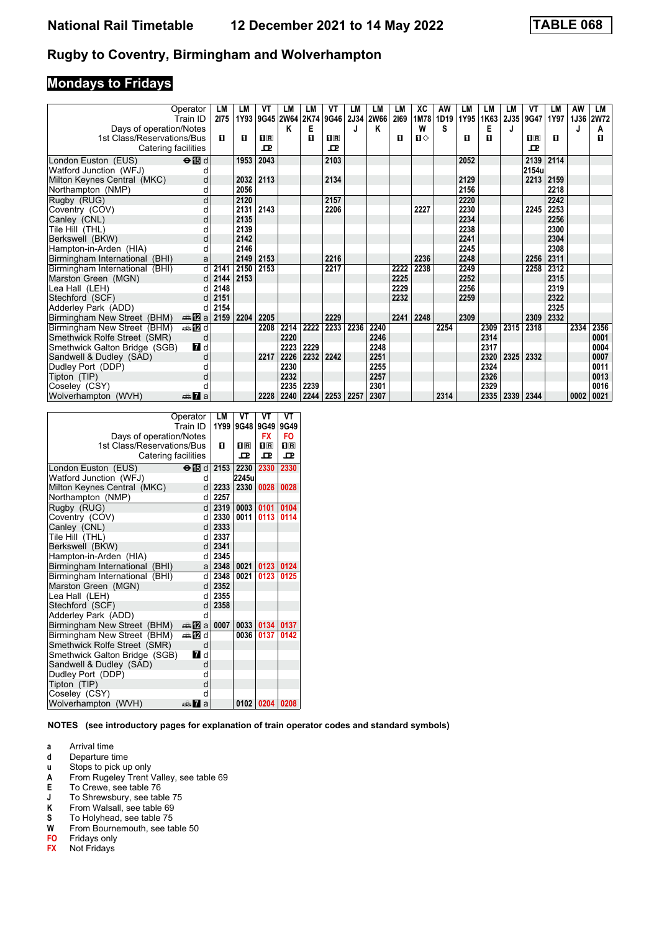# **Mondays to Fridays**

|                                | Operator<br>Train ID      | LM<br>2175 | LM<br>1Y93 | VT<br>9G45 2W64 2K74 | LM   | LM   | VT<br>9G46 | LM<br><b>2J34</b> | LM<br><b>2W66</b> | LM<br>2169 | XC<br>1M78   | AW<br>1D19 | LM<br>1Y95 | LM<br>1K63 | LM   | VT<br>2J35 9G47 | LМ<br>1Y97 | AW<br>1J36 | LM<br><b>2W72</b> |
|--------------------------------|---------------------------|------------|------------|----------------------|------|------|------------|-------------------|-------------------|------------|--------------|------------|------------|------------|------|-----------------|------------|------------|-------------------|
| Days of operation/Notes        |                           |            |            |                      | Κ    | Е    |            |                   | Κ                 |            | W            | S          |            | Е          | J    |                 |            | J          | Α                 |
| 1st Class/Reservations/Bus     |                           | п          | п          | $\Pi$ R              |      | п    | $\Pi$ R    |                   |                   | п          | $\mathbf{n}$ |            | п          | п          |      | $\Pi$ R         | п          |            | п                 |
| Catering facilities            |                           |            |            | ᇁ                    |      |      | ᇁ          |                   |                   |            |              |            |            |            |      | ᇁ               |            |            |                   |
|                                |                           |            |            |                      |      |      |            |                   |                   |            |              |            |            |            |      |                 |            |            |                   |
| London Euston (EUS)            | $\Theta$ $\blacksquare$ d |            | 1953       | 2043                 |      |      | 2103       |                   |                   |            |              |            | 2052       |            |      | 2139            | 2114       |            |                   |
| Watford Junction (WFJ)         |                           |            |            |                      |      |      |            |                   |                   |            |              |            |            |            |      | 2154u           |            |            |                   |
| Milton Keynes Central (MKC)    | d                         |            | 2032       | 2113                 |      |      | 2134       |                   |                   |            |              |            | 2129       |            |      | 2213            | 2159       |            |                   |
| Northampton (NMP)              | d                         |            | 2056       |                      |      |      |            |                   |                   |            |              |            | 2156       |            |      |                 | 2218       |            |                   |
| Rugby (RUG)                    | d                         |            | 2120       |                      |      |      | 2157       |                   |                   |            |              |            | 2220       |            |      |                 | 2242       |            |                   |
| Coventry (COV)                 | d                         |            | 2131       | 2143                 |      |      | 2206       |                   |                   |            | 2227         |            | 2230       |            |      | 2245            | 2253       |            |                   |
| Canley (CNL)                   | d                         |            | 2135       |                      |      |      |            |                   |                   |            |              |            | 2234       |            |      |                 | 2256       |            |                   |
| Tile Hill (THL)                | d                         |            | 2139       |                      |      |      |            |                   |                   |            |              |            | 2238       |            |      |                 | 2300       |            |                   |
| Berkswell (BKW)                | d                         |            | 2142       |                      |      |      |            |                   |                   |            |              |            | 2241       |            |      |                 | 2304       |            |                   |
| Hampton-in-Arden (HIA)         | d                         |            | 2146       |                      |      |      |            |                   |                   |            |              |            | 2245       |            |      |                 | 2308       |            |                   |
| Birmingham International (BHI) | a                         |            | 2149       | 2153                 |      |      | 2216       |                   |                   |            | 2236         |            | 2248       |            |      | 2256            | 2311       |            |                   |
| Birmingham International (BHI) | $d \mid$                  | 2141       | 2150       | 2153                 |      |      | 2217       |                   |                   | 2222       | 2238         |            | 2249       |            |      | 2258            | 2312       |            |                   |
| Marston Green (MGN)            | d                         | 2144       | 2153       |                      |      |      |            |                   |                   | 2225       |              |            | 2252       |            |      |                 | 2315       |            |                   |
| Lea Hall (LEH)                 | d                         | 2148       |            |                      |      |      |            |                   |                   | 2229       |              |            | 2256       |            |      |                 | 2319       |            |                   |
| Stechford (SCF)                | d                         | 2151       |            |                      |      |      |            |                   |                   | 2232       |              |            | 2259       |            |      |                 | 2322       |            |                   |
| Adderley Park (ADD)            | d                         | 2154       |            |                      |      |      |            |                   |                   |            |              |            |            |            |      |                 | 2325       |            |                   |
| Birmingham New Street (BHM)    | den <mark>na</mark> pa    | 2159       | 2204       | 2205                 |      |      | 2229       |                   |                   | 2241       | 2248         |            | 2309       |            |      | 2309            | 2332       |            |                   |
| Birmingham New Street (BHM)    | ⇔anZid                    |            |            | 2208                 | 2214 | 2222 | 2233       | 2236              | 2240              |            |              | 2254       |            | 2309       | 2315 | 2318            |            | 2334       | 2356              |
| Smethwick Rolfe Street (SMR)   | d                         |            |            |                      | 2220 |      |            |                   | 2246              |            |              |            |            | 2314       |      |                 |            |            | 0001              |
| Smethwick Galton Bridge (SGB)  | <b>7</b> d                |            |            |                      | 2223 | 2229 |            |                   | 2248              |            |              |            |            | 2317       |      |                 |            |            | 0004              |
| Sandwell & Dudley (SAD)        | d                         |            |            | 2217                 | 2226 | 2232 | 2242       |                   | 2251              |            |              |            |            | 2320       | 2325 | 2332            |            |            | 0007              |
| Dudley Port (DDP)              | d                         |            |            |                      | 2230 |      |            |                   | 2255              |            |              |            |            | 2324       |      |                 |            |            | 0011              |
| Tipton (TIP)                   | d                         |            |            |                      | 2232 |      |            |                   | 2257              |            |              |            |            | 2326       |      |                 |            |            | 0013              |
| Coseley (CSY)                  |                           |            |            |                      | 2235 | 2239 |            |                   | 2301              |            |              |            |            | 2329       |      |                 |            |            | 0016              |
| Wolverhampton (WVH)            | <del>⊯</del> 7a           |            |            | 2228                 | 2240 | 2244 | 2253       | 2257              | 2307              |            |              | 2314       |            | 2335       | 2339 | 2344            |            | 0002       | 0021              |

|                                   | Operator<br>Train ID | <b>LM</b><br>1Y99 | VT<br>9G48    | VT<br>9G49     | VT<br>9G49     |
|-----------------------------------|----------------------|-------------------|---------------|----------------|----------------|
| Days of operation/Notes           |                      |                   |               | <b>FX</b>      | FO.            |
| 1st Class/Reservations/Bus        |                      | п                 | $n_{\rm{R}}$  | $\mathbf{H}$ R | $\mathbf{H}$ R |
| Catering facilities               |                      |                   | $\mathbf{P}$  | $\mathbf{P}$   | $\mathbf{P}$   |
|                                   |                      |                   |               |                |                |
| London Euston (EUS)               | ⊖n⊡d<br>d            | 2153              | 2230<br>2245u | 2330           | 2330           |
| Watford Junction (WFJ)            | <sub>d</sub>         |                   | 2330          |                |                |
| Milton Keynes Central (MKC)       |                      | 2233              |               | 0028           | 0028           |
| Northampton (NMP)                 | d                    | 2257              |               |                |                |
| Rugby (RUG)                       | <sub>d</sub>         | 2319              | 0003          | 0101           | 0104           |
| Coventry (COV)                    | q                    | 2330              | 0011          | 0113           | 0114           |
| Canley (CNL)                      | d l                  | 2333              |               |                |                |
| Tile Hill (THL)                   | d.                   | 2337              |               |                |                |
| Berkswell (BKW)                   | $d \mid$             | 2341              |               |                |                |
| Hampton-in-Arden (HIA)            | d                    | 2345              |               |                |                |
| Birmingham International<br>(BHI) | al                   | 2348              | 0021          | 0123           | 0124           |
| Birmingham International (BHI)    | d.                   | 2348              | 0021          | 0123           | 0125           |
| Marston Green (MGN)               | <sub>d</sub>         | 2352              |               |                |                |
| Lea Hall (LEH)                    | q                    | 2355              |               |                |                |
| Stechford (SCF)                   | d                    | 2358              |               |                |                |
| Adderley Park (ADD)               | q                    |                   |               |                |                |
| Birmingham New Street (BHM)       | ana Mara             | 0007              | 0033          | 0134           | 0137           |
| Birmingham New Street (BHM)       | ana Mad              |                   | 0036          | 0137           | 0142           |
| Smethwick Rolfe Street (SMR)      | d                    |                   |               |                |                |
| Smethwick Galton Bridge (SGB)     | <b>7</b> d           |                   |               |                |                |
| Sandwell & Dudley (SAD)           | d                    |                   |               |                |                |
| Dudley Port (DDP)                 | d                    |                   |               |                |                |
| Tipton (TIP)                      | d                    |                   |               |                |                |
| Coseley (CSY)                     | d                    |                   |               |                |                |
| Wolverhampton (WVH)               | anni Ma              |                   | 0102          | 0204           | 0208           |

- **a** Arrival time<br>**d** Departure t
- **d** Departure time<br>**u** Stops to pick up
- **x** Stops to pick up only<br>**A** From Rugeley Trent \
- **From Rugeley Trent Valley, see table 69**
- 
- **E** To Crewe, see table 76<br>**J** To Shrewsbury, see table<br>**K** From Walsall, see table To Shrewsbury, see table 75
- **K** From Walsall, see table 69<br>**S** To Holyhead, see table 75<br>**W** From Bournemouth, see ta
- To Holyhead, see table 75
- **W** From Bournemouth, see table 50<br>**FO** Fridays only
- **Fridays only**
- **FX** Not Fridays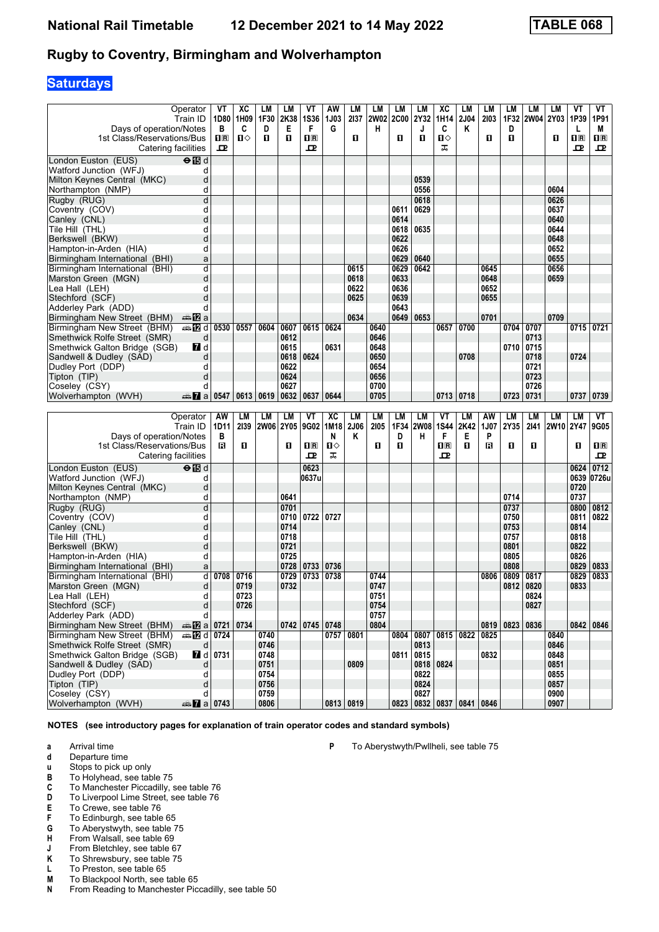# **Saturdays**

| Days of operation/Notes<br>1st Class/Reservations/Bus       | Operator<br>Train ID        | VT<br>в<br>$\overline{\mathbf{H}}$ $\overline{\mathbf{R}}$ | XC<br>1D80   1H09<br>C<br>$\blacksquare$ | LМ<br>1F30<br>D<br>п | LM<br>2K38<br>Е<br>$\mathbf{u}$ | ۷T<br><b>1S36</b><br>F<br>$\overline{\mathbf{H}}$ | AW<br><b>1J03</b><br>G | LM<br>2137<br>п | LM<br><b>2W02</b><br>н | LM<br><b>2C00</b><br>О | LM<br>2Y32<br>J<br>п             | XC<br>1H14<br>C<br>0    | LM<br>2J04<br>Κ | LM<br>2103<br>0 | LM<br>1F32<br>D<br>п | LМ<br><b>2W04</b> | LМ<br>2Y03<br>п | ۷T<br>1P39<br>L<br>$\overline{\mathbf{H}}$ | VT<br>1P91<br>М<br>$n_{\rm R}$ |
|-------------------------------------------------------------|-----------------------------|------------------------------------------------------------|------------------------------------------|----------------------|---------------------------------|---------------------------------------------------|------------------------|-----------------|------------------------|------------------------|----------------------------------|-------------------------|-----------------|-----------------|----------------------|-------------------|-----------------|--------------------------------------------|--------------------------------|
| Catering facilities                                         |                             | 굔                                                          |                                          |                      |                                 | 굔                                                 |                        |                 |                        |                        |                                  | ᠼ                       |                 |                 |                      |                   |                 | ᇁ                                          | 굔                              |
| London Euston (EUS)                                         | $\Theta$ $\blacksquare$ d   |                                                            |                                          |                      |                                 |                                                   |                        |                 |                        |                        |                                  |                         |                 |                 |                      |                   |                 |                                            |                                |
| Watford Junction (WFJ)                                      | d                           |                                                            |                                          |                      |                                 |                                                   |                        |                 |                        |                        |                                  |                         |                 |                 |                      |                   |                 |                                            |                                |
| Milton Keynes Central (MKC)                                 | d                           |                                                            |                                          |                      |                                 |                                                   |                        |                 |                        |                        | 0539                             |                         |                 |                 |                      |                   |                 |                                            |                                |
| Northampton (NMP)                                           | d                           |                                                            |                                          |                      |                                 |                                                   |                        |                 |                        |                        | 0556                             |                         |                 |                 |                      |                   | 0604            |                                            |                                |
| Rugby (RUG)                                                 | d                           |                                                            |                                          |                      |                                 |                                                   |                        |                 |                        |                        | 0618                             |                         |                 |                 |                      |                   | 0626            |                                            |                                |
| Coventry (COV)                                              | d                           |                                                            |                                          |                      |                                 |                                                   |                        |                 |                        | 0611                   | 0629                             |                         |                 |                 |                      |                   | 0637            |                                            |                                |
| Canley (CNL)                                                | d                           |                                                            |                                          |                      |                                 |                                                   |                        |                 |                        | 0614                   |                                  |                         |                 |                 |                      |                   | 0640            |                                            |                                |
| Tile Hill(THL)                                              | d                           |                                                            |                                          |                      |                                 |                                                   |                        |                 |                        | 0618                   | 0635                             |                         |                 |                 |                      |                   | 0644            |                                            |                                |
| Berkswell (BKW)                                             | d                           |                                                            |                                          |                      |                                 |                                                   |                        |                 |                        | 0622                   |                                  |                         |                 |                 |                      |                   | 0648            |                                            |                                |
| Hampton-in-Arden (HIA)                                      | d                           |                                                            |                                          |                      |                                 |                                                   |                        |                 |                        | 0626                   |                                  |                         |                 |                 |                      |                   | 0652            |                                            |                                |
| Birmingham International (BHI)                              | a                           |                                                            |                                          |                      |                                 |                                                   |                        |                 |                        | 0629                   | 0640                             |                         |                 |                 |                      |                   | 0655            |                                            |                                |
| Birmingham International (BHI)                              | d                           |                                                            |                                          |                      |                                 |                                                   |                        | 0615            |                        | 0629                   | 0642                             |                         |                 | 0645            |                      |                   | 0656            |                                            |                                |
| Marston Green (MGN)                                         | d                           |                                                            |                                          |                      |                                 |                                                   |                        | 0618            |                        | 0633                   |                                  |                         |                 | 0648            |                      |                   | 0659            |                                            |                                |
| Lea Hall (LEH)                                              | d                           |                                                            |                                          |                      |                                 |                                                   |                        | 0622            |                        | 0636                   |                                  |                         |                 | 0652            |                      |                   |                 |                                            |                                |
| Stechford (SCF)                                             | d                           |                                                            |                                          |                      |                                 |                                                   |                        | 0625            |                        | 0639                   |                                  |                         |                 | 0655            |                      |                   |                 |                                            |                                |
| Adderley Park (ADD)                                         | d                           |                                                            |                                          |                      |                                 |                                                   |                        |                 |                        | 0643                   |                                  |                         |                 |                 |                      |                   |                 |                                            |                                |
| Birmingham New Street (BHM)                                 | dan <mark>ina</mark> pa     |                                                            |                                          |                      |                                 |                                                   |                        | 0634            |                        | 0649                   | 0653                             |                         |                 | 0701            |                      |                   | 0709            |                                            |                                |
| Birmingham New Street (BHM)<br>Smethwick Rolfe Street (SMR) | <b>⊯Dd</b><br>d             | 0530                                                       | 0557                                     | 0604                 | 0607<br>0612                    | 0615                                              | 0624                   |                 | 0640<br>0646           |                        |                                  | 0657                    | 0700            |                 | 0704                 | 0707<br>0713      |                 |                                            | 0715 0721                      |
| Smethwick Galton Bridge (SGB)                               | <b>7</b> d                  |                                                            |                                          |                      | 0615                            |                                                   | 0631                   |                 | 0648                   |                        |                                  |                         |                 |                 | 0710                 | 0715              |                 |                                            |                                |
| Sandwell & Dudley (SAD)                                     | d                           |                                                            |                                          |                      | 0618                            | 0624                                              |                        |                 | 0650                   |                        |                                  |                         | 0708            |                 |                      | 0718              |                 | 0724                                       |                                |
| Dudley Port (DDP)                                           | d                           |                                                            |                                          |                      | 0622                            |                                                   |                        |                 | 0654                   |                        |                                  |                         |                 |                 |                      | 0721              |                 |                                            |                                |
| Tipton (TIP)                                                | d                           |                                                            |                                          |                      | 0624                            |                                                   |                        |                 | 0656                   |                        |                                  |                         |                 |                 |                      | 0723              |                 |                                            |                                |
| Coseley (CSY)                                               | d                           |                                                            |                                          |                      | 0627                            |                                                   |                        |                 | 0700                   |                        |                                  |                         |                 |                 |                      | 0726              |                 |                                            |                                |
| Wolverhampton (WVH)                                         | $\frac{1}{2}$ a             | 0547                                                       | 0613                                     | 0619                 | 0632                            | 0637                                              | 0644                   |                 | 0705                   |                        |                                  | 0713                    | 0718            |                 | 0723                 | 0731              |                 | 0737                                       | 0739                           |
|                                                             |                             |                                                            |                                          |                      |                                 |                                                   |                        |                 |                        |                        |                                  |                         |                 |                 |                      |                   |                 |                                            |                                |
|                                                             |                             |                                                            |                                          |                      |                                 |                                                   |                        |                 |                        |                        |                                  |                         |                 |                 |                      |                   |                 |                                            |                                |
|                                                             | Operator                    | AW                                                         | LМ                                       | LМ                   | LM                              | VT                                                | XC                     | LM              | LM                     | LМ                     | LM                               | VT                      | LM              | AW              | LM                   | LM                | LМ              | LM                                         | VT                             |
|                                                             | Train ID                    | 1D11                                                       | 2139                                     | 2W06 2Y05            |                                 | 9G02 1M18                                         |                        | 2J06            | 2105                   | 1F34                   | <b>2W08</b>                      | <b>1S44</b>             | 2K42            | 1J07            | 2Y35                 | 2141              | 2W10 2Y47       |                                            | 9G05                           |
| Days of operation/Notes                                     |                             | В                                                          |                                          |                      |                                 |                                                   | N                      | Κ               |                        | D                      | н                                | F                       | Е               | P               |                      |                   |                 |                                            |                                |
| 1st Class/Reservations/Bus                                  |                             | R                                                          | П                                        |                      | 0                               | $n_{\rm R}$                                       | Ⅱ♦                     |                 | O                      | О                      |                                  | $\overline{\mathbf{B}}$ | п               | в               | O                    | О                 |                 | O                                          | 1R                             |
| Catering facilities                                         |                             |                                                            |                                          |                      |                                 | ᇁ                                                 | ᠼ                      |                 |                        |                        |                                  | 고                       |                 |                 |                      |                   |                 |                                            | 굔                              |
| London Euston (EUS)                                         | $\Theta$ is d               |                                                            |                                          |                      |                                 | 0623                                              |                        |                 |                        |                        |                                  |                         |                 |                 |                      |                   |                 | 0624                                       | 0712                           |
| Watford Junction (WFJ)                                      | d                           |                                                            |                                          |                      |                                 | 0637u                                             |                        |                 |                        |                        |                                  |                         |                 |                 |                      |                   |                 |                                            | 0639 0726u                     |
| Milton Keynes Central (MKC)                                 | d                           |                                                            |                                          |                      |                                 |                                                   |                        |                 |                        |                        |                                  |                         |                 |                 |                      |                   |                 | 0720                                       |                                |
| Northampton (NMP)                                           | d                           |                                                            |                                          |                      | 0641                            |                                                   |                        |                 |                        |                        |                                  |                         |                 |                 | 0714                 |                   |                 | 0737                                       |                                |
| Rugby (RUG)                                                 | d                           |                                                            |                                          |                      | 0701                            |                                                   |                        |                 |                        |                        |                                  |                         |                 |                 | 0737                 |                   |                 | 0800                                       | 0812                           |
| Coventry (COV)                                              | d                           |                                                            |                                          |                      | 0710                            | 0722                                              | 0727                   |                 |                        |                        |                                  |                         |                 |                 | 0750                 |                   |                 | 0811                                       | 0822                           |
| Canley (CNL)                                                | d                           |                                                            |                                          |                      | 0714                            |                                                   |                        |                 |                        |                        |                                  |                         |                 |                 | 0753                 |                   |                 | 0814                                       |                                |
| Tile Hill (THL)                                             | d                           |                                                            |                                          |                      | 0718                            |                                                   |                        |                 |                        |                        |                                  |                         |                 |                 | 0757                 |                   |                 | 0818                                       |                                |
| Berkswell (BKW)                                             | d                           |                                                            |                                          |                      | 0721                            |                                                   |                        |                 |                        |                        |                                  |                         |                 |                 | 0801                 |                   |                 | 0822                                       |                                |
| Hampton-in-Arden (HIA)                                      | d                           |                                                            |                                          |                      | 0725                            |                                                   |                        |                 |                        |                        |                                  |                         |                 |                 | 0805                 |                   |                 | 0826                                       |                                |
| Birmingham International (BHI)                              | a                           |                                                            |                                          |                      | 0728                            | 0733                                              | 0736                   |                 |                        |                        |                                  |                         |                 |                 | 0808                 |                   |                 | 0829                                       | 0833                           |
| Birmingham International (BHI)                              | d                           | 0708                                                       | 0716                                     |                      | 0729                            | 0733                                              | 0738                   |                 | 0744                   |                        |                                  |                         |                 | 0806            | 0809                 | 0817              |                 | 0829                                       | 0833                           |
| Marston Green (MGN)                                         | d                           |                                                            | 0719                                     |                      | 0732                            |                                                   |                        |                 | 0747                   |                        |                                  |                         |                 |                 | 0812                 | 0820              |                 | 0833                                       |                                |
| Lea Hall (LEH)<br>Stechford (SCF)                           | d<br>$\sf d$                |                                                            | 0723<br>0726                             |                      |                                 |                                                   |                        |                 | 0751<br>0754           |                        |                                  |                         |                 |                 |                      | 0824<br>0827      |                 |                                            |                                |
| Adderley Park (ADD)                                         | d                           |                                                            |                                          |                      |                                 |                                                   |                        |                 | 0757                   |                        |                                  |                         |                 |                 |                      |                   |                 |                                            |                                |
| Birmingham New Street (BHM)                                 |                             |                                                            | 0734                                     |                      |                                 | 0742   0745                                       | 0748                   |                 | 0804                   |                        |                                  |                         |                 |                 | 0819   0823          | 0836              |                 | 0842   0846                                |                                |
| Birmingham New Street (BHM)                                 | <b>▲图 a 0721</b><br>d 0724  |                                                            |                                          | 0740                 |                                 |                                                   | 0757                   | 0801            |                        |                        | 0804 0807                        |                         | 0815 0822       | 0825            |                      |                   | 0840            |                                            |                                |
| Smethwick Rolfe Street (SMR)                                | d                           |                                                            |                                          | 0746                 |                                 |                                                   |                        |                 |                        |                        | 0813                             |                         |                 |                 |                      |                   | 0846            |                                            |                                |
| Smethwick Galton Bridge (SGB)                               |                             | 7 d 0731                                                   |                                          | 0748                 |                                 |                                                   |                        |                 |                        | 0811                   | 0815                             |                         |                 | 0832            |                      |                   | 0848            |                                            |                                |
| Sandwell & Dudley (SAD)                                     | d                           |                                                            |                                          | 0751                 |                                 |                                                   |                        | 0809            |                        |                        | 0818                             | 0824                    |                 |                 |                      |                   | 0851            |                                            |                                |
| Dudley Port (DDP)                                           | d                           |                                                            |                                          | 0754                 |                                 |                                                   |                        |                 |                        |                        | 0822                             |                         |                 |                 |                      |                   | 0855            |                                            |                                |
| Tipton (TIP)                                                | d                           |                                                            |                                          | 0756                 |                                 |                                                   |                        |                 |                        |                        | 0824                             |                         |                 |                 |                      |                   | 0857            |                                            |                                |
| Coseley (CSY)<br>Wolverhampton (WVH)                        | d<br>$\frac{1}{2}$ a   0743 |                                                            |                                          | 0759<br>0806         |                                 |                                                   |                        | 0813   0819     |                        |                        | 0827<br>0823 0832 0837 0841 0846 |                         |                 |                 |                      |                   | 0900<br>0907    |                                            |                                |

**NOTES (see introductory pages for explanation of train operator codes and standard symbols)**

- **a** Arrival time<br>**d** Departure t
- **d** Departure time<br>**u** Stops to pick up
- **x** Stops to pick up only<br>**B** To Holyhead, see tab
- To Holyhead, see table 75
- **C** To Manchester Piccadilly, see table 76<br>**D** To Liverpool Lime Street, see table 76
- **D** To Liverpool Lime Street, see table 76<br>**E** To Crewe, see table 76
- **E** To Crewe, see table 76<br>**F** To Edinburgh, see table
- **F** To Edinburgh, see table 65<br>**G** To Aberystwyth, see table 7
- **6** To Aberystwyth, see table 75<br>**H** From Walsall, see table 69
- **+** From Walsall, see table 69<br>**4** From Bletchley, see table 6
- **J** From Bletchley, see table 67<br>**K** To Shrewsbury, see table 75
- **K** To Shrewsbury, see table 75<br>**L** To Preston, see table 65
- **L** To Preston, see table 65<br>**M** To Blackpool North, see
- **M** To Blackpool North, see table 65<br>**N** From Reading to Manchester Pice
- From Reading to Manchester Piccadilly, see table 50

#### **P** To Aberystwyth/Pwllheli, see table 75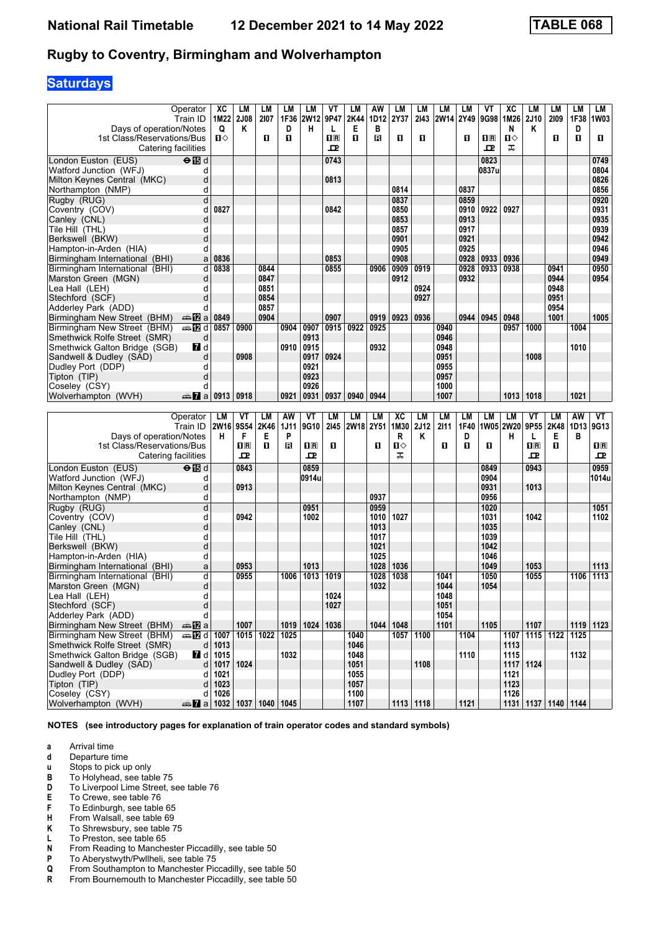# **Saturdays**

|                                                           |                                        |                         |      |             |             | VT                      | LM           | AW        | LM   | LM          | LM          |      | ۷T                      |           | LM               | LМ                        |             | LM          |
|-----------------------------------------------------------|----------------------------------------|-------------------------|------|-------------|-------------|-------------------------|--------------|-----------|------|-------------|-------------|------|-------------------------|-----------|------------------|---------------------------|-------------|-------------|
| Operator<br>Train ID                                      | XC                                     | LМ                      | LМ   | LM          | LM          |                         |              |           |      |             |             | LM   |                         | XC        |                  |                           | LM          |             |
|                                                           |                                        | 1M22 2J08               | 2107 | 1F36        | 2W12        | 9P47                    | 2K44         | 1D12      | 2Y37 | 2143        | <b>2W14</b> | 2Y49 | 9G98                    | 1M26      | 2J10             | 2109                      | 1F38        | 1W03        |
| Days of operation/Notes                                   | Q                                      | Κ                       |      | D           | н           | L                       | Е            | в         |      |             |             |      |                         | N         | Κ                |                           | D           |             |
| 1st Class/Reservations/Bus                                | п⇔                                     |                         | п    | 0           |             | $\overline{\mathbf{H}}$ | O            | В         | O    | п           |             | п    | $\overline{\mathbf{H}}$ | ்ப        |                  | п                         | O           | D.          |
| Catering facilities                                       |                                        |                         |      |             |             | ᇁ                       |              |           |      |             |             |      | ᇁ                       | ᠼ         |                  |                           |             |             |
| $\Theta$ $\overline{\mathbb{B}}$ d<br>London Euston (EUS) |                                        |                         |      |             |             | 0743                    |              |           |      |             |             |      | 0823                    |           |                  |                           |             | 0749        |
| Watford Junction (WFJ)                                    | d                                      |                         |      |             |             |                         |              |           |      |             |             |      | 0837u                   |           |                  |                           |             | 0804        |
| Milton Keynes Central (MKC)                               | d                                      |                         |      |             |             | 0813                    |              |           |      |             |             |      |                         |           |                  |                           |             | 0826        |
| Northampton (NMP)                                         | d                                      |                         |      |             |             |                         |              |           | 0814 |             |             | 0837 |                         |           |                  |                           |             | 0856        |
| Rugby (RUG)                                               | þ                                      |                         |      |             |             |                         |              |           | 0837 |             |             | 0859 |                         |           |                  |                           |             | 0920        |
| Coventry (COV)                                            | 0827<br>d                              |                         |      |             |             | 0842                    |              |           | 0850 |             |             | 0910 | 0922                    | 0927      |                  |                           |             | 0931        |
| Canley (CNL)                                              | d                                      |                         |      |             |             |                         |              |           | 0853 |             |             | 0913 |                         |           |                  |                           |             | 0935        |
| Tile Hill (THL)                                           | d                                      |                         |      |             |             |                         |              |           | 0857 |             |             | 0917 |                         |           |                  |                           |             | 0939        |
| Berkswell (BKW)                                           | d                                      |                         |      |             |             |                         |              |           | 0901 |             |             | 0921 |                         |           |                  |                           |             | 0942        |
| Hampton-in-Arden (HIA)                                    | d                                      |                         |      |             |             |                         |              |           | 0905 |             |             | 0925 |                         |           |                  |                           |             | 0946        |
|                                                           | 0836                                   |                         |      |             |             |                         |              |           | 0908 |             |             | 0928 |                         | 0936      |                  |                           |             | 0949        |
| Birmingham International (BHI)                            | a                                      |                         |      |             |             | 0853                    |              |           |      |             |             |      | 0933                    |           |                  |                           |             |             |
| Birmingham International (BHI)                            | d<br>0838                              |                         | 0844 |             |             | 0855                    |              | 0906      | 0909 | 0919        |             | 0928 | 0933                    | 0938      |                  | 0941                      |             | 0950        |
| Marston Green (MGN)                                       | d                                      |                         | 0847 |             |             |                         |              |           | 0912 |             |             | 0932 |                         |           |                  | 0944                      |             | 0954        |
| Lea Hall (LEH)                                            | d                                      |                         | 0851 |             |             |                         |              |           |      | 0924        |             |      |                         |           |                  | 0948                      |             |             |
| Stechford (SCF)                                           | d                                      |                         | 0854 |             |             |                         |              |           |      | 0927        |             |      |                         |           |                  | 0951                      |             |             |
| Adderley Park (ADD)                                       | d                                      |                         | 0857 |             |             |                         |              |           |      |             |             |      |                         |           |                  | 0954                      |             |             |
| Birmingham New Street (BHM)<br>den <mark>12</mark> 2 al   | 0849                                   |                         | 0904 |             |             | 0907                    |              | 0919      | 0923 | 0936        |             | 0944 | 0945                    | 0948      |                  | 1001                      |             | 1005        |
| Birmingham New Street (BHM)<br><b>画图 d</b>                | 0857                                   | 0900                    |      | 0904        | 0907        | 0915                    | 0922         | 0925      |      |             | 0940        |      |                         | 0957      | 1000             |                           | 1004        |             |
| Smethwick Rolfe Street (SMR)                              | d                                      |                         |      |             | 0913        |                         |              |           |      |             | 0946        |      |                         |           |                  |                           |             |             |
| $\blacksquare$<br>Smethwick Galton Bridge (SGB)           |                                        |                         |      | 0910        | 0915        |                         |              | 0932      |      |             | 0948        |      |                         |           |                  |                           | 1010        |             |
| Sandwell & Dudley (SAD)                                   | d                                      | 0908                    |      |             | 0917        | 0924                    |              |           |      |             | 0951        |      |                         |           | 1008             |                           |             |             |
| Dudley Port (DDP)                                         | d                                      |                         |      |             | 0921        |                         |              |           |      |             | 0955        |      |                         |           |                  |                           |             |             |
| Tipton (TIP)                                              | d                                      |                         |      |             | 0923        |                         |              |           |      |             | 0957        |      |                         |           |                  |                           |             |             |
| Coseley (CSY)                                             | d                                      |                         |      |             | 0926        |                         |              |           |      |             | 1000        |      |                         |           |                  |                           |             |             |
| Wolverhampton (WVH)<br>nnom Ta                            | 0913                                   | 0918                    |      | 0921        | 0931        | 0937                    | 0940         | 0944      |      |             | 1007        |      |                         | 1013      | 1018             |                           | 1021        |             |
|                                                           |                                        |                         |      |             |             |                         |              |           |      |             |             |      |                         |           |                  |                           |             |             |
|                                                           |                                        |                         |      |             |             |                         |              |           |      |             |             |      |                         |           |                  |                           |             |             |
|                                                           |                                        |                         |      |             |             |                         |              |           |      |             |             |      |                         |           |                  |                           |             |             |
| Operator                                                  | LM                                     | VT                      | LM   | AW          | VT          | LM                      | LM           | <b>LM</b> | XC   | LM          | LM          | LM   | LM                      | LM        | VT               | LМ                        | AW          | VT          |
| Train ID                                                  | <b>2W16</b>                            | 9S54                    | 2K46 | <b>1J11</b> | 9G10        | 2145                    | 2W18 2Y51    |           | 1M30 | <b>2J12</b> | 2111        | 1F40 |                         | 1W05 2W20 | 9P55             | 2K48                      | 1D13        | 9G13        |
| Days of operation/Notes                                   | н                                      | F                       | Е    | P           |             |                         |              |           | R    | Κ           |             | D    |                         | н         | L                | Е                         | в           |             |
| 1st Class/Reservations/Bus                                |                                        | $\overline{\mathbf{B}}$ | O    | в           | $n_{\rm R}$ | п                       |              | п         | п⇔   |             | O           | О    | п                       |           | $n_{\mathbb{R}}$ | 0                         |             | $n_{\rm R}$ |
| Catering facilities                                       |                                        | ᇁ                       |      |             | 모           |                         |              |           | ᠼ    |             |             |      |                         |           | 굔                |                           |             | ᇁ           |
| $\Theta$ is d<br>London Euston (EUS)                      |                                        | 0843                    |      |             | 0859        |                         |              |           |      |             |             |      | 0849                    |           | 0943             |                           |             | 0959        |
| Watford Junction (WFJ)                                    | d                                      |                         |      |             | 0914u       |                         |              |           |      |             |             |      | 0904                    |           |                  |                           |             | 1014u       |
| Milton Keynes Central (MKC)                               | d                                      | 0913                    |      |             |             |                         |              |           |      |             |             |      | 0931                    |           | 1013             |                           |             |             |
| Northampton (NMP)                                         | d                                      |                         |      |             |             |                         |              | 0937      |      |             |             |      | 0956                    |           |                  |                           |             |             |
| Rugby (RUG)                                               | d                                      |                         |      |             | 0951        |                         |              | 0959      |      |             |             |      | 1020                    |           |                  |                           |             | 1051        |
| Coventry (COV)                                            | d                                      | 0942                    |      |             | 1002        |                         |              | 1010      | 1027 |             |             |      | 1031                    |           | 1042             |                           |             | 1102        |
| Canley (CNL)                                              | d                                      |                         |      |             |             |                         |              | 1013      |      |             |             |      | 1035                    |           |                  |                           |             |             |
| Tile Hill (THL)                                           | d                                      |                         |      |             |             |                         |              | 1017      |      |             |             |      | 1039                    |           |                  |                           |             |             |
| Berkswell (BKW)                                           | d                                      |                         |      |             |             |                         |              | 1021      |      |             |             |      | 1042                    |           |                  |                           |             |             |
|                                                           | d                                      |                         |      |             |             |                         |              | 1025      |      |             |             |      | 1046                    |           |                  |                           |             |             |
| Hampton-in-Arden (HIA)                                    | a                                      | 0953                    |      |             | 1013        |                         |              | 1028      | 1036 |             |             |      | 1049                    |           | 1053             |                           |             | 1113        |
| Birmingham International (BHI)                            | d                                      | 0955                    |      | 1006        |             | 1019                    |              |           | 1038 |             | 1041        |      | 1050                    |           | 1055             |                           | 1106        | 1113        |
| Birmingham International (BHI)                            |                                        |                         |      |             | 1013        |                         |              | 1028      |      |             |             |      |                         |           |                  |                           |             |             |
| Marston Green (MGN)                                       | d                                      |                         |      |             |             |                         |              | 1032      |      |             | 1044        |      | 1054                    |           |                  |                           |             |             |
| Lea Hall (LEH)<br>d                                       |                                        |                         |      |             |             | 1024                    |              |           |      |             | 1048        |      |                         |           |                  |                           |             |             |
| ${\sf d}$<br>Stechford (SCF)                              |                                        |                         |      |             |             | 1027                    |              |           |      |             | 1051        |      |                         |           |                  |                           |             |             |
| Adderley Park (ADD)                                       | d                                      |                         |      |             |             |                         |              |           |      |             | 1054        |      |                         |           |                  |                           |             |             |
| Birmingham New Street (BHM)<br><del>⊯</del> nDa           |                                        | 1007                    |      |             | $1019$ 1024 | 1036                    |              | 1044      | 1048 |             | 1101        |      | 1105                    |           | 1107             |                           | $1119$ 1123 |             |
| Birmingham New Street (BHM)                               | d 1007                                 | 1015 1022               |      | 1025        |             |                         | 1040         |           | 1057 | 1100        |             | 1104 |                         |           |                  | 1107   1115   1122   1125 |             |             |
| Smethwick Rolfe Street (SMR)                              | $d$ 1013                               |                         |      |             |             |                         | 1046         |           |      |             |             |      |                         | 1113      |                  |                           |             |             |
| $\blacksquare$ d<br>Smethwick Galton Bridge (SGB)         | 1015                                   |                         |      | 1032        |             |                         | 1048         |           |      |             |             | 1110 |                         | 1115      |                  |                           | 1132        |             |
| Sandwell & Dudley (SAD)                                   | d<br>1017                              | 1024                    |      |             |             |                         | 1051         |           |      | 1108        |             |      |                         |           | 1117 1124        |                           |             |             |
| Dudley Port (DDP)                                         | d<br>1021                              |                         |      |             |             |                         | 1055         |           |      |             |             |      |                         | 1121      |                  |                           |             |             |
| Tipton (TIP)                                              | 1023<br>d                              |                         |      |             |             |                         | 1057         |           |      |             |             |      |                         | 1123      |                  |                           |             |             |
| Coseley (CSY)<br>Wolverhampton (WVH)                      | 1026<br>d  <br>a 2 1032 1037 1040 1045 |                         |      |             |             |                         | 1100<br>1107 |           |      | 1113 1118   |             | 1121 |                         | 1126      |                  | 1131   1137   1140   1144 |             |             |

- **a** Arrival time<br>**d** Departure t
- **d** Departure time<br>**u** Stops to pick up
- **x** Stops to pick up only<br>**B** To Holyhead, see tab
- To Holyhead, see table 75
- **D** To Liverpool Lime Street, see table 76<br>**E** To Crewe, see table 76
- **E** To Crewe, see table 76<br>**F** To Edinburgh, see table
- **F** To Edinburgh, see table 65<br>**H** From Walsall, see table 69
- **From Walsall, see table 69**
- **K** To Shrewsbury, see table 75<br>**L** To Preston, see table 65
- **L** To Preston, see table 65<br>**N** From Reading to Manche
- **N** From Reading to Manchester Piccadilly, see table 50<br>**P** To Aberystwyth/Pwllheli, see table 75
- **P** To Aberystwyth/Pwllheli, see table 75<br>**Q** From Southampton to Manchester Pic
- **4** From Southampton to Manchester Piccadilly, see table 50<br>**R** From Bournemouth to Manchester Piccadilly, see table 50
- From Bournemouth to Manchester Piccadilly, see table 50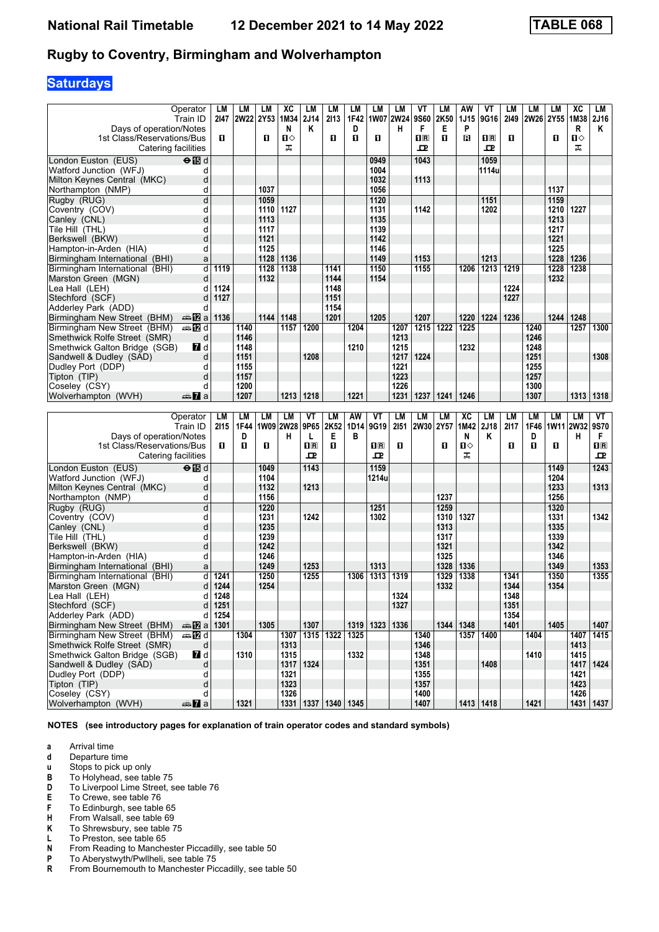# **Saturdays**

|                                                          | Operator                  | LM               | LM        | LM                      | хc        | LM                      | LM                        | LM   | LМ                 | LM        | VT                      | LM           | AW   | VT          | LM   | LM         | LM           | XC        | LM          |
|----------------------------------------------------------|---------------------------|------------------|-----------|-------------------------|-----------|-------------------------|---------------------------|------|--------------------|-----------|-------------------------|--------------|------|-------------|------|------------|--------------|-----------|-------------|
|                                                          | Train ID                  | 2147             | 2W22      | <b>2Y53</b>             | 1M34      | <b>2J14</b>             | 2113                      | 1F42 |                    | 1W07 2W24 | 9S60                    | 2K50         | 1J15 | 9G16        | 2149 | 2W26  2Y55 |              | 1M38      | <b>2J16</b> |
| Days of operation/Notes                                  |                           |                  |           |                         | N         | Κ                       |                           | D    |                    | н         | F                       | Е            | P    |             |      |            |              | R         | Κ           |
| 1st Class/Reservations/Bus                               |                           | П                |           | O.                      | п⇔        |                         | O                         | 0    | 0                  |           | $\overline{\mathbf{H}}$ | П            | ß    | $n_{\rm R}$ | O    |            | 0            | П⇔        |             |
| Catering facilities                                      |                           |                  |           |                         | ᠼ         |                         |                           |      |                    |           | ᅭ                       |              |      | ᇁ           |      |            |              | ᠼ         |             |
| London Euston (EUS)                                      | $\Theta$ is d             |                  |           |                         |           |                         |                           |      | 0949               |           | 1043                    |              |      | 1059        |      |            |              |           |             |
| Watford Junction (WFJ)                                   | d                         |                  |           |                         |           |                         |                           |      | 1004               |           |                         |              |      | 1114u       |      |            |              |           |             |
| Milton Keynes Central (MKC)                              | d                         |                  |           |                         |           |                         |                           |      | 1032               |           | 1113                    |              |      |             |      |            |              |           |             |
| Northampton (NMP)                                        | d                         |                  |           | 1037                    |           |                         |                           |      | 1056               |           |                         |              |      |             |      |            | 1137         |           |             |
| Rugby (RUG)                                              | d                         |                  |           | 1059                    |           |                         |                           |      | 1120               |           |                         |              |      | 1151        |      |            | 1159         |           |             |
| Coventry (COV)                                           | d                         |                  |           | 1110                    | 1127      |                         |                           |      | 1131               |           | 1142                    |              |      | 1202        |      |            | 1210         | 1227      |             |
| Canley (CNL)                                             | d                         |                  |           | 1113                    |           |                         |                           |      | 1135               |           |                         |              |      |             |      |            | 1213         |           |             |
| Tile Hill (THL)                                          | d                         |                  |           | 1117                    |           |                         |                           |      | 1139               |           |                         |              |      |             |      |            | 1217         |           |             |
| Berkswell (BKW)                                          | d<br>d                    |                  |           | 1121<br>1125            |           |                         |                           |      | 1142<br>1146       |           |                         |              |      |             |      |            | 1221<br>1225 |           |             |
| Hampton-in-Arden (HIA)<br>Birmingham International (BHI) |                           |                  |           | 1128                    | 1136      |                         |                           |      | 1149               |           | 1153                    |              |      | 1213        |      |            | 1228         | 1236      |             |
|                                                          | a<br>d                    | 1119             |           | 1128                    | 1138      |                         | 1141                      |      | 1150               |           | 1155                    |              | 1206 | 1213        | 1219 |            |              | 1238      |             |
| Birmingham International (BHI)<br>Marston Green (MGN)    | d                         |                  |           | 1132                    |           |                         | 1144                      |      | 1154               |           |                         |              |      |             |      |            | 1228<br>1232 |           |             |
| Lea Hall (LEH)                                           | d                         | 1124             |           |                         |           |                         | 1148                      |      |                    |           |                         |              |      |             | 1224 |            |              |           |             |
| Stechford (SCF)                                          | d                         | 1127             |           |                         |           |                         | 1151                      |      |                    |           |                         |              |      |             | 1227 |            |              |           |             |
| Adderley Park (ADD)                                      | d                         |                  |           |                         |           |                         | 1154                      |      |                    |           |                         |              |      |             |      |            |              |           |             |
| Birmingham New Street (BHM)                              | dan <mark>ma</mark> Ωa    | 1136             |           | 1144                    | 1148      |                         | 1201                      |      | 1205               |           | 1207                    |              | 1220 | 1224        | 1236 |            | 1244         | 1248      |             |
| Birmingham New Street (BHM)                              | <b>⊯ 12</b> d             |                  | 1140      |                         | 1157      | 1200                    |                           | 1204 |                    | 1207      | 1215                    | 1222         | 1225 |             |      | 1240       |              | 1257      | 1300        |
| Smethwick Rolfe Street (SMR)                             | d                         |                  | 1146      |                         |           |                         |                           |      |                    | 1213      |                         |              |      |             |      | 1246       |              |           |             |
| Smethwick Galton Bridge (SGB)                            | 7d d                      |                  | 1148      |                         |           |                         |                           | 1210 |                    | 1215      |                         |              | 1232 |             |      | 1248       |              |           |             |
| Sandwell & Dudley (SAD)                                  | d                         |                  | 1151      |                         |           | 1208                    |                           |      |                    | 1217      | 1224                    |              |      |             |      | 1251       |              |           | 1308        |
| Dudley Port (DDP)                                        | d                         |                  | 1155      |                         |           |                         |                           |      |                    | 1221      |                         |              |      |             |      | 1255       |              |           |             |
| Tipton (TIP)                                             | d                         |                  | 1157      |                         |           |                         |                           |      |                    | 1223      |                         |              |      |             |      | 1257       |              |           |             |
| Coseley (CSY)                                            | d                         |                  | 1200      |                         |           |                         |                           |      |                    | 1226      |                         |              |      |             |      | 1300       |              |           |             |
| Wolverhampton (WVH)                                      | den <b>7</b> a            |                  | 1207      |                         | 1213      | 1218                    |                           | 1221 |                    | 1231      | 1237                    | 1241         | 1246 |             |      | 1307       |              | 1313      | 1318        |
|                                                          |                           |                  |           |                         |           |                         |                           |      |                    |           |                         |              |      |             |      |            |              |           |             |
|                                                          |                           |                  |           |                         |           |                         |                           |      |                    |           |                         |              |      |             |      |            |              |           |             |
|                                                          | Operator                  | LM               | <b>LM</b> | LМ                      | LM        | VT                      | LM                        | AW   | VT                 | <b>LM</b> | LM                      | <b>LM</b>    | XC   | LM          | LM   | LM         | LМ           | <b>LM</b> | VT          |
|                                                          | Train ID                  | 2115             | 1F44      |                         | 1W09 2W28 | 9P65                    | 2K52                      | 1D14 | 9G19               | 2151      | 2W30 2Y57               |              | 1M42 | 2J18        | 2117 | 1F46       | 1W11 2W32    |           | 9S70        |
| Days of operation/Notes                                  |                           |                  | D         |                         | н         | L                       | Е                         | в    |                    |           |                         |              | N    | Κ           |      | D          |              | н         | F.          |
| 1st Class/Reservations/Bus                               |                           | п                | п         | O                       |           | $\overline{\mathbf{B}}$ | O                         |      | 1 <sup>R</sup>     | п         |                         | 0            | п⇔   |             | O    | П          | 0            |           | $n_{\rm R}$ |
| Catering facilities                                      |                           |                  |           |                         |           | 고                       |                           |      | 굔                  |           |                         |              | ᠼ    |             |      |            |              |           | ᇁ           |
| London Euston (EUS)                                      | $\Theta$ $\blacksquare$ d |                  |           | 1049                    |           | 1143                    |                           |      | 1159               |           |                         |              |      |             |      |            | 1149         |           | 1243        |
| Watford Junction (WFJ)                                   | d                         |                  |           | 1104                    |           |                         |                           |      | 1214u              |           |                         |              |      |             |      |            | 1204         |           |             |
| Milton Keynes Central (MKC)                              | d                         |                  |           | 1132                    |           | 1213                    |                           |      |                    |           |                         |              |      |             |      |            | 1233         |           | 1313        |
| Northampton (NMP)                                        | d                         |                  |           | 1156                    |           |                         |                           |      |                    |           |                         | 1237         |      |             |      |            | 1256         |           |             |
| Rugby (RUG)                                              | d                         |                  |           | 1220                    |           |                         |                           |      | 1251               |           |                         | 1259         |      |             |      |            | 1320         |           |             |
| Coventry (COV)                                           | d                         |                  |           | 1231                    |           | 1242                    |                           |      | 1302               |           |                         | 1310         | 1327 |             |      |            | 1331         |           | 1342        |
| Canley (CNL)                                             | d                         |                  |           | 1235                    |           |                         |                           |      |                    |           |                         | 1313         |      |             |      |            | 1335         |           |             |
| Tile Hill (THL)                                          | d                         |                  |           | 1239                    |           |                         |                           |      |                    |           |                         | 1317         |      |             |      |            | 1339         |           |             |
| Berkswell (BKW)                                          | d                         |                  |           | 1242                    |           |                         |                           |      |                    |           |                         | 1321         |      |             |      |            | 1342         |           |             |
| Hampton-in-Arden (HIA)                                   | d                         |                  |           | 1246                    |           | 1253                    |                           |      |                    |           |                         | 1325         |      |             |      |            | 1346         |           |             |
| Birmingham International (BHI)                           | a<br>d                    |                  |           | 1249<br>$\frac{1}{250}$ |           |                         |                           | 1306 | 1313               |           |                         | 1328         | 1336 |             | 1341 |            | 1349         |           | 1353        |
| Birmingham International (BHI)<br>Marston Green (MGN)    | d                         | 1241<br>1244     |           | 1254                    |           | 1255                    |                           |      | 1313               | 1319      |                         | 1329<br>1332 | 1338 |             | 1344 |            | 1350<br>1354 |           | 1355        |
| Lea Hall (LEH)                                           | d                         |                  |           |                         |           |                         |                           |      |                    | 1324      |                         |              |      |             | 1348 |            |              |           |             |
| Stechford (SCF)                                          |                           | 1248<br>$d$ 1251 |           |                         |           |                         |                           |      |                    | 1327      |                         |              |      |             | 1351 |            |              |           |             |
| Adderley Park (ADD)                                      |                           | d 1254           |           |                         |           |                         |                           |      |                    |           |                         |              |      |             | 1354 |            |              |           |             |
| Birmingham New Street (BHM)                              | <b>AD</b> a 1301          |                  |           | 1305                    |           | 1307                    |                           |      | 1319   1323   1336 |           |                         | 1344         | 1348 |             | 1401 |            | 1405         |           | 1407        |
| Birmingham New Street (BHM)                              | <b>美国d</b>                |                  | 1304      |                         | 1307      | 1315                    | 1322                      | 1325 |                    |           | 1340                    |              | 1357 | 1400        |      | 1404       |              | 1407      | 1415        |
| Smethwick Rolfe Street (SMR)                             | d                         |                  |           |                         | 1313      |                         |                           |      |                    |           | 1346                    |              |      |             |      |            |              | 1413      |             |
| Smethwick Galton Bridge (SGB)                            | $\blacksquare$ d          |                  | 1310      |                         | 1315      |                         |                           | 1332 |                    |           | 1348                    |              |      |             |      | 1410       |              | 1415      |             |
| Sandwell & Dudley (SAD)                                  | d                         |                  |           |                         | 1317      | 1324                    |                           |      |                    |           | 1351                    |              |      | 1408        |      |            |              |           | 1417   1424 |
| Dudley Port (DDP)                                        | q                         |                  |           |                         | 1321      |                         |                           |      |                    |           | 1355                    |              |      |             |      |            |              | 1421      |             |
| Tipton (TIP)                                             | d                         |                  |           |                         | 1323      |                         |                           |      |                    |           | 1357                    |              |      |             |      |            |              | 1423      |             |
| Coseley (CSY)<br>Wolverhampton (WVH)                     | d<br><del>m</del> ⊾ a     |                  | 1321      |                         | 1326      |                         | 1331   1337   1340   1345 |      |                    |           | 1400<br>1407            |              |      | 1413 1418   |      | 1421       |              | 1426      | 1431   1437 |

**NOTES (see introductory pages for explanation of train operator codes and standard symbols)**

- **d** Departure time<br>**u** Stops to pick up
- **x** Stops to pick up only<br>**B** To Holyhead, see tab
- To Holyhead, see table 75
- **D** To Liverpool Lime Street, see table 76<br>**E** To Crewe, see table 76
- **E** To Crewe, see table 76<br>**F** To Edinburgh, see table
- **F** To Edinburgh, see table 65<br>**H** From Walsall, see table 69
- **From Walsall, see table 69**
- **K** To Shrewsbury, see table 75<br>**L** To Preston, see table 65
- **L** To Preston, see table 65<br>**N** From Reading to Manche
- **N** From Reading to Manchester Piccadilly, see table 50<br>**P** To Aberystwyth/Pwllheli, see table 75
- **P** To Aberystwyth/Pwllheli, see table 75<br>**R** From Bournemouth to Manchester Pic
- From Bournemouth to Manchester Piccadilly, see table 50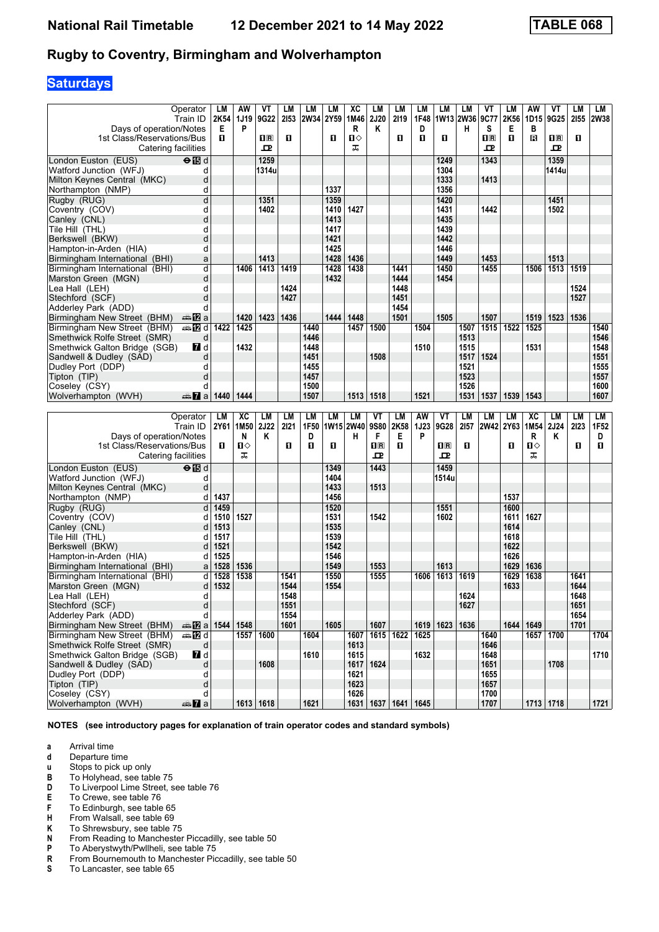# **Saturdays**

|                                      | Operator                      | LM           | AW      | VT          | LM   | LM                | LM           | <b>XC</b>    | LM                                                   | LM        | LM   | LM           | LM        | ۷T                      | LM           | AW        | ۷T          | LM           | LM               |
|--------------------------------------|-------------------------------|--------------|---------|-------------|------|-------------------|--------------|--------------|------------------------------------------------------|-----------|------|--------------|-----------|-------------------------|--------------|-----------|-------------|--------------|------------------|
|                                      | Train ID                      | 2K54         | 1J19    | <b>9G22</b> | 2153 | <b>2W34</b>       | 2Y59         | 1M46         | <b>2J20</b>                                          | 2119      | 1F48 |              | 1W13 2W36 | 9C77                    | 2K56         | 1D15      | <b>9G25</b> | 2155         | 2W38             |
| Days of operation/Notes              |                               | Е            | P       |             |      |                   |              | R            | ĸ                                                    |           | D    |              | н         | s                       | Е            | в         |             |              |                  |
| 1st Class/Reservations/Bus           |                               | П.           |         | $n_{\rm R}$ | 0    |                   | O            | $\mathbf{u}$ |                                                      | п         | п    | 0            |           | $\overline{\mathbf{H}}$ | O            | R         | $n_{\rm R}$ | O            |                  |
| Catering facilities                  |                               |              |         | ᇁ           |      |                   |              | ᠼ            |                                                      |           |      |              |           | ᇁ                       |              |           | ᇁ           |              |                  |
| London Euston (EUS)                  | $\overline{H}$ d              |              |         | 1259        |      |                   |              |              |                                                      |           |      | 1249         |           | 1343                    |              |           | 1359        |              |                  |
| Watford Junction (WFJ)               | d                             |              |         | 1314u       |      |                   |              |              |                                                      |           |      | 1304         |           |                         |              |           | 1414u       |              |                  |
| Milton Keynes Central (MKC)          | d                             |              |         |             |      |                   |              |              |                                                      |           |      | 1333         |           | 1413                    |              |           |             |              |                  |
| Northampton (NMP)                    | d                             |              |         |             |      |                   | 1337         |              |                                                      |           |      | 1356         |           |                         |              |           |             |              |                  |
| Rugby (RUG)                          | d                             |              |         | 1351        |      |                   | 1359         |              |                                                      |           |      | 1420         |           |                         |              |           | 1451        |              |                  |
| Coventry (COV)                       | d                             |              |         | 1402        |      |                   | 1410         | 1427         |                                                      |           |      | 1431         |           | 1442                    |              |           | 1502        |              |                  |
| Canley (CNL)                         | d                             |              |         |             |      |                   | 1413         |              |                                                      |           |      | 1435         |           |                         |              |           |             |              |                  |
| Tile Hill (THL)                      | d                             |              |         |             |      |                   | 1417         |              |                                                      |           |      | 1439         |           |                         |              |           |             |              |                  |
| Berkswell (BKW)                      | d                             |              |         |             |      |                   | 1421         |              |                                                      |           |      | 1442         |           |                         |              |           |             |              |                  |
| Hampton-in-Arden (HIA)               | d                             |              |         |             |      |                   | 1425         |              |                                                      |           |      | 1446         |           |                         |              |           |             |              |                  |
| Birmingham International (BHI)       | a                             |              |         | 1413        |      |                   | 1428         | 1436         |                                                      |           |      | 1449         |           | 1453                    |              |           | 1513        |              |                  |
| Birmingham International (BHI)       | d                             |              | 1406    | 1413        | 1419 |                   | 1428         | 1438         |                                                      | 1441      |      | 1450         |           | 1455                    |              | 1506      | 1513        | 1519         |                  |
| Marston Green (MGN)                  | d                             |              |         |             |      |                   | 1432         |              |                                                      | 1444      |      | 1454         |           |                         |              |           |             |              |                  |
| Lea Hall (LEH)                       | d                             |              |         |             | 1424 |                   |              |              |                                                      | 1448      |      |              |           |                         |              |           |             | 1524         |                  |
| Stechford (SCF)                      | d                             |              |         |             | 1427 |                   |              |              |                                                      | 1451      |      |              |           |                         |              |           |             | 1527         |                  |
| Adderley Park (ADD)                  | d                             |              |         |             |      |                   |              |              |                                                      | 1454      |      |              |           |                         |              |           |             |              |                  |
| Birmingham New Street (BHM)          | anna <mark>a</mark> nn ann an |              | 1420    | 1423        | 1436 |                   | 1444         | 1448         |                                                      | 1501      |      | 1505         |           | 1507                    |              | 1519      | 1523        | 1536         |                  |
| Birmingham New Street (BHM)          | <b>⊯ 12</b> d                 | 1422         | 1425    |             |      | 1440              |              | 1457         | 1500                                                 |           | 1504 |              | 1507      | 1515                    | 1522         | 1525      |             |              | 1540             |
| Smethwick Rolfe Street (SMR)         | d                             |              |         |             |      | 1446              |              |              |                                                      |           |      |              | 1513      |                         |              |           |             |              | 1546             |
| Smethwick Galton Bridge (SGB)        | <b>7</b> d                    |              | 1432    |             |      | 1448              |              |              |                                                      |           | 1510 |              | 1515      |                         |              | 1531      |             |              | 1548             |
| Sandwell & Dudley (SAD)              | d                             |              |         |             |      | 1451              |              |              | 1508                                                 |           |      |              | 1517      | 1524                    |              |           |             |              | 1551             |
| Dudley Port (DDP)                    | d                             |              |         |             |      | 1455              |              |              |                                                      |           |      |              | 1521      |                         |              |           |             |              | 1555             |
| Tipton (TIP)                         | d                             |              |         |             |      | 1457              |              |              |                                                      |           |      |              | 1523      |                         |              |           |             |              | 1557             |
| Coseley (CSY)                        | d                             |              |         |             |      | 1500              |              |              |                                                      |           |      |              | 1526      |                         |              |           |             |              | 1600             |
| Wolverhampton (WVH)                  | $\frac{1}{2}$ a               | 1440         | 1444    |             |      | 1507              |              | 1513         | 1518                                                 |           | 1521 |              | 1531      | 1537                    | 1539         | 1543      |             |              | 1607             |
|                                      |                               |              |         |             |      |                   |              |              |                                                      |           |      |              |           |                         |              |           |             |              |                  |
|                                      |                               |              |         |             |      |                   |              |              |                                                      |           |      |              |           |                         |              |           |             |              |                  |
|                                      | Operator                      | LM           | XC      | LМ          | LM   | <b>LM</b>         | LM           | <b>LM</b>    | VT                                                   | LM        | AW   | VT           | <b>LM</b> | <b>LM</b>               | LM           | XC        | LМ          | LM           | LM               |
|                                      | Train ID                      | 2Y61         | 1M50    | <b>2J22</b> | 2121 | 1F50              | 1W15 2W40    |              | <b>9S80</b>                                          | 2K58      | 1J23 | 9G28         | 2157      |                         | 2W42 2Y63    | 1M54      | <b>2J24</b> | 2123         | 1F <sub>52</sub> |
| Days of operation/Notes              |                               | п            | N<br>்ப | Κ           | 0    | D<br>$\mathbf{u}$ | O            | н            | F<br>$\overline{\mathbf{H}}$ $\overline{\mathbf{R}}$ | Е<br>п    | P    | 1R           | п         |                         | O            | R         | Κ           | O            | D<br>П           |
| 1st Class/Reservations/Bus           |                               |              | ᠼ       |             |      |                   |              |              | 굔                                                    |           |      | $\mathbf{r}$ |           |                         |              | п⇔<br>ᠼ   |             |              |                  |
| Catering facilities                  |                               |              |         |             |      |                   |              |              |                                                      |           |      |              |           |                         |              |           |             |              |                  |
| London Euston (EUS)                  | $\Theta$ $\blacksquare$ d     |              |         |             |      |                   | 1349         |              | 1443                                                 |           |      | 1459         |           |                         |              |           |             |              |                  |
| Watford Junction (WFJ)               | d                             |              |         |             |      |                   | 1404         |              |                                                      |           |      | 1514u        |           |                         |              |           |             |              |                  |
| Milton Keynes Central (MKC)          | d                             |              |         |             |      |                   | 1433         |              | 1513                                                 |           |      |              |           |                         |              |           |             |              |                  |
| Northampton (NMP)                    | d<br>d                        | 1437<br>1459 |         |             |      |                   | 1456<br>1520 |              |                                                      |           |      | 1551         |           |                         | 1537         |           |             |              |                  |
| Rugby (RUG)                          | d                             | 1510         | 1527    |             |      |                   | 1531         |              | 1542                                                 |           |      | 1602         |           |                         | 1600<br>1611 | 1627      |             |              |                  |
| Coventry (COV)<br>Canley (CNL)       | d                             | 1513         |         |             |      |                   | 1535         |              |                                                      |           |      |              |           |                         | 1614         |           |             |              |                  |
| Tile Hill (THL)                      | d                             | 1517         |         |             |      |                   | 1539         |              |                                                      |           |      |              |           |                         | 1618         |           |             |              |                  |
| Berkswell (BKW)                      | d                             | 1521         |         |             |      |                   | 1542         |              |                                                      |           |      |              |           |                         | 1622         |           |             |              |                  |
| Hampton-in-Arden (HIA)               | d                             | 1525         |         |             |      |                   | 1546         |              |                                                      |           |      |              |           |                         | 1626         |           |             |              |                  |
| Birmingham International (BHI)       | a                             | 1528         | 1536    |             |      |                   | 1549         |              | 1553                                                 |           |      | 1613         |           |                         | 1629         | 1636      |             |              |                  |
| Birmingham International (BHI)       | d                             | 1528         | 1538    |             | 1541 |                   | 1550         |              | 1555                                                 |           | 1606 | 1613         | 1619      |                         | 1629         | 1638      |             | 1641         |                  |
| Marston Green (MGN)                  | d                             | 1532         |         |             | 1544 |                   | 1554         |              |                                                      |           |      |              |           |                         | 1633         |           |             | 1644         |                  |
| Lea Hall (LEH)                       | d                             |              |         |             | 1548 |                   |              |              |                                                      |           |      |              | 1624      |                         |              |           |             |              |                  |
| Stechford (SCF)                      | d                             |              |         |             | 1551 |                   |              |              |                                                      |           |      |              | 1627      |                         |              |           |             | 1648<br>1651 |                  |
| Adderley Park (ADD)                  | d                             |              |         |             | 1554 |                   |              |              |                                                      |           |      |              |           |                         |              |           |             | 1654         |                  |
| Birmingham New Street (BHM)          | <b>□ 1544</b>                 |              | 1548    |             | 1601 |                   | 1605         |              | 1607                                                 |           | 1619 | $1623$ 1636  |           |                         |              | 1644 1649 |             | 1701         |                  |
| Birmingham New Street (BHM)          | nnen <b>na</b> d              |              | 1557    | 1600        |      | 1604              |              | 1607         |                                                      | 1615 1622 | 1625 |              |           | 1640                    |              |           | 1657 1700   |              | 1704             |
| Smethwick Rolfe Street (SMR)         | d                             |              |         |             |      |                   |              | 1613         |                                                      |           |      |              |           | 1646                    |              |           |             |              |                  |
| Smethwick Galton Bridge (SGB)        | $\blacksquare$ d              |              |         |             |      | 1610              |              | 1615         |                                                      |           | 1632 |              |           | 1648                    |              |           |             |              | 1710             |
| Sandwell & Dudley (SAD)              | d                             |              |         | 1608        |      |                   |              | 1617         | 1624                                                 |           |      |              |           | 1651                    |              |           | 1708        |              |                  |
| Dudley Port (DDP)                    | q                             |              |         |             |      |                   |              | 1621         |                                                      |           |      |              |           | 1655                    |              |           |             |              |                  |
| Tipton (TIP)                         | d                             |              |         |             |      |                   |              | 1623         |                                                      |           |      |              |           | 1657                    |              |           |             |              |                  |
| Coseley (CSY)<br>Wolverhampton (WVH) | d<br><del>m</del> ⊾ a         |              |         | $1613$ 1618 |      | 1621              |              | 1626         | 1631 1637 1641                                       |           | 1645 |              |           | 1700<br>1707            |              |           | 1713 1718   |              | 1721             |

**NOTES (see introductory pages for explanation of train operator codes and standard symbols)**

- **d** Departure time<br>**u** Stops to pick up
- **x** Stops to pick up only<br>**B** To Holyhead, see tab
- To Holyhead, see table 75
- **D** To Liverpool Lime Street, see table 76<br>**E** To Crewe, see table 76
- **E** To Crewe, see table 76<br>**F** To Edinburgh, see table
- **F** To Edinburgh, see table 65<br>**H** From Walsall, see table 69
- **From Walsall, see table 69**
- **K** To Shrewsbury, see table 75<br>**N** From Reading to Manchester
- **N** From Reading to Manchester Piccadilly, see table 50<br>**P** To Aberystwyth/Pwllheli, see table 75
- **P** To Aberystwyth/Pwllheli, see table 75<br>**R** From Bournemouth to Manchester Pic
- **R** From Bournemouth to Manchester Piccadilly, see table 50<br>**S** To Lancaster, see table 65 To Lancaster, see table 65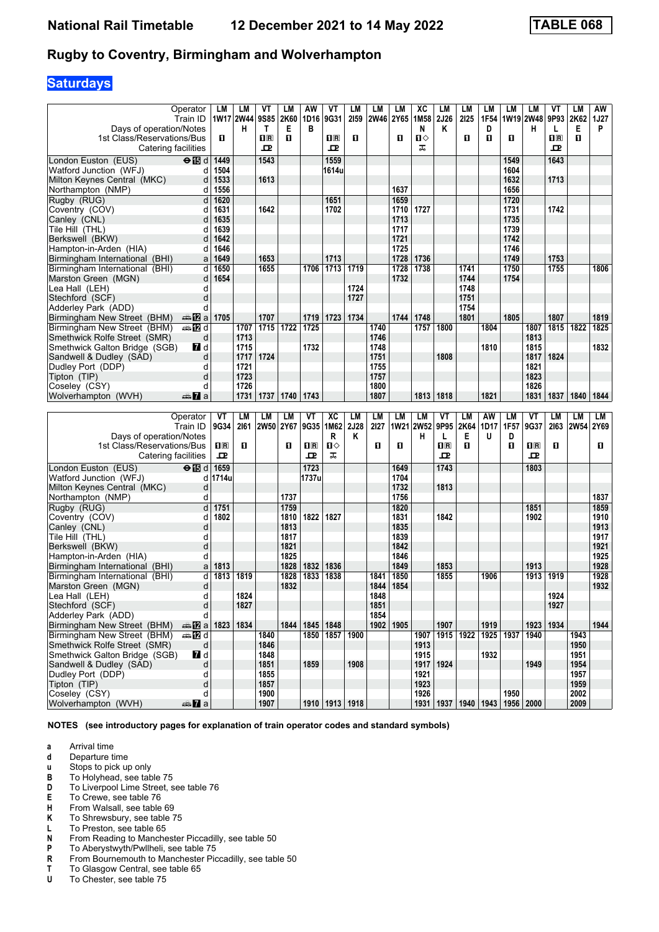# **Saturdays**

| 1W17 2W44<br>1W19 2W48<br>Days of operation/Notes<br>Е<br>в<br>Κ<br>н<br>Е<br>P<br>н<br>T<br>N<br>D<br>L<br>1st Class/Reservations/Bus<br>п<br>$\overline{\mathbf{H}}$ $\overline{\mathbf{R}}$<br>п<br>$\overline{\mathbf{H}}$<br>П<br>п<br>O<br>п<br>O<br>$\overline{\mathbf{H}}$ $\overline{\mathbf{R}}$<br>П<br>п⇔<br>고<br>ᠼ<br>ᇁ<br>ᅭ<br>Catering facilities<br>1543<br>London Euston (EUS)<br>$\Theta$ $\mathbf{E}$ d<br>1449<br>1559<br>1643<br>1549<br>1604<br>Watford Junction (WFJ)<br>1504<br>1614u<br>d<br>d<br>1533<br>1613<br>1632<br>1713<br>Milton Keynes Central (MKC)<br>1637<br>1556<br>1656<br>Northampton (NMP)<br>d<br>Rugby (RUG)<br>$\mathsf{d}$<br>1620<br>1651<br>1659<br>1720<br>1642<br>1727<br>1731<br>1742<br>Coventry (COV)<br>d<br>1631<br>1702<br>1710<br>1635<br>1713<br>1735<br>Canley (CNL)<br>d<br>1639<br>1739<br>Tile Hill (THL)<br>1717<br>d<br>1642<br>1742<br>Berkswell (BKW)<br>d<br>1721<br>1646<br>1746<br>1725<br>Hampton-in-Arden (HIA)<br>d<br>1713<br>1649<br>1728<br>1736<br>1749<br>1753<br>1653<br>Birmingham International (BHI)<br>a<br>1738<br>1750<br>d<br>1650<br>1655<br>1706<br>1713<br>1719<br>1728<br>1741<br>1755<br>1806<br>Birmingham International (BHI)<br>1732<br>1754<br>d<br>1654<br>1744<br>Marston Green (MGN)<br>Lea Hall (LEH)<br>d<br>1724<br>1748<br>d<br>1727<br>1751<br>Stechford (SCF)<br>1754<br>Adderley Park (ADD)<br>d<br>1705<br>1707<br>1734<br>1744<br>1748<br>1801<br>1805<br>1807<br>1719<br>1723<br>1819<br>Birmingham New Street (BHM)<br>ana nZia<br>$\overline{1722}$<br><b>⊯ 12</b> d<br>1707<br>1715<br>1725<br>1740<br>1757<br>1800<br>1807<br>1815<br>1822<br>1825<br>Birmingham New Street (BHM)<br>1804<br>Smethwick Rolfe Street (SMR)<br>d<br>1713<br>1746<br>1813<br>1715<br>1732<br>1832<br>Smethwick Galton Bridge (SGB)<br><b>7</b> d<br>1748<br>1810<br>1815<br>1751<br>Sandwell & Dudley (SAD)<br>1717<br>1724<br>1808<br>1817<br>1824<br>d<br>1721<br>1755<br>Dudley Port (DDP)<br>1821<br>d<br>1723<br>1757<br>1823<br>Tipton (TIP)<br>d<br>Coseley (CSY)<br>1726<br>1800<br>1826<br>d<br>1807<br>1818<br>1821<br>1831<br>Wolverhampton (WVH)<br>1731<br>1737<br>1740<br>1743<br>1813<br>1837<br>1840<br>1844<br>den <b>7</b> a<br>LM<br>LM<br>XC<br>LM<br>LM<br><b>LM</b><br>LM<br>VT<br>AW<br>VT<br>LM<br>Operator<br>VT<br>LM<br>VT<br>LM<br>LM<br>LM<br>LM<br>2161<br>9G35<br>1M62<br>2J28<br>2127<br>1W21 2W52<br>9P95<br>2K64<br>1D17<br>1F57<br>9G37<br>2163<br>2W54 2Y69<br>Train ID<br>9G34<br>2W50 2Y67<br>Days of operation/Notes<br>U<br>R<br>Κ<br>н<br>L<br>Е<br>D<br>1st Class/Reservations/Bus<br>п<br>O<br>п⇔<br>O<br>$n_{\rm R}$<br>O<br>О<br>$\Pi$ R<br>п<br>$\Pi$ R<br>$n_{\rm R}$<br>O<br>O<br>ᠼ<br>ᇁ<br>고<br>ᅭ<br>굔<br>Catering facilities<br>$\Theta$ is d<br>1659<br>1723<br>London Euston (EUS)<br>1649<br>1743<br>1803<br>Watford Junction (WFJ)<br>1714u<br>1737u<br>1704<br>d<br>1732<br>1813<br>Milton Keynes Central (MKC)<br>d<br>1737<br>1756<br>1837<br>d<br>Northampton (NMP)<br>d<br>1751<br>1759<br>1820<br>1851<br>1859<br>Rugby (RUG)<br>1802<br>1822<br>1910<br>1810<br>1827<br>1831<br>1842<br>1902<br>Coventry (COV)<br>d<br>d<br>1813<br>1835<br>1913<br>Canley (CNL)<br>1839<br>1917<br>d<br>1817<br>Tile Hill (THL)<br>d<br>1821<br>1842<br>1921<br>Berkswell (BKW)<br>1925<br>d<br>1825<br>1846<br>Hampton-in-Arden (HIA)<br>1928<br>1828<br>1849<br>1813<br>1832<br>1836<br>1853<br>1913<br>Birmingham International (BHI)<br>a<br>1928<br>d<br>1813<br>1819<br>1828<br>1833<br>1850<br>1913<br>1919<br>1838<br>1841<br>1855<br>1906<br>Birmingham International (BHI)<br>1932<br>d<br>1832<br>1844<br>1854<br>Marston Green (MGN)<br>d<br>1824<br>1848<br>1924<br>1927<br>d<br>1827<br>1851<br>Stechford (SCF)<br>Adderley Park (ADD)<br>d<br>1854<br> 1834<br>1844   1845  <br>1848<br>1902<br>1905<br>1907<br>1919<br>1923 1934<br>1944<br>Birmingham New Street (BHM)<br><b>□□ 2 a 1823</b><br>1915<br>1922<br>1850<br>1857<br>1925<br>1937<br>1943<br>Birmingham New Street (BHM)<br><b>美卫d</b><br>1840<br>1900<br>1907<br>1940<br>Smethwick Rolfe Street (SMR)<br>1846<br>d<br>1913<br>1950<br>7d<br>Smethwick Galton Bridge (SGB)<br>1848<br>1932<br>1951<br>1915<br>1908<br>1924<br>1949<br>1851<br>1859<br>1917<br>1954<br>Sandwell & Dudley (SAD)<br>d<br>Dudley Port (DDP)<br>d<br>1855<br>1921<br>1957<br>d<br>Tipton (TIP)<br>1857<br>1923<br>1959<br>1950<br>Coseley (CSY)<br>d<br>1900<br>1926<br>2002<br>1910   1913   1918<br>1931   1937   1940   1943  <br>1956 2000<br>Wolverhampton (WVH)<br><del>⊯</del> 7a<br>1907<br>2009 |                | Operator<br>Train ID | LM | LM | VT<br>9S85 | LM<br>2K60 | AW<br>1D16 | VT<br>9G31 | LМ<br>2159 | LМ<br>2W46 2Y65 | LМ | ХC<br>1M <sub>58</sub> | LM<br>2J26 | LM<br>2125 | LM<br>1F54 | LM | LM | VT<br>9P93 | LM<br>2K62 | AW<br><b>1J27</b> |
|----------------------------------------------------------------------------------------------------------------------------------------------------------------------------------------------------------------------------------------------------------------------------------------------------------------------------------------------------------------------------------------------------------------------------------------------------------------------------------------------------------------------------------------------------------------------------------------------------------------------------------------------------------------------------------------------------------------------------------------------------------------------------------------------------------------------------------------------------------------------------------------------------------------------------------------------------------------------------------------------------------------------------------------------------------------------------------------------------------------------------------------------------------------------------------------------------------------------------------------------------------------------------------------------------------------------------------------------------------------------------------------------------------------------------------------------------------------------------------------------------------------------------------------------------------------------------------------------------------------------------------------------------------------------------------------------------------------------------------------------------------------------------------------------------------------------------------------------------------------------------------------------------------------------------------------------------------------------------------------------------------------------------------------------------------------------------------------------------------------------------------------------------------------------------------------------------------------------------------------------------------------------------------------------------------------------------------------------------------------------------------------------------------------------------------------------------------------------------------------------------------------------------------------------------------------------------------------------------------------------------------------------------------------------------------------------------------------------------------------------------------------------------------------------------------------------------------------------------------------------------------------------------------------------------------------------------------------------------------------------------------------------------------------------------------------------------------------------------------------------------------------------------------------------------------------------------------------------------------------------------------------------------------------------------------------------------------------------------------------------------------------------------------------------------------------------------------------------------------------------------------------------------------------------------------------------------------------------------------------------------------------------------------------------------------------------------------------------------------------------------------------------------------------------------------------------------------------------------------------------------------------------------------------------------------------------------------------------------------------------------------------------------------------------------------------------------------------------------------------------------------------------------------------------------------------------------------------------------------------------------------------------------------------------------------------------------------------------------------------------------------------------------------------------------------------------------------------------------------------------------------------------------------------------------------------------------------------------------------|----------------|----------------------|----|----|------------|------------|------------|------------|------------|-----------------|----|------------------------|------------|------------|------------|----|----|------------|------------|-------------------|
|                                                                                                                                                                                                                                                                                                                                                                                                                                                                                                                                                                                                                                                                                                                                                                                                                                                                                                                                                                                                                                                                                                                                                                                                                                                                                                                                                                                                                                                                                                                                                                                                                                                                                                                                                                                                                                                                                                                                                                                                                                                                                                                                                                                                                                                                                                                                                                                                                                                                                                                                                                                                                                                                                                                                                                                                                                                                                                                                                                                                                                                                                                                                                                                                                                                                                                                                                                                                                                                                                                                                                                                                                                                                                                                                                                                                                                                                                                                                                                                                                                                                                                                                                                                                                                                                                                                                                                                                                                                                                                                                                                                                          |                |                      |    |    |            |            |            |            |            |                 |    |                        |            |            |            |    |    |            |            |                   |
|                                                                                                                                                                                                                                                                                                                                                                                                                                                                                                                                                                                                                                                                                                                                                                                                                                                                                                                                                                                                                                                                                                                                                                                                                                                                                                                                                                                                                                                                                                                                                                                                                                                                                                                                                                                                                                                                                                                                                                                                                                                                                                                                                                                                                                                                                                                                                                                                                                                                                                                                                                                                                                                                                                                                                                                                                                                                                                                                                                                                                                                                                                                                                                                                                                                                                                                                                                                                                                                                                                                                                                                                                                                                                                                                                                                                                                                                                                                                                                                                                                                                                                                                                                                                                                                                                                                                                                                                                                                                                                                                                                                                          |                |                      |    |    |            |            |            |            |            |                 |    |                        |            |            |            |    |    |            |            |                   |
|                                                                                                                                                                                                                                                                                                                                                                                                                                                                                                                                                                                                                                                                                                                                                                                                                                                                                                                                                                                                                                                                                                                                                                                                                                                                                                                                                                                                                                                                                                                                                                                                                                                                                                                                                                                                                                                                                                                                                                                                                                                                                                                                                                                                                                                                                                                                                                                                                                                                                                                                                                                                                                                                                                                                                                                                                                                                                                                                                                                                                                                                                                                                                                                                                                                                                                                                                                                                                                                                                                                                                                                                                                                                                                                                                                                                                                                                                                                                                                                                                                                                                                                                                                                                                                                                                                                                                                                                                                                                                                                                                                                                          |                |                      |    |    |            |            |            |            |            |                 |    |                        |            |            |            |    |    |            |            |                   |
|                                                                                                                                                                                                                                                                                                                                                                                                                                                                                                                                                                                                                                                                                                                                                                                                                                                                                                                                                                                                                                                                                                                                                                                                                                                                                                                                                                                                                                                                                                                                                                                                                                                                                                                                                                                                                                                                                                                                                                                                                                                                                                                                                                                                                                                                                                                                                                                                                                                                                                                                                                                                                                                                                                                                                                                                                                                                                                                                                                                                                                                                                                                                                                                                                                                                                                                                                                                                                                                                                                                                                                                                                                                                                                                                                                                                                                                                                                                                                                                                                                                                                                                                                                                                                                                                                                                                                                                                                                                                                                                                                                                                          |                |                      |    |    |            |            |            |            |            |                 |    |                        |            |            |            |    |    |            |            |                   |
|                                                                                                                                                                                                                                                                                                                                                                                                                                                                                                                                                                                                                                                                                                                                                                                                                                                                                                                                                                                                                                                                                                                                                                                                                                                                                                                                                                                                                                                                                                                                                                                                                                                                                                                                                                                                                                                                                                                                                                                                                                                                                                                                                                                                                                                                                                                                                                                                                                                                                                                                                                                                                                                                                                                                                                                                                                                                                                                                                                                                                                                                                                                                                                                                                                                                                                                                                                                                                                                                                                                                                                                                                                                                                                                                                                                                                                                                                                                                                                                                                                                                                                                                                                                                                                                                                                                                                                                                                                                                                                                                                                                                          |                |                      |    |    |            |            |            |            |            |                 |    |                        |            |            |            |    |    |            |            |                   |
|                                                                                                                                                                                                                                                                                                                                                                                                                                                                                                                                                                                                                                                                                                                                                                                                                                                                                                                                                                                                                                                                                                                                                                                                                                                                                                                                                                                                                                                                                                                                                                                                                                                                                                                                                                                                                                                                                                                                                                                                                                                                                                                                                                                                                                                                                                                                                                                                                                                                                                                                                                                                                                                                                                                                                                                                                                                                                                                                                                                                                                                                                                                                                                                                                                                                                                                                                                                                                                                                                                                                                                                                                                                                                                                                                                                                                                                                                                                                                                                                                                                                                                                                                                                                                                                                                                                                                                                                                                                                                                                                                                                                          |                |                      |    |    |            |            |            |            |            |                 |    |                        |            |            |            |    |    |            |            |                   |
|                                                                                                                                                                                                                                                                                                                                                                                                                                                                                                                                                                                                                                                                                                                                                                                                                                                                                                                                                                                                                                                                                                                                                                                                                                                                                                                                                                                                                                                                                                                                                                                                                                                                                                                                                                                                                                                                                                                                                                                                                                                                                                                                                                                                                                                                                                                                                                                                                                                                                                                                                                                                                                                                                                                                                                                                                                                                                                                                                                                                                                                                                                                                                                                                                                                                                                                                                                                                                                                                                                                                                                                                                                                                                                                                                                                                                                                                                                                                                                                                                                                                                                                                                                                                                                                                                                                                                                                                                                                                                                                                                                                                          |                |                      |    |    |            |            |            |            |            |                 |    |                        |            |            |            |    |    |            |            |                   |
|                                                                                                                                                                                                                                                                                                                                                                                                                                                                                                                                                                                                                                                                                                                                                                                                                                                                                                                                                                                                                                                                                                                                                                                                                                                                                                                                                                                                                                                                                                                                                                                                                                                                                                                                                                                                                                                                                                                                                                                                                                                                                                                                                                                                                                                                                                                                                                                                                                                                                                                                                                                                                                                                                                                                                                                                                                                                                                                                                                                                                                                                                                                                                                                                                                                                                                                                                                                                                                                                                                                                                                                                                                                                                                                                                                                                                                                                                                                                                                                                                                                                                                                                                                                                                                                                                                                                                                                                                                                                                                                                                                                                          |                |                      |    |    |            |            |            |            |            |                 |    |                        |            |            |            |    |    |            |            |                   |
|                                                                                                                                                                                                                                                                                                                                                                                                                                                                                                                                                                                                                                                                                                                                                                                                                                                                                                                                                                                                                                                                                                                                                                                                                                                                                                                                                                                                                                                                                                                                                                                                                                                                                                                                                                                                                                                                                                                                                                                                                                                                                                                                                                                                                                                                                                                                                                                                                                                                                                                                                                                                                                                                                                                                                                                                                                                                                                                                                                                                                                                                                                                                                                                                                                                                                                                                                                                                                                                                                                                                                                                                                                                                                                                                                                                                                                                                                                                                                                                                                                                                                                                                                                                                                                                                                                                                                                                                                                                                                                                                                                                                          |                |                      |    |    |            |            |            |            |            |                 |    |                        |            |            |            |    |    |            |            |                   |
|                                                                                                                                                                                                                                                                                                                                                                                                                                                                                                                                                                                                                                                                                                                                                                                                                                                                                                                                                                                                                                                                                                                                                                                                                                                                                                                                                                                                                                                                                                                                                                                                                                                                                                                                                                                                                                                                                                                                                                                                                                                                                                                                                                                                                                                                                                                                                                                                                                                                                                                                                                                                                                                                                                                                                                                                                                                                                                                                                                                                                                                                                                                                                                                                                                                                                                                                                                                                                                                                                                                                                                                                                                                                                                                                                                                                                                                                                                                                                                                                                                                                                                                                                                                                                                                                                                                                                                                                                                                                                                                                                                                                          |                |                      |    |    |            |            |            |            |            |                 |    |                        |            |            |            |    |    |            |            |                   |
|                                                                                                                                                                                                                                                                                                                                                                                                                                                                                                                                                                                                                                                                                                                                                                                                                                                                                                                                                                                                                                                                                                                                                                                                                                                                                                                                                                                                                                                                                                                                                                                                                                                                                                                                                                                                                                                                                                                                                                                                                                                                                                                                                                                                                                                                                                                                                                                                                                                                                                                                                                                                                                                                                                                                                                                                                                                                                                                                                                                                                                                                                                                                                                                                                                                                                                                                                                                                                                                                                                                                                                                                                                                                                                                                                                                                                                                                                                                                                                                                                                                                                                                                                                                                                                                                                                                                                                                                                                                                                                                                                                                                          |                |                      |    |    |            |            |            |            |            |                 |    |                        |            |            |            |    |    |            |            |                   |
|                                                                                                                                                                                                                                                                                                                                                                                                                                                                                                                                                                                                                                                                                                                                                                                                                                                                                                                                                                                                                                                                                                                                                                                                                                                                                                                                                                                                                                                                                                                                                                                                                                                                                                                                                                                                                                                                                                                                                                                                                                                                                                                                                                                                                                                                                                                                                                                                                                                                                                                                                                                                                                                                                                                                                                                                                                                                                                                                                                                                                                                                                                                                                                                                                                                                                                                                                                                                                                                                                                                                                                                                                                                                                                                                                                                                                                                                                                                                                                                                                                                                                                                                                                                                                                                                                                                                                                                                                                                                                                                                                                                                          |                |                      |    |    |            |            |            |            |            |                 |    |                        |            |            |            |    |    |            |            |                   |
|                                                                                                                                                                                                                                                                                                                                                                                                                                                                                                                                                                                                                                                                                                                                                                                                                                                                                                                                                                                                                                                                                                                                                                                                                                                                                                                                                                                                                                                                                                                                                                                                                                                                                                                                                                                                                                                                                                                                                                                                                                                                                                                                                                                                                                                                                                                                                                                                                                                                                                                                                                                                                                                                                                                                                                                                                                                                                                                                                                                                                                                                                                                                                                                                                                                                                                                                                                                                                                                                                                                                                                                                                                                                                                                                                                                                                                                                                                                                                                                                                                                                                                                                                                                                                                                                                                                                                                                                                                                                                                                                                                                                          |                |                      |    |    |            |            |            |            |            |                 |    |                        |            |            |            |    |    |            |            |                   |
|                                                                                                                                                                                                                                                                                                                                                                                                                                                                                                                                                                                                                                                                                                                                                                                                                                                                                                                                                                                                                                                                                                                                                                                                                                                                                                                                                                                                                                                                                                                                                                                                                                                                                                                                                                                                                                                                                                                                                                                                                                                                                                                                                                                                                                                                                                                                                                                                                                                                                                                                                                                                                                                                                                                                                                                                                                                                                                                                                                                                                                                                                                                                                                                                                                                                                                                                                                                                                                                                                                                                                                                                                                                                                                                                                                                                                                                                                                                                                                                                                                                                                                                                                                                                                                                                                                                                                                                                                                                                                                                                                                                                          |                |                      |    |    |            |            |            |            |            |                 |    |                        |            |            |            |    |    |            |            |                   |
|                                                                                                                                                                                                                                                                                                                                                                                                                                                                                                                                                                                                                                                                                                                                                                                                                                                                                                                                                                                                                                                                                                                                                                                                                                                                                                                                                                                                                                                                                                                                                                                                                                                                                                                                                                                                                                                                                                                                                                                                                                                                                                                                                                                                                                                                                                                                                                                                                                                                                                                                                                                                                                                                                                                                                                                                                                                                                                                                                                                                                                                                                                                                                                                                                                                                                                                                                                                                                                                                                                                                                                                                                                                                                                                                                                                                                                                                                                                                                                                                                                                                                                                                                                                                                                                                                                                                                                                                                                                                                                                                                                                                          |                |                      |    |    |            |            |            |            |            |                 |    |                        |            |            |            |    |    |            |            |                   |
|                                                                                                                                                                                                                                                                                                                                                                                                                                                                                                                                                                                                                                                                                                                                                                                                                                                                                                                                                                                                                                                                                                                                                                                                                                                                                                                                                                                                                                                                                                                                                                                                                                                                                                                                                                                                                                                                                                                                                                                                                                                                                                                                                                                                                                                                                                                                                                                                                                                                                                                                                                                                                                                                                                                                                                                                                                                                                                                                                                                                                                                                                                                                                                                                                                                                                                                                                                                                                                                                                                                                                                                                                                                                                                                                                                                                                                                                                                                                                                                                                                                                                                                                                                                                                                                                                                                                                                                                                                                                                                                                                                                                          |                |                      |    |    |            |            |            |            |            |                 |    |                        |            |            |            |    |    |            |            |                   |
|                                                                                                                                                                                                                                                                                                                                                                                                                                                                                                                                                                                                                                                                                                                                                                                                                                                                                                                                                                                                                                                                                                                                                                                                                                                                                                                                                                                                                                                                                                                                                                                                                                                                                                                                                                                                                                                                                                                                                                                                                                                                                                                                                                                                                                                                                                                                                                                                                                                                                                                                                                                                                                                                                                                                                                                                                                                                                                                                                                                                                                                                                                                                                                                                                                                                                                                                                                                                                                                                                                                                                                                                                                                                                                                                                                                                                                                                                                                                                                                                                                                                                                                                                                                                                                                                                                                                                                                                                                                                                                                                                                                                          |                |                      |    |    |            |            |            |            |            |                 |    |                        |            |            |            |    |    |            |            |                   |
|                                                                                                                                                                                                                                                                                                                                                                                                                                                                                                                                                                                                                                                                                                                                                                                                                                                                                                                                                                                                                                                                                                                                                                                                                                                                                                                                                                                                                                                                                                                                                                                                                                                                                                                                                                                                                                                                                                                                                                                                                                                                                                                                                                                                                                                                                                                                                                                                                                                                                                                                                                                                                                                                                                                                                                                                                                                                                                                                                                                                                                                                                                                                                                                                                                                                                                                                                                                                                                                                                                                                                                                                                                                                                                                                                                                                                                                                                                                                                                                                                                                                                                                                                                                                                                                                                                                                                                                                                                                                                                                                                                                                          |                |                      |    |    |            |            |            |            |            |                 |    |                        |            |            |            |    |    |            |            |                   |
|                                                                                                                                                                                                                                                                                                                                                                                                                                                                                                                                                                                                                                                                                                                                                                                                                                                                                                                                                                                                                                                                                                                                                                                                                                                                                                                                                                                                                                                                                                                                                                                                                                                                                                                                                                                                                                                                                                                                                                                                                                                                                                                                                                                                                                                                                                                                                                                                                                                                                                                                                                                                                                                                                                                                                                                                                                                                                                                                                                                                                                                                                                                                                                                                                                                                                                                                                                                                                                                                                                                                                                                                                                                                                                                                                                                                                                                                                                                                                                                                                                                                                                                                                                                                                                                                                                                                                                                                                                                                                                                                                                                                          |                |                      |    |    |            |            |            |            |            |                 |    |                        |            |            |            |    |    |            |            |                   |
|                                                                                                                                                                                                                                                                                                                                                                                                                                                                                                                                                                                                                                                                                                                                                                                                                                                                                                                                                                                                                                                                                                                                                                                                                                                                                                                                                                                                                                                                                                                                                                                                                                                                                                                                                                                                                                                                                                                                                                                                                                                                                                                                                                                                                                                                                                                                                                                                                                                                                                                                                                                                                                                                                                                                                                                                                                                                                                                                                                                                                                                                                                                                                                                                                                                                                                                                                                                                                                                                                                                                                                                                                                                                                                                                                                                                                                                                                                                                                                                                                                                                                                                                                                                                                                                                                                                                                                                                                                                                                                                                                                                                          |                |                      |    |    |            |            |            |            |            |                 |    |                        |            |            |            |    |    |            |            |                   |
|                                                                                                                                                                                                                                                                                                                                                                                                                                                                                                                                                                                                                                                                                                                                                                                                                                                                                                                                                                                                                                                                                                                                                                                                                                                                                                                                                                                                                                                                                                                                                                                                                                                                                                                                                                                                                                                                                                                                                                                                                                                                                                                                                                                                                                                                                                                                                                                                                                                                                                                                                                                                                                                                                                                                                                                                                                                                                                                                                                                                                                                                                                                                                                                                                                                                                                                                                                                                                                                                                                                                                                                                                                                                                                                                                                                                                                                                                                                                                                                                                                                                                                                                                                                                                                                                                                                                                                                                                                                                                                                                                                                                          |                |                      |    |    |            |            |            |            |            |                 |    |                        |            |            |            |    |    |            |            |                   |
|                                                                                                                                                                                                                                                                                                                                                                                                                                                                                                                                                                                                                                                                                                                                                                                                                                                                                                                                                                                                                                                                                                                                                                                                                                                                                                                                                                                                                                                                                                                                                                                                                                                                                                                                                                                                                                                                                                                                                                                                                                                                                                                                                                                                                                                                                                                                                                                                                                                                                                                                                                                                                                                                                                                                                                                                                                                                                                                                                                                                                                                                                                                                                                                                                                                                                                                                                                                                                                                                                                                                                                                                                                                                                                                                                                                                                                                                                                                                                                                                                                                                                                                                                                                                                                                                                                                                                                                                                                                                                                                                                                                                          |                |                      |    |    |            |            |            |            |            |                 |    |                        |            |            |            |    |    |            |            |                   |
|                                                                                                                                                                                                                                                                                                                                                                                                                                                                                                                                                                                                                                                                                                                                                                                                                                                                                                                                                                                                                                                                                                                                                                                                                                                                                                                                                                                                                                                                                                                                                                                                                                                                                                                                                                                                                                                                                                                                                                                                                                                                                                                                                                                                                                                                                                                                                                                                                                                                                                                                                                                                                                                                                                                                                                                                                                                                                                                                                                                                                                                                                                                                                                                                                                                                                                                                                                                                                                                                                                                                                                                                                                                                                                                                                                                                                                                                                                                                                                                                                                                                                                                                                                                                                                                                                                                                                                                                                                                                                                                                                                                                          |                |                      |    |    |            |            |            |            |            |                 |    |                        |            |            |            |    |    |            |            |                   |
|                                                                                                                                                                                                                                                                                                                                                                                                                                                                                                                                                                                                                                                                                                                                                                                                                                                                                                                                                                                                                                                                                                                                                                                                                                                                                                                                                                                                                                                                                                                                                                                                                                                                                                                                                                                                                                                                                                                                                                                                                                                                                                                                                                                                                                                                                                                                                                                                                                                                                                                                                                                                                                                                                                                                                                                                                                                                                                                                                                                                                                                                                                                                                                                                                                                                                                                                                                                                                                                                                                                                                                                                                                                                                                                                                                                                                                                                                                                                                                                                                                                                                                                                                                                                                                                                                                                                                                                                                                                                                                                                                                                                          |                |                      |    |    |            |            |            |            |            |                 |    |                        |            |            |            |    |    |            |            |                   |
|                                                                                                                                                                                                                                                                                                                                                                                                                                                                                                                                                                                                                                                                                                                                                                                                                                                                                                                                                                                                                                                                                                                                                                                                                                                                                                                                                                                                                                                                                                                                                                                                                                                                                                                                                                                                                                                                                                                                                                                                                                                                                                                                                                                                                                                                                                                                                                                                                                                                                                                                                                                                                                                                                                                                                                                                                                                                                                                                                                                                                                                                                                                                                                                                                                                                                                                                                                                                                                                                                                                                                                                                                                                                                                                                                                                                                                                                                                                                                                                                                                                                                                                                                                                                                                                                                                                                                                                                                                                                                                                                                                                                          |                |                      |    |    |            |            |            |            |            |                 |    |                        |            |            |            |    |    |            |            |                   |
|                                                                                                                                                                                                                                                                                                                                                                                                                                                                                                                                                                                                                                                                                                                                                                                                                                                                                                                                                                                                                                                                                                                                                                                                                                                                                                                                                                                                                                                                                                                                                                                                                                                                                                                                                                                                                                                                                                                                                                                                                                                                                                                                                                                                                                                                                                                                                                                                                                                                                                                                                                                                                                                                                                                                                                                                                                                                                                                                                                                                                                                                                                                                                                                                                                                                                                                                                                                                                                                                                                                                                                                                                                                                                                                                                                                                                                                                                                                                                                                                                                                                                                                                                                                                                                                                                                                                                                                                                                                                                                                                                                                                          |                |                      |    |    |            |            |            |            |            |                 |    |                        |            |            |            |    |    |            |            |                   |
|                                                                                                                                                                                                                                                                                                                                                                                                                                                                                                                                                                                                                                                                                                                                                                                                                                                                                                                                                                                                                                                                                                                                                                                                                                                                                                                                                                                                                                                                                                                                                                                                                                                                                                                                                                                                                                                                                                                                                                                                                                                                                                                                                                                                                                                                                                                                                                                                                                                                                                                                                                                                                                                                                                                                                                                                                                                                                                                                                                                                                                                                                                                                                                                                                                                                                                                                                                                                                                                                                                                                                                                                                                                                                                                                                                                                                                                                                                                                                                                                                                                                                                                                                                                                                                                                                                                                                                                                                                                                                                                                                                                                          |                |                      |    |    |            |            |            |            |            |                 |    |                        |            |            |            |    |    |            |            |                   |
|                                                                                                                                                                                                                                                                                                                                                                                                                                                                                                                                                                                                                                                                                                                                                                                                                                                                                                                                                                                                                                                                                                                                                                                                                                                                                                                                                                                                                                                                                                                                                                                                                                                                                                                                                                                                                                                                                                                                                                                                                                                                                                                                                                                                                                                                                                                                                                                                                                                                                                                                                                                                                                                                                                                                                                                                                                                                                                                                                                                                                                                                                                                                                                                                                                                                                                                                                                                                                                                                                                                                                                                                                                                                                                                                                                                                                                                                                                                                                                                                                                                                                                                                                                                                                                                                                                                                                                                                                                                                                                                                                                                                          |                |                      |    |    |            |            |            |            |            |                 |    |                        |            |            |            |    |    |            |            |                   |
|                                                                                                                                                                                                                                                                                                                                                                                                                                                                                                                                                                                                                                                                                                                                                                                                                                                                                                                                                                                                                                                                                                                                                                                                                                                                                                                                                                                                                                                                                                                                                                                                                                                                                                                                                                                                                                                                                                                                                                                                                                                                                                                                                                                                                                                                                                                                                                                                                                                                                                                                                                                                                                                                                                                                                                                                                                                                                                                                                                                                                                                                                                                                                                                                                                                                                                                                                                                                                                                                                                                                                                                                                                                                                                                                                                                                                                                                                                                                                                                                                                                                                                                                                                                                                                                                                                                                                                                                                                                                                                                                                                                                          |                |                      |    |    |            |            |            |            |            |                 |    |                        |            |            |            |    |    |            |            |                   |
|                                                                                                                                                                                                                                                                                                                                                                                                                                                                                                                                                                                                                                                                                                                                                                                                                                                                                                                                                                                                                                                                                                                                                                                                                                                                                                                                                                                                                                                                                                                                                                                                                                                                                                                                                                                                                                                                                                                                                                                                                                                                                                                                                                                                                                                                                                                                                                                                                                                                                                                                                                                                                                                                                                                                                                                                                                                                                                                                                                                                                                                                                                                                                                                                                                                                                                                                                                                                                                                                                                                                                                                                                                                                                                                                                                                                                                                                                                                                                                                                                                                                                                                                                                                                                                                                                                                                                                                                                                                                                                                                                                                                          |                |                      |    |    |            |            |            |            |            |                 |    |                        |            |            |            |    |    |            |            |                   |
|                                                                                                                                                                                                                                                                                                                                                                                                                                                                                                                                                                                                                                                                                                                                                                                                                                                                                                                                                                                                                                                                                                                                                                                                                                                                                                                                                                                                                                                                                                                                                                                                                                                                                                                                                                                                                                                                                                                                                                                                                                                                                                                                                                                                                                                                                                                                                                                                                                                                                                                                                                                                                                                                                                                                                                                                                                                                                                                                                                                                                                                                                                                                                                                                                                                                                                                                                                                                                                                                                                                                                                                                                                                                                                                                                                                                                                                                                                                                                                                                                                                                                                                                                                                                                                                                                                                                                                                                                                                                                                                                                                                                          |                |                      |    |    |            |            |            |            |            |                 |    |                        |            |            |            |    |    |            |            |                   |
|                                                                                                                                                                                                                                                                                                                                                                                                                                                                                                                                                                                                                                                                                                                                                                                                                                                                                                                                                                                                                                                                                                                                                                                                                                                                                                                                                                                                                                                                                                                                                                                                                                                                                                                                                                                                                                                                                                                                                                                                                                                                                                                                                                                                                                                                                                                                                                                                                                                                                                                                                                                                                                                                                                                                                                                                                                                                                                                                                                                                                                                                                                                                                                                                                                                                                                                                                                                                                                                                                                                                                                                                                                                                                                                                                                                                                                                                                                                                                                                                                                                                                                                                                                                                                                                                                                                                                                                                                                                                                                                                                                                                          |                |                      |    |    |            |            |            |            |            |                 |    |                        |            |            |            |    |    |            |            |                   |
|                                                                                                                                                                                                                                                                                                                                                                                                                                                                                                                                                                                                                                                                                                                                                                                                                                                                                                                                                                                                                                                                                                                                                                                                                                                                                                                                                                                                                                                                                                                                                                                                                                                                                                                                                                                                                                                                                                                                                                                                                                                                                                                                                                                                                                                                                                                                                                                                                                                                                                                                                                                                                                                                                                                                                                                                                                                                                                                                                                                                                                                                                                                                                                                                                                                                                                                                                                                                                                                                                                                                                                                                                                                                                                                                                                                                                                                                                                                                                                                                                                                                                                                                                                                                                                                                                                                                                                                                                                                                                                                                                                                                          |                |                      |    |    |            |            |            |            |            |                 |    |                        |            |            |            |    |    |            |            |                   |
|                                                                                                                                                                                                                                                                                                                                                                                                                                                                                                                                                                                                                                                                                                                                                                                                                                                                                                                                                                                                                                                                                                                                                                                                                                                                                                                                                                                                                                                                                                                                                                                                                                                                                                                                                                                                                                                                                                                                                                                                                                                                                                                                                                                                                                                                                                                                                                                                                                                                                                                                                                                                                                                                                                                                                                                                                                                                                                                                                                                                                                                                                                                                                                                                                                                                                                                                                                                                                                                                                                                                                                                                                                                                                                                                                                                                                                                                                                                                                                                                                                                                                                                                                                                                                                                                                                                                                                                                                                                                                                                                                                                                          |                |                      |    |    |            |            |            |            |            |                 |    |                        |            |            |            |    |    |            |            |                   |
|                                                                                                                                                                                                                                                                                                                                                                                                                                                                                                                                                                                                                                                                                                                                                                                                                                                                                                                                                                                                                                                                                                                                                                                                                                                                                                                                                                                                                                                                                                                                                                                                                                                                                                                                                                                                                                                                                                                                                                                                                                                                                                                                                                                                                                                                                                                                                                                                                                                                                                                                                                                                                                                                                                                                                                                                                                                                                                                                                                                                                                                                                                                                                                                                                                                                                                                                                                                                                                                                                                                                                                                                                                                                                                                                                                                                                                                                                                                                                                                                                                                                                                                                                                                                                                                                                                                                                                                                                                                                                                                                                                                                          |                |                      |    |    |            |            |            |            |            |                 |    |                        |            |            |            |    |    |            |            |                   |
|                                                                                                                                                                                                                                                                                                                                                                                                                                                                                                                                                                                                                                                                                                                                                                                                                                                                                                                                                                                                                                                                                                                                                                                                                                                                                                                                                                                                                                                                                                                                                                                                                                                                                                                                                                                                                                                                                                                                                                                                                                                                                                                                                                                                                                                                                                                                                                                                                                                                                                                                                                                                                                                                                                                                                                                                                                                                                                                                                                                                                                                                                                                                                                                                                                                                                                                                                                                                                                                                                                                                                                                                                                                                                                                                                                                                                                                                                                                                                                                                                                                                                                                                                                                                                                                                                                                                                                                                                                                                                                                                                                                                          |                |                      |    |    |            |            |            |            |            |                 |    |                        |            |            |            |    |    |            |            |                   |
|                                                                                                                                                                                                                                                                                                                                                                                                                                                                                                                                                                                                                                                                                                                                                                                                                                                                                                                                                                                                                                                                                                                                                                                                                                                                                                                                                                                                                                                                                                                                                                                                                                                                                                                                                                                                                                                                                                                                                                                                                                                                                                                                                                                                                                                                                                                                                                                                                                                                                                                                                                                                                                                                                                                                                                                                                                                                                                                                                                                                                                                                                                                                                                                                                                                                                                                                                                                                                                                                                                                                                                                                                                                                                                                                                                                                                                                                                                                                                                                                                                                                                                                                                                                                                                                                                                                                                                                                                                                                                                                                                                                                          |                |                      |    |    |            |            |            |            |            |                 |    |                        |            |            |            |    |    |            |            |                   |
|                                                                                                                                                                                                                                                                                                                                                                                                                                                                                                                                                                                                                                                                                                                                                                                                                                                                                                                                                                                                                                                                                                                                                                                                                                                                                                                                                                                                                                                                                                                                                                                                                                                                                                                                                                                                                                                                                                                                                                                                                                                                                                                                                                                                                                                                                                                                                                                                                                                                                                                                                                                                                                                                                                                                                                                                                                                                                                                                                                                                                                                                                                                                                                                                                                                                                                                                                                                                                                                                                                                                                                                                                                                                                                                                                                                                                                                                                                                                                                                                                                                                                                                                                                                                                                                                                                                                                                                                                                                                                                                                                                                                          |                |                      |    |    |            |            |            |            |            |                 |    |                        |            |            |            |    |    |            |            |                   |
|                                                                                                                                                                                                                                                                                                                                                                                                                                                                                                                                                                                                                                                                                                                                                                                                                                                                                                                                                                                                                                                                                                                                                                                                                                                                                                                                                                                                                                                                                                                                                                                                                                                                                                                                                                                                                                                                                                                                                                                                                                                                                                                                                                                                                                                                                                                                                                                                                                                                                                                                                                                                                                                                                                                                                                                                                                                                                                                                                                                                                                                                                                                                                                                                                                                                                                                                                                                                                                                                                                                                                                                                                                                                                                                                                                                                                                                                                                                                                                                                                                                                                                                                                                                                                                                                                                                                                                                                                                                                                                                                                                                                          |                |                      |    |    |            |            |            |            |            |                 |    |                        |            |            |            |    |    |            |            |                   |
|                                                                                                                                                                                                                                                                                                                                                                                                                                                                                                                                                                                                                                                                                                                                                                                                                                                                                                                                                                                                                                                                                                                                                                                                                                                                                                                                                                                                                                                                                                                                                                                                                                                                                                                                                                                                                                                                                                                                                                                                                                                                                                                                                                                                                                                                                                                                                                                                                                                                                                                                                                                                                                                                                                                                                                                                                                                                                                                                                                                                                                                                                                                                                                                                                                                                                                                                                                                                                                                                                                                                                                                                                                                                                                                                                                                                                                                                                                                                                                                                                                                                                                                                                                                                                                                                                                                                                                                                                                                                                                                                                                                                          |                |                      |    |    |            |            |            |            |            |                 |    |                        |            |            |            |    |    |            |            |                   |
|                                                                                                                                                                                                                                                                                                                                                                                                                                                                                                                                                                                                                                                                                                                                                                                                                                                                                                                                                                                                                                                                                                                                                                                                                                                                                                                                                                                                                                                                                                                                                                                                                                                                                                                                                                                                                                                                                                                                                                                                                                                                                                                                                                                                                                                                                                                                                                                                                                                                                                                                                                                                                                                                                                                                                                                                                                                                                                                                                                                                                                                                                                                                                                                                                                                                                                                                                                                                                                                                                                                                                                                                                                                                                                                                                                                                                                                                                                                                                                                                                                                                                                                                                                                                                                                                                                                                                                                                                                                                                                                                                                                                          |                |                      |    |    |            |            |            |            |            |                 |    |                        |            |            |            |    |    |            |            |                   |
|                                                                                                                                                                                                                                                                                                                                                                                                                                                                                                                                                                                                                                                                                                                                                                                                                                                                                                                                                                                                                                                                                                                                                                                                                                                                                                                                                                                                                                                                                                                                                                                                                                                                                                                                                                                                                                                                                                                                                                                                                                                                                                                                                                                                                                                                                                                                                                                                                                                                                                                                                                                                                                                                                                                                                                                                                                                                                                                                                                                                                                                                                                                                                                                                                                                                                                                                                                                                                                                                                                                                                                                                                                                                                                                                                                                                                                                                                                                                                                                                                                                                                                                                                                                                                                                                                                                                                                                                                                                                                                                                                                                                          |                |                      |    |    |            |            |            |            |            |                 |    |                        |            |            |            |    |    |            |            |                   |
|                                                                                                                                                                                                                                                                                                                                                                                                                                                                                                                                                                                                                                                                                                                                                                                                                                                                                                                                                                                                                                                                                                                                                                                                                                                                                                                                                                                                                                                                                                                                                                                                                                                                                                                                                                                                                                                                                                                                                                                                                                                                                                                                                                                                                                                                                                                                                                                                                                                                                                                                                                                                                                                                                                                                                                                                                                                                                                                                                                                                                                                                                                                                                                                                                                                                                                                                                                                                                                                                                                                                                                                                                                                                                                                                                                                                                                                                                                                                                                                                                                                                                                                                                                                                                                                                                                                                                                                                                                                                                                                                                                                                          |                |                      |    |    |            |            |            |            |            |                 |    |                        |            |            |            |    |    |            |            |                   |
|                                                                                                                                                                                                                                                                                                                                                                                                                                                                                                                                                                                                                                                                                                                                                                                                                                                                                                                                                                                                                                                                                                                                                                                                                                                                                                                                                                                                                                                                                                                                                                                                                                                                                                                                                                                                                                                                                                                                                                                                                                                                                                                                                                                                                                                                                                                                                                                                                                                                                                                                                                                                                                                                                                                                                                                                                                                                                                                                                                                                                                                                                                                                                                                                                                                                                                                                                                                                                                                                                                                                                                                                                                                                                                                                                                                                                                                                                                                                                                                                                                                                                                                                                                                                                                                                                                                                                                                                                                                                                                                                                                                                          |                |                      |    |    |            |            |            |            |            |                 |    |                        |            |            |            |    |    |            |            |                   |
|                                                                                                                                                                                                                                                                                                                                                                                                                                                                                                                                                                                                                                                                                                                                                                                                                                                                                                                                                                                                                                                                                                                                                                                                                                                                                                                                                                                                                                                                                                                                                                                                                                                                                                                                                                                                                                                                                                                                                                                                                                                                                                                                                                                                                                                                                                                                                                                                                                                                                                                                                                                                                                                                                                                                                                                                                                                                                                                                                                                                                                                                                                                                                                                                                                                                                                                                                                                                                                                                                                                                                                                                                                                                                                                                                                                                                                                                                                                                                                                                                                                                                                                                                                                                                                                                                                                                                                                                                                                                                                                                                                                                          |                |                      |    |    |            |            |            |            |            |                 |    |                        |            |            |            |    |    |            |            |                   |
|                                                                                                                                                                                                                                                                                                                                                                                                                                                                                                                                                                                                                                                                                                                                                                                                                                                                                                                                                                                                                                                                                                                                                                                                                                                                                                                                                                                                                                                                                                                                                                                                                                                                                                                                                                                                                                                                                                                                                                                                                                                                                                                                                                                                                                                                                                                                                                                                                                                                                                                                                                                                                                                                                                                                                                                                                                                                                                                                                                                                                                                                                                                                                                                                                                                                                                                                                                                                                                                                                                                                                                                                                                                                                                                                                                                                                                                                                                                                                                                                                                                                                                                                                                                                                                                                                                                                                                                                                                                                                                                                                                                                          |                |                      |    |    |            |            |            |            |            |                 |    |                        |            |            |            |    |    |            |            |                   |
|                                                                                                                                                                                                                                                                                                                                                                                                                                                                                                                                                                                                                                                                                                                                                                                                                                                                                                                                                                                                                                                                                                                                                                                                                                                                                                                                                                                                                                                                                                                                                                                                                                                                                                                                                                                                                                                                                                                                                                                                                                                                                                                                                                                                                                                                                                                                                                                                                                                                                                                                                                                                                                                                                                                                                                                                                                                                                                                                                                                                                                                                                                                                                                                                                                                                                                                                                                                                                                                                                                                                                                                                                                                                                                                                                                                                                                                                                                                                                                                                                                                                                                                                                                                                                                                                                                                                                                                                                                                                                                                                                                                                          |                |                      |    |    |            |            |            |            |            |                 |    |                        |            |            |            |    |    |            |            |                   |
|                                                                                                                                                                                                                                                                                                                                                                                                                                                                                                                                                                                                                                                                                                                                                                                                                                                                                                                                                                                                                                                                                                                                                                                                                                                                                                                                                                                                                                                                                                                                                                                                                                                                                                                                                                                                                                                                                                                                                                                                                                                                                                                                                                                                                                                                                                                                                                                                                                                                                                                                                                                                                                                                                                                                                                                                                                                                                                                                                                                                                                                                                                                                                                                                                                                                                                                                                                                                                                                                                                                                                                                                                                                                                                                                                                                                                                                                                                                                                                                                                                                                                                                                                                                                                                                                                                                                                                                                                                                                                                                                                                                                          | Lea Hall (LEH) |                      |    |    |            |            |            |            |            |                 |    |                        |            |            |            |    |    |            |            |                   |
|                                                                                                                                                                                                                                                                                                                                                                                                                                                                                                                                                                                                                                                                                                                                                                                                                                                                                                                                                                                                                                                                                                                                                                                                                                                                                                                                                                                                                                                                                                                                                                                                                                                                                                                                                                                                                                                                                                                                                                                                                                                                                                                                                                                                                                                                                                                                                                                                                                                                                                                                                                                                                                                                                                                                                                                                                                                                                                                                                                                                                                                                                                                                                                                                                                                                                                                                                                                                                                                                                                                                                                                                                                                                                                                                                                                                                                                                                                                                                                                                                                                                                                                                                                                                                                                                                                                                                                                                                                                                                                                                                                                                          |                |                      |    |    |            |            |            |            |            |                 |    |                        |            |            |            |    |    |            |            |                   |
|                                                                                                                                                                                                                                                                                                                                                                                                                                                                                                                                                                                                                                                                                                                                                                                                                                                                                                                                                                                                                                                                                                                                                                                                                                                                                                                                                                                                                                                                                                                                                                                                                                                                                                                                                                                                                                                                                                                                                                                                                                                                                                                                                                                                                                                                                                                                                                                                                                                                                                                                                                                                                                                                                                                                                                                                                                                                                                                                                                                                                                                                                                                                                                                                                                                                                                                                                                                                                                                                                                                                                                                                                                                                                                                                                                                                                                                                                                                                                                                                                                                                                                                                                                                                                                                                                                                                                                                                                                                                                                                                                                                                          |                |                      |    |    |            |            |            |            |            |                 |    |                        |            |            |            |    |    |            |            |                   |
|                                                                                                                                                                                                                                                                                                                                                                                                                                                                                                                                                                                                                                                                                                                                                                                                                                                                                                                                                                                                                                                                                                                                                                                                                                                                                                                                                                                                                                                                                                                                                                                                                                                                                                                                                                                                                                                                                                                                                                                                                                                                                                                                                                                                                                                                                                                                                                                                                                                                                                                                                                                                                                                                                                                                                                                                                                                                                                                                                                                                                                                                                                                                                                                                                                                                                                                                                                                                                                                                                                                                                                                                                                                                                                                                                                                                                                                                                                                                                                                                                                                                                                                                                                                                                                                                                                                                                                                                                                                                                                                                                                                                          |                |                      |    |    |            |            |            |            |            |                 |    |                        |            |            |            |    |    |            |            |                   |
|                                                                                                                                                                                                                                                                                                                                                                                                                                                                                                                                                                                                                                                                                                                                                                                                                                                                                                                                                                                                                                                                                                                                                                                                                                                                                                                                                                                                                                                                                                                                                                                                                                                                                                                                                                                                                                                                                                                                                                                                                                                                                                                                                                                                                                                                                                                                                                                                                                                                                                                                                                                                                                                                                                                                                                                                                                                                                                                                                                                                                                                                                                                                                                                                                                                                                                                                                                                                                                                                                                                                                                                                                                                                                                                                                                                                                                                                                                                                                                                                                                                                                                                                                                                                                                                                                                                                                                                                                                                                                                                                                                                                          |                |                      |    |    |            |            |            |            |            |                 |    |                        |            |            |            |    |    |            |            |                   |
|                                                                                                                                                                                                                                                                                                                                                                                                                                                                                                                                                                                                                                                                                                                                                                                                                                                                                                                                                                                                                                                                                                                                                                                                                                                                                                                                                                                                                                                                                                                                                                                                                                                                                                                                                                                                                                                                                                                                                                                                                                                                                                                                                                                                                                                                                                                                                                                                                                                                                                                                                                                                                                                                                                                                                                                                                                                                                                                                                                                                                                                                                                                                                                                                                                                                                                                                                                                                                                                                                                                                                                                                                                                                                                                                                                                                                                                                                                                                                                                                                                                                                                                                                                                                                                                                                                                                                                                                                                                                                                                                                                                                          |                |                      |    |    |            |            |            |            |            |                 |    |                        |            |            |            |    |    |            |            |                   |
|                                                                                                                                                                                                                                                                                                                                                                                                                                                                                                                                                                                                                                                                                                                                                                                                                                                                                                                                                                                                                                                                                                                                                                                                                                                                                                                                                                                                                                                                                                                                                                                                                                                                                                                                                                                                                                                                                                                                                                                                                                                                                                                                                                                                                                                                                                                                                                                                                                                                                                                                                                                                                                                                                                                                                                                                                                                                                                                                                                                                                                                                                                                                                                                                                                                                                                                                                                                                                                                                                                                                                                                                                                                                                                                                                                                                                                                                                                                                                                                                                                                                                                                                                                                                                                                                                                                                                                                                                                                                                                                                                                                                          |                |                      |    |    |            |            |            |            |            |                 |    |                        |            |            |            |    |    |            |            |                   |
|                                                                                                                                                                                                                                                                                                                                                                                                                                                                                                                                                                                                                                                                                                                                                                                                                                                                                                                                                                                                                                                                                                                                                                                                                                                                                                                                                                                                                                                                                                                                                                                                                                                                                                                                                                                                                                                                                                                                                                                                                                                                                                                                                                                                                                                                                                                                                                                                                                                                                                                                                                                                                                                                                                                                                                                                                                                                                                                                                                                                                                                                                                                                                                                                                                                                                                                                                                                                                                                                                                                                                                                                                                                                                                                                                                                                                                                                                                                                                                                                                                                                                                                                                                                                                                                                                                                                                                                                                                                                                                                                                                                                          |                |                      |    |    |            |            |            |            |            |                 |    |                        |            |            |            |    |    |            |            |                   |
|                                                                                                                                                                                                                                                                                                                                                                                                                                                                                                                                                                                                                                                                                                                                                                                                                                                                                                                                                                                                                                                                                                                                                                                                                                                                                                                                                                                                                                                                                                                                                                                                                                                                                                                                                                                                                                                                                                                                                                                                                                                                                                                                                                                                                                                                                                                                                                                                                                                                                                                                                                                                                                                                                                                                                                                                                                                                                                                                                                                                                                                                                                                                                                                                                                                                                                                                                                                                                                                                                                                                                                                                                                                                                                                                                                                                                                                                                                                                                                                                                                                                                                                                                                                                                                                                                                                                                                                                                                                                                                                                                                                                          |                |                      |    |    |            |            |            |            |            |                 |    |                        |            |            |            |    |    |            |            |                   |
|                                                                                                                                                                                                                                                                                                                                                                                                                                                                                                                                                                                                                                                                                                                                                                                                                                                                                                                                                                                                                                                                                                                                                                                                                                                                                                                                                                                                                                                                                                                                                                                                                                                                                                                                                                                                                                                                                                                                                                                                                                                                                                                                                                                                                                                                                                                                                                                                                                                                                                                                                                                                                                                                                                                                                                                                                                                                                                                                                                                                                                                                                                                                                                                                                                                                                                                                                                                                                                                                                                                                                                                                                                                                                                                                                                                                                                                                                                                                                                                                                                                                                                                                                                                                                                                                                                                                                                                                                                                                                                                                                                                                          |                |                      |    |    |            |            |            |            |            |                 |    |                        |            |            |            |    |    |            |            |                   |

**NOTES (see introductory pages for explanation of train operator codes and standard symbols)**

- **d** Departure time<br>**u** Stops to pick up
- **x** Stops to pick up only<br>**B** To Holyhead, see tab
- To Holyhead, see table 75
- **D** To Liverpool Lime Street, see table 76<br>**E** To Crewe, see table 76
- **E** To Crewe, see table 76<br>**H** From Walsall, see table
- **+** From Walsall, see table 69<br>**K** To Shrewsbury, see table 7
- To Shrewsbury, see table 75
- **L** To Preston, see table 65<br>**N** From Reading to Manche
- **N** From Reading to Manchester Piccadilly, see table 50<br>**P** To Aberystwyth/Pwllheli, see table 75
- **P** To Aberystwyth/Pwllheli, see table 75<br>**R** From Bournemouth to Manchester Pic
- **R** From Bournemouth to Manchester Piccadilly, see table 50<br>**T** To Glasgow Central, see table 65
- **T** To Glasgow Central, see table 65<br>**U** To Chester, see table 75 To Chester, see table 75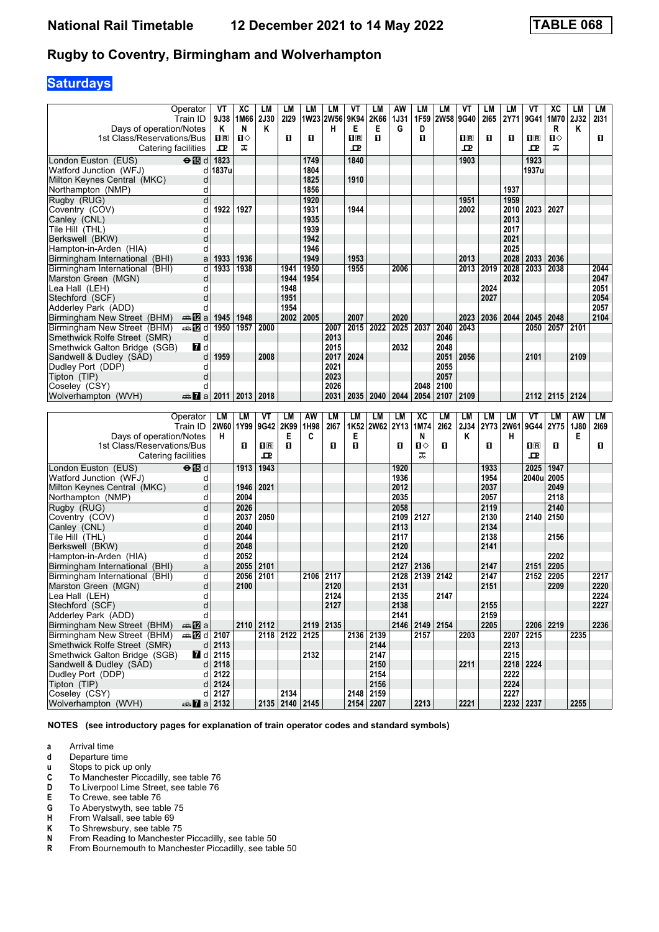# **Saturdays**

|                                                       | Operator                                      | VT                      | XC           | LМ             | LM                     | LM           | LМ        | VT                                              | LM                     | AW           | LM             | LM   | ۷T                      | LM        | LM           | ۷T                      | хc           | LM          | LМ   |
|-------------------------------------------------------|-----------------------------------------------|-------------------------|--------------|----------------|------------------------|--------------|-----------|-------------------------------------------------|------------------------|--------------|----------------|------|-------------------------|-----------|--------------|-------------------------|--------------|-------------|------|
|                                                       | Train ID                                      | 9J38                    | 1M66         | <b>2J30</b>    | 2129                   |              | 1W23 2W56 | 9K94                                            | 2K66                   | <b>1J31</b>  | 1F59           | 2W58 | 9G40                    | 2165      | 2Y71         | 9G41                    | 1M70         | <b>2J32</b> | 2131 |
| Days of operation/Notes                               |                                               | Κ                       | N            | Κ              |                        |              | н         | Е                                               | Е                      | G            | D              |      |                         |           |              |                         | R            | Κ           |      |
| 1st Class/Reservations/Bus                            |                                               | $\mathbf{H}$ R          | П⇔           |                | O                      | O.           |           | $\overline{\mathbf{H}}$ $\overline{\mathbf{R}}$ | O                      |              | п              |      | $\overline{\mathbf{H}}$ | п         | O            | $\mathbf{H}$ R          | п            |             | п    |
| Catering facilities                                   |                                               | ᇁ                       | ᠼ            |                |                        |              |           | ᇁ                                               |                        |              |                |      | ᇁ                       |           |              | ᇁ                       | ᠼ            |             |      |
| London Euston (EUS)                                   | $\overline{\Theta}$ $\overline{\mathbb{B}}$ d | 1823                    |              |                |                        | 1749         |           | 1840                                            |                        |              |                |      | 1903                    |           |              | 1923                    |              |             |      |
| Watford Junction (WFJ)                                | d                                             | 1837u                   |              |                |                        | 1804         |           |                                                 |                        |              |                |      |                         |           |              | 1937u                   |              |             |      |
| Milton Keynes Central (MKC)                           | d                                             |                         |              |                |                        | 1825         |           | 1910                                            |                        |              |                |      |                         |           |              |                         |              |             |      |
| Northampton (NMP)                                     | d                                             |                         |              |                |                        | 1856         |           |                                                 |                        |              |                |      |                         |           | 1937         |                         |              |             |      |
| Rugby (RUG)                                           | $\overline{\mathsf{d}}$                       |                         |              |                |                        | 1920         |           |                                                 |                        |              |                |      | 1951                    |           | 1959         |                         |              |             |      |
| Coventry (COV)                                        | d                                             | 1922                    | 1927         |                |                        | 1931         |           | 1944                                            |                        |              |                |      | 2002                    |           | 2010         | 2023                    | 2027         |             |      |
| Canley (CNL)                                          | d                                             |                         |              |                |                        | 1935         |           |                                                 |                        |              |                |      |                         |           | 2013         |                         |              |             |      |
| Tile Hill (THL)                                       | d                                             |                         |              |                |                        | 1939         |           |                                                 |                        |              |                |      |                         |           | 2017         |                         |              |             |      |
| Berkswell (BKW)                                       | d                                             |                         |              |                |                        | 1942         |           |                                                 |                        |              |                |      |                         |           | 2021         |                         |              |             |      |
| Hampton-in-Arden (HIA)                                | d                                             |                         |              |                |                        | 1946<br>1949 |           | 1953                                            |                        |              |                |      | 2013                    |           | 2025<br>2028 |                         | 2036         |             |      |
| Birmingham International (BHI)                        | a<br>d                                        | 1933<br>1933            | 1936<br>1938 |                |                        |              |           | 1955                                            |                        | 2006         |                |      | 2013                    | 2019      | 2028         | 2033<br>2033            | 2038         |             | 2044 |
| Birmingham International (BHI)<br>Marston Green (MGN) | d                                             |                         |              |                | 1941<br>1944           | 1950<br>1954 |           |                                                 |                        |              |                |      |                         |           | 2032         |                         |              |             | 2047 |
| Lea Hall (LEH)                                        | d                                             |                         |              |                | 1948                   |              |           |                                                 |                        |              |                |      |                         | 2024      |              |                         |              |             | 2051 |
| Stechford (SCF)                                       | d                                             |                         |              |                | 1951                   |              |           |                                                 |                        |              |                |      |                         | 2027      |              |                         |              |             | 2054 |
| Adderley Park (ADD)                                   | d                                             |                         |              |                | 1954                   |              |           |                                                 |                        |              |                |      |                         |           |              |                         |              |             | 2057 |
| Birmingham New Street (BHM)                           | dan <mark>in2</mark> ia                       | 1945                    | 1948         |                | 2002                   | 2005         |           | 2007                                            |                        | 2020         |                |      | 2023                    | 2036      | 2044         | 2045                    | 2048         |             | 2104 |
| Birmingham New Street (BHM)                           | <del>⊯</del> ПИd                              | 1950                    | 1957         | 2000           |                        |              | 2007      | 2015                                            | 2022                   | 2025         | 2037           | 2040 | 2043                    |           |              | 2050                    | 2057         | 2101        |      |
| Smethwick Rolfe Street (SMR)                          | d                                             |                         |              |                |                        |              | 2013      |                                                 |                        |              |                | 2046 |                         |           |              |                         |              |             |      |
| Smethwick Galton Bridge (SGB)                         | <b>7</b> d                                    |                         |              |                |                        |              | 2015      |                                                 |                        | 2032         |                | 2048 |                         |           |              |                         |              |             |      |
| Sandwell & Dudley (SAD)                               | d                                             | 1959                    |              | 2008           |                        |              | 2017      | 2024                                            |                        |              |                | 2051 | 2056                    |           |              | 2101                    |              | 2109        |      |
| Dudley Port (DDP)                                     | d                                             |                         |              |                |                        |              | 2021      |                                                 |                        |              |                | 2055 |                         |           |              |                         |              |             |      |
| Tipton (TIP)                                          | d                                             |                         |              |                |                        |              | 2023      |                                                 |                        |              |                | 2057 |                         |           |              |                         |              |             |      |
| Coseley (CSY)                                         | d                                             |                         |              |                |                        |              | 2026      |                                                 |                        |              | 2048           | 2100 |                         |           |              |                         |              |             |      |
| Wolverhampton (WVH)                                   | den <b>7</b> a                                | 2011                    | 2013         | 2018           |                        |              | 2031      | 2035                                            | 2040                   | 2044         | 2054           | 2107 | 2109                    |           |              | 2112                    | 2115 2124    |             |      |
|                                                       |                                               |                         |              |                |                        |              |           |                                                 |                        |              |                |      |                         |           |              |                         |              |             |      |
|                                                       |                                               |                         |              |                |                        |              |           |                                                 |                        |              |                |      |                         |           |              |                         |              |             |      |
|                                                       | Operator                                      | LM                      | LM           | VT             | LM                     | AW           | LM        | LM                                              | LM                     | LM           | XC             | LM   | LM                      | LM        | LM           | VT                      | LM           | AW          | LM   |
| Days of operation/Notes                               | Train ID                                      | 2W60 1Y99<br>н          |              | 9G42 2K99      | Е                      | 1H98<br>C    | 2167      | 1K52<br>Е                                       | 2W62 2Y13              |              | 1M74<br>N      | 2162 | <b>2J34</b><br>κ        | 2Y73 2W61 | н            |                         | 9G44 2Y75    | 1J80<br>Е   | 2169 |
| 1st Class/Reservations/Bus                            |                                               |                         | O            | $\mathbf{1}$ R | O                      |              | п         | О                                               |                        | О            | П⇔             | 0    |                         | O         |              | $\overline{\mathbf{H}}$ | п            |             | 0    |
| Catering facilities                                   |                                               |                         |              | ᇁ              |                        |              |           |                                                 |                        |              | ᠼ              |      |                         |           |              | 고                       |              |             |      |
| London Euston (EUS)                                   | $\Theta$ is d                                 |                         | 1913         | 1943           |                        |              |           |                                                 |                        | 1920         |                |      |                         | 1933      |              | 2025                    | 1947         |             |      |
| Watford Junction (WFJ)                                | d                                             |                         |              |                |                        |              |           |                                                 |                        | 1936         |                |      |                         | 1954      |              | 2040u                   | 2005         |             |      |
| Milton Keynes Central (MKC)                           | d                                             |                         | 1946         | 2021           |                        |              |           |                                                 |                        | 2012         |                |      |                         | 2037      |              |                         | 2049         |             |      |
| Northampton (NMP)                                     | d                                             |                         | 2004         |                |                        |              |           |                                                 |                        | 2035         |                |      |                         | 2057      |              |                         | 2118         |             |      |
| Rugby (RUG)                                           | d                                             |                         | 2026         |                |                        |              |           |                                                 |                        | 2058         |                |      |                         | 2119      |              |                         | 2140         |             |      |
| Coventry (COV)                                        | d                                             |                         | 2037         | 2050           |                        |              |           |                                                 |                        | 2109         | 2127           |      |                         | 2130      |              | 2140                    | 2150         |             |      |
| Canley (CNL)                                          | d                                             |                         | 2040         |                |                        |              |           |                                                 |                        | 2113         |                |      |                         | 2134      |              |                         |              |             |      |
| Tile Hill (THL)                                       | d                                             |                         | 2044         |                |                        |              |           |                                                 |                        | 2117         |                |      |                         | 2138      |              |                         | 2156         |             |      |
| Berkswell (BKW)                                       | d                                             |                         | 2048         |                |                        |              |           |                                                 |                        | 2120         |                |      |                         | 2141      |              |                         |              |             |      |
| Hampton-in-Arden (HIA)                                | d<br>a                                        |                         | 2052<br>2055 | 2101           |                        |              |           |                                                 |                        | 2124<br>2127 | 2136           |      |                         | 2147      |              | 2151                    | 2202<br>2205 |             |      |
| Birmingham International (BHI)                        | d                                             |                         | 2056         |                |                        | 2106         | 2117      |                                                 |                        | 2128         |                |      |                         | 2147      |              |                         | 2205         |             | 2217 |
| Birmingham International (BHI)<br>Marston Green (MGN) | d                                             |                         | 2100         | 2101           |                        |              | 2120      |                                                 |                        | 2131         | 2139           | 2142 |                         | 2151      |              | 2152                    | 2209         |             | 2220 |
|                                                       | d                                             |                         |              |                |                        |              | 2124      |                                                 |                        | 2135         |                | 2147 |                         |           |              |                         |              |             | 2224 |
| Lea Hall (LEH)<br>Stechford (SCF)                     | $\sf d$                                       |                         |              |                |                        |              | 2127      |                                                 |                        | 2138         |                |      |                         | 2155      |              |                         |              |             | 2227 |
| Adderley Park (ADD)                                   | d                                             |                         |              |                |                        |              |           |                                                 |                        | 2141         |                |      |                         | 2159      |              |                         |              |             |      |
| Birmingham New Street (BHM)                           | ⊯ 12a                                         |                         | 2110 2112    |                |                        |              | 2119 2135 |                                                 |                        |              | 2146 2149 2154 |      |                         | 2205      |              |                         | 2206 2219    |             | 2236 |
| Birmingham New Street (BHM)                           | <b>第7日 12107</b>                              |                         |              |                | 2118 2122              | 2125         |           |                                                 | 2136 2139              |              | 2157           |      | 2203                    |           |              | 2207 2215               |              | 2235        |      |
| Smethwick Rolfe Street (SMR)                          |                                               | $d$ 2113                |              |                |                        |              |           |                                                 | 2144                   |              |                |      |                         |           | 2213         |                         |              |             |      |
| Smethwick Galton Bridge (SGB)                         |                                               | $\blacksquare$ d   2115 |              |                |                        | 2132         |           |                                                 | 2147                   |              |                |      |                         |           | 2215         |                         |              |             |      |
| Sandwell & Dudley (SAD)                               |                                               | $d$ 2118                |              |                |                        |              |           |                                                 | 2150                   |              |                |      | 2211                    |           |              | 2218 2224               |              |             |      |
| Dudley Port (DDP)                                     | d                                             | 2122                    |              |                |                        |              |           |                                                 | 2154                   |              |                |      |                         |           | 2222         |                         |              |             |      |
| Tipton (TIP)                                          |                                               | $d$ 2124                |              |                |                        |              |           |                                                 | 2156                   |              |                |      |                         |           | 2224         |                         |              |             |      |
| Coseley (CSY)<br>Wolverhampton (WVH)                  | $\frac{1}{2}$ a 2132                          | d 2127                  |              |                | 2134<br>2135 2140 2145 |              |           |                                                 | 2148 2159<br>2154 2207 |              | 2213           |      | 2221                    |           | 2227         | 2232 2237               |              | 2255        |      |

**NOTES (see introductory pages for explanation of train operator codes and standard symbols)**

**a** Arrival time<br>**d** Departure t

**d** Departure time<br>**u** Stops to pick up

**x** Stops to pick up only<br>**C** To Manchester Picca

- To Manchester Piccadilly, see table 76
- **D** To Liverpool Lime Street, see table 76<br>**E** To Crewe, see table 76
- **E** To Crewe, see table 76<br>**G** To Abervstwyth, see table
- **6** To Aberystwyth, see table 75<br>**H** From Walsall, see table 69
- **+** From Walsall, see table 69<br>**K** To Shrewsbury, see table 7
- **K** To Shrewsbury, see table 75<br>**N** From Reading to Manchester
- **N** From Reading to Manchester Piccadilly, see table 50<br>**R** From Bournemouth to Manchester Piccadilly, see tab
- From Bournemouth to Manchester Piccadilly, see table 50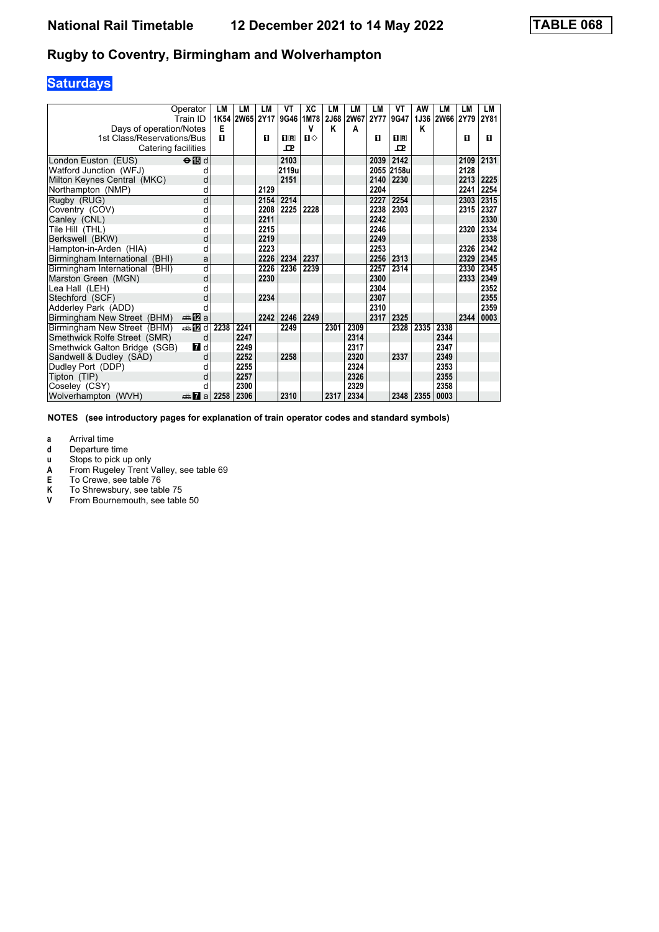# **Saturdays**

|                                | Operator<br>Train ID      | LM<br>1K54 | LM<br><b>2W65</b> | LM<br><b>2Y17</b> | VT             | XC<br>9G46 1M78 | LM   | LM<br>2J68 2W67 | LM<br><b>2Y77</b> | VT<br>9G47         | AW<br>1J36 | LM<br><b>2W66</b> | LM<br>2Y79 | LM<br>2Y81 |
|--------------------------------|---------------------------|------------|-------------------|-------------------|----------------|-----------------|------|-----------------|-------------------|--------------------|------------|-------------------|------------|------------|
| Days of operation/Notes        |                           | E          |                   |                   |                | v               | Κ    | A               |                   |                    | Κ          |                   |            |            |
| 1st Class/Reservations/Bus     |                           | п          |                   | п                 | $\mathbf{H}$ R | $\mathbf{n}$    |      |                 | п                 | $\Pi$ <sub>R</sub> |            |                   | п          | п          |
| Catering facilities            |                           |            |                   |                   | ᇁ              |                 |      |                 |                   | 굔                  |            |                   |            |            |
| London Euston (EUS)            | $\Theta$ $\blacksquare$ d |            |                   |                   | 2103           |                 |      |                 | 2039              | 2142               |            |                   | 2109       | 2131       |
| Watford Junction (WFJ)         | d                         |            |                   |                   | 2119u          |                 |      |                 |                   | 2055 2158u         |            |                   | 2128       |            |
| Milton Keynes Central (MKC)    | d                         |            |                   |                   | 2151           |                 |      |                 | 2140              | 2230               |            |                   | 2213       | 2225       |
| Northampton (NMP)              | d                         |            |                   | 2129              |                |                 |      |                 | 2204              |                    |            |                   | 2241       | 2254       |
| Rugby (RUG)                    | d                         |            |                   | 2154              | 2214           |                 |      |                 | 2227              | 2254               |            |                   | 2303       | 2315       |
| Coventry (COV)                 | d                         |            |                   | 2208              | 2225           | 2228            |      |                 | 2238              | 2303               |            |                   | 2315       | 2327       |
| Canley (CNL)                   | d                         |            |                   | 2211              |                |                 |      |                 | 2242              |                    |            |                   |            | 2330       |
| Tile Hill (THL)                | d                         |            |                   | 2215              |                |                 |      |                 | 2246              |                    |            |                   | 2320       | 2334       |
| Berkswell (BKW)                | d                         |            |                   | 2219              |                |                 |      |                 | 2249              |                    |            |                   |            | 2338       |
| Hampton-in-Arden (HIA)         | d                         |            |                   | 2223              |                |                 |      |                 | 2253              |                    |            |                   | 2326       | 2342       |
| Birmingham International (BHI) | a                         |            |                   | 2226              | 2234           | 2237            |      |                 | 2256              | 2313               |            |                   | 2329       | 2345       |
| Birmingham International (BHI) | d                         |            |                   | 2226              | 2236           | 2239            |      |                 | 2257              | 2314               |            |                   | 2330       | 2345       |
| Marston Green (MGN)            | d                         |            |                   | 2230              |                |                 |      |                 | 2300              |                    |            |                   | 2333       | 2349       |
| Lea Hall (LEH)                 | d                         |            |                   |                   |                |                 |      |                 | 2304              |                    |            |                   |            | 2352       |
| Stechford (SCF)                | d                         |            |                   | 2234              |                |                 |      |                 | 2307              |                    |            |                   |            | 2355       |
| Adderley Park (ADD)            |                           |            |                   |                   |                |                 |      |                 | 2310              |                    |            |                   |            | 2359       |
| Birmingham New Street (BHM)    | ana <mark>na</mark> m⊒    |            |                   | 2242              | 2246           | 2249            |      |                 | 2317              | 2325               |            |                   | 2344       | 0003       |
| Birmingham New Street (BHM)    | #Dd                       | 2238       | 2241              |                   | 2249           |                 | 2301 | 2309            |                   | 2328               | 2335       | 2338              |            |            |
| Smethwick Rolfe Street (SMR)   | d                         |            | 2247              |                   |                |                 |      | 2314            |                   |                    |            | 2344              |            |            |
| Smethwick Galton Bridge (SGB)  | 7 d                       |            | 2249              |                   |                |                 |      | 2317            |                   |                    |            | 2347              |            |            |
| Sandwell & Dudley (SAD)        | d                         |            | 2252              |                   | 2258           |                 |      | 2320            |                   | 2337               |            | 2349              |            |            |
| Dudley Port (DDP)              | d                         |            | 2255              |                   |                |                 |      | 2324            |                   |                    |            | 2353              |            |            |
| Tipton (TIP)                   | d                         |            | 2257              |                   |                |                 |      | 2326            |                   |                    |            | 2355              |            |            |
| Coseley (CSY)                  | d                         |            | 2300              |                   |                |                 |      | 2329            |                   |                    |            | 2358              |            |            |
| Wolverhampton (WVH)            | da <mark>7</mark> al      | 2258       | 2306              |                   | 2310           |                 | 2317 | 2334            |                   | 2348               | 2355       | 0003              |            |            |

**NOTES (see introductory pages for explanation of train operator codes and standard symbols)**

**a** Arrival time<br>**d** Departure ti

**d** Departure time<br>**u** Stops to pick up

**X** Stops to pick up only<br> **A** From Rugeley Trent<br> **E** To Crewe, see table **A** From Rugeley Trent Valley, see table 69

**E** To Crewe, see table 76

**K** To Shrewsbury, see table 75<br>**V** From Bournemouth, see table

From Bournemouth, see table 50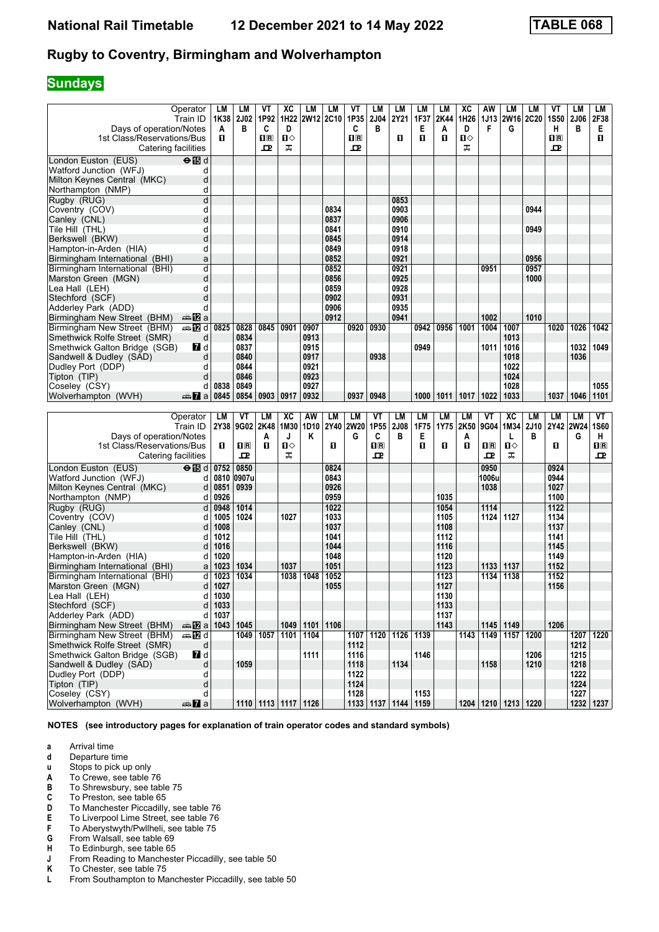# **Sundays**

| Train ID                                                                     | LM<br>1K38       | LМ<br>2J02    | VT<br>1P92                                                | xс<br>1H22             | LM<br>2W12 2C10    | LM           | VT<br>1P35                                                | LM<br>2J04     | LM<br>2Y21          | LM<br>1F37 | LМ<br>2K44   | xс<br>1H26   | AW<br>1J13   | LM                        | LМ<br>2W16 2C20 | ۷T<br>1S50                                                | LM<br>2J06        | LM<br>2F38  |
|------------------------------------------------------------------------------|------------------|---------------|-----------------------------------------------------------|------------------------|--------------------|--------------|-----------------------------------------------------------|----------------|---------------------|------------|--------------|--------------|--------------|---------------------------|-----------------|-----------------------------------------------------------|-------------------|-------------|
| Days of operation/Notes<br>1st Class/Reservations/Bus<br>Catering facilities | A<br>п.          | в             | C<br>$\overline{\mathbf{H}}$ $\overline{\mathbf{R}}$<br>ᇁ | D<br>$\mathbf{u}$<br>ᠼ |                    |              | C<br>$\overline{\mathbf{H}}$ $\overline{\mathbf{R}}$<br>ᇁ | в              | п                   | Е<br>п     | A<br>O       | D<br>п⇔<br>ᠼ | F            | G                         |                 | н<br>$\overline{\mathbf{H}}$ $\overline{\mathbf{R}}$<br>ᇁ | B                 | Е<br>п      |
| $\Theta$ is d<br>London Euston (EUS)                                         |                  |               |                                                           |                        |                    |              |                                                           |                |                     |            |              |              |              |                           |                 |                                                           |                   |             |
| Watford Junction (WFJ)<br>d                                                  |                  |               |                                                           |                        |                    |              |                                                           |                |                     |            |              |              |              |                           |                 |                                                           |                   |             |
| d<br>Milton Keynes Central (MKC)                                             |                  |               |                                                           |                        |                    |              |                                                           |                |                     |            |              |              |              |                           |                 |                                                           |                   |             |
| Northampton (NMP)<br>d                                                       |                  |               |                                                           |                        |                    |              |                                                           |                |                     |            |              |              |              |                           |                 |                                                           |                   |             |
| d<br>Rugby (RUG)                                                             |                  |               |                                                           |                        |                    |              |                                                           |                | 0853                |            |              |              |              |                           |                 |                                                           |                   |             |
| d<br>Coventry (COV)                                                          |                  |               |                                                           |                        |                    | 0834         |                                                           |                | 0903                |            |              |              |              |                           | 0944            |                                                           |                   |             |
| d<br>Canley (CNL)                                                            |                  |               |                                                           |                        |                    | 0837         |                                                           |                | 0906                |            |              |              |              |                           |                 |                                                           |                   |             |
| d<br>Tile Hill(THL)                                                          |                  |               |                                                           |                        |                    | 0841         |                                                           |                | 0910                |            |              |              |              |                           | 0949            |                                                           |                   |             |
| d<br>Berkswell (BKW)                                                         |                  |               |                                                           |                        |                    | 0845         |                                                           |                | 0914                |            |              |              |              |                           |                 |                                                           |                   |             |
| d<br>Hampton-in-Arden (HIA)                                                  |                  |               |                                                           |                        |                    | 0849         |                                                           |                | 0918                |            |              |              |              |                           |                 |                                                           |                   |             |
| Birmingham International (BHI)<br>a                                          |                  |               |                                                           |                        |                    | 0852         |                                                           |                | 0921                |            |              |              |              |                           | 0956            |                                                           |                   |             |
| d<br>Birmingham International (BHI)                                          |                  |               |                                                           |                        |                    | 0852         |                                                           |                | 0921                |            |              |              | 0951         |                           | 0957            |                                                           |                   |             |
| d<br>Marston Green (MGN)                                                     |                  |               |                                                           |                        |                    | 0856         |                                                           |                | 0925                |            |              |              |              |                           | 1000            |                                                           |                   |             |
| d<br>Lea Hall (LEH)                                                          |                  |               |                                                           |                        |                    | 0859         |                                                           |                | 0928                |            |              |              |              |                           |                 |                                                           |                   |             |
| d<br>Stechford (SCF)                                                         |                  |               |                                                           |                        |                    | 0902         |                                                           |                | 0931                |            |              |              |              |                           |                 |                                                           |                   |             |
| d<br>Adderley Park (ADD)                                                     |                  |               |                                                           |                        |                    | 0906         |                                                           |                | 0935                |            |              |              |              |                           |                 |                                                           |                   |             |
| Birmingham New Street (BHM)<br>an⊪ <mark>12</mark> 2 a                       |                  |               |                                                           |                        |                    | 0912         |                                                           |                | 0941                |            |              |              | 1002         |                           | 1010            |                                                           |                   |             |
| Birmingham New Street (BHM)<br>den <b>12</b> di                              | 0825             | 0828          | 0845                                                      | 0901                   | 0907               |              | 0920                                                      | 0930           |                     | 0942       | 0956         | 1001         | 1004         | 1007                      |                 | 1020                                                      | 1026              | 1042        |
| Smethwick Rolfe Street (SMR)<br>d                                            |                  | 0834          |                                                           |                        | 0913               |              |                                                           |                |                     |            |              |              |              | 1013                      |                 |                                                           |                   |             |
| <b>7</b> d<br>Smethwick Galton Bridge (SGB)                                  |                  | 0837          |                                                           |                        | 0915               |              |                                                           |                |                     | 0949       |              |              | 1011         | 1016                      |                 |                                                           | 1032              | 1049        |
| Sandwell & Dudley (SAD)<br>d                                                 |                  | 0840          |                                                           |                        | 0917               |              |                                                           | 0938           |                     |            |              |              |              | 1018                      |                 |                                                           | 1036              |             |
| Dudley Port (DDP)<br>d                                                       |                  | 0844          |                                                           |                        | 0921               |              |                                                           |                |                     |            |              |              |              | 1022                      |                 |                                                           |                   |             |
| d<br>Tipton (TIP)                                                            |                  | 0846          |                                                           |                        | 0923               |              |                                                           |                |                     |            |              |              |              | 1024                      |                 |                                                           |                   |             |
| Coseley (CSY)<br>d                                                           | 0838             | 0849          |                                                           |                        | 0927               |              |                                                           |                |                     |            |              |              |              | 1028                      |                 |                                                           |                   | 1055        |
| Wolverhampton (WVH)<br>$\frac{1}{2}$ a                                       | 0845             | 0854          | 0903                                                      | 0917                   | 0932               |              | 0937                                                      | 0948           |                     | 1000       | 1011         | 1017         | 1022         | 1033                      |                 | 1037                                                      | 1046              | 1101        |
|                                                                              |                  |               |                                                           |                        |                    |              |                                                           |                |                     |            |              |              |              |                           |                 |                                                           |                   |             |
|                                                                              |                  |               |                                                           |                        |                    |              |                                                           |                |                     |            |              |              |              |                           |                 |                                                           |                   |             |
| Operator                                                                     | LM               | VT            | LM                                                        | XC                     | AW                 | LM           | <b>LM</b>                                                 | VT             | LM                  | <b>LM</b>  | LM           | LM           | VT           | <b>XC</b>                 | LM              | LМ                                                        | LM                | VT          |
| Train ID                                                                     | 2Y38             | 9G02          | 2K48                                                      | 1M30                   | 1D <sub>10</sub>   | 2Y40         | <b>2W20</b>                                               | 1P55           | <b>2J08</b>         | 1F75       | 1Y75         | 2K50         | 9G04         | 1M34                      | 2J10            |                                                           | 2Y42 2W24         | <b>1S60</b> |
| Days of operation/Notes                                                      |                  |               | A                                                         | J                      | Κ                  |              | G                                                         | C              | в                   | Е          |              | A            |              | L                         | в               |                                                           | G                 | H           |
| 1st Class/Reservations/Bus                                                   | 0                | $n_{\rm R}$   | O                                                         | ்ப                     |                    | 0            |                                                           | $\mathbf{u}$ R |                     | п          | 0            | О            | $n_{\rm R}$  | П⇔                        |                 | 0                                                         |                   | $n_{\rm R}$ |
| Catering facilities                                                          |                  | ᇁ             |                                                           | ᠼ                      |                    |              |                                                           | ᇁ              |                     |            |              |              | ᇁ            | ᠼ                         |                 |                                                           |                   | ᇁ           |
|                                                                              |                  |               |                                                           |                        |                    | 0824         |                                                           |                |                     |            |              |              | 0950         |                           |                 | 0924                                                      |                   |             |
| $\Theta$ id<br>London Euston (EUS)<br>d                                      | 0752<br>0810     | 0850<br>0907u |                                                           |                        |                    | 0843         |                                                           |                |                     |            |              |              | 1006u        |                           |                 | 0944                                                      |                   |             |
| Watford Junction (WFJ)                                                       |                  | 0939          |                                                           |                        |                    | 0926         |                                                           |                |                     |            |              |              |              |                           |                 | 1027                                                      |                   |             |
| Milton Keynes Central (MKC)<br>d                                             | 0851             |               |                                                           |                        |                    |              |                                                           |                |                     |            |              |              | 1038         |                           |                 |                                                           |                   |             |
| Northampton (NMP)<br>d                                                       | 0926             |               |                                                           |                        |                    | 0959         |                                                           |                |                     |            | 1035         |              |              |                           |                 | 1100                                                      |                   |             |
| Rugby (RUG)<br>þ<br>d                                                        | 0948<br>1005     | 1014<br>1024  |                                                           | 1027                   |                    | 1022<br>1033 |                                                           |                |                     |            | 1054<br>1105 |              | 1114<br>1124 | 1127                      |                 | $\overline{1122}$<br>1134                                 |                   |             |
| Coventry (COV)<br>Canley (CNL)<br>d                                          | 1008             |               |                                                           |                        |                    | 1037         |                                                           |                |                     |            | 1108         |              |              |                           |                 | 1137                                                      |                   |             |
| Tile Hill (THL)<br>d                                                         | 1012             |               |                                                           |                        |                    | 1041         |                                                           |                |                     |            | 1112         |              |              |                           |                 | 1141                                                      |                   |             |
| Berkswell (BKW)<br>d                                                         | 1016             |               |                                                           |                        |                    | 1044         |                                                           |                |                     |            | 1116         |              |              |                           |                 | 1145                                                      |                   |             |
| Hampton-in-Arden (HIA)<br>d                                                  | 1020             |               |                                                           |                        |                    | 1048         |                                                           |                |                     |            | 1120         |              |              |                           |                 | 1149                                                      |                   |             |
| Birmingham International (BHI)<br>a                                          | 1023             | 1034          |                                                           | 1037                   |                    | 1051         |                                                           |                |                     |            | 1123         |              | 1133         | 1137                      |                 | 1152                                                      |                   |             |
| d<br>Birmingham International (BHI)                                          | 1023             | 1034          |                                                           | 1038                   | 1048               | 1052         |                                                           |                |                     |            | 1123         |              | 1134         | 1138                      |                 | 1152                                                      |                   |             |
| d<br>Marston Green (MGN)                                                     | 1027             |               |                                                           |                        |                    | 1055         |                                                           |                |                     |            | 1127         |              |              |                           |                 | 1156                                                      |                   |             |
|                                                                              |                  |               |                                                           |                        |                    |              |                                                           |                |                     |            |              |              |              |                           |                 |                                                           |                   |             |
| Lea Hall (LEH)<br>Stechford (SCF)<br>d                                       | $d$ 1030<br>1033 |               |                                                           |                        |                    |              |                                                           |                |                     |            | 1130<br>1133 |              |              |                           |                 |                                                           |                   |             |
| Adderley Park (ADD)                                                          | d 1037           |               |                                                           |                        |                    |              |                                                           |                |                     |            | 1137         |              |              |                           |                 |                                                           |                   |             |
| <b>▲图 a 1043 1045</b><br>Birmingham New Street (BHM)                         |                  |               |                                                           |                        | 1049   1101   1106 |              |                                                           |                |                     |            | 1143         |              |              | 1145 1149                 |                 | 1206                                                      |                   |             |
| Birmingham New Street (BHM)<br><b>⊯ 12</b> d                                 |                  |               | 1049 1057                                                 | 1101 1104              |                    |              | 1107                                                      |                | 1120 1126           | 1139       |              |              |              | 1143 1149 1157 1200       |                 |                                                           | 1207 1220         |             |
| Smethwick Rolfe Street (SMR)<br>d                                            |                  |               |                                                           |                        |                    |              | 1112                                                      |                |                     |            |              |              |              |                           |                 |                                                           | 1212              |             |
| Smethwick Galton Bridge (SGB)<br>$\blacksquare$ d                            |                  |               |                                                           |                        | 1111               |              | 1116                                                      |                |                     | 1146       |              |              |              |                           | 1206            |                                                           | 1215              |             |
| Sandwell & Dudley (SAD)<br>d                                                 |                  | 1059          |                                                           |                        |                    |              | 1118                                                      |                | 1134                |            |              |              | 1158         |                           | 1210            |                                                           | 1218              |             |
| Dudley Port (DDP)<br>d                                                       |                  |               |                                                           |                        |                    |              | 1122                                                      |                |                     |            |              |              |              |                           |                 |                                                           | 1222              |             |
| d<br>Tipton (TIP)                                                            |                  |               |                                                           |                        |                    |              | 1124                                                      |                |                     |            |              |              |              |                           |                 |                                                           | 1224              |             |
| Coseley (CSY)<br>d<br>Wolverhampton (WVH)<br><del>⊯</del> ∎a                 |                  |               |                                                           | 1110 1113 1117 1126    |                    |              | 1128                                                      |                | 1133 1137 1144 1159 | 1153       |              |              |              | 1204   1210   1213   1220 |                 |                                                           | 1227<br>1232 1237 |             |

- **a** Arrival time<br>**d** Departure t
- **d** Departure time<br>**u** Stops to pick up
- **x** Stops to pick up only<br>**A** To Crewe, see table
- To Crewe, see table 76
- **B** To Shrewsbury, see table 75<br>**C** To Preston, see table 65
- **C** To Preston, see table 65<br>**D** To Manchester Piccadilly
- **D** To Manchester Piccadilly, see table 76<br>**E** To Liverpool Lime Street, see table 76
- **E** To Liverpool Lime Street, see table 76<br>**F** To Aberystwyth/Pwllheli, see table 75
- **F** To Aberystwyth/Pwllheli, see table 75<br>**G** From Walsall, see table 69
- **6** From Walsall, see table 69<br>**H** To Edinburgh, see table 65
- To Edinburgh, see table 65
- **J** From Reading to Manchester Piccadilly, see table 50<br>**K** To Chester, see table 75
- **K** To Chester, see table 75<br>**L** From Southampton to Ma
- From Southampton to Manchester Piccadilly, see table 50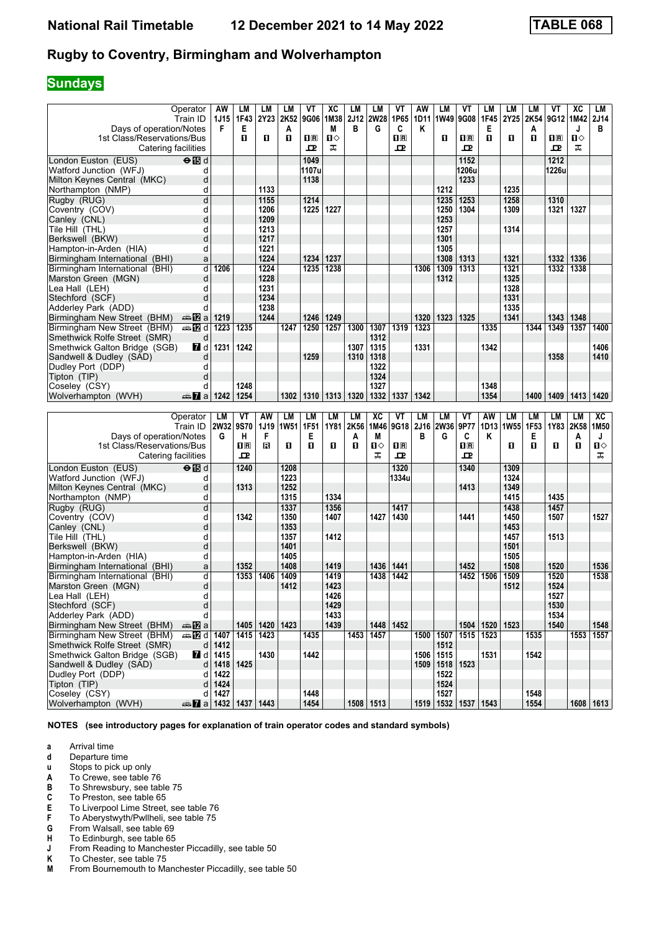# **Sundays**

|                                                            | Operator<br>Train ID               | AW<br><b>1J15</b> | LМ<br>1F43              | LМ<br>2Y23   | LМ<br>2K52   | VT<br>9G06          | XC<br>1M38   | LM<br>2J12 | LM<br><b>2W28</b> | VT<br>1P65                   | AW<br>1D11 | LM<br>1W49   | VT<br>9G08                   | LM<br>1F45   | LM<br>2Y25   | LM<br>2K54   | ۷T<br>9G12   1M42                                    | ХC        | LM<br>2J14  |
|------------------------------------------------------------|------------------------------------|-------------------|-------------------------|--------------|--------------|---------------------|--------------|------------|-------------------|------------------------------|------------|--------------|------------------------------|--------------|--------------|--------------|------------------------------------------------------|-----------|-------------|
| Days of operation/Notes                                    |                                    | F                 | Е                       |              | A            |                     | M            | B          | G                 | C                            | Κ          |              |                              | Е            |              | Α            |                                                      | J         | в           |
| 1st Class/Reservations/Bus<br>Catering facilities          |                                    |                   | п                       | O            | O            | $\mathbf{H}$ R<br>ᇁ | п⇔<br>ᠼ      |            |                   | $\overline{\mathbf{R}}$<br>굔 |            | O            | $\overline{\mathbf{H}}$<br>ᇁ | п            | O            | п            | $\overline{\mathbf{H}}$ $\overline{\mathbf{R}}$<br>ᇁ | П⇔<br>ᠼ   |             |
| London Euston (EUS)                                        | $\Theta$ is d                      |                   |                         |              |              | 1049                |              |            |                   |                              |            |              | 1152                         |              |              |              | 1212                                                 |           |             |
| Watford Junction (WFJ)                                     | d                                  |                   |                         |              |              | 1107u               |              |            |                   |                              |            |              | 1206u                        |              |              |              | 1226u                                                |           |             |
| Milton Keynes Central (MKC)                                | d                                  |                   |                         |              |              | 1138                |              |            |                   |                              |            |              | 1233                         |              |              |              |                                                      |           |             |
| Northampton (NMP)                                          | d                                  |                   |                         | 1133         |              |                     |              |            |                   |                              |            | 1212         |                              |              | 1235         |              |                                                      |           |             |
| Rugby (RUG)                                                | d                                  |                   |                         | 1155         |              | 1214                |              |            |                   |                              |            | 1235         | 1253                         |              | 1258         |              | 1310                                                 |           |             |
| Coventry (COV)<br>Canley (CNL)                             | d<br>d                             |                   |                         | 1206<br>1209 |              | 1225                | 1227         |            |                   |                              |            | 1250<br>1253 | 1304                         |              | 1309         |              | 1321                                                 | 1327      |             |
| Tile Hill(THL)                                             | d                                  |                   |                         | 1213         |              |                     |              |            |                   |                              |            | 1257         |                              |              | 1314         |              |                                                      |           |             |
| Berkswell (BKW)                                            | d                                  |                   |                         | 1217         |              |                     |              |            |                   |                              |            | 1301         |                              |              |              |              |                                                      |           |             |
| Hampton-in-Arden (HIA)                                     | d                                  |                   |                         | 1221         |              |                     |              |            |                   |                              |            | 1305         |                              |              |              |              |                                                      |           |             |
| Birmingham International (BHI)                             | a                                  |                   |                         | 1224         |              | 1234                | 1237         |            |                   |                              |            | 1308         | 1313                         |              | 1321         |              | 1332                                                 | 1336      |             |
| Birmingham International (BHI)                             | d                                  | 1206              |                         | 1224         |              | 1235                | 1238         |            |                   |                              | 1306       | 1309         | 1313                         |              | 1321         |              | 1332                                                 | 1338      |             |
| Marston Green (MGN)                                        | d                                  |                   |                         | 1228         |              |                     |              |            |                   |                              |            | 1312         |                              |              | 1325         |              |                                                      |           |             |
| Lea Hall(LEH)                                              | d                                  |                   |                         | 1231         |              |                     |              |            |                   |                              |            |              |                              |              | 1328         |              |                                                      |           |             |
| Stechford (SCF)                                            | d                                  |                   |                         | 1234         |              |                     |              |            |                   |                              |            |              |                              |              | 1331         |              |                                                      |           |             |
| Adderley Park (ADD)                                        | d                                  | 1219              |                         | 1238<br>1244 |              | 1246                | 1249         |            |                   |                              | 1320       | 1323         | 1325                         |              | 1335<br>1341 |              | 1343   1348                                          |           |             |
| Birmingham New Street (BHM)<br>Birmingham New Street (BHM) | den <mark>m</mark> ⊉a<br>⇔ 122 d   | 1223              | 1235                    |              | 1247         | 1250                | 1257         | 1300       | 1307              | 1319                         | 1323       |              |                              | 1335         |              | 1344         | 1349                                                 | 1357      | 1400        |
| Smethwick Rolfe Street (SMR)                               | d                                  |                   |                         |              |              |                     |              |            | 1312              |                              |            |              |                              |              |              |              |                                                      |           |             |
| Smethwick Galton Bridge (SGB)                              | <b>7</b> d                         | 1231              | 1242                    |              |              |                     |              | 1307       | 1315              |                              | 1331       |              |                              | 1342         |              |              |                                                      |           | 1406        |
| Sandwell & Dudley (SAD)                                    | d                                  |                   |                         |              |              | 1259                |              | 1310       | 1318              |                              |            |              |                              |              |              |              | 1358                                                 |           | 1410        |
| Dudley Port (DDP)                                          | d                                  |                   |                         |              |              |                     |              |            | 1322              |                              |            |              |                              |              |              |              |                                                      |           |             |
| Tipton (TIP)                                               | d                                  |                   |                         |              |              |                     |              |            | 1324              |                              |            |              |                              |              |              |              |                                                      |           |             |
| Coseley (CSY)                                              | d                                  |                   | 1248                    |              |              |                     |              |            | 1327              |                              |            |              |                              | 1348         |              |              |                                                      |           |             |
| Wolverhampton (WVH)                                        | $\mathbb{Z}$ a                     | 1242              | 1254                    |              | 1302         | 1310                | 1313         | 1320       | 1332              | 1337                         | 1342       |              |                              | 1354         |              | 1400         | 1409                                                 | 1413      | 1420        |
|                                                            |                                    |                   |                         |              |              |                     |              |            |                   |                              |            |              |                              |              |              |              |                                                      |           |             |
|                                                            |                                    |                   |                         |              |              |                     |              |            |                   |                              |            |              |                              |              |              |              |                                                      |           |             |
|                                                            | Operator                           | LM                | VT                      | AW           | <b>LM</b>    | <b>LM</b>           | LM           | <b>LM</b>  | $\overline{AC}$   | VT                           | LM         | <b>LM</b>    | VT                           | <b>AW</b>    | <b>LM</b>    | <b>LM</b>    | LM                                                   | <b>LM</b> | XC          |
| Days of operation/Notes                                    | Train ID                           | <b>2W32</b><br>G  | 9S70<br>н               | 1J19<br>F    | <b>1W51</b>  | 1F51<br>Е           | 1Y81         | 2K56<br>A  | 1M46<br>M         | 9G18                         | 2J16<br>в  | 2W36<br>G    | 9P77<br>C                    | 1D13<br>Κ    | 1W55         | 1F53<br>Е    | 1Y83                                                 | 2K58<br>A | 1M50<br>J   |
| 1st Class/Reservations/Bus                                 |                                    |                   | $\overline{\mathbf{R}}$ | в            | O            | п                   | O            | п          | П⇔                | $n_{\mathbb{R}}$             |            |              | $\overline{\mathbf{R}}$      |              | O            | п            | п                                                    | O         | П⇔          |
| Catering facilities                                        |                                    |                   | 굔                       |              |              |                     |              |            | ᠼ                 | 고                            |            |              | ᅭ                            |              |              |              |                                                      |           | ᠼ           |
| London Euston (EUS)                                        | $\Theta$ $\overline{\mathbb{B}}$ d |                   | 1240                    |              | 1208         |                     |              |            |                   | 1320                         |            |              | 1340                         |              | 1309         |              |                                                      |           |             |
| Watford Junction (WFJ)                                     | d                                  |                   |                         |              | 1223         |                     |              |            |                   | 1334u                        |            |              |                              |              | 1324         |              |                                                      |           |             |
| Milton Keynes Central (MKC)                                | d                                  |                   | 1313                    |              | 1252         |                     |              |            |                   |                              |            |              | 1413                         |              | 1349         |              |                                                      |           |             |
| Northampton (NMP)                                          | d                                  |                   |                         |              | 1315         |                     | 1334         |            |                   |                              |            |              |                              |              | 1415         |              | 1435                                                 |           |             |
| Rugby (RUG)                                                | d                                  |                   |                         |              | 1337         |                     | 1356         |            |                   | 1417                         |            |              |                              |              | 1438         |              | 1457                                                 |           |             |
| Coventry (COV)                                             | d                                  |                   | 1342                    |              | 1350         |                     | 1407         |            | 1427              | 1430                         |            |              | 1441                         |              | 1450         |              | 1507                                                 |           | 1527        |
| Canley (CNL)                                               | d<br>d                             |                   |                         |              | 1353<br>1357 |                     | 1412         |            |                   |                              |            |              |                              |              | 1453         |              | 1513                                                 |           |             |
| Tile Hill (THL)<br>Berkswell (BKW)                         | d                                  |                   |                         |              | 1401         |                     |              |            |                   |                              |            |              |                              |              | 1457<br>1501 |              |                                                      |           |             |
| Hampton-in-Arden (HIA)                                     | d                                  |                   |                         |              | 1405         |                     |              |            |                   |                              |            |              |                              |              | 1505         |              |                                                      |           |             |
| Birmingham International (BHI)                             | a                                  |                   | 1352                    |              | 1408         |                     | 1419         |            | 1436              | 1441                         |            |              | 1452                         |              | 1508         |              | 1520                                                 |           | 1536        |
| Birmingham International (BHI)                             | d                                  |                   | 1353                    | 1406         | 1409         |                     | 1419         |            | 1438              | 1442                         |            |              | 1452                         | 1506         | 1509         |              | 1520                                                 |           | 1538        |
| Marston Green (MGN)                                        | d                                  |                   |                         |              | 1412         |                     | 1423         |            |                   |                              |            |              |                              |              | 1512         |              | 1524                                                 |           |             |
| Lea Hall (LEH)                                             | d                                  |                   |                         |              |              |                     | 1426         |            |                   |                              |            |              |                              |              |              |              | 1527                                                 |           |             |
| Stechford (SCF)                                            | d                                  |                   |                         |              |              |                     | 1429         |            |                   |                              |            |              |                              |              |              |              | 1530                                                 |           |             |
| Adderley Park (ADD)<br>Birmingham New Street (BHM)         | d<br>⊯mZa                          |                   | 1405                    |              | 1423         |                     | 1433<br>1439 |            | 1448              | 1452                         |            |              | 1504                         |              | 1523         |              | 1534<br>1540                                         |           | 1548        |
| Birmingham New Street (BHM)                                | di 1407                            |                   | 1415                    | 1420<br>1423 |              | 1435                |              | 1453       | 1457              |                              |            | 1500 1507    | 1515                         | 1520<br>1523 |              | 1535         |                                                      |           | 1553 1557   |
| Smethwick Rolfe Street (SMR)                               | $d \mid$                           | 1412              |                         |              |              |                     |              |            |                   |                              |            | 1512         |                              |              |              |              |                                                      |           |             |
| Smethwick Galton Bridge (SGB)                              | 7 d                                | 1415              |                         | 1430         |              | 1442                |              |            |                   |                              | 1506       | 1515         |                              | 1531         |              | 1542         |                                                      |           |             |
| Sandwell & Dudley (SAD)                                    | d                                  | 1418 1425         |                         |              |              |                     |              |            |                   |                              | 1509       | 1518         | 1523                         |              |              |              |                                                      |           |             |
| Dudley Port (DDP)                                          | d                                  | 1422              |                         |              |              |                     |              |            |                   |                              |            | 1522         |                              |              |              |              |                                                      |           |             |
| Tipton (TIP)                                               | d                                  | 1424              |                         |              |              |                     |              |            |                   |                              |            | 1524         |                              |              |              |              |                                                      |           |             |
| Coseley (CSY)<br>Wolverhampton (WVH)                       | d<br><b>at 7</b> a 1432 1437 1443  | 1427              |                         |              |              | 1448<br>1454        |              |            | 1508   1513       |                              |            | 1527         | 1519 1532 1537 1543          |              |              | 1548<br>1554 |                                                      |           | 1608   1613 |

**NOTES (see introductory pages for explanation of train operator codes and standard symbols)**

- **d** Departure time<br>**u** Stops to pick up
- **x** Stops to pick up only<br>**A** To Crewe, see table
- To Crewe, see table 76
- **B** To Shrewsbury, see table 75<br>**C** To Preston, see table 65<br>**E** To Liverpool Lime Street, see
- To Preston, see table 65
- **E** To Liverpool Lime Street, see table 76<br>**F** To Aberystwyth/Pwllheli, see table 75
- **F** To Aberystwyth/Pwllheli, see table 75<br>**G** From Walsall, see table 69
- **6** From Walsall, see table 69<br>**H** To Edinburgh, see table 65
- **+** To Edinburgh, see table 65<br>**J** From Reading to Manchest From Reading to Manchester Piccadilly, see table 50
- 
- **K** To Chester, see table 75<br>**M** From Bournemouth to Ma From Bournemouth to Manchester Piccadilly, see table 50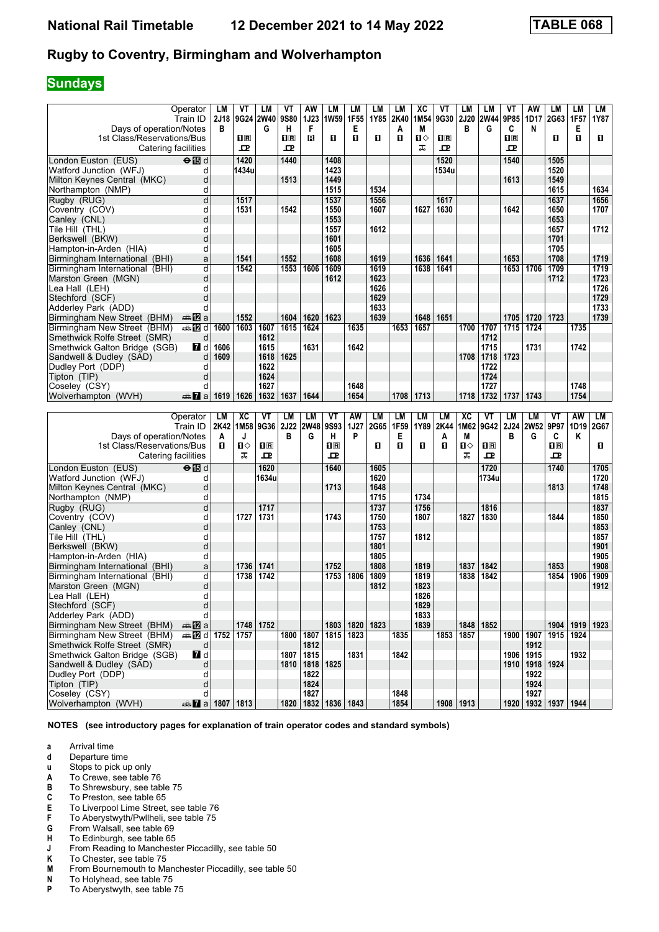# **Sundays**

|                                      | Operator                                | LM   | ۷T             | LM               | VT          | AW          | LM                        | LM   | LM        | LM           | ХC   | ۷T             | LM          | LM               | ۷T                      | AW                 | LМ                        | LМ                 | LM   |
|--------------------------------------|-----------------------------------------|------|----------------|------------------|-------------|-------------|---------------------------|------|-----------|--------------|------|----------------|-------------|------------------|-------------------------|--------------------|---------------------------|--------------------|------|
|                                      | Train ID                                | 2J18 |                | 9G24 2W40        | 9S80        | <b>1J23</b> | 1W59                      | 1F55 | 1Y85      | 2K40         | 1M54 | 9G30           | <b>2J20</b> | <b>2W44</b>      | 9P85                    | 1D17               | 2G63                      | 1F57               | 1Y87 |
| Days of operation/Notes              |                                         | в    |                | G                | н           | F           |                           | Е    |           | A            | M    |                | в           | G                | C                       | N                  |                           | Е                  |      |
| 1st Class/Reservations/Bus           |                                         |      | $\mathbf{H}$ R |                  | $n_{\rm R}$ | в           | O                         | п    | O         | п            | п⇔   | $\mathbf{H}$ R |             |                  | $\overline{\mathbf{R}}$ |                    | O                         | O                  | O.   |
| Catering facilities                  |                                         |      | ᇁ              |                  | ᇁ           |             |                           |      |           |              | ᠼ    | ᇁ              |             |                  | ᇁ                       |                    |                           |                    |      |
| London Euston (EUS)                  | $\Theta$ is d                           |      | 1420           |                  | 1440        |             | 1408                      |      |           |              |      | 1520           |             |                  | 1540                    |                    | 1505                      |                    |      |
| Watford Junction (WFJ)               | d                                       |      | 1434u          |                  |             |             | 1423                      |      |           |              |      | 1534u          |             |                  |                         |                    | 1520                      |                    |      |
|                                      |                                         |      |                |                  |             |             | 1449                      |      |           |              |      |                |             |                  |                         |                    | 1549                      |                    |      |
| Milton Keynes Central (MKC)          | d                                       |      |                |                  | 1513        |             |                           |      |           |              |      |                |             |                  | 1613                    |                    |                           |                    |      |
| Northampton (NMP)                    | d                                       |      |                |                  |             |             | 1515                      |      | 1534      |              |      |                |             |                  |                         |                    | 1615                      |                    | 1634 |
| Rugby (RUG)                          | d                                       |      | 1517           |                  |             |             | 1537                      |      | 1556      |              |      | 1617           |             |                  |                         |                    | 1637                      |                    | 1656 |
| Coventry (COV)                       | d                                       |      | 1531           |                  | 1542        |             | 1550                      |      | 1607      |              | 1627 | 1630           |             |                  | 1642                    |                    | 1650                      |                    | 1707 |
| Canley (CNL)                         | d                                       |      |                |                  |             |             | 1553                      |      |           |              |      |                |             |                  |                         |                    | 1653                      |                    |      |
| Tile Hill (THL)                      | d                                       |      |                |                  |             |             | 1557                      |      | 1612      |              |      |                |             |                  |                         |                    | 1657                      |                    | 1712 |
| Berkswell (BKW)                      | d                                       |      |                |                  |             |             | 1601                      |      |           |              |      |                |             |                  |                         |                    | 1701                      |                    |      |
| Hampton-in-Arden (HIA)               | d                                       |      |                |                  |             |             | 1605                      |      |           |              |      |                |             |                  |                         |                    | 1705                      |                    |      |
| Birmingham International (BHI)       | a                                       |      | 1541           |                  | 1552        |             | 1608                      |      | 1619      |              | 1636 | 1641           |             |                  | 1653                    |                    | 1708                      |                    | 1719 |
|                                      |                                         |      |                |                  |             |             |                           |      |           |              |      |                |             |                  |                         |                    |                           |                    |      |
| Birmingham International (BHI)       | d                                       |      | 1542           |                  | 1553        | 1606        | 1609                      |      | 1619      |              | 1638 | 1641           |             |                  | 1653                    | 1706               | 1709                      |                    | 1719 |
| Marston Green (MGN)                  | d                                       |      |                |                  |             |             | 1612                      |      | 1623      |              |      |                |             |                  |                         |                    | 1712                      |                    | 1723 |
| Lea Hall (LEH)                       | d                                       |      |                |                  |             |             |                           |      | 1626      |              |      |                |             |                  |                         |                    |                           |                    | 1726 |
| Stechford (SCF)                      | d                                       |      |                |                  |             |             |                           |      | 1629      |              |      |                |             |                  |                         |                    |                           |                    | 1729 |
| Adderley Park (ADD)                  | d                                       |      |                |                  |             |             |                           |      | 1633      |              |      |                |             |                  |                         |                    |                           |                    | 1733 |
| Birmingham New Street (BHM)          | dan <mark>na</mark> m⊒                  |      | 1552           |                  | 1604        | 1620        | 1623                      |      | 1639      |              | 1648 | 1651           |             |                  | 1705                    | 1720               | 1723                      |                    | 1739 |
| Birmingham New Street (BHM)          | d≣ <mark>a</mark> na <mark>12</mark> di | 1600 | 1603           | 1607             | 1615        | 1624        |                           | 1635 |           | 1653         | 1657 |                | 1700        | 1707             | $\overline{1715}$       | 1724               |                           | 1735               |      |
| Smethwick Rolfe Street (SMR)         | d                                       |      |                | 1612             |             |             |                           |      |           |              |      |                |             | 1712             |                         |                    |                           |                    |      |
| Smethwick Galton Bridge (SGB)        | <b>7</b> d                              | 1606 |                | 1615             |             | 1631        |                           | 1642 |           |              |      |                |             | 1715             |                         | 1731               |                           | 1742               |      |
|                                      | d                                       | 1609 |                | 1618             | 1625        |             |                           |      |           |              |      |                | 1708        | 1718             | 1723                    |                    |                           |                    |      |
| Sandwell & Dudley (SAD)              |                                         |      |                |                  |             |             |                           |      |           |              |      |                |             |                  |                         |                    |                           |                    |      |
| Dudley Port (DDP)                    | d                                       |      |                | 1622             |             |             |                           |      |           |              |      |                |             | 1722             |                         |                    |                           |                    |      |
| Tipton (TIP)                         | d                                       |      |                | 1624             |             |             |                           |      |           |              |      |                |             | 1724             |                         |                    |                           |                    |      |
| Coseley (CSY)                        | d                                       |      |                | 1627             |             |             |                           | 1648 |           |              |      |                |             | 1727             |                         |                    |                           | 1748               |      |
| Wolverhampton (WVH)                  | nna <mark>7</mark> a                    | 1619 | 1626           | 1632             | 1637        | 1644        |                           | 1654 |           | 1708         | 1713 |                | 1718        | 1732             | 1737                    | 1743               |                           | 1754               |      |
|                                      |                                         |      |                |                  |             |             |                           |      |           |              |      |                |             |                  |                         |                    |                           |                    |      |
|                                      |                                         |      |                |                  |             |             |                           |      |           |              |      |                |             |                  |                         |                    |                           |                    |      |
|                                      | Operator                                | LM   | XC             | VT               | LM          | <b>LM</b>   | VT                        | AW   | <b>LM</b> | <b>LM</b>    | LM   | <b>LM</b>      | XC          | VT               | <b>LM</b>               | <b>LM</b>          | VT                        | AW                 | LM   |
|                                      | Train ID                                | 2K42 | 1M58           | 9G36             | <b>2J22</b> | <b>2W48</b> | <b>9S93</b>               | 1J27 | 2G65      | 1F59         | 1Y89 | 2K44           | 1M62        | 9G42             | 2J24                    | 2W52               | 9P97                      | 1D19               | 2G67 |
|                                      |                                         | A    | J              |                  | в           | G           | н                         | P    |           | Е            |      | A              | M           |                  | в                       | G                  | C                         | Κ                  |      |
| Days of operation/Notes              |                                         | O    | Ⅱ◇             |                  |             |             | $\mathbf{H}$ R            |      | O         | п            |      | О              |             |                  |                         |                    | 1 <sup>R</sup>            |                    | O.   |
| 1st Class/Reservations/Bus           |                                         |      | ᠼ              | $n_{\rm R}$<br>ᇁ |             |             | 고                         |      |           |              | П    |                | п⇔<br>ᠼ     | $n_{\mathbb{R}}$ |                         |                    | ᇁ                         |                    |      |
| Catering facilities                  |                                         |      |                |                  |             |             |                           |      |           |              |      |                |             | 굔                |                         |                    |                           |                    |      |
| London Euston (EUS)                  | $\Theta$ $\overline{\mathbb{B}}$ d      |      |                | 1620             |             |             | 1640                      |      | 1605      |              |      |                |             | 1720             |                         |                    | 1740                      |                    | 1705 |
| Watford Junction (WFJ)               | d                                       |      |                | 1634u            |             |             |                           |      | 1620      |              |      |                |             | 1734u            |                         |                    |                           |                    | 1720 |
| Milton Keynes Central (MKC)          | d                                       |      |                |                  |             |             | 1713                      |      | 1648      |              |      |                |             |                  |                         |                    | 1813                      |                    | 1748 |
| Northampton (NMP)                    | d                                       |      |                |                  |             |             |                           |      | 1715      |              | 1734 |                |             |                  |                         |                    |                           |                    | 1815 |
| Rugby (RUG)                          | d                                       |      |                | 1717             |             |             |                           |      | 1737      |              | 1756 |                |             | 1816             |                         |                    |                           |                    | 1837 |
|                                      | d                                       |      | 1727           | 1731             |             |             | 1743                      |      | 1750      |              | 1807 |                | 1827        | 1830             |                         |                    | 1844                      |                    | 1850 |
| Coventry (COV)<br>Canley (CNL)       | d                                       |      |                |                  |             |             |                           |      | 1753      |              |      |                |             |                  |                         |                    |                           |                    | 1853 |
| Tile Hill (THL)                      | d                                       |      |                |                  |             |             |                           |      | 1757      |              | 1812 |                |             |                  |                         |                    |                           |                    | 1857 |
|                                      |                                         |      |                |                  |             |             |                           |      |           |              |      |                |             |                  |                         |                    |                           |                    |      |
| Berkswell (BKW)                      | d                                       |      |                |                  |             |             |                           |      | 1801      |              |      |                |             |                  |                         |                    |                           |                    | 1901 |
| Hampton-in-Arden (HIA)               | d                                       |      |                |                  |             |             |                           |      | 1805      |              |      |                |             |                  |                         |                    |                           |                    | 1905 |
| Birmingham International (BHI)       | a                                       |      | 1736           | 1741             |             |             | 1752                      |      | 1808      |              | 1819 |                | 1837        | 1842             |                         |                    | 1853                      |                    | 1908 |
| Birmingham International (BHI)       | d                                       |      | 1738           | 1742             |             |             | 1753                      | 1806 | 1809      |              | 1819 |                | 1838        | 1842             |                         |                    | 1854                      | 1906               | 1909 |
| Marston Green (MGN)                  | d                                       |      |                |                  |             |             |                           |      | 1812      |              | 1823 |                |             |                  |                         |                    |                           |                    | 1912 |
| Lea Hall (LEH)                       | d                                       |      |                |                  |             |             |                           |      |           |              | 1826 |                |             |                  |                         |                    |                           |                    |      |
| Stechford (SCF)                      | d                                       |      |                |                  |             |             |                           |      |           |              | 1829 |                |             |                  |                         |                    |                           |                    |      |
| Adderley Park (ADD)                  | d                                       |      |                |                  |             |             |                           |      |           |              | 1833 |                |             |                  |                         |                    |                           |                    |      |
| Birmingham New Street (BHM)          | dan Ma                                  |      | 1748           | 1752             |             |             | 1803                      | 1820 | 1823      |              | 1839 |                | 1848        | 1852             |                         |                    |                           | 1904   1919   1923 |      |
| Birmingham New Street (BHM)          | <b>AD d 1752 1757</b>                   |      |                |                  |             | 1800 1807   | 1815                      | 1823 |           | 1835         |      | 1853           | 1857        |                  |                         | 1900 1907          | 1915 1924                 |                    |      |
| Smethwick Rolfe Street (SMR)         | d                                       |      |                |                  |             | 1812        |                           |      |           |              |      |                |             |                  |                         |                    |                           |                    |      |
|                                      |                                         |      |                |                  | 1807        |             |                           |      |           |              |      |                |             |                  |                         | 1912               |                           |                    |      |
| Smethwick Galton Bridge (SGB)        | $\blacksquare$ d                        |      |                |                  |             | 1815        |                           | 1831 |           | 1842         |      |                |             |                  |                         | 1906   1915        |                           | 1932               |      |
| Sandwell & Dudley (SAD)              | d                                       |      |                |                  | 1810        |             | 1818 1825                 |      |           |              |      |                |             |                  |                         | 1910   1918   1924 |                           |                    |      |
| Dudley Port (DDP)                    | d                                       |      |                |                  |             | 1822        |                           |      |           |              |      |                |             |                  |                         | 1922               |                           |                    |      |
| Tipton (TIP)                         | d                                       |      |                |                  |             | 1824        |                           |      |           |              |      |                |             |                  |                         | 1924               |                           |                    |      |
| Coseley (CSY)<br>Wolverhampton (WVH) | d<br><b>at 2</b> a 1807 1813            |      |                |                  |             | 1827        | 1820   1832   1836   1843 |      |           | 1848<br>1854 |      |                | 1908 1913   |                  |                         | 1927               | 1920   1932   1937   1944 |                    |      |

**NOTES (see introductory pages for explanation of train operator codes and standard symbols)**

- **d** Departure time<br>**u** Stops to pick up
- **x** Stops to pick up only<br>**A** To Crewe, see table
- To Crewe, see table 76
- **B** To Shrewsbury, see table 75<br>**C** To Preston, see table 65
- **C** To Preston, see table 65<br>**E** To Liverpool Lime Street.
- **E** To Liverpool Lime Street, see table 76<br>**F** To Aberystwyth/Pwllheli, see table 75
- **F** To Aberystwyth/Pwllheli, see table 75<br>**G** From Walsall, see table 69
- **6** From Walsall, see table 69<br>**H** To Edinburgh, see table 65
- **+** To Edinburgh, see table 65<br>**J** From Reading to Manchest
- **-** From Reading to Manchester Piccadilly, see table 50 **K** To Chester, see table 75
- **K** To Chester, see table 75<br>**M** From Bournemouth to Ma
- **M** From Bournemouth to Manchester Piccadilly, see table 50<br>**N** To Holyhead, see table 75
- **N** To Holyhead, see table 75<br>**P** To Abervstwyth, see table **Prophetical**, **PP To Aberystwyth**, see table 75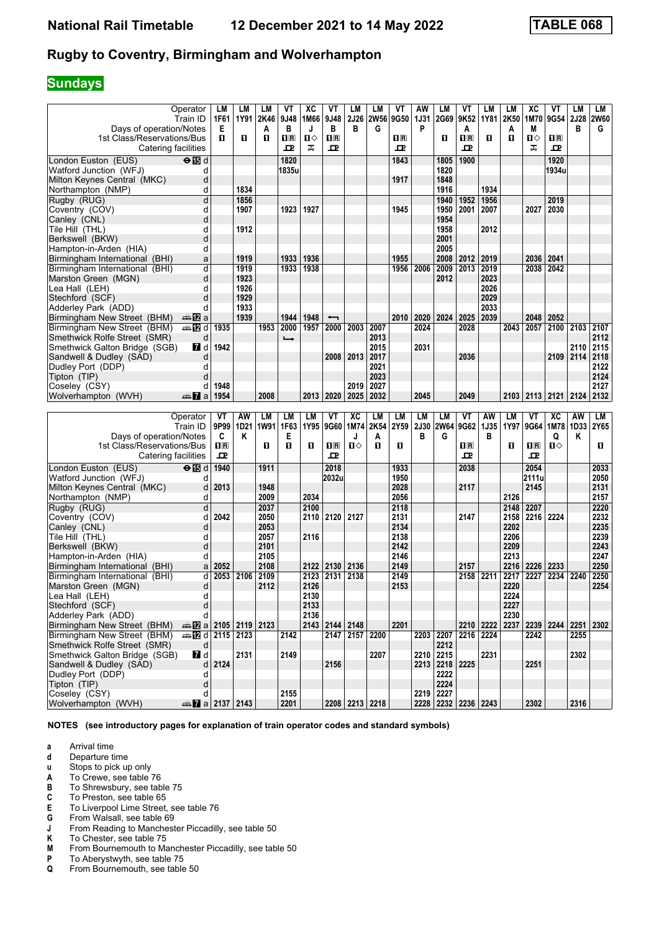# **Sundays**

| Operator                                                                   | LM           | LМ               | LМ           | ۷T                      | XC           | VT                           | LM             | LM           | ٧T                                              | AW          | LM             | ۷Τ                      | LM           | LM           | хc            | ۷T                      | LM                                 | LМ           |
|----------------------------------------------------------------------------|--------------|------------------|--------------|-------------------------|--------------|------------------------------|----------------|--------------|-------------------------------------------------|-------------|----------------|-------------------------|--------------|--------------|---------------|-------------------------|------------------------------------|--------------|
| Train ID                                                                   | 1F61         | 1Y91             | 2K46         | 9J48                    | 1M66         | 9J48                         | <b>2J26</b>    | <b>2W56</b>  | 9G50                                            | <b>1J31</b> | 2G69           | 9K52                    | 1Y81         | 2K50         | 1M70          | 9G54 2J28               |                                    | <b>2W60</b>  |
| Days of operation/Notes                                                    | Е            |                  | Α            | в                       | J            | В                            | в              | G            |                                                 | P           |                | A                       |              | A            | М             |                         | в                                  | G            |
| 1st Class/Reservations/Bus                                                 | п            | п                | п            | $\overline{\mathbf{H}}$ | П⇔           | $\overline{\mathbf{H}}$      |                |              | $\overline{\mathbf{H}}$ $\overline{\mathbf{R}}$ |             | O              | $\overline{\mathbf{R}}$ | п            | п            | ்ப            | $\overline{\mathbf{H}}$ |                                    |              |
| Catering facilities                                                        |              |                  |              | ᇁ                       | ᠼ            | ᇁ                            |                |              | 굔                                               |             |                | ᇁ                       |              |              | ᠼ             | ᇁ                       |                                    |              |
| $\Theta$ is d<br>London Euston (EUS)                                       |              |                  |              | 1820                    |              |                              |                |              | 1843                                            |             | 1805           | 1900                    |              |              |               | 1920                    |                                    |              |
| Watford Junction (WFJ)<br>d                                                |              |                  |              | 1835u                   |              |                              |                |              |                                                 |             | 1820           |                         |              |              |               | 1934u                   |                                    |              |
| d<br>Milton Keynes Central (MKC)                                           |              |                  |              |                         |              |                              |                |              | 1917                                            |             | 1848           |                         |              |              |               |                         |                                    |              |
| Northampton (NMP)<br>d                                                     |              | 1834             |              |                         |              |                              |                |              |                                                 |             | 1916           |                         | 1934         |              |               |                         |                                    |              |
| d<br>Rugby (RUG)                                                           |              | 1856             |              |                         |              |                              |                |              |                                                 |             | 1940           | 1952                    | 1956         |              |               | 2019                    |                                    |              |
| d<br>Coventry (COV)                                                        |              | 1907             |              | 1923                    | 1927         |                              |                |              | 1945                                            |             | 1950           | 2001                    | 2007         |              | 2027          | 2030                    |                                    |              |
| d<br>Canley (CNL)                                                          |              |                  |              |                         |              |                              |                |              |                                                 |             | 1954           |                         |              |              |               |                         |                                    |              |
| d<br>Tile Hill (THL)                                                       |              | 1912             |              |                         |              |                              |                |              |                                                 |             | 1958           |                         | 2012         |              |               |                         |                                    |              |
| d<br>Berkswell (BKW)                                                       |              |                  |              |                         |              |                              |                |              |                                                 |             | 2001           |                         |              |              |               |                         |                                    |              |
| d<br>Hampton-in-Arden (HIA)                                                |              |                  |              |                         |              |                              |                |              |                                                 |             | 2005           |                         |              |              |               |                         |                                    |              |
| Birmingham International (BHI)<br>a                                        |              | 1919             |              | 1933                    | 1936         |                              |                |              | 1955                                            |             | 2008           | 2012                    | 2019         |              | 2036          | 2041                    |                                    |              |
| d<br>Birmingham International (BHI)                                        |              | 1919             |              | 1933                    | 1938         |                              |                |              | 1956                                            | 2006        | 2009           | 2013                    | 2019         |              | 2038          | 2042                    |                                    |              |
| Marston Green (MGN)<br>d                                                   |              | 1923             |              |                         |              |                              |                |              |                                                 |             | 2012           |                         | 2023         |              |               |                         |                                    |              |
| Lea Hall (LEH)<br>d                                                        |              | 1926             |              |                         |              |                              |                |              |                                                 |             |                |                         | 2026         |              |               |                         |                                    |              |
| d<br>Stechford (SCF)                                                       |              | 1929             |              |                         |              |                              |                |              |                                                 |             |                |                         | 2029<br>2033 |              |               |                         |                                    |              |
| d<br>Adderley Park (ADD)                                                   |              | 1933<br>1939     |              | 1944                    | 1948         |                              |                |              | 2010                                            | 2020        | 2024           | 2025                    | 2039         |              |               | 2052                    |                                    |              |
| Birmingham New Street (BHM)<br>an⊪ <mark>12</mark> 2 a                     |              |                  |              |                         |              | $\overline{\phantom{0}}$     |                |              |                                                 |             |                |                         |              |              | 2048          |                         |                                    |              |
| Birmingham New Street (BHM)<br>dan <mark>ma</mark> Ωdi                     | 1935         |                  | 1953         | 2000                    | 1957         | 2000                         | 2003           | 2007         |                                                 | 2024        |                | 2028                    |              | 2043         | 2057          | 2100                    | 2103                               | 2107         |
| Smethwick Rolfe Street (SMR)<br>d                                          |              |                  |              | ↳                       |              |                              |                | 2013         |                                                 | 2031        |                |                         |              |              |               |                         |                                    | 2112<br>2115 |
| Smethwick Galton Bridge (SGB)<br><b>7</b> d                                | 1942         |                  |              |                         |              |                              |                | 2015         |                                                 |             |                |                         |              |              |               |                         | 2110                               |              |
| Sandwell & Dudley (SAD)<br>d                                               |              |                  |              |                         |              | 2008                         | 2013           | 2017         |                                                 |             |                | 2036                    |              |              |               | 2109                    | 2114                               | 2118         |
| Dudley Port (DDP)<br>d<br>d                                                |              |                  |              |                         |              |                              |                | 2021         |                                                 |             |                |                         |              |              |               |                         |                                    | 2122         |
| Tipton (TIP)                                                               |              |                  |              |                         |              |                              |                | 2023<br>2027 |                                                 |             |                |                         |              |              |               |                         |                                    | 2124<br>2127 |
| Coseley (CSY)<br>d                                                         | 1948<br>1954 |                  | 2008         |                         | 2013         | 2020                         | 2019<br>2025   | 2032         |                                                 | 2045        |                | 2049                    |              |              | $2103$   2113 | 2121                    | 2124                               | 2132         |
| Wolverhampton (WVH)<br>anno <mark>ma</mark> nia d                          |              |                  |              |                         |              |                              |                |              |                                                 |             |                |                         |              |              |               |                         |                                    |              |
|                                                                            |              |                  |              |                         |              |                              |                |              |                                                 |             |                |                         |              |              |               |                         |                                    |              |
|                                                                            |              |                  |              |                         |              |                              |                |              |                                                 |             |                |                         |              |              |               |                         |                                    |              |
| Operator                                                                   | VT           | AW               | LМ           | LM                      | LM           | VT                           | XC             | LM           | LM                                              | LM          | LM             | VT                      | AW           | LM           | VT            | ХC                      | AW                                 | LM           |
| Train ID                                                                   | 9P99         | 1D <sub>21</sub> | 1W91         | 1F63                    | 1Y95         | 9G60                         | 1M74           | 2K54         | 2Y59                                            | <b>2J30</b> | 2W64           | 9G62                    | <b>1J35</b>  | 1Y97         | 9G64          | 1M78                    | 1D33                               | 2Y65         |
| Days of operation/Notes                                                    | C            | Κ                |              | Е                       |              |                              | J              | A            |                                                 | в           | G              |                         | в            |              |               | Q                       | Κ                                  |              |
| 1st Class/Reservations/Bus                                                 | $n_{\rm{R}}$ |                  | 0            | 0                       | O            | $\overline{\mathbf{H}}$<br>ᇁ | $\mathbf{u}$   | п            | O                                               |             |                | 1R                      |              | O            | $n_{\rm R}$   | п⇔                      |                                    | O.           |
| Catering facilities                                                        | ᇁ            |                  |              |                         |              |                              |                |              |                                                 |             |                | ᅭ                       |              |              | ᇁ             |                         |                                    |              |
| London Euston (EUS)<br>⊖n ⊡id                                              | 1940         |                  | 1911         |                         |              | 2018                         |                |              | 1933                                            |             |                | 2038                    |              |              | 2054          |                         |                                    | 2033         |
| Watford Junction (WFJ)<br>d                                                |              |                  |              |                         |              | 2032u                        |                |              | 1950                                            |             |                |                         |              |              | 2111u         |                         |                                    | 2050         |
| Milton Keynes Central (MKC)<br>d                                           | 2013         |                  | 1948         |                         |              |                              |                |              | 2028                                            |             |                | 2117                    |              |              | 2145          |                         |                                    | 2131         |
| Northampton (NMP)<br>d                                                     |              |                  | 2009         |                         | 2034         |                              |                |              | 2056                                            |             |                |                         |              | 2126         |               |                         |                                    | 2157         |
| d<br>Rugby (RUG)                                                           |              |                  | 2037         |                         | 2100         |                              |                |              | 2118                                            |             |                |                         |              | 2148         | 2207          |                         |                                    | 2220         |
| Coventry (COV)<br>d                                                        | 2042         |                  | 2050         |                         | 2110         | 2120                         | 2127           |              | 2131                                            |             |                | 2147                    |              | 2158         | 2216          | 2224                    |                                    | 2232         |
| d<br>Canley (CNL)                                                          |              |                  | 2053         |                         |              |                              |                |              | 2134                                            |             |                |                         |              | 2202         |               |                         |                                    | 2235         |
| Tile Hill (THL)<br>d<br>d                                                  |              |                  | 2057<br>2101 |                         | 2116         |                              |                |              | 2138                                            |             |                |                         |              | 2206         |               |                         |                                    | 2239         |
| Berkswell (BKW)<br>d                                                       |              |                  | 2105         |                         |              |                              |                |              | 2142<br>2146                                    |             |                |                         |              | 2209<br>2213 |               |                         |                                    | 2243         |
| Hampton-in-Arden (HIA)<br>a                                                | 2052         |                  | 2108         |                         | 2122         | 2130                         | 2136           |              | 2149                                            |             |                | 2157                    |              | 2216         | 2226          | 2233                    |                                    | 2247<br>2250 |
| Birmingham International (BHI)                                             |              |                  |              |                         |              |                              |                |              |                                                 |             |                |                         |              |              |               |                         |                                    |              |
| d<br>Birmingham International (BHI)<br>d<br>Marston Green (MGN)            | 2053         | 2106             | 2109<br>2112 |                         | 2123<br>2126 | 2131                         | 2138           |              | 2149<br>2153                                    |             |                | 2158                    | 2211         | 2217<br>2220 | 2227          | 2234                    | 2240                               | 2250<br>2254 |
|                                                                            |              |                  |              |                         |              |                              |                |              |                                                 |             |                |                         |              |              |               |                         |                                    |              |
| Lea Hall (LEH)<br>d<br>d<br>Stechford (SCF)                                |              |                  |              |                         | 2130<br>2133 |                              |                |              |                                                 |             |                |                         |              | 2224<br>2227 |               |                         |                                    |              |
| Adderley Park (ADD)<br>d                                                   |              |                  |              |                         | 2136         |                              |                |              |                                                 |             |                |                         |              | 2230         |               |                         |                                    |              |
| $\oplus$ 22 a 2105 2119 2123<br>Birmingham New Street (BHM)                |              |                  |              |                         |              | 2143 2144 2148               |                |              | 2201                                            |             |                |                         |              |              |               |                         | 2210 2222 2237 2239 2244 2251 2302 |              |
| Birmingham New Street (BHM)<br>di 2115 2123                                |              |                  |              | 2142                    |              |                              | 2147 2157      | 2200         |                                                 |             | 2203 2207      | 2216 2224               |              |              | 2242          |                         | 2255                               |              |
| Smethwick Rolfe Street (SMR)<br>d                                          |              |                  |              |                         |              |                              |                |              |                                                 |             | 2212           |                         |              |              |               |                         |                                    |              |
| 7d<br>Smethwick Galton Bridge (SGB)                                        |              | 2131             |              | 2149                    |              |                              |                | 2207         |                                                 |             | 2210 2215      |                         | 2231         |              |               |                         | 2302                               |              |
| Sandwell & Dudley (SAD)                                                    | $d$ 2124     |                  |              |                         |              | 2156                         |                |              |                                                 |             | 2213 2218 2225 |                         |              |              | 2251          |                         |                                    |              |
| Dudley Port (DDP)<br>d                                                     |              |                  |              |                         |              |                              |                |              |                                                 |             | 2222           |                         |              |              |               |                         |                                    |              |
| d<br>Tipton (TIP)                                                          |              |                  |              |                         |              |                              |                |              |                                                 |             | 2224           |                         |              |              |               |                         |                                    |              |
| d<br>Coseley (CSY)<br>Wolverhampton (WVH)<br>$\frac{1}{2}$ a   2137   2143 |              |                  |              | 2155<br>2201            |              |                              | 2208 2213 2218 |              |                                                 |             | 2219 2227      | 2228 2232 2236 2243     |              |              | 2302          |                         | 2316                               |              |

**NOTES (see introductory pages for explanation of train operator codes and standard symbols)**

- **d** Departure time<br>**u** Stops to pick up
- **x** Stops to pick up only<br>**A** To Crewe, see table
- To Crewe, see table 76
- 
- **B** To Shrewsbury, see table 75<br>**C** To Preston, see table 65<br>**E** To Liverpool Lime Street, see To Preston, see table 65
- **E** To Liverpool Lime Street, see table 76<br>**G** From Walsall, see table 69
- **From Walsall, see table 69**
- **-** From Reading to Manchester Piccadilly, see table 50 **K** To Chester, see table 75
- **K** To Chester, see table 75<br>**M** From Bournemouth to Ma
- **0** From Bournemouth to Manchester Piccadilly, see table 50<br>**P** To Aberystwyth, see table 75
- **P** To Aberystwyth, see table 75<br>**Q** From Bournemouth, see table
- From Bournemouth, see table 50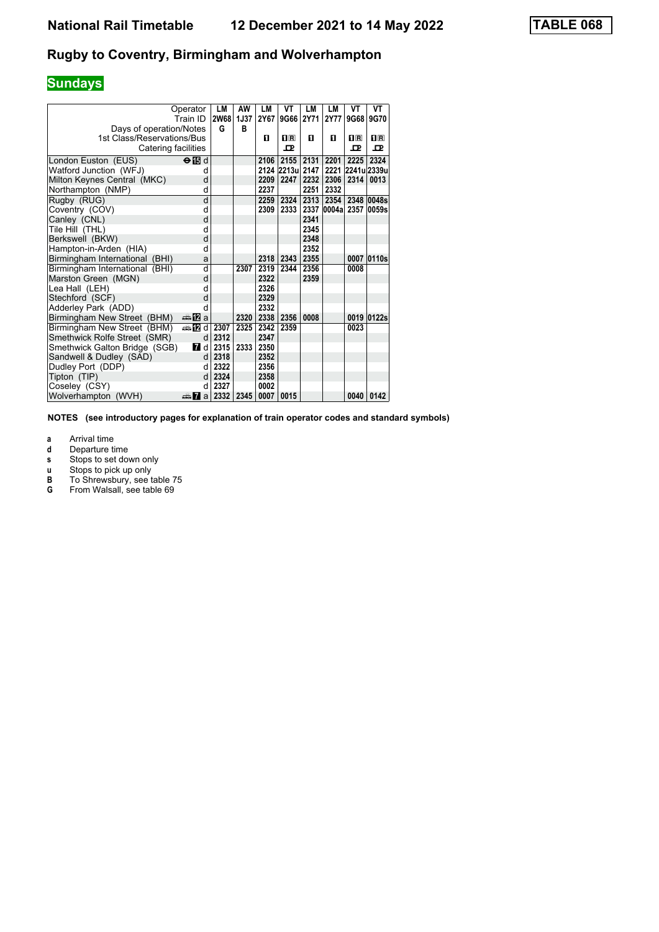# **Sundays**

|                                | Operator<br>Train ID   | LМ<br><b>2W68</b> | AW<br><b>1J37</b> | LM<br>2Y67 | VT<br>9G66 2Y71  | LM   | LМ<br><b>2Y77</b> | VT<br>9G68  | VT<br>9G70  |
|--------------------------------|------------------------|-------------------|-------------------|------------|------------------|------|-------------------|-------------|-------------|
| Days of operation/Notes        |                        | G                 | в                 |            |                  |      |                   |             |             |
| 1st Class/Reservations/Bus     |                        |                   |                   | п          | $\mathbf{H}$ R   | п    | п                 | $\Pi$ R     | $n_{\rm R}$ |
| Catering facilities            |                        |                   |                   |            | 고                |      |                   | ᇁ           | ᇁ           |
|                                |                        |                   |                   |            |                  |      |                   |             |             |
| London Euston (EUS)            | $\Theta$ ibid          |                   |                   | 2106       | 2155             | 2131 | 2201              | 2225        | 2324        |
| Watford Junction (WFJ)         | d                      |                   |                   |            | 2124 2213ul 2147 |      | 2221              | 2241u 2339u |             |
| Milton Keynes Central (MKC)    | d                      |                   |                   | 2209       | 2247             | 2232 | 2306              | 2314        | 0013        |
| Northampton (NMP)              | d                      |                   |                   | 2237       |                  | 2251 | 2332              |             |             |
| Rugby (RUG)                    | d                      |                   |                   | 2259       | 2324             | 2313 | 2354              |             | 2348 0048s  |
| Coventry (COV)                 | d                      |                   |                   | 2309       | 2333             | 2337 | 0004a 2357 0059s  |             |             |
| Canley (CNL)                   | d                      |                   |                   |            |                  | 2341 |                   |             |             |
| Tile Hill (THL)                | d                      |                   |                   |            |                  | 2345 |                   |             |             |
| Berkswell (BKW)                | d                      |                   |                   |            |                  | 2348 |                   |             |             |
| Hampton-in-Arden (HIA)         | d                      |                   |                   |            |                  | 2352 |                   |             |             |
| Birmingham International (BHI) | a                      |                   |                   | 2318       | 2343             | 2355 |                   |             | 0007 0110s  |
| Birmingham International (BHI) | d                      |                   | 2307              | 2319       | 2344             | 2356 |                   | 0008        |             |
| Marston Green (MGN)            | d                      |                   |                   | 2322       |                  | 2359 |                   |             |             |
| Lea Hall (LEH)                 | d                      |                   |                   | 2326       |                  |      |                   |             |             |
| Stechford (SCF)                | d                      |                   |                   | 2329       |                  |      |                   |             |             |
| Adderley Park (ADD)            | d                      |                   |                   | 2332       |                  |      |                   |             |             |
| Birmingham New Street (BHM)    | dan <mark>ma</mark> Ωa |                   | 2320              | 2338       | 2356             | 0008 |                   |             | 0019 0122s  |
| Birmingham New Street (BHM)    | ⇔ 122 d                | 2307              | 2325              | 2342       | 2359             |      |                   | 0023        |             |
| Smethwick Rolfe Street (SMR)   | d                      | 2312              |                   | 2347       |                  |      |                   |             |             |
| Smethwick Galton Bridge (SGB)  | <b>7</b> d             | 2315              | 2333              | 2350       |                  |      |                   |             |             |
| Sandwell & Dudley (SAD)        | d                      | 2318              |                   | 2352       |                  |      |                   |             |             |
| Dudley Port (DDP)              | d                      | 2322              |                   | 2356       |                  |      |                   |             |             |
| Tipton (TIP)                   | d                      | 2324              |                   | 2358       |                  |      |                   |             |             |
| Coseley (CSY)                  | q                      | 2327              |                   | 0002       |                  |      |                   |             |             |
| Wolverhampton<br>(WVH)         | da <mark>7</mark> al   | 2332              | 2345              | 0007       | 0015             |      |                   | 0040        | 0142        |

**NOTES (see introductory pages for explanation of train operator codes and standard symbols)**

**a** Arrival time<br>**d** Departure ti

**d** Departure time<br>**s** Stops to set dow

**v** Stops to set down only<br> **u** Stops to pick up only<br> **B** To Shrewsbury, see tak

**x** Stops to pick up only

- **B** To Shrewsbury, see table 75
- **6** From Walsall, see table 69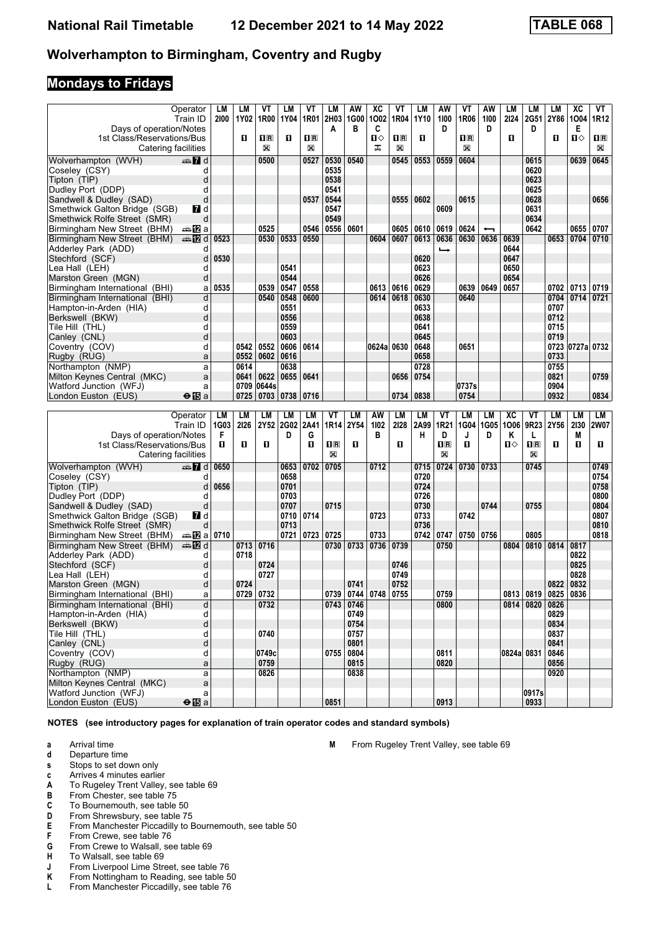### **Mondays to Fridays**

|                                               | Operator                     | LM   | LM   | VТ                 | LМ          | VT          | LM             | AW          | XC         | VT               | LM   | AW                        | VT             | ΑW                       | LM         | LM             | LМ          | ХC              | VT          |
|-----------------------------------------------|------------------------------|------|------|--------------------|-------------|-------------|----------------|-------------|------------|------------------|------|---------------------------|----------------|--------------------------|------------|----------------|-------------|-----------------|-------------|
|                                               | Train ID                     | 2100 | 1Y02 | 1R00               | 1Y04        | 1R01        | 2H03           | 1G00        | 1002       | 1R04             | 1Y10 | 1100                      | 1R06           | 1100                     | 2124       | <b>2G51</b>    | 2Y86        | 1004            | 1R12        |
| Days of operation/Notes                       |                              |      |      |                    |             |             | A              | в           | C          |                  |      | D                         |                | D                        |            | D              |             | Е               |             |
| 1st Class/Reservations/Bus                    |                              |      | п    | $\Pi$ <sub>R</sub> | П           | $n_{\rm R}$ |                |             | П⇔         | $n_{\mathbb{R}}$ | п    |                           | $\mathbf{H}$ R |                          | 0          |                | O           | ்ப              | $\Pi$ R     |
| Catering facilities                           |                              |      |      | X                  |             | X           |                |             | ᠼ          | X                |      |                           | X              |                          |            |                |             |                 | X           |
| Wolverhampton (WVH)                           | $\mathbb{Z}$ d               |      |      | 0500               |             | 0527        | 0530           | 0540        |            | 0545             | 0553 | 0559                      | 0604           |                          |            | 0615           |             | 0639            | 0645        |
|                                               |                              |      |      |                    |             |             |                |             |            |                  |      |                           |                |                          |            |                |             |                 |             |
| Coseley (CSY)                                 | d                            |      |      |                    |             |             | 0535           |             |            |                  |      |                           |                |                          |            | 0620           |             |                 |             |
| Tipton (TIP)                                  | d                            |      |      |                    |             |             | 0538           |             |            |                  |      |                           |                |                          |            | 0623           |             |                 |             |
| Dudley Port (DDP)                             | d                            |      |      |                    |             |             | 0541           |             |            |                  |      |                           |                |                          |            | 0625           |             |                 |             |
| Sandwell & Dudley (SAD)                       | d                            |      |      |                    |             | 0537        | 0544           |             |            | 0555             | 0602 |                           | 0615           |                          |            | 0628           |             |                 | 0656        |
| Smethwick Galton Bridge (SGB)                 | $\blacksquare$ d             |      |      |                    |             |             | 0547           |             |            |                  |      | 0609                      |                |                          |            | 0631           |             |                 |             |
| Smethwick Rolfe Street (SMR)                  | d                            |      |      |                    |             |             | 0549           |             |            |                  |      |                           |                |                          |            | 0634           |             |                 |             |
| Birmingham New Street (BHM)                   | dana na mangka               |      |      | 0525               |             | 0546        | 0556           | 0601        |            | 0605             | 0610 | 0619                      | 0624           | $\overline{\phantom{0}}$ |            | 0642           |             | 0655            | 0707        |
| Birmingham New Street (BHM)                   | dan <mark>an</mark> Did      | 0523 |      | 0530               | 0533        | 0550        |                |             | 0604       | 0607             | 0613 | 0636                      | 0630           | 0636                     | 0639       |                | 0653        | 0704            | 0710        |
| Adderley Park (ADD)                           | d                            |      |      |                    |             |             |                |             |            |                  |      | ⊷                         |                |                          | 0644       |                |             |                 |             |
| Stechford (SCF)                               | d                            | 0530 |      |                    |             |             |                |             |            |                  | 0620 |                           |                |                          | 0647       |                |             |                 |             |
| Lea Hall(LEH)                                 | d                            |      |      |                    | 0541        |             |                |             |            |                  | 0623 |                           |                |                          | 0650       |                |             |                 |             |
| Marston Green (MGN)                           | d                            |      |      |                    | 0544        |             |                |             |            |                  | 0626 |                           |                |                          | 0654       |                |             |                 |             |
|                                               |                              | 0535 |      |                    | 0547        |             |                |             |            | 0616             | 0629 |                           |                | 0649                     |            |                |             |                 |             |
| Birmingham International (BHI)                | a                            |      |      | 0539               |             | 0558        |                |             | 0613       |                  |      |                           | 0639           |                          | 0657       |                | 0702        | 0713            | 0719        |
| Birmingham International (BHI)                | d                            |      |      | 0540               | 0548        | 0600        |                |             | 0614       | 0618             | 0630 |                           | 0640           |                          |            |                | 0704        | 0714            | 0721        |
| Hampton-in-Arden (HIA)                        | d                            |      |      |                    | 0551        |             |                |             |            |                  | 0633 |                           |                |                          |            |                | 0707        |                 |             |
| Berkswell (BKW)                               | d                            |      |      |                    | 0556        |             |                |             |            |                  | 0638 |                           |                |                          |            |                | 0712        |                 |             |
| Tile Hill(THL)                                | d                            |      |      |                    | 0559        |             |                |             |            |                  | 0641 |                           |                |                          |            |                | 0715        |                 |             |
| Canley (CNL)                                  | d                            |      |      |                    | 0603        |             |                |             |            |                  | 0645 |                           |                |                          |            |                | 0719        |                 |             |
| Coventry (COV)                                | d                            |      | 0542 | 0552               | 0606        | 0614        |                |             | 0624a 0630 |                  | 0648 |                           | 0651           |                          |            |                |             | 0723 0727a 0732 |             |
| Rugby (RUG)                                   | a                            |      | 0552 | 0602               | 0616        |             |                |             |            |                  | 0658 |                           |                |                          |            |                | 0733        |                 |             |
| Northampton (NMP)                             | a                            |      | 0614 |                    | 0638        |             |                |             |            |                  | 0728 |                           |                |                          |            |                | 0755        |                 |             |
| Milton Keynes Central (MKC)                   | a                            |      | 0641 | 0622               | 0655        | 0641        |                |             |            | 0656             | 0754 |                           |                |                          |            |                | 0821        |                 | 0759        |
| Watford Junction (WFJ)                        | a                            |      | 0709 | 0644s              |             |             |                |             |            |                  |      |                           | 0737s          |                          |            |                | 0904        |                 |             |
| London Euston (EUS)                           | $\Theta$ is a                |      | 0725 | 0703               | 0738   0716 |             |                |             |            | 0734             | 0838 |                           | 0754           |                          |            |                | 0932        |                 | 0834        |
|                                               |                              |      |      |                    |             |             |                |             |            |                  |      |                           |                |                          |            |                |             |                 |             |
|                                               |                              |      |      |                    |             |             |                |             |            |                  |      |                           |                |                          |            |                |             |                 |             |
|                                               |                              |      |      |                    |             |             |                |             |            |                  |      |                           |                |                          |            |                |             |                 |             |
|                                               | Operator                     | LM   | LM   | LМ                 | LM          | LM          | VT             | LM          | AW         | LМ               | LM   | VT                        | <b>LM</b>      | LМ                       | XC         | VT             | LM          | LM              | LM          |
|                                               | Train ID                     | 1G03 | 2126 | 2Y52               | 2G02        | 2A41        | 1R14           | 2Y54        | 1102       | 2128             | 2A99 | 1R21                      | 1G04           | 1G05                     | 1006       | 9R23           | <b>2Y56</b> | 2130            |             |
| Days of operation/Notes                       |                              | F    |      |                    | D           | G           |                |             | в          |                  | н    | D                         | J              | D                        | Κ          | L              |             | M               | <b>2W07</b> |
| 1st Class/Reservations/Bus                    |                              | п    | п    | 0                  |             | п           | $\mathbf{1}$ R | О           |            | O                |      | $\mathbf{I}^{\mathbb{R}}$ | п              |                          | ்ப         | $n_{\rm R}$    | п           | О               | O.          |
| Catering facilities                           |                              |      |      |                    |             |             | X              |             |            |                  |      | X                         |                |                          |            | X              |             |                 |             |
|                                               |                              |      |      |                    |             | 0702        | 0705           |             |            |                  | 0715 |                           |                | 0733                     |            | 0745           |             |                 |             |
| Wolverhampton (WVH)                           | d≣ <mark>7</mark> d          | 0650 |      |                    | 0653        |             |                |             | 0712       |                  |      | 0724                      | 0730           |                          |            |                |             |                 | 0749        |
| Coseley (CSY)                                 | d                            |      |      |                    | 0658        |             |                |             |            |                  | 0720 |                           |                |                          |            |                |             |                 | 0754        |
| Tipton (TIP)                                  | d                            | 0656 |      |                    | 0701        |             |                |             |            |                  | 0724 |                           |                |                          |            |                |             |                 | 0758        |
| Dudley Port (DDP)                             | d                            |      |      |                    | 0703        |             |                |             |            |                  | 0726 |                           |                |                          |            |                |             |                 | 0800        |
| Sandwell & Dudley (SAD)                       | d                            |      |      |                    | 0707        |             | 0715           |             |            |                  | 0730 |                           |                | 0744                     |            | 0755           |             |                 | 0804        |
| Smethwick Galton Bridge (SGB)                 | <b>7</b> d                   |      |      |                    | 0710        | 0714        |                |             | 0723       |                  | 0733 |                           | 0742           |                          |            |                |             |                 | 0807        |
| Smethwick Rolfe Street (SMR)                  | d                            |      |      |                    | 0713        |             |                |             |            |                  | 0736 |                           |                |                          |            |                |             |                 | 0810        |
| Birmingham New Street (BHM)                   | a≞12la                       | 0710 |      |                    | 0721        | 0723        | 0725           |             | 0733       |                  | 0742 | 0747                      | 0750           | 0756                     |            | 0805           |             |                 | 0818        |
| Birmingham New Street (BHM)                   | dan <b>D</b> ig              |      | 0713 | 0716               |             |             | 0730           | 0733        | 0736       | 0739             |      | 0750                      |                |                          | 0804       | 0810           | 0814        | 0817            |             |
| Adderley Park (ADD)                           | d                            |      | 0718 |                    |             |             |                |             |            |                  |      |                           |                |                          |            |                |             | 0822            |             |
| Stechford (SCF)                               | d                            |      |      | 0724               |             |             |                |             |            | 0746             |      |                           |                |                          |            |                |             | 0825            |             |
| Lea Hall (LEH)                                | d                            |      |      | 0727               |             |             |                |             |            | 0749             |      |                           |                |                          |            |                |             | 0828            |             |
| Marston Green (MGN)                           | d                            |      | 0724 |                    |             |             |                | 0741        |            | 0752             |      |                           |                |                          |            |                | 0822        | 0832            |             |
| Birmingham International (BHI)                | a                            |      | 0729 | 0732               |             |             | 0739           | 0744        | 0748       | 0755             |      | 0759<br>,,,,              |                |                          |            | 0813 0819      | 0825        | 0836            |             |
| Birmingham International (BHI)                | d                            |      |      | 0732               |             |             |                | 0743   0746 |            |                  |      | 0800                      |                |                          |            | 0814 0820 0826 |             |                 |             |
| Hampton-in-Arden (HIA)                        | d                            |      |      |                    |             |             |                | 0749        |            |                  |      |                           |                |                          |            |                | 0829        |                 |             |
| Berkswell (BKW)                               | d                            |      |      |                    |             |             |                | 0754        |            |                  |      |                           |                |                          |            |                | 0834        |                 |             |
| Tile Hill (THL)                               | d                            |      |      | 0740               |             |             |                | 0757        |            |                  |      |                           |                |                          |            |                | 0837        |                 |             |
|                                               |                              |      |      |                    |             |             |                |             |            |                  |      |                           |                |                          |            |                | 0841        |                 |             |
| Canley (CNL)                                  | d<br>d                       |      |      |                    |             |             |                | 0801        |            |                  |      |                           |                |                          |            |                |             |                 |             |
| Coventry (COV)                                |                              |      |      | 0749c              |             |             | 0755           | 0804        |            |                  |      | 0811                      |                |                          | 0824a 0831 |                | 0846        |                 |             |
| Rugby (RUG)                                   | a                            |      |      | 0759               |             |             |                | 0815        |            |                  |      | 0820                      |                |                          |            |                | 0856        |                 |             |
| Northampton (NMP)                             | a                            |      |      | 0826               |             |             |                | 0838        |            |                  |      |                           |                |                          |            |                | 0920        |                 |             |
| Milton Kevnes Central (MKC)                   | $\mathsf{a}$                 |      |      |                    |             |             |                |             |            |                  |      |                           |                |                          |            |                |             |                 |             |
| Watford Junction (WFJ)<br>London Euston (EUS) | a<br>$\Theta$ $\mathbf{E}$ a |      |      |                    |             |             | 0851           |             |            |                  |      | 0913                      |                |                          |            | 0917s<br>0933  |             |                 |             |

**NOTES (see introductory pages for explanation of train operator codes and standard symbols)**

- **a** Arrival time<br>**d** Departure t **d** Departure time
- **s** Stops to set down only
- **c** Arrives 4 minutes earlier<br>**A** To Rugeley Trent Valley,
- **A** To Rugeley Trent Valley, see table 69<br>**B** From Chester, see table 75
- **B** From Chester see table 75
- **C** To Bournemouth, see table 50<br>**D** From Shrewsbury, see table 75
- **D** From Shrewsbury, see table 75<br>**E** From Manchester Piccadilly to E
- **E** From Manchester Piccadilly to Bournemouth, see table 50<br>**F** From Crewe, see table 76
- From Crewe, see table 76
- **6** From Crewe to Walsall, see table 69<br>**H** To Walsall, see table 69
- 
- **+** To Walsall, see table 69<br>**J** From Liverpool Lime Stree **-** From Liverpool Lime Street, see table 76<br>**K** From Nottingham to Reading, see table 5
- From Nottingham to Reading, see table 50
- **L** From Manchester Piccadilly, see table 76

**M** From Rugeley Trent Valley, see table 69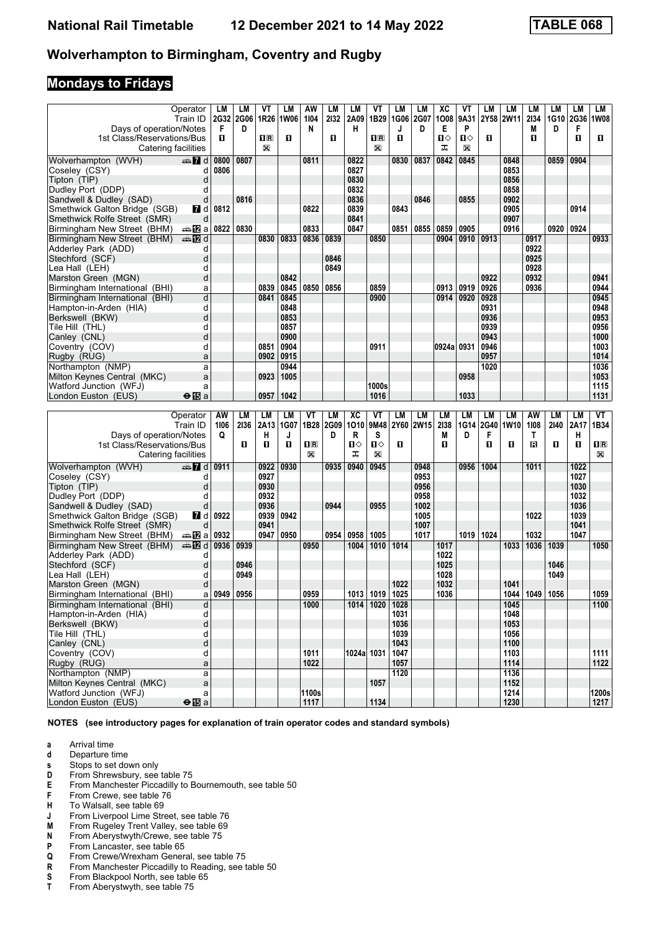### **Mondays to Fridays**

| Operator<br>2132<br>1B29<br>1008<br>2134<br>1G10 2G36<br>2G32 2G06<br>1R26<br><b>1W06</b><br>1104<br>2A09<br>1G06<br>2G07<br>9A31<br>2Y58 2W11<br>1W08<br>Train ID<br>Days of operation/Notes<br>F<br>N<br>н<br>Е<br>P<br>М<br>F<br>D<br>D<br>D<br>J<br>1st Class/Reservations/Bus<br>п<br>$\mathbf{1}$ R<br>O<br>п<br>п<br>П⇔<br>п⇔<br>п<br>п<br>п<br>O<br>$\mathbf{H}$ R<br>X<br>ᠼ<br>X<br>X<br>Catering facilities<br>0904<br>dan 7d<br>0800<br>0807<br>0811<br>0822<br>0830<br>0837<br>0842<br>0845<br>0848<br>0859<br>Wolverhampton (WVH)<br>0853<br>0806<br>0827<br>Coseley (CSY)<br>d<br>0830<br>0856<br>Tipton (TIP)<br>d<br>0832<br>0858<br>Dudley Port (DDP)<br>d<br>0836<br>0902<br>Sandwell & Dudley (SAD)<br>d<br>0816<br>0846<br>0855<br>0905<br>Smethwick Galton Bridge (SGB)<br>0812<br>0822<br>0839<br>0843<br>0914<br><b>7</b> d<br>0841<br>0907<br>Smethwick Rolfe Street (SMR)<br>d<br>0830<br>0833<br>0847<br>0905<br>0916<br>0924<br>0822<br>0851<br>0855<br>0859<br>0920<br>Birmingham New Street (BHM)<br>a≞122la<br>Birmingham New Street (BHM)<br>$\blacksquare$ $\blacksquare$ d<br>0833<br>0836<br>0910<br>0913<br>0830<br>0839<br>0850<br>0904<br>0917<br>0933<br>d<br>0922<br>Adderley Park (ADD)<br>d<br>0925<br>Stechford (SCF)<br>0846<br>d<br>0928<br>0849<br>Lea Hall(LEH)<br>d<br>0922<br>0932<br>0941<br>Marston Green (MGN)<br>0842<br>0839<br>0859<br>0919<br>0944<br>0845<br>0850<br>0856<br>0913<br>0926<br>0936<br>Birmingham International (BHI)<br>a<br>d<br>0845<br>0900<br>0920<br>0928<br>0945<br>Birmingham International (BHI)<br>0841<br>0914<br>d<br>0848<br>0931<br>0948<br>Hampton-in-Arden (HIA)<br>d<br>0853<br>0936<br>0953<br>Berkswell (BKW)<br>0956<br>0857<br>0939<br>d<br>Tile Hill(THL)<br>0900<br>0943<br>1000<br>d<br>Canley (CNL)<br>0946<br>1003<br>d<br>0851<br>0904<br>0911<br>0924a 0931<br>Coventry (COV)<br>0957<br>1014<br>0902<br>0915<br>Rugby (RUG)<br>a<br>1036<br>1020<br>Northampton (NMP)<br>0944<br>a<br>1053<br>1005<br>0958<br>Milton Keynes Central (MKC)<br>a<br>0923<br>1115<br>Watford Junction (WFJ)<br>1000s<br>a<br>1042<br>1033<br>1131<br>$\Theta$ is a<br>0957<br>1016<br>London Euston (EUS)<br>VT<br>VT<br>LM<br>VT<br>Operator<br>AW<br>LM<br>LМ<br>LM<br><b>LM</b><br>XC<br>LM<br>LM<br>LM<br>LM<br>LM<br>AW<br>LM<br>LM<br>1B28<br>1010<br>9M48<br>2Y60<br><b>2W15</b><br>2138<br>1G14<br>2G40<br>1W10<br>1108<br>1B34<br>1106<br>2136<br>2A13<br>1G07<br>2G09<br>2140<br>2A17<br>Train ID<br>Days of operation/Notes<br>s<br>F<br>Q<br>н<br>D<br>R<br>M<br>D<br>Τ<br>н<br>J<br>O<br>Ⅱ◇<br>П⇔<br>п<br>п<br>O<br>$n_{\rm R}$<br>1st Class/Reservations/Bus<br>O<br>O<br>$n_{\rm R}$<br>0<br>0<br>B<br>O<br>X<br>ᠼ<br>X<br>X<br>Catering facilities<br>0930<br>0935<br>0940<br>0945<br>1011<br>1022<br>Wolverhampton (WVH)<br>nnen Danmarks III d<br>0911<br>0922<br>0948<br>0956<br>1004<br>0953<br>1027<br>Coseley (CSY)<br>0927<br>d<br>0930<br>d<br>0956<br>1030<br>Tipton (TIP)<br>0932<br>1032<br>Dudley Port (DDP)<br>0958<br>d<br>0936<br>1036<br>d<br>0944<br>0955<br>1002<br>Sandwell & Dudley (SAD)<br>0939<br>0922<br>0942<br>1005<br>1022<br>1039<br>Smethwick Galton Bridge (SGB)<br><b>7</b> d<br>0941<br>1041<br>1007<br>Smethwick Rolfe Street (SMR)<br>d<br>0932<br>0947<br>0950<br>0954<br>1017<br>1024<br>1032<br>1047<br><del>⊯</del> ∎Za<br>0958<br>1005<br>1019<br>Birmingham New Street (BHM)<br>0936<br>1036<br>Birmingham New Street (BHM)<br>⊯ 12 d<br>0939<br>0950<br>1010<br>1014<br>1033<br>1039<br>1050<br>1004<br>1017<br>1022<br>Adderley Park (ADD)<br>d<br>Stechford (SCF)<br>d<br>0946<br>1025<br>1046<br>d<br>0949<br>1028<br>1049<br>Lea Hall(LEH)<br>1032<br>1022<br>1041<br>Marston Green (MGN)<br>d<br>1059<br>0959<br>1019<br>1025<br>1036<br>1049<br>0949<br>0956<br>1013<br>1044<br>1056<br>Birmingham International (BHI)<br>a<br>Birmingham International (BHI)<br>1000<br>$1014$   1020   1028<br>1045<br>1100<br>d<br>1048<br>Hampton-in-Arden (HIA)<br>d<br>1031<br>1053<br>Berkswell (BKW)<br>þ<br>1036<br>1056<br>Tile Hill (THL)<br>d<br>1039<br>1100<br>Canley (CNL)<br>d<br>1043<br>Coventry (COV)<br>d<br>1011<br>1024a 1031<br>1103<br>1047<br>1111<br>1022<br>1114<br>Rugby (RUG)<br>1057<br>1122<br>a<br>Northampton (NMP)<br>1120<br>1136<br>a<br>Milton Keynes Central (MKC)<br>1057<br>1152<br>$\mathsf{a}$<br>1100s<br>Watford Junction (WFJ)<br>1214<br>1200s<br>a<br>$\Theta$ $\mathbf{E}$ a<br>1117<br>1134<br>1230<br>London Euston (EUS) |  |    |    |    |    |    |    |    |    |    |    |           |    |    |    |    |    |    |    |
|------------------------------------------------------------------------------------------------------------------------------------------------------------------------------------------------------------------------------------------------------------------------------------------------------------------------------------------------------------------------------------------------------------------------------------------------------------------------------------------------------------------------------------------------------------------------------------------------------------------------------------------------------------------------------------------------------------------------------------------------------------------------------------------------------------------------------------------------------------------------------------------------------------------------------------------------------------------------------------------------------------------------------------------------------------------------------------------------------------------------------------------------------------------------------------------------------------------------------------------------------------------------------------------------------------------------------------------------------------------------------------------------------------------------------------------------------------------------------------------------------------------------------------------------------------------------------------------------------------------------------------------------------------------------------------------------------------------------------------------------------------------------------------------------------------------------------------------------------------------------------------------------------------------------------------------------------------------------------------------------------------------------------------------------------------------------------------------------------------------------------------------------------------------------------------------------------------------------------------------------------------------------------------------------------------------------------------------------------------------------------------------------------------------------------------------------------------------------------------------------------------------------------------------------------------------------------------------------------------------------------------------------------------------------------------------------------------------------------------------------------------------------------------------------------------------------------------------------------------------------------------------------------------------------------------------------------------------------------------------------------------------------------------------------------------------------------------------------------------------------------------------------------------------------------------------------------------------------------------------------------------------------------------------------------------------------------------------------------------------------------------------------------------------------------------------------------------------------------------------------------------------------------------------------------------------------------------------------------------------------------------------------------------------------------------------------------------------------------------------------------------------------------------------------------------------------------------------------------------------------------------------------------------------------------------------------------------------------------------------------------------------------------------------------------------------------------------------------------------------------------------------------------------------------------------------------------------------------------------------------------------------------------------------------------------------------------------------------------------------------------------------------------------------------------------------------------------------------------------------------------------|--|----|----|----|----|----|----|----|----|----|----|-----------|----|----|----|----|----|----|----|
|                                                                                                                                                                                                                                                                                                                                                                                                                                                                                                                                                                                                                                                                                                                                                                                                                                                                                                                                                                                                                                                                                                                                                                                                                                                                                                                                                                                                                                                                                                                                                                                                                                                                                                                                                                                                                                                                                                                                                                                                                                                                                                                                                                                                                                                                                                                                                                                                                                                                                                                                                                                                                                                                                                                                                                                                                                                                                                                                                                                                                                                                                                                                                                                                                                                                                                                                                                                                                                                                                                                                                                                                                                                                                                                                                                                                                                                                                                                                                                                                                                                                                                                                                                                                                                                                                                                                                                                                                                                                                                            |  | LM | LМ | ۷Τ | LМ | AW | LМ | LM | VT | LM | LМ | <b>XC</b> | ۷T | LМ | LM | LM | LМ | LM | LM |
| 1217                                                                                                                                                                                                                                                                                                                                                                                                                                                                                                                                                                                                                                                                                                                                                                                                                                                                                                                                                                                                                                                                                                                                                                                                                                                                                                                                                                                                                                                                                                                                                                                                                                                                                                                                                                                                                                                                                                                                                                                                                                                                                                                                                                                                                                                                                                                                                                                                                                                                                                                                                                                                                                                                                                                                                                                                                                                                                                                                                                                                                                                                                                                                                                                                                                                                                                                                                                                                                                                                                                                                                                                                                                                                                                                                                                                                                                                                                                                                                                                                                                                                                                                                                                                                                                                                                                                                                                                                                                                                                                       |  |    |    |    |    |    |    |    |    |    |    |           |    |    |    |    |    |    |    |
|                                                                                                                                                                                                                                                                                                                                                                                                                                                                                                                                                                                                                                                                                                                                                                                                                                                                                                                                                                                                                                                                                                                                                                                                                                                                                                                                                                                                                                                                                                                                                                                                                                                                                                                                                                                                                                                                                                                                                                                                                                                                                                                                                                                                                                                                                                                                                                                                                                                                                                                                                                                                                                                                                                                                                                                                                                                                                                                                                                                                                                                                                                                                                                                                                                                                                                                                                                                                                                                                                                                                                                                                                                                                                                                                                                                                                                                                                                                                                                                                                                                                                                                                                                                                                                                                                                                                                                                                                                                                                                            |  |    |    |    |    |    |    |    |    |    |    |           |    |    |    |    |    |    |    |
|                                                                                                                                                                                                                                                                                                                                                                                                                                                                                                                                                                                                                                                                                                                                                                                                                                                                                                                                                                                                                                                                                                                                                                                                                                                                                                                                                                                                                                                                                                                                                                                                                                                                                                                                                                                                                                                                                                                                                                                                                                                                                                                                                                                                                                                                                                                                                                                                                                                                                                                                                                                                                                                                                                                                                                                                                                                                                                                                                                                                                                                                                                                                                                                                                                                                                                                                                                                                                                                                                                                                                                                                                                                                                                                                                                                                                                                                                                                                                                                                                                                                                                                                                                                                                                                                                                                                                                                                                                                                                                            |  |    |    |    |    |    |    |    |    |    |    |           |    |    |    |    |    |    |    |
|                                                                                                                                                                                                                                                                                                                                                                                                                                                                                                                                                                                                                                                                                                                                                                                                                                                                                                                                                                                                                                                                                                                                                                                                                                                                                                                                                                                                                                                                                                                                                                                                                                                                                                                                                                                                                                                                                                                                                                                                                                                                                                                                                                                                                                                                                                                                                                                                                                                                                                                                                                                                                                                                                                                                                                                                                                                                                                                                                                                                                                                                                                                                                                                                                                                                                                                                                                                                                                                                                                                                                                                                                                                                                                                                                                                                                                                                                                                                                                                                                                                                                                                                                                                                                                                                                                                                                                                                                                                                                                            |  |    |    |    |    |    |    |    |    |    |    |           |    |    |    |    |    |    |    |
|                                                                                                                                                                                                                                                                                                                                                                                                                                                                                                                                                                                                                                                                                                                                                                                                                                                                                                                                                                                                                                                                                                                                                                                                                                                                                                                                                                                                                                                                                                                                                                                                                                                                                                                                                                                                                                                                                                                                                                                                                                                                                                                                                                                                                                                                                                                                                                                                                                                                                                                                                                                                                                                                                                                                                                                                                                                                                                                                                                                                                                                                                                                                                                                                                                                                                                                                                                                                                                                                                                                                                                                                                                                                                                                                                                                                                                                                                                                                                                                                                                                                                                                                                                                                                                                                                                                                                                                                                                                                                                            |  |    |    |    |    |    |    |    |    |    |    |           |    |    |    |    |    |    |    |
|                                                                                                                                                                                                                                                                                                                                                                                                                                                                                                                                                                                                                                                                                                                                                                                                                                                                                                                                                                                                                                                                                                                                                                                                                                                                                                                                                                                                                                                                                                                                                                                                                                                                                                                                                                                                                                                                                                                                                                                                                                                                                                                                                                                                                                                                                                                                                                                                                                                                                                                                                                                                                                                                                                                                                                                                                                                                                                                                                                                                                                                                                                                                                                                                                                                                                                                                                                                                                                                                                                                                                                                                                                                                                                                                                                                                                                                                                                                                                                                                                                                                                                                                                                                                                                                                                                                                                                                                                                                                                                            |  |    |    |    |    |    |    |    |    |    |    |           |    |    |    |    |    |    |    |
|                                                                                                                                                                                                                                                                                                                                                                                                                                                                                                                                                                                                                                                                                                                                                                                                                                                                                                                                                                                                                                                                                                                                                                                                                                                                                                                                                                                                                                                                                                                                                                                                                                                                                                                                                                                                                                                                                                                                                                                                                                                                                                                                                                                                                                                                                                                                                                                                                                                                                                                                                                                                                                                                                                                                                                                                                                                                                                                                                                                                                                                                                                                                                                                                                                                                                                                                                                                                                                                                                                                                                                                                                                                                                                                                                                                                                                                                                                                                                                                                                                                                                                                                                                                                                                                                                                                                                                                                                                                                                                            |  |    |    |    |    |    |    |    |    |    |    |           |    |    |    |    |    |    |    |
|                                                                                                                                                                                                                                                                                                                                                                                                                                                                                                                                                                                                                                                                                                                                                                                                                                                                                                                                                                                                                                                                                                                                                                                                                                                                                                                                                                                                                                                                                                                                                                                                                                                                                                                                                                                                                                                                                                                                                                                                                                                                                                                                                                                                                                                                                                                                                                                                                                                                                                                                                                                                                                                                                                                                                                                                                                                                                                                                                                                                                                                                                                                                                                                                                                                                                                                                                                                                                                                                                                                                                                                                                                                                                                                                                                                                                                                                                                                                                                                                                                                                                                                                                                                                                                                                                                                                                                                                                                                                                                            |  |    |    |    |    |    |    |    |    |    |    |           |    |    |    |    |    |    |    |
|                                                                                                                                                                                                                                                                                                                                                                                                                                                                                                                                                                                                                                                                                                                                                                                                                                                                                                                                                                                                                                                                                                                                                                                                                                                                                                                                                                                                                                                                                                                                                                                                                                                                                                                                                                                                                                                                                                                                                                                                                                                                                                                                                                                                                                                                                                                                                                                                                                                                                                                                                                                                                                                                                                                                                                                                                                                                                                                                                                                                                                                                                                                                                                                                                                                                                                                                                                                                                                                                                                                                                                                                                                                                                                                                                                                                                                                                                                                                                                                                                                                                                                                                                                                                                                                                                                                                                                                                                                                                                                            |  |    |    |    |    |    |    |    |    |    |    |           |    |    |    |    |    |    |    |
|                                                                                                                                                                                                                                                                                                                                                                                                                                                                                                                                                                                                                                                                                                                                                                                                                                                                                                                                                                                                                                                                                                                                                                                                                                                                                                                                                                                                                                                                                                                                                                                                                                                                                                                                                                                                                                                                                                                                                                                                                                                                                                                                                                                                                                                                                                                                                                                                                                                                                                                                                                                                                                                                                                                                                                                                                                                                                                                                                                                                                                                                                                                                                                                                                                                                                                                                                                                                                                                                                                                                                                                                                                                                                                                                                                                                                                                                                                                                                                                                                                                                                                                                                                                                                                                                                                                                                                                                                                                                                                            |  |    |    |    |    |    |    |    |    |    |    |           |    |    |    |    |    |    |    |
|                                                                                                                                                                                                                                                                                                                                                                                                                                                                                                                                                                                                                                                                                                                                                                                                                                                                                                                                                                                                                                                                                                                                                                                                                                                                                                                                                                                                                                                                                                                                                                                                                                                                                                                                                                                                                                                                                                                                                                                                                                                                                                                                                                                                                                                                                                                                                                                                                                                                                                                                                                                                                                                                                                                                                                                                                                                                                                                                                                                                                                                                                                                                                                                                                                                                                                                                                                                                                                                                                                                                                                                                                                                                                                                                                                                                                                                                                                                                                                                                                                                                                                                                                                                                                                                                                                                                                                                                                                                                                                            |  |    |    |    |    |    |    |    |    |    |    |           |    |    |    |    |    |    |    |
|                                                                                                                                                                                                                                                                                                                                                                                                                                                                                                                                                                                                                                                                                                                                                                                                                                                                                                                                                                                                                                                                                                                                                                                                                                                                                                                                                                                                                                                                                                                                                                                                                                                                                                                                                                                                                                                                                                                                                                                                                                                                                                                                                                                                                                                                                                                                                                                                                                                                                                                                                                                                                                                                                                                                                                                                                                                                                                                                                                                                                                                                                                                                                                                                                                                                                                                                                                                                                                                                                                                                                                                                                                                                                                                                                                                                                                                                                                                                                                                                                                                                                                                                                                                                                                                                                                                                                                                                                                                                                                            |  |    |    |    |    |    |    |    |    |    |    |           |    |    |    |    |    |    |    |
|                                                                                                                                                                                                                                                                                                                                                                                                                                                                                                                                                                                                                                                                                                                                                                                                                                                                                                                                                                                                                                                                                                                                                                                                                                                                                                                                                                                                                                                                                                                                                                                                                                                                                                                                                                                                                                                                                                                                                                                                                                                                                                                                                                                                                                                                                                                                                                                                                                                                                                                                                                                                                                                                                                                                                                                                                                                                                                                                                                                                                                                                                                                                                                                                                                                                                                                                                                                                                                                                                                                                                                                                                                                                                                                                                                                                                                                                                                                                                                                                                                                                                                                                                                                                                                                                                                                                                                                                                                                                                                            |  |    |    |    |    |    |    |    |    |    |    |           |    |    |    |    |    |    |    |
|                                                                                                                                                                                                                                                                                                                                                                                                                                                                                                                                                                                                                                                                                                                                                                                                                                                                                                                                                                                                                                                                                                                                                                                                                                                                                                                                                                                                                                                                                                                                                                                                                                                                                                                                                                                                                                                                                                                                                                                                                                                                                                                                                                                                                                                                                                                                                                                                                                                                                                                                                                                                                                                                                                                                                                                                                                                                                                                                                                                                                                                                                                                                                                                                                                                                                                                                                                                                                                                                                                                                                                                                                                                                                                                                                                                                                                                                                                                                                                                                                                                                                                                                                                                                                                                                                                                                                                                                                                                                                                            |  |    |    |    |    |    |    |    |    |    |    |           |    |    |    |    |    |    |    |
|                                                                                                                                                                                                                                                                                                                                                                                                                                                                                                                                                                                                                                                                                                                                                                                                                                                                                                                                                                                                                                                                                                                                                                                                                                                                                                                                                                                                                                                                                                                                                                                                                                                                                                                                                                                                                                                                                                                                                                                                                                                                                                                                                                                                                                                                                                                                                                                                                                                                                                                                                                                                                                                                                                                                                                                                                                                                                                                                                                                                                                                                                                                                                                                                                                                                                                                                                                                                                                                                                                                                                                                                                                                                                                                                                                                                                                                                                                                                                                                                                                                                                                                                                                                                                                                                                                                                                                                                                                                                                                            |  |    |    |    |    |    |    |    |    |    |    |           |    |    |    |    |    |    |    |
|                                                                                                                                                                                                                                                                                                                                                                                                                                                                                                                                                                                                                                                                                                                                                                                                                                                                                                                                                                                                                                                                                                                                                                                                                                                                                                                                                                                                                                                                                                                                                                                                                                                                                                                                                                                                                                                                                                                                                                                                                                                                                                                                                                                                                                                                                                                                                                                                                                                                                                                                                                                                                                                                                                                                                                                                                                                                                                                                                                                                                                                                                                                                                                                                                                                                                                                                                                                                                                                                                                                                                                                                                                                                                                                                                                                                                                                                                                                                                                                                                                                                                                                                                                                                                                                                                                                                                                                                                                                                                                            |  |    |    |    |    |    |    |    |    |    |    |           |    |    |    |    |    |    |    |
|                                                                                                                                                                                                                                                                                                                                                                                                                                                                                                                                                                                                                                                                                                                                                                                                                                                                                                                                                                                                                                                                                                                                                                                                                                                                                                                                                                                                                                                                                                                                                                                                                                                                                                                                                                                                                                                                                                                                                                                                                                                                                                                                                                                                                                                                                                                                                                                                                                                                                                                                                                                                                                                                                                                                                                                                                                                                                                                                                                                                                                                                                                                                                                                                                                                                                                                                                                                                                                                                                                                                                                                                                                                                                                                                                                                                                                                                                                                                                                                                                                                                                                                                                                                                                                                                                                                                                                                                                                                                                                            |  |    |    |    |    |    |    |    |    |    |    |           |    |    |    |    |    |    |    |
|                                                                                                                                                                                                                                                                                                                                                                                                                                                                                                                                                                                                                                                                                                                                                                                                                                                                                                                                                                                                                                                                                                                                                                                                                                                                                                                                                                                                                                                                                                                                                                                                                                                                                                                                                                                                                                                                                                                                                                                                                                                                                                                                                                                                                                                                                                                                                                                                                                                                                                                                                                                                                                                                                                                                                                                                                                                                                                                                                                                                                                                                                                                                                                                                                                                                                                                                                                                                                                                                                                                                                                                                                                                                                                                                                                                                                                                                                                                                                                                                                                                                                                                                                                                                                                                                                                                                                                                                                                                                                                            |  |    |    |    |    |    |    |    |    |    |    |           |    |    |    |    |    |    |    |
|                                                                                                                                                                                                                                                                                                                                                                                                                                                                                                                                                                                                                                                                                                                                                                                                                                                                                                                                                                                                                                                                                                                                                                                                                                                                                                                                                                                                                                                                                                                                                                                                                                                                                                                                                                                                                                                                                                                                                                                                                                                                                                                                                                                                                                                                                                                                                                                                                                                                                                                                                                                                                                                                                                                                                                                                                                                                                                                                                                                                                                                                                                                                                                                                                                                                                                                                                                                                                                                                                                                                                                                                                                                                                                                                                                                                                                                                                                                                                                                                                                                                                                                                                                                                                                                                                                                                                                                                                                                                                                            |  |    |    |    |    |    |    |    |    |    |    |           |    |    |    |    |    |    |    |
|                                                                                                                                                                                                                                                                                                                                                                                                                                                                                                                                                                                                                                                                                                                                                                                                                                                                                                                                                                                                                                                                                                                                                                                                                                                                                                                                                                                                                                                                                                                                                                                                                                                                                                                                                                                                                                                                                                                                                                                                                                                                                                                                                                                                                                                                                                                                                                                                                                                                                                                                                                                                                                                                                                                                                                                                                                                                                                                                                                                                                                                                                                                                                                                                                                                                                                                                                                                                                                                                                                                                                                                                                                                                                                                                                                                                                                                                                                                                                                                                                                                                                                                                                                                                                                                                                                                                                                                                                                                                                                            |  |    |    |    |    |    |    |    |    |    |    |           |    |    |    |    |    |    |    |
|                                                                                                                                                                                                                                                                                                                                                                                                                                                                                                                                                                                                                                                                                                                                                                                                                                                                                                                                                                                                                                                                                                                                                                                                                                                                                                                                                                                                                                                                                                                                                                                                                                                                                                                                                                                                                                                                                                                                                                                                                                                                                                                                                                                                                                                                                                                                                                                                                                                                                                                                                                                                                                                                                                                                                                                                                                                                                                                                                                                                                                                                                                                                                                                                                                                                                                                                                                                                                                                                                                                                                                                                                                                                                                                                                                                                                                                                                                                                                                                                                                                                                                                                                                                                                                                                                                                                                                                                                                                                                                            |  |    |    |    |    |    |    |    |    |    |    |           |    |    |    |    |    |    |    |
|                                                                                                                                                                                                                                                                                                                                                                                                                                                                                                                                                                                                                                                                                                                                                                                                                                                                                                                                                                                                                                                                                                                                                                                                                                                                                                                                                                                                                                                                                                                                                                                                                                                                                                                                                                                                                                                                                                                                                                                                                                                                                                                                                                                                                                                                                                                                                                                                                                                                                                                                                                                                                                                                                                                                                                                                                                                                                                                                                                                                                                                                                                                                                                                                                                                                                                                                                                                                                                                                                                                                                                                                                                                                                                                                                                                                                                                                                                                                                                                                                                                                                                                                                                                                                                                                                                                                                                                                                                                                                                            |  |    |    |    |    |    |    |    |    |    |    |           |    |    |    |    |    |    |    |
|                                                                                                                                                                                                                                                                                                                                                                                                                                                                                                                                                                                                                                                                                                                                                                                                                                                                                                                                                                                                                                                                                                                                                                                                                                                                                                                                                                                                                                                                                                                                                                                                                                                                                                                                                                                                                                                                                                                                                                                                                                                                                                                                                                                                                                                                                                                                                                                                                                                                                                                                                                                                                                                                                                                                                                                                                                                                                                                                                                                                                                                                                                                                                                                                                                                                                                                                                                                                                                                                                                                                                                                                                                                                                                                                                                                                                                                                                                                                                                                                                                                                                                                                                                                                                                                                                                                                                                                                                                                                                                            |  |    |    |    |    |    |    |    |    |    |    |           |    |    |    |    |    |    |    |
|                                                                                                                                                                                                                                                                                                                                                                                                                                                                                                                                                                                                                                                                                                                                                                                                                                                                                                                                                                                                                                                                                                                                                                                                                                                                                                                                                                                                                                                                                                                                                                                                                                                                                                                                                                                                                                                                                                                                                                                                                                                                                                                                                                                                                                                                                                                                                                                                                                                                                                                                                                                                                                                                                                                                                                                                                                                                                                                                                                                                                                                                                                                                                                                                                                                                                                                                                                                                                                                                                                                                                                                                                                                                                                                                                                                                                                                                                                                                                                                                                                                                                                                                                                                                                                                                                                                                                                                                                                                                                                            |  |    |    |    |    |    |    |    |    |    |    |           |    |    |    |    |    |    |    |
|                                                                                                                                                                                                                                                                                                                                                                                                                                                                                                                                                                                                                                                                                                                                                                                                                                                                                                                                                                                                                                                                                                                                                                                                                                                                                                                                                                                                                                                                                                                                                                                                                                                                                                                                                                                                                                                                                                                                                                                                                                                                                                                                                                                                                                                                                                                                                                                                                                                                                                                                                                                                                                                                                                                                                                                                                                                                                                                                                                                                                                                                                                                                                                                                                                                                                                                                                                                                                                                                                                                                                                                                                                                                                                                                                                                                                                                                                                                                                                                                                                                                                                                                                                                                                                                                                                                                                                                                                                                                                                            |  |    |    |    |    |    |    |    |    |    |    |           |    |    |    |    |    |    |    |
|                                                                                                                                                                                                                                                                                                                                                                                                                                                                                                                                                                                                                                                                                                                                                                                                                                                                                                                                                                                                                                                                                                                                                                                                                                                                                                                                                                                                                                                                                                                                                                                                                                                                                                                                                                                                                                                                                                                                                                                                                                                                                                                                                                                                                                                                                                                                                                                                                                                                                                                                                                                                                                                                                                                                                                                                                                                                                                                                                                                                                                                                                                                                                                                                                                                                                                                                                                                                                                                                                                                                                                                                                                                                                                                                                                                                                                                                                                                                                                                                                                                                                                                                                                                                                                                                                                                                                                                                                                                                                                            |  |    |    |    |    |    |    |    |    |    |    |           |    |    |    |    |    |    |    |
|                                                                                                                                                                                                                                                                                                                                                                                                                                                                                                                                                                                                                                                                                                                                                                                                                                                                                                                                                                                                                                                                                                                                                                                                                                                                                                                                                                                                                                                                                                                                                                                                                                                                                                                                                                                                                                                                                                                                                                                                                                                                                                                                                                                                                                                                                                                                                                                                                                                                                                                                                                                                                                                                                                                                                                                                                                                                                                                                                                                                                                                                                                                                                                                                                                                                                                                                                                                                                                                                                                                                                                                                                                                                                                                                                                                                                                                                                                                                                                                                                                                                                                                                                                                                                                                                                                                                                                                                                                                                                                            |  |    |    |    |    |    |    |    |    |    |    |           |    |    |    |    |    |    |    |
|                                                                                                                                                                                                                                                                                                                                                                                                                                                                                                                                                                                                                                                                                                                                                                                                                                                                                                                                                                                                                                                                                                                                                                                                                                                                                                                                                                                                                                                                                                                                                                                                                                                                                                                                                                                                                                                                                                                                                                                                                                                                                                                                                                                                                                                                                                                                                                                                                                                                                                                                                                                                                                                                                                                                                                                                                                                                                                                                                                                                                                                                                                                                                                                                                                                                                                                                                                                                                                                                                                                                                                                                                                                                                                                                                                                                                                                                                                                                                                                                                                                                                                                                                                                                                                                                                                                                                                                                                                                                                                            |  |    |    |    |    |    |    |    |    |    |    |           |    |    |    |    |    |    |    |
|                                                                                                                                                                                                                                                                                                                                                                                                                                                                                                                                                                                                                                                                                                                                                                                                                                                                                                                                                                                                                                                                                                                                                                                                                                                                                                                                                                                                                                                                                                                                                                                                                                                                                                                                                                                                                                                                                                                                                                                                                                                                                                                                                                                                                                                                                                                                                                                                                                                                                                                                                                                                                                                                                                                                                                                                                                                                                                                                                                                                                                                                                                                                                                                                                                                                                                                                                                                                                                                                                                                                                                                                                                                                                                                                                                                                                                                                                                                                                                                                                                                                                                                                                                                                                                                                                                                                                                                                                                                                                                            |  |    |    |    |    |    |    |    |    |    |    |           |    |    |    |    |    |    |    |
|                                                                                                                                                                                                                                                                                                                                                                                                                                                                                                                                                                                                                                                                                                                                                                                                                                                                                                                                                                                                                                                                                                                                                                                                                                                                                                                                                                                                                                                                                                                                                                                                                                                                                                                                                                                                                                                                                                                                                                                                                                                                                                                                                                                                                                                                                                                                                                                                                                                                                                                                                                                                                                                                                                                                                                                                                                                                                                                                                                                                                                                                                                                                                                                                                                                                                                                                                                                                                                                                                                                                                                                                                                                                                                                                                                                                                                                                                                                                                                                                                                                                                                                                                                                                                                                                                                                                                                                                                                                                                                            |  |    |    |    |    |    |    |    |    |    |    |           |    |    |    |    |    |    |    |
|                                                                                                                                                                                                                                                                                                                                                                                                                                                                                                                                                                                                                                                                                                                                                                                                                                                                                                                                                                                                                                                                                                                                                                                                                                                                                                                                                                                                                                                                                                                                                                                                                                                                                                                                                                                                                                                                                                                                                                                                                                                                                                                                                                                                                                                                                                                                                                                                                                                                                                                                                                                                                                                                                                                                                                                                                                                                                                                                                                                                                                                                                                                                                                                                                                                                                                                                                                                                                                                                                                                                                                                                                                                                                                                                                                                                                                                                                                                                                                                                                                                                                                                                                                                                                                                                                                                                                                                                                                                                                                            |  |    |    |    |    |    |    |    |    |    |    |           |    |    |    |    |    |    |    |
|                                                                                                                                                                                                                                                                                                                                                                                                                                                                                                                                                                                                                                                                                                                                                                                                                                                                                                                                                                                                                                                                                                                                                                                                                                                                                                                                                                                                                                                                                                                                                                                                                                                                                                                                                                                                                                                                                                                                                                                                                                                                                                                                                                                                                                                                                                                                                                                                                                                                                                                                                                                                                                                                                                                                                                                                                                                                                                                                                                                                                                                                                                                                                                                                                                                                                                                                                                                                                                                                                                                                                                                                                                                                                                                                                                                                                                                                                                                                                                                                                                                                                                                                                                                                                                                                                                                                                                                                                                                                                                            |  |    |    |    |    |    |    |    |    |    |    |           |    |    |    |    |    |    |    |
|                                                                                                                                                                                                                                                                                                                                                                                                                                                                                                                                                                                                                                                                                                                                                                                                                                                                                                                                                                                                                                                                                                                                                                                                                                                                                                                                                                                                                                                                                                                                                                                                                                                                                                                                                                                                                                                                                                                                                                                                                                                                                                                                                                                                                                                                                                                                                                                                                                                                                                                                                                                                                                                                                                                                                                                                                                                                                                                                                                                                                                                                                                                                                                                                                                                                                                                                                                                                                                                                                                                                                                                                                                                                                                                                                                                                                                                                                                                                                                                                                                                                                                                                                                                                                                                                                                                                                                                                                                                                                                            |  |    |    |    |    |    |    |    |    |    |    |           |    |    |    |    |    |    |    |
|                                                                                                                                                                                                                                                                                                                                                                                                                                                                                                                                                                                                                                                                                                                                                                                                                                                                                                                                                                                                                                                                                                                                                                                                                                                                                                                                                                                                                                                                                                                                                                                                                                                                                                                                                                                                                                                                                                                                                                                                                                                                                                                                                                                                                                                                                                                                                                                                                                                                                                                                                                                                                                                                                                                                                                                                                                                                                                                                                                                                                                                                                                                                                                                                                                                                                                                                                                                                                                                                                                                                                                                                                                                                                                                                                                                                                                                                                                                                                                                                                                                                                                                                                                                                                                                                                                                                                                                                                                                                                                            |  |    |    |    |    |    |    |    |    |    |    |           |    |    |    |    |    |    |    |
|                                                                                                                                                                                                                                                                                                                                                                                                                                                                                                                                                                                                                                                                                                                                                                                                                                                                                                                                                                                                                                                                                                                                                                                                                                                                                                                                                                                                                                                                                                                                                                                                                                                                                                                                                                                                                                                                                                                                                                                                                                                                                                                                                                                                                                                                                                                                                                                                                                                                                                                                                                                                                                                                                                                                                                                                                                                                                                                                                                                                                                                                                                                                                                                                                                                                                                                                                                                                                                                                                                                                                                                                                                                                                                                                                                                                                                                                                                                                                                                                                                                                                                                                                                                                                                                                                                                                                                                                                                                                                                            |  |    |    |    |    |    |    |    |    |    |    |           |    |    |    |    |    |    |    |
|                                                                                                                                                                                                                                                                                                                                                                                                                                                                                                                                                                                                                                                                                                                                                                                                                                                                                                                                                                                                                                                                                                                                                                                                                                                                                                                                                                                                                                                                                                                                                                                                                                                                                                                                                                                                                                                                                                                                                                                                                                                                                                                                                                                                                                                                                                                                                                                                                                                                                                                                                                                                                                                                                                                                                                                                                                                                                                                                                                                                                                                                                                                                                                                                                                                                                                                                                                                                                                                                                                                                                                                                                                                                                                                                                                                                                                                                                                                                                                                                                                                                                                                                                                                                                                                                                                                                                                                                                                                                                                            |  |    |    |    |    |    |    |    |    |    |    |           |    |    |    |    |    |    |    |
|                                                                                                                                                                                                                                                                                                                                                                                                                                                                                                                                                                                                                                                                                                                                                                                                                                                                                                                                                                                                                                                                                                                                                                                                                                                                                                                                                                                                                                                                                                                                                                                                                                                                                                                                                                                                                                                                                                                                                                                                                                                                                                                                                                                                                                                                                                                                                                                                                                                                                                                                                                                                                                                                                                                                                                                                                                                                                                                                                                                                                                                                                                                                                                                                                                                                                                                                                                                                                                                                                                                                                                                                                                                                                                                                                                                                                                                                                                                                                                                                                                                                                                                                                                                                                                                                                                                                                                                                                                                                                                            |  |    |    |    |    |    |    |    |    |    |    |           |    |    |    |    |    |    |    |
|                                                                                                                                                                                                                                                                                                                                                                                                                                                                                                                                                                                                                                                                                                                                                                                                                                                                                                                                                                                                                                                                                                                                                                                                                                                                                                                                                                                                                                                                                                                                                                                                                                                                                                                                                                                                                                                                                                                                                                                                                                                                                                                                                                                                                                                                                                                                                                                                                                                                                                                                                                                                                                                                                                                                                                                                                                                                                                                                                                                                                                                                                                                                                                                                                                                                                                                                                                                                                                                                                                                                                                                                                                                                                                                                                                                                                                                                                                                                                                                                                                                                                                                                                                                                                                                                                                                                                                                                                                                                                                            |  |    |    |    |    |    |    |    |    |    |    |           |    |    |    |    |    |    |    |
|                                                                                                                                                                                                                                                                                                                                                                                                                                                                                                                                                                                                                                                                                                                                                                                                                                                                                                                                                                                                                                                                                                                                                                                                                                                                                                                                                                                                                                                                                                                                                                                                                                                                                                                                                                                                                                                                                                                                                                                                                                                                                                                                                                                                                                                                                                                                                                                                                                                                                                                                                                                                                                                                                                                                                                                                                                                                                                                                                                                                                                                                                                                                                                                                                                                                                                                                                                                                                                                                                                                                                                                                                                                                                                                                                                                                                                                                                                                                                                                                                                                                                                                                                                                                                                                                                                                                                                                                                                                                                                            |  |    |    |    |    |    |    |    |    |    |    |           |    |    |    |    |    |    |    |
|                                                                                                                                                                                                                                                                                                                                                                                                                                                                                                                                                                                                                                                                                                                                                                                                                                                                                                                                                                                                                                                                                                                                                                                                                                                                                                                                                                                                                                                                                                                                                                                                                                                                                                                                                                                                                                                                                                                                                                                                                                                                                                                                                                                                                                                                                                                                                                                                                                                                                                                                                                                                                                                                                                                                                                                                                                                                                                                                                                                                                                                                                                                                                                                                                                                                                                                                                                                                                                                                                                                                                                                                                                                                                                                                                                                                                                                                                                                                                                                                                                                                                                                                                                                                                                                                                                                                                                                                                                                                                                            |  |    |    |    |    |    |    |    |    |    |    |           |    |    |    |    |    |    |    |
|                                                                                                                                                                                                                                                                                                                                                                                                                                                                                                                                                                                                                                                                                                                                                                                                                                                                                                                                                                                                                                                                                                                                                                                                                                                                                                                                                                                                                                                                                                                                                                                                                                                                                                                                                                                                                                                                                                                                                                                                                                                                                                                                                                                                                                                                                                                                                                                                                                                                                                                                                                                                                                                                                                                                                                                                                                                                                                                                                                                                                                                                                                                                                                                                                                                                                                                                                                                                                                                                                                                                                                                                                                                                                                                                                                                                                                                                                                                                                                                                                                                                                                                                                                                                                                                                                                                                                                                                                                                                                                            |  |    |    |    |    |    |    |    |    |    |    |           |    |    |    |    |    |    |    |
|                                                                                                                                                                                                                                                                                                                                                                                                                                                                                                                                                                                                                                                                                                                                                                                                                                                                                                                                                                                                                                                                                                                                                                                                                                                                                                                                                                                                                                                                                                                                                                                                                                                                                                                                                                                                                                                                                                                                                                                                                                                                                                                                                                                                                                                                                                                                                                                                                                                                                                                                                                                                                                                                                                                                                                                                                                                                                                                                                                                                                                                                                                                                                                                                                                                                                                                                                                                                                                                                                                                                                                                                                                                                                                                                                                                                                                                                                                                                                                                                                                                                                                                                                                                                                                                                                                                                                                                                                                                                                                            |  |    |    |    |    |    |    |    |    |    |    |           |    |    |    |    |    |    |    |
|                                                                                                                                                                                                                                                                                                                                                                                                                                                                                                                                                                                                                                                                                                                                                                                                                                                                                                                                                                                                                                                                                                                                                                                                                                                                                                                                                                                                                                                                                                                                                                                                                                                                                                                                                                                                                                                                                                                                                                                                                                                                                                                                                                                                                                                                                                                                                                                                                                                                                                                                                                                                                                                                                                                                                                                                                                                                                                                                                                                                                                                                                                                                                                                                                                                                                                                                                                                                                                                                                                                                                                                                                                                                                                                                                                                                                                                                                                                                                                                                                                                                                                                                                                                                                                                                                                                                                                                                                                                                                                            |  |    |    |    |    |    |    |    |    |    |    |           |    |    |    |    |    |    |    |
|                                                                                                                                                                                                                                                                                                                                                                                                                                                                                                                                                                                                                                                                                                                                                                                                                                                                                                                                                                                                                                                                                                                                                                                                                                                                                                                                                                                                                                                                                                                                                                                                                                                                                                                                                                                                                                                                                                                                                                                                                                                                                                                                                                                                                                                                                                                                                                                                                                                                                                                                                                                                                                                                                                                                                                                                                                                                                                                                                                                                                                                                                                                                                                                                                                                                                                                                                                                                                                                                                                                                                                                                                                                                                                                                                                                                                                                                                                                                                                                                                                                                                                                                                                                                                                                                                                                                                                                                                                                                                                            |  |    |    |    |    |    |    |    |    |    |    |           |    |    |    |    |    |    |    |
|                                                                                                                                                                                                                                                                                                                                                                                                                                                                                                                                                                                                                                                                                                                                                                                                                                                                                                                                                                                                                                                                                                                                                                                                                                                                                                                                                                                                                                                                                                                                                                                                                                                                                                                                                                                                                                                                                                                                                                                                                                                                                                                                                                                                                                                                                                                                                                                                                                                                                                                                                                                                                                                                                                                                                                                                                                                                                                                                                                                                                                                                                                                                                                                                                                                                                                                                                                                                                                                                                                                                                                                                                                                                                                                                                                                                                                                                                                                                                                                                                                                                                                                                                                                                                                                                                                                                                                                                                                                                                                            |  |    |    |    |    |    |    |    |    |    |    |           |    |    |    |    |    |    |    |
|                                                                                                                                                                                                                                                                                                                                                                                                                                                                                                                                                                                                                                                                                                                                                                                                                                                                                                                                                                                                                                                                                                                                                                                                                                                                                                                                                                                                                                                                                                                                                                                                                                                                                                                                                                                                                                                                                                                                                                                                                                                                                                                                                                                                                                                                                                                                                                                                                                                                                                                                                                                                                                                                                                                                                                                                                                                                                                                                                                                                                                                                                                                                                                                                                                                                                                                                                                                                                                                                                                                                                                                                                                                                                                                                                                                                                                                                                                                                                                                                                                                                                                                                                                                                                                                                                                                                                                                                                                                                                                            |  |    |    |    |    |    |    |    |    |    |    |           |    |    |    |    |    |    |    |
|                                                                                                                                                                                                                                                                                                                                                                                                                                                                                                                                                                                                                                                                                                                                                                                                                                                                                                                                                                                                                                                                                                                                                                                                                                                                                                                                                                                                                                                                                                                                                                                                                                                                                                                                                                                                                                                                                                                                                                                                                                                                                                                                                                                                                                                                                                                                                                                                                                                                                                                                                                                                                                                                                                                                                                                                                                                                                                                                                                                                                                                                                                                                                                                                                                                                                                                                                                                                                                                                                                                                                                                                                                                                                                                                                                                                                                                                                                                                                                                                                                                                                                                                                                                                                                                                                                                                                                                                                                                                                                            |  |    |    |    |    |    |    |    |    |    |    |           |    |    |    |    |    |    |    |
|                                                                                                                                                                                                                                                                                                                                                                                                                                                                                                                                                                                                                                                                                                                                                                                                                                                                                                                                                                                                                                                                                                                                                                                                                                                                                                                                                                                                                                                                                                                                                                                                                                                                                                                                                                                                                                                                                                                                                                                                                                                                                                                                                                                                                                                                                                                                                                                                                                                                                                                                                                                                                                                                                                                                                                                                                                                                                                                                                                                                                                                                                                                                                                                                                                                                                                                                                                                                                                                                                                                                                                                                                                                                                                                                                                                                                                                                                                                                                                                                                                                                                                                                                                                                                                                                                                                                                                                                                                                                                                            |  |    |    |    |    |    |    |    |    |    |    |           |    |    |    |    |    |    |    |
|                                                                                                                                                                                                                                                                                                                                                                                                                                                                                                                                                                                                                                                                                                                                                                                                                                                                                                                                                                                                                                                                                                                                                                                                                                                                                                                                                                                                                                                                                                                                                                                                                                                                                                                                                                                                                                                                                                                                                                                                                                                                                                                                                                                                                                                                                                                                                                                                                                                                                                                                                                                                                                                                                                                                                                                                                                                                                                                                                                                                                                                                                                                                                                                                                                                                                                                                                                                                                                                                                                                                                                                                                                                                                                                                                                                                                                                                                                                                                                                                                                                                                                                                                                                                                                                                                                                                                                                                                                                                                                            |  |    |    |    |    |    |    |    |    |    |    |           |    |    |    |    |    |    |    |
|                                                                                                                                                                                                                                                                                                                                                                                                                                                                                                                                                                                                                                                                                                                                                                                                                                                                                                                                                                                                                                                                                                                                                                                                                                                                                                                                                                                                                                                                                                                                                                                                                                                                                                                                                                                                                                                                                                                                                                                                                                                                                                                                                                                                                                                                                                                                                                                                                                                                                                                                                                                                                                                                                                                                                                                                                                                                                                                                                                                                                                                                                                                                                                                                                                                                                                                                                                                                                                                                                                                                                                                                                                                                                                                                                                                                                                                                                                                                                                                                                                                                                                                                                                                                                                                                                                                                                                                                                                                                                                            |  |    |    |    |    |    |    |    |    |    |    |           |    |    |    |    |    |    |    |
|                                                                                                                                                                                                                                                                                                                                                                                                                                                                                                                                                                                                                                                                                                                                                                                                                                                                                                                                                                                                                                                                                                                                                                                                                                                                                                                                                                                                                                                                                                                                                                                                                                                                                                                                                                                                                                                                                                                                                                                                                                                                                                                                                                                                                                                                                                                                                                                                                                                                                                                                                                                                                                                                                                                                                                                                                                                                                                                                                                                                                                                                                                                                                                                                                                                                                                                                                                                                                                                                                                                                                                                                                                                                                                                                                                                                                                                                                                                                                                                                                                                                                                                                                                                                                                                                                                                                                                                                                                                                                                            |  |    |    |    |    |    |    |    |    |    |    |           |    |    |    |    |    |    |    |
|                                                                                                                                                                                                                                                                                                                                                                                                                                                                                                                                                                                                                                                                                                                                                                                                                                                                                                                                                                                                                                                                                                                                                                                                                                                                                                                                                                                                                                                                                                                                                                                                                                                                                                                                                                                                                                                                                                                                                                                                                                                                                                                                                                                                                                                                                                                                                                                                                                                                                                                                                                                                                                                                                                                                                                                                                                                                                                                                                                                                                                                                                                                                                                                                                                                                                                                                                                                                                                                                                                                                                                                                                                                                                                                                                                                                                                                                                                                                                                                                                                                                                                                                                                                                                                                                                                                                                                                                                                                                                                            |  |    |    |    |    |    |    |    |    |    |    |           |    |    |    |    |    |    |    |
|                                                                                                                                                                                                                                                                                                                                                                                                                                                                                                                                                                                                                                                                                                                                                                                                                                                                                                                                                                                                                                                                                                                                                                                                                                                                                                                                                                                                                                                                                                                                                                                                                                                                                                                                                                                                                                                                                                                                                                                                                                                                                                                                                                                                                                                                                                                                                                                                                                                                                                                                                                                                                                                                                                                                                                                                                                                                                                                                                                                                                                                                                                                                                                                                                                                                                                                                                                                                                                                                                                                                                                                                                                                                                                                                                                                                                                                                                                                                                                                                                                                                                                                                                                                                                                                                                                                                                                                                                                                                                                            |  |    |    |    |    |    |    |    |    |    |    |           |    |    |    |    |    |    |    |
|                                                                                                                                                                                                                                                                                                                                                                                                                                                                                                                                                                                                                                                                                                                                                                                                                                                                                                                                                                                                                                                                                                                                                                                                                                                                                                                                                                                                                                                                                                                                                                                                                                                                                                                                                                                                                                                                                                                                                                                                                                                                                                                                                                                                                                                                                                                                                                                                                                                                                                                                                                                                                                                                                                                                                                                                                                                                                                                                                                                                                                                                                                                                                                                                                                                                                                                                                                                                                                                                                                                                                                                                                                                                                                                                                                                                                                                                                                                                                                                                                                                                                                                                                                                                                                                                                                                                                                                                                                                                                                            |  |    |    |    |    |    |    |    |    |    |    |           |    |    |    |    |    |    |    |
|                                                                                                                                                                                                                                                                                                                                                                                                                                                                                                                                                                                                                                                                                                                                                                                                                                                                                                                                                                                                                                                                                                                                                                                                                                                                                                                                                                                                                                                                                                                                                                                                                                                                                                                                                                                                                                                                                                                                                                                                                                                                                                                                                                                                                                                                                                                                                                                                                                                                                                                                                                                                                                                                                                                                                                                                                                                                                                                                                                                                                                                                                                                                                                                                                                                                                                                                                                                                                                                                                                                                                                                                                                                                                                                                                                                                                                                                                                                                                                                                                                                                                                                                                                                                                                                                                                                                                                                                                                                                                                            |  |    |    |    |    |    |    |    |    |    |    |           |    |    |    |    |    |    |    |
|                                                                                                                                                                                                                                                                                                                                                                                                                                                                                                                                                                                                                                                                                                                                                                                                                                                                                                                                                                                                                                                                                                                                                                                                                                                                                                                                                                                                                                                                                                                                                                                                                                                                                                                                                                                                                                                                                                                                                                                                                                                                                                                                                                                                                                                                                                                                                                                                                                                                                                                                                                                                                                                                                                                                                                                                                                                                                                                                                                                                                                                                                                                                                                                                                                                                                                                                                                                                                                                                                                                                                                                                                                                                                                                                                                                                                                                                                                                                                                                                                                                                                                                                                                                                                                                                                                                                                                                                                                                                                                            |  |    |    |    |    |    |    |    |    |    |    |           |    |    |    |    |    |    |    |
|                                                                                                                                                                                                                                                                                                                                                                                                                                                                                                                                                                                                                                                                                                                                                                                                                                                                                                                                                                                                                                                                                                                                                                                                                                                                                                                                                                                                                                                                                                                                                                                                                                                                                                                                                                                                                                                                                                                                                                                                                                                                                                                                                                                                                                                                                                                                                                                                                                                                                                                                                                                                                                                                                                                                                                                                                                                                                                                                                                                                                                                                                                                                                                                                                                                                                                                                                                                                                                                                                                                                                                                                                                                                                                                                                                                                                                                                                                                                                                                                                                                                                                                                                                                                                                                                                                                                                                                                                                                                                                            |  |    |    |    |    |    |    |    |    |    |    |           |    |    |    |    |    |    |    |
|                                                                                                                                                                                                                                                                                                                                                                                                                                                                                                                                                                                                                                                                                                                                                                                                                                                                                                                                                                                                                                                                                                                                                                                                                                                                                                                                                                                                                                                                                                                                                                                                                                                                                                                                                                                                                                                                                                                                                                                                                                                                                                                                                                                                                                                                                                                                                                                                                                                                                                                                                                                                                                                                                                                                                                                                                                                                                                                                                                                                                                                                                                                                                                                                                                                                                                                                                                                                                                                                                                                                                                                                                                                                                                                                                                                                                                                                                                                                                                                                                                                                                                                                                                                                                                                                                                                                                                                                                                                                                                            |  |    |    |    |    |    |    |    |    |    |    |           |    |    |    |    |    |    |    |
|                                                                                                                                                                                                                                                                                                                                                                                                                                                                                                                                                                                                                                                                                                                                                                                                                                                                                                                                                                                                                                                                                                                                                                                                                                                                                                                                                                                                                                                                                                                                                                                                                                                                                                                                                                                                                                                                                                                                                                                                                                                                                                                                                                                                                                                                                                                                                                                                                                                                                                                                                                                                                                                                                                                                                                                                                                                                                                                                                                                                                                                                                                                                                                                                                                                                                                                                                                                                                                                                                                                                                                                                                                                                                                                                                                                                                                                                                                                                                                                                                                                                                                                                                                                                                                                                                                                                                                                                                                                                                                            |  |    |    |    |    |    |    |    |    |    |    |           |    |    |    |    |    |    |    |
|                                                                                                                                                                                                                                                                                                                                                                                                                                                                                                                                                                                                                                                                                                                                                                                                                                                                                                                                                                                                                                                                                                                                                                                                                                                                                                                                                                                                                                                                                                                                                                                                                                                                                                                                                                                                                                                                                                                                                                                                                                                                                                                                                                                                                                                                                                                                                                                                                                                                                                                                                                                                                                                                                                                                                                                                                                                                                                                                                                                                                                                                                                                                                                                                                                                                                                                                                                                                                                                                                                                                                                                                                                                                                                                                                                                                                                                                                                                                                                                                                                                                                                                                                                                                                                                                                                                                                                                                                                                                                                            |  |    |    |    |    |    |    |    |    |    |    |           |    |    |    |    |    |    |    |
|                                                                                                                                                                                                                                                                                                                                                                                                                                                                                                                                                                                                                                                                                                                                                                                                                                                                                                                                                                                                                                                                                                                                                                                                                                                                                                                                                                                                                                                                                                                                                                                                                                                                                                                                                                                                                                                                                                                                                                                                                                                                                                                                                                                                                                                                                                                                                                                                                                                                                                                                                                                                                                                                                                                                                                                                                                                                                                                                                                                                                                                                                                                                                                                                                                                                                                                                                                                                                                                                                                                                                                                                                                                                                                                                                                                                                                                                                                                                                                                                                                                                                                                                                                                                                                                                                                                                                                                                                                                                                                            |  |    |    |    |    |    |    |    |    |    |    |           |    |    |    |    |    |    |    |
|                                                                                                                                                                                                                                                                                                                                                                                                                                                                                                                                                                                                                                                                                                                                                                                                                                                                                                                                                                                                                                                                                                                                                                                                                                                                                                                                                                                                                                                                                                                                                                                                                                                                                                                                                                                                                                                                                                                                                                                                                                                                                                                                                                                                                                                                                                                                                                                                                                                                                                                                                                                                                                                                                                                                                                                                                                                                                                                                                                                                                                                                                                                                                                                                                                                                                                                                                                                                                                                                                                                                                                                                                                                                                                                                                                                                                                                                                                                                                                                                                                                                                                                                                                                                                                                                                                                                                                                                                                                                                                            |  |    |    |    |    |    |    |    |    |    |    |           |    |    |    |    |    |    |    |
|                                                                                                                                                                                                                                                                                                                                                                                                                                                                                                                                                                                                                                                                                                                                                                                                                                                                                                                                                                                                                                                                                                                                                                                                                                                                                                                                                                                                                                                                                                                                                                                                                                                                                                                                                                                                                                                                                                                                                                                                                                                                                                                                                                                                                                                                                                                                                                                                                                                                                                                                                                                                                                                                                                                                                                                                                                                                                                                                                                                                                                                                                                                                                                                                                                                                                                                                                                                                                                                                                                                                                                                                                                                                                                                                                                                                                                                                                                                                                                                                                                                                                                                                                                                                                                                                                                                                                                                                                                                                                                            |  |    |    |    |    |    |    |    |    |    |    |           |    |    |    |    |    |    |    |
|                                                                                                                                                                                                                                                                                                                                                                                                                                                                                                                                                                                                                                                                                                                                                                                                                                                                                                                                                                                                                                                                                                                                                                                                                                                                                                                                                                                                                                                                                                                                                                                                                                                                                                                                                                                                                                                                                                                                                                                                                                                                                                                                                                                                                                                                                                                                                                                                                                                                                                                                                                                                                                                                                                                                                                                                                                                                                                                                                                                                                                                                                                                                                                                                                                                                                                                                                                                                                                                                                                                                                                                                                                                                                                                                                                                                                                                                                                                                                                                                                                                                                                                                                                                                                                                                                                                                                                                                                                                                                                            |  |    |    |    |    |    |    |    |    |    |    |           |    |    |    |    |    |    |    |
|                                                                                                                                                                                                                                                                                                                                                                                                                                                                                                                                                                                                                                                                                                                                                                                                                                                                                                                                                                                                                                                                                                                                                                                                                                                                                                                                                                                                                                                                                                                                                                                                                                                                                                                                                                                                                                                                                                                                                                                                                                                                                                                                                                                                                                                                                                                                                                                                                                                                                                                                                                                                                                                                                                                                                                                                                                                                                                                                                                                                                                                                                                                                                                                                                                                                                                                                                                                                                                                                                                                                                                                                                                                                                                                                                                                                                                                                                                                                                                                                                                                                                                                                                                                                                                                                                                                                                                                                                                                                                                            |  |    |    |    |    |    |    |    |    |    |    |           |    |    |    |    |    |    |    |
|                                                                                                                                                                                                                                                                                                                                                                                                                                                                                                                                                                                                                                                                                                                                                                                                                                                                                                                                                                                                                                                                                                                                                                                                                                                                                                                                                                                                                                                                                                                                                                                                                                                                                                                                                                                                                                                                                                                                                                                                                                                                                                                                                                                                                                                                                                                                                                                                                                                                                                                                                                                                                                                                                                                                                                                                                                                                                                                                                                                                                                                                                                                                                                                                                                                                                                                                                                                                                                                                                                                                                                                                                                                                                                                                                                                                                                                                                                                                                                                                                                                                                                                                                                                                                                                                                                                                                                                                                                                                                                            |  |    |    |    |    |    |    |    |    |    |    |           |    |    |    |    |    |    |    |
|                                                                                                                                                                                                                                                                                                                                                                                                                                                                                                                                                                                                                                                                                                                                                                                                                                                                                                                                                                                                                                                                                                                                                                                                                                                                                                                                                                                                                                                                                                                                                                                                                                                                                                                                                                                                                                                                                                                                                                                                                                                                                                                                                                                                                                                                                                                                                                                                                                                                                                                                                                                                                                                                                                                                                                                                                                                                                                                                                                                                                                                                                                                                                                                                                                                                                                                                                                                                                                                                                                                                                                                                                                                                                                                                                                                                                                                                                                                                                                                                                                                                                                                                                                                                                                                                                                                                                                                                                                                                                                            |  |    |    |    |    |    |    |    |    |    |    |           |    |    |    |    |    |    |    |
|                                                                                                                                                                                                                                                                                                                                                                                                                                                                                                                                                                                                                                                                                                                                                                                                                                                                                                                                                                                                                                                                                                                                                                                                                                                                                                                                                                                                                                                                                                                                                                                                                                                                                                                                                                                                                                                                                                                                                                                                                                                                                                                                                                                                                                                                                                                                                                                                                                                                                                                                                                                                                                                                                                                                                                                                                                                                                                                                                                                                                                                                                                                                                                                                                                                                                                                                                                                                                                                                                                                                                                                                                                                                                                                                                                                                                                                                                                                                                                                                                                                                                                                                                                                                                                                                                                                                                                                                                                                                                                            |  |    |    |    |    |    |    |    |    |    |    |           |    |    |    |    |    |    |    |
|                                                                                                                                                                                                                                                                                                                                                                                                                                                                                                                                                                                                                                                                                                                                                                                                                                                                                                                                                                                                                                                                                                                                                                                                                                                                                                                                                                                                                                                                                                                                                                                                                                                                                                                                                                                                                                                                                                                                                                                                                                                                                                                                                                                                                                                                                                                                                                                                                                                                                                                                                                                                                                                                                                                                                                                                                                                                                                                                                                                                                                                                                                                                                                                                                                                                                                                                                                                                                                                                                                                                                                                                                                                                                                                                                                                                                                                                                                                                                                                                                                                                                                                                                                                                                                                                                                                                                                                                                                                                                                            |  |    |    |    |    |    |    |    |    |    |    |           |    |    |    |    |    |    |    |
|                                                                                                                                                                                                                                                                                                                                                                                                                                                                                                                                                                                                                                                                                                                                                                                                                                                                                                                                                                                                                                                                                                                                                                                                                                                                                                                                                                                                                                                                                                                                                                                                                                                                                                                                                                                                                                                                                                                                                                                                                                                                                                                                                                                                                                                                                                                                                                                                                                                                                                                                                                                                                                                                                                                                                                                                                                                                                                                                                                                                                                                                                                                                                                                                                                                                                                                                                                                                                                                                                                                                                                                                                                                                                                                                                                                                                                                                                                                                                                                                                                                                                                                                                                                                                                                                                                                                                                                                                                                                                                            |  |    |    |    |    |    |    |    |    |    |    |           |    |    |    |    |    |    |    |
|                                                                                                                                                                                                                                                                                                                                                                                                                                                                                                                                                                                                                                                                                                                                                                                                                                                                                                                                                                                                                                                                                                                                                                                                                                                                                                                                                                                                                                                                                                                                                                                                                                                                                                                                                                                                                                                                                                                                                                                                                                                                                                                                                                                                                                                                                                                                                                                                                                                                                                                                                                                                                                                                                                                                                                                                                                                                                                                                                                                                                                                                                                                                                                                                                                                                                                                                                                                                                                                                                                                                                                                                                                                                                                                                                                                                                                                                                                                                                                                                                                                                                                                                                                                                                                                                                                                                                                                                                                                                                                            |  |    |    |    |    |    |    |    |    |    |    |           |    |    |    |    |    |    |    |

- **a** Arrival time<br>**d** Departure t
- **d** Departure time
- **s** Stops to set down only
- **D** From Shrewsbury, see table 75<br>**E** From Manchester Piccadilly to E
- **E** From Manchester Piccadilly to Bournemouth, see table 50<br>**F** From Crewe, see table 76
- From Crewe, see table 76
- **+** To Walsall, see table 69<br>**J** From Liverpool Lime Stre
- **J** From Liverpool Lime Street, see table 76<br>**M** From Rugeley Trent Valley, see table 69
- **M** From Rugeley Trent Valley, see table 69<br>**N** From Aberystwyth/Crewe, see table 75
- From Aberystwyth/Crewe, see table 75
- **P** From Lancaster, see table 65<br>**Q** From Crewe/Wrexham Gener
- **Q** From Crewe/Wrexham General, see table 75<br>**R** From Manchester Piccadilly to Reading, see t
- **R** From Manchester Piccadilly to Reading, see table 50<br>**S** From Blackpool North, see table 65
- From Blackpool North, see table 65
- **T** From Aberystwyth, see table 75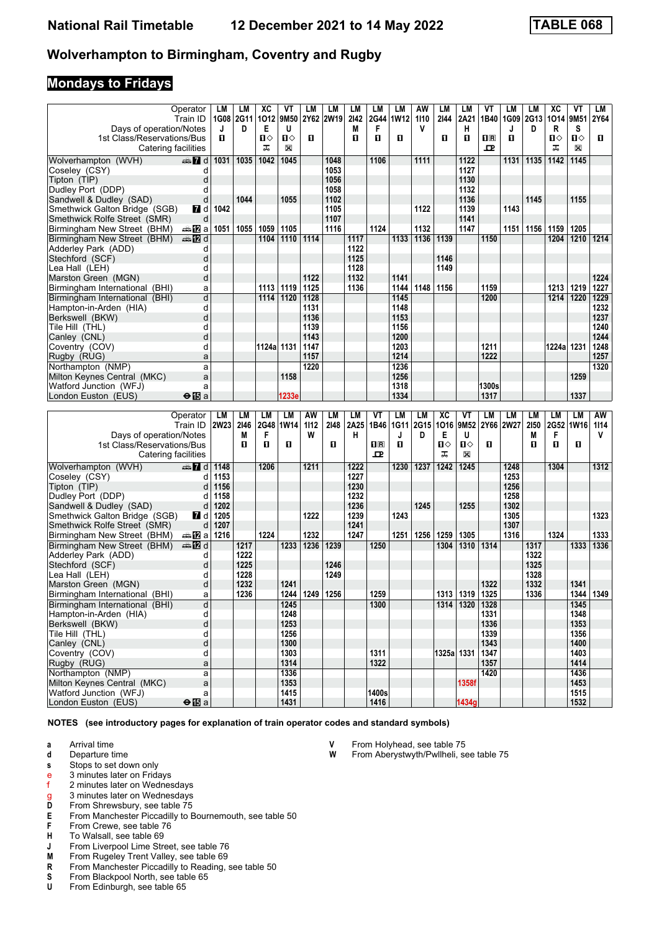## **Mondays to Fridays**

|                                | Operator<br>Train ID      | LM   | LМ<br>1G08 2G11 | ХC<br>1012 9M50 | ۷T          | LМ   | LМ<br>2Y62 2W19 | LM<br>2142 | LМ<br>2G44 | LM<br>1W12 | AW<br>1110 | LM<br>2144 | LM<br>2A21 | VT<br>1B40   | LM   | LM<br>1G09 2G13 | XC<br>1014   | VT<br>9M51   | LM<br>2Y64 |
|--------------------------------|---------------------------|------|-----------------|-----------------|-------------|------|-----------------|------------|------------|------------|------------|------------|------------|--------------|------|-----------------|--------------|--------------|------------|
| Days of operation/Notes        |                           | J    | D               | Е               | U           |      |                 | M          | F          |            | V          |            | н          |              | J    | D               | R            | S            |            |
| 1st Class/Reservations/Bus     |                           | п    |                 | п⇔              | $\Pi$       | п    |                 | п          | п          | п          |            | п          | п          | nR           | п    |                 | $\mathbf{n}$ | $\Pi$        | п.         |
| Catering facilities            |                           |      |                 | ㅈ               | $\boxtimes$ |      |                 |            |            |            |            |            |            | $\mathbf{P}$ |      |                 | ᠼ            | $\mathbb{X}$ |            |
|                                |                           |      |                 |                 |             |      |                 |            |            |            |            |            |            |              |      |                 |              |              |            |
| Wolverhampton (WVH)            | $\oplus$ $\blacksquare$ d | 1031 | 1035            | 1042            | 1045        |      | 1048            |            | 1106       |            | 1111       |            | 1122       |              | 1131 | 1135            | 1142         | 1145         |            |
| Coseley (CSY)                  |                           |      |                 |                 |             |      | 1053            |            |            |            |            |            | 1127       |              |      |                 |              |              |            |
| Tipton (TIP)                   |                           |      |                 |                 |             |      | 1056            |            |            |            |            |            | 1130       |              |      |                 |              |              |            |
| Dudley Port (DDP)              |                           |      |                 |                 |             |      | 1058            |            |            |            |            |            | 1132       |              |      |                 |              |              |            |
| Sandwell & Dudley (SAD)        | d                         |      | 1044            |                 | 1055        |      | 1102            |            |            |            |            |            | 1136       |              |      | 1145            |              | 1155         |            |
| Smethwick Galton Bridge (SGB)  | 7 d                       | 1042 |                 |                 |             |      | 1105            |            |            |            | 1122       |            | 1139       |              | 1143 |                 |              |              |            |
| Smethwick Rolfe Street (SMR)   | d                         |      |                 |                 |             |      | 1107            |            |            |            |            |            | 1141       |              |      |                 |              |              |            |
| Birmingham New Street (BHM)    | des <mark>n</mark> 2 a    | 1051 | 1055            | 1059            | 1105        |      | 1116            |            | 1124       |            | 1132       |            | 1147       |              | 1151 | 1156            | 1159         | 1205         |            |
| Birmingham New Street (BHM)    | <b>⊯D</b> d               |      |                 | 1104            | 1110        | 1114 |                 | 1117       |            | 1133       | 1136       | 1139       |            | 1150         |      |                 | 1204         | 1210         | 1214       |
| Adderley Park (ADD)            | d                         |      |                 |                 |             |      |                 | 1122       |            |            |            |            |            |              |      |                 |              |              |            |
| Stechford (SCF)                | d                         |      |                 |                 |             |      |                 | 1125       |            |            |            | 1146       |            |              |      |                 |              |              |            |
| Lea Hall (LEH)                 |                           |      |                 |                 |             |      |                 | 1128       |            |            |            | 1149       |            |              |      |                 |              |              |            |
| Marston Green (MGN)            | d                         |      |                 |                 |             | 1122 |                 | 1132       |            | 1141       |            |            |            |              |      |                 |              |              | 1224       |
| Birmingham International (BHI) | a                         |      |                 | 1113            | 1119        | 1125 |                 | 1136       |            | 1144       | 1148       | 1156       |            | 1159         |      |                 | 1213         | 1219         | 1227       |
| Birmingham International (BHI) | d                         |      |                 | 1114            | 1120        | 1128 |                 |            |            | 1145       |            |            |            | 1200         |      |                 | 1214         | 1220         | 1229       |
| Hampton-in-Arden (HIA)         | d                         |      |                 |                 |             | 1131 |                 |            |            | 1148       |            |            |            |              |      |                 |              |              | 1232       |
| Berkswell (BKW)                | d                         |      |                 |                 |             | 1136 |                 |            |            | 1153       |            |            |            |              |      |                 |              |              | 1237       |
| Tile Hill(THL)                 | C                         |      |                 |                 |             | 1139 |                 |            |            | 1156       |            |            |            |              |      |                 |              |              | 1240       |
| Canley (CNL)                   | d                         |      |                 |                 |             | 1143 |                 |            |            | 1200       |            |            |            |              |      |                 |              |              | 1244       |
| Coventry (COV)                 | d                         |      |                 | 1124a 1131      |             | 1147 |                 |            |            | 1203       |            |            |            | 1211         |      |                 | 1224a 1231   |              | 1248       |
| Rugby (RUG)                    | a                         |      |                 |                 |             | 1157 |                 |            |            | 1214       |            |            |            | 1222         |      |                 |              |              | 1257       |
| Northampton (NMP)              | a                         |      |                 |                 |             | 1220 |                 |            |            | 1236       |            |            |            |              |      |                 |              |              | 1320       |
| Milton Keynes Central (MKC)    | a                         |      |                 |                 | 1158        |      |                 |            |            | 1256       |            |            |            |              |      |                 |              | 1259         |            |
| Watford Junction (WFJ)         | a                         |      |                 |                 |             |      |                 |            |            | 1318       |            |            |            | 1300s        |      |                 |              |              |            |
| London Euston (EUS)            | $\bigoplus$ a             |      |                 |                 | 1233e       |      |                 |            |            | 1334       |            |            |            | 1317         |      |                 |              | 1337         |            |
|                                |                           |      |                 |                 |             |      |                 |            |            |            |            |            |            |              |      |                 |              |              |            |

|                                | Operator      | LM          | LM   | LМ   | LM   | AW   | LM   | LМ   | VT           | LM        | LM   | XC     | VT    | LM   | LM             | LM   | LМ   | LM        | AW   |
|--------------------------------|---------------|-------------|------|------|------|------|------|------|--------------|-----------|------|--------|-------|------|----------------|------|------|-----------|------|
|                                | Train ID      | <b>2W23</b> | 2146 | 2G48 | 1W14 | 1112 | 2148 | 2A25 |              | 1B46 1G11 | 2G15 | 1016   |       |      | 9M52 2Y66 2W27 | 2150 |      | 2G52 1W16 | 1114 |
| Days of operation/Notes        |               |             | М    | F    |      | W    |      | н    |              |           | D    | Е      | U     |      |                | M    | F    |           | v    |
| 1st Class/Reservations/Bus     |               |             | п    | п    | П    |      | п    |      | $\Pi$ R      | п         |      | $\Pi$  | П⇔    | п    |                | п    | п    | п         |      |
| Catering facilities            |               |             |      |      |      |      |      |      | $\mathbf{p}$ |           |      | ᠼ      | X     |      |                |      |      |           |      |
| Wolverhampton (WVH)            | $\oplus$ 7 d  | 1148        |      | 1206 |      | 1211 |      | 1222 |              | 1230      | 1237 | 1242   | 1245  |      | 1248           |      | 1304 |           | 1312 |
| Coseley (CSY)                  | d             | 1153        |      |      |      |      |      | 1227 |              |           |      |        |       |      | 1253           |      |      |           |      |
| Tipton (TIP)                   | d             | 1156        |      |      |      |      |      | 1230 |              |           |      |        |       |      | 1256           |      |      |           |      |
| Dudley Port (DDP)              | d             | 1158        |      |      |      |      |      | 1232 |              |           |      |        |       |      | 1258           |      |      |           |      |
| Sandwell & Dudley (SAD)        | d             | 1202        |      |      |      |      |      | 1236 |              |           | 1245 |        | 1255  |      | 1302           |      |      |           |      |
| Smethwick Galton Bridge (SGB)  | <b>Z</b> d    | 1205        |      |      |      | 1222 |      | 1239 |              | 1243      |      |        |       |      | 1305           |      |      |           | 1323 |
| Smethwick Rolfe Street (SMR)   | d             | 1207        |      |      |      |      |      | 1241 |              |           |      |        |       |      | 1307           |      |      |           |      |
| Birmingham New Street (BHM)    | dan Dal       | 1216        |      | 1224 |      | 1232 |      | 1247 |              | 1251      | 1256 | 1259   | 1305  |      | 1316           |      | 1324 |           | 1333 |
| Birmingham New Street (BHM)    | <b>⊯ 12</b> d |             | 1217 |      | 1233 | 1236 | 1239 |      | 1250         |           |      | 1304   | 1310  | 1314 |                | 1317 |      | 1333      | 1336 |
| Adderley Park (ADD)            | d             |             | 1222 |      |      |      |      |      |              |           |      |        |       |      |                | 1322 |      |           |      |
| Stechford (SCF)                | d             |             | 1225 |      |      |      | 1246 |      |              |           |      |        |       |      |                | 1325 |      |           |      |
| Lea Hall(LEH)                  | d             |             | 1228 |      |      |      | 1249 |      |              |           |      |        |       |      |                | 1328 |      |           |      |
| Marston Green (MGN)            | d             |             | 1232 |      | 1241 |      |      |      |              |           |      |        |       | 1322 |                | 1332 |      | 1341      |      |
| Birmingham International (BHI) | a             |             | 1236 |      | 1244 | 1249 | 1256 |      | 1259         |           |      | 1313   | 1319  | 1325 |                | 1336 |      | 1344      | 1349 |
| Birmingham International (BHI) | d             |             |      |      | 1245 |      |      |      | 1300         |           |      | 1314   | 1320  | 1328 |                |      |      | 1345      |      |
| Hampton-in-Arden (HIA)         | d             |             |      |      | 1248 |      |      |      |              |           |      |        |       | 1331 |                |      |      | 1348      |      |
| Berkswell (BKW)                | d             |             |      |      | 1253 |      |      |      |              |           |      |        |       | 1336 |                |      |      | 1353      |      |
| Tile Hill(THL)                 | d             |             |      |      | 1256 |      |      |      |              |           |      |        |       | 1339 |                |      |      | 1356      |      |
| Canley (CNL)                   | d             |             |      |      | 1300 |      |      |      |              |           |      |        |       | 1343 |                |      |      | 1400      |      |
| Coventry (COV)                 | d             |             |      |      | 1303 |      |      |      | 1311         |           |      | 1325al | 1331  | 1347 |                |      |      | 1403      |      |
| Rugby (RUG)                    | a             |             |      |      | 1314 |      |      |      | 1322         |           |      |        |       | 1357 |                |      |      | 1414      |      |
| Northampton (NMP)              | a             |             |      |      | 1336 |      |      |      |              |           |      |        |       | 1420 |                |      |      | 1436      |      |
| Milton Keynes Central (MKC)    | a             |             |      |      | 1353 |      |      |      |              |           |      |        | 1358f |      |                |      |      | 1453      |      |
| Watford Junction (WFJ)         | a             |             |      |      | 1415 |      |      |      | 1400s        |           |      |        |       |      |                |      |      | 1515      |      |
| London Euston (EUS)            | $\bigoplus$ a |             |      |      | 1431 |      |      |      | 1416         |           |      |        | 1434g |      |                |      |      | 1532      |      |

**NOTES (see introductory pages for explanation of train operator codes and standard symbols)**

- **a** Arrival time<br>**d** Departure t
- **d** Departure time
- **s** Stops to set down only
- e 3 minutes later on Fridays<br>f 2 minutes later on Wednes
- 2 minutes later on Wednesdays
- g 3 minutes later on Wednesdays<br>D From Shrewsbury, see table 75
- **D** From Shrewsbury, see table 75<br>**E** From Manchester Piccadilly to E **E** From Manchester Piccadilly to Bournemouth, see table 50<br>**F** From Crewe, see table 76
- 
- **F** From Crewe, see table 76<br>**H** To Walsall, see table 69 To Walsall, see table 69
- 
- **J** From Liverpool Lime Street, see table 76<br>**M** From Rugeley Trent Valley, see table 69
- **M** From Rugeley Trent Valley, see table 69<br>**R** From Manchester Piccadilly to Reading, **R** From Manchester Piccadilly to Reading, see table 50<br>**S** From Blackpool North, see table 65
- **6** From Blackpool North, see table 65 **U** From Edinburgh, see table 65
- From Edinburgh, see table 65

**V** From Holyhead, see table 75<br>**W** From Aberystwyth/Pwllheli, se

From Aberystwyth/Pwllheli, see table 75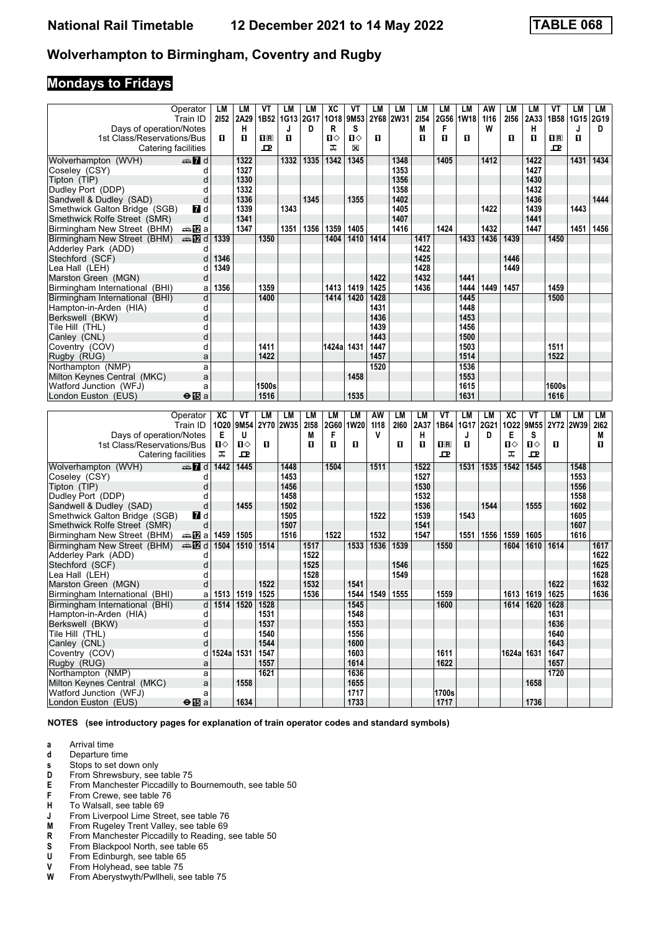# **Mondays to Fridays**

|                                 | Operator       | <b>LM</b>      | LM           | VT           | LM        | <b>LM</b> | XC           | VT           | LM   | <b>LM</b>   | <b>LM</b>    | LM                      | LM   | AW        | <b>LM</b>    | LM   | VT           | LM   | LM   |
|---------------------------------|----------------|----------------|--------------|--------------|-----------|-----------|--------------|--------------|------|-------------|--------------|-------------------------|------|-----------|--------------|------|--------------|------|------|
|                                 | Train ID       |                | 2152 2A29    | 1B52         | 1G13 2G17 |           | 1018         | 9M53         | 2Y68 | <b>2W31</b> | 2154         | 2G56                    | 1W18 | 1116      | 2156         | 2A33 | 1B58         | 1G15 | 2G19 |
| Days of operation/Notes         |                |                | н            |              | J         | D         | R            | S            |      |             | M            | F                       |      | W         |              | н    |              | J    | D    |
| 1st Class/Reservations/Bus      |                | $\mathbf{u}$   | п            | $n_{\rm R}$  | 0         |           | $\mathbf{u}$ | $\Pi$        | п    |             | п            | п                       | O    |           | $\mathbf{u}$ | п    | $n_{\rm R}$  | П.   |      |
| Catering facilities             |                |                |              | ᅭ            |           |           | ᠼ            | X            |      |             |              |                         |      |           |              |      | ᇁ            |      |      |
|                                 |                |                |              |              |           |           |              |              |      |             |              |                         |      |           |              |      |              |      |      |
| Wolverhampton (WVH)             | d Ma           |                | 1322         |              | 1332      | 1335      | 1342         | 1345         |      | 1348        |              | 1405                    |      | 1412      |              | 1422 |              | 1431 | 1434 |
| Coseley (CSY)                   | d              |                | 1327         |              |           |           |              |              |      | 1353        |              |                         |      |           |              | 1427 |              |      |      |
| Tipton (TIP)                    | d              |                | 1330         |              |           |           |              |              |      | 1356        |              |                         |      |           |              | 1430 |              |      |      |
| Dudley Port (DDP)               | d              |                | 1332         |              |           |           |              |              |      | 1358        |              |                         |      |           |              | 1432 |              |      |      |
| Sandwell & Dudley (SAD)         | d              |                | 1336         |              |           | 1345      |              | 1355         |      | 1402        |              |                         |      |           |              | 1436 |              |      | 1444 |
|                                 | <b>7</b> d     |                | 1339         |              | 1343      |           |              |              |      | 1405        |              |                         |      | 1422      |              | 1439 |              | 1443 |      |
| Smethwick Galton Bridge (SGB)   |                |                |              |              |           |           |              |              |      |             |              |                         |      |           |              |      |              |      |      |
| Smethwick Rolfe Street (SMR)    | d              |                | 1341         |              |           |           |              |              |      | 1407        |              |                         |      |           |              | 1441 |              |      |      |
| Birmingham New Street (BHM)     | a≞12la         |                | 1347         |              | 1351      | 1356      | 1359         | 1405         |      | 1416        |              | 1424                    |      | 1432      |              | 1447 |              | 1451 | 1456 |
| Birmingham New Street (BHM)     | <b>⊯ 12</b> d  | 1339           |              | 1350         |           |           | 1404         | 1410         | 1414 |             | 1417         |                         | 1433 | 1436      | 1439         |      | 1450         |      |      |
| Adderley Park (ADD)             | d              |                |              |              |           |           |              |              |      |             | 1422         |                         |      |           |              |      |              |      |      |
| Stechford (SCF)                 | d              | 1346           |              |              |           |           |              |              |      |             | 1425         |                         |      |           | 1446         |      |              |      |      |
| Lea Hall (LEH)                  | d              | 1349           |              |              |           |           |              |              |      |             | 1428         |                         |      |           | 1449         |      |              |      |      |
| Marston Green (MGN)             | d              |                |              |              |           |           |              |              | 1422 |             | 1432         |                         | 1441 |           |              |      |              |      |      |
|                                 |                | 1356           |              | 1359         |           |           | 1413         | 1419         | 1425 |             | 1436         |                         | 1444 | 1449      | 1457         |      | 1459         |      |      |
| Birmingham International (BHI)  | a              |                |              |              |           |           |              |              |      |             |              |                         |      |           |              |      |              |      |      |
| Birmingham International (BHI)  | d              |                |              | 1400         |           |           | 1414         | 1420         | 1428 |             |              |                         | 1445 |           |              |      | 1500         |      |      |
| Hampton-in-Arden (HIA)          | d              |                |              |              |           |           |              |              | 1431 |             |              |                         | 1448 |           |              |      |              |      |      |
| Berkswell (BKW)                 | d              |                |              |              |           |           |              |              | 1436 |             |              |                         | 1453 |           |              |      |              |      |      |
| Tile Hill (THL)                 | d              |                |              |              |           |           |              |              | 1439 |             |              |                         | 1456 |           |              |      |              |      |      |
| Canley (CNL)                    | d              |                |              |              |           |           |              |              | 1443 |             |              |                         | 1500 |           |              |      |              |      |      |
| Coventry (COV)                  | d              |                |              | 1411         |           |           | 1424a 1431   |              | 1447 |             |              |                         | 1503 |           |              |      | 1511         |      |      |
| Rugby (RUG)                     | a              |                |              | 1422         |           |           |              |              | 1457 |             |              |                         | 1514 |           |              |      | 1522         |      |      |
|                                 |                |                |              |              |           |           |              |              | 1520 |             |              |                         | 1536 |           |              |      |              |      |      |
| Northampton (NMP)               | a              |                |              |              |           |           |              |              |      |             |              |                         |      |           |              |      |              |      |      |
| Milton Keynes Central (MKC)     | a              |                |              |              |           |           |              | 1458         |      |             |              |                         | 1553 |           |              |      |              |      |      |
|                                 |                |                |              |              |           |           |              |              |      |             |              |                         |      |           |              |      |              |      |      |
| Watford Junction (WFJ)          | a              |                |              | 1500s        |           |           |              |              |      |             |              |                         | 1615 |           |              |      | <b>1600s</b> |      |      |
| London Euston (EUS)             | $\Theta$ iba   |                |              | 1516         |           |           |              | 1535         |      |             |              |                         | 1631 |           |              |      | 1616         |      |      |
|                                 |                |                |              |              |           |           |              |              |      |             |              |                         |      |           |              |      |              |      |      |
|                                 | Operator       | XC             | VT           | LM           | LM        | LM        | <b>LM</b>    | <b>LM</b>    | AW   | <b>LM</b>   | <b>LM</b>    | VT                      | LM   | <b>LM</b> | XC           | VT   | LM           | LM   | LМ   |
|                                 | Train ID       |                | 1O20 9M54    |              | 2Y70 2W35 | 2158      | 2G60         | <b>1W20</b>  | 1118 | 2160        | 2A37         | 1B64                    | 1G17 | 2G21      | 1022         | 9M55 | 2Y72 2W39    |      | 2162 |
|                                 |                | Е              | U            |              |           | M         | F            |              | v    |             |              |                         | J    | D         | Е            | s    |              |      | М    |
| Days of operation/Notes         |                |                |              |              |           |           |              |              |      |             | н            |                         |      |           |              |      |              |      |      |
| 1st Class/Reservations/Bus      |                | $\blacksquare$ | $\mathbf{u}$ | п            |           | п         | п            | п            |      | п           | $\mathbf{u}$ | $\overline{\mathbf{H}}$ | O    |           | $\mathbf{u}$ | Ⅱ◇   | O.           |      | O.   |
| Catering facilities             |                | ᠼ              | 고            |              |           |           |              |              |      |             |              | 고                       |      |           | ᠼ            | 굔    |              |      |      |
| Wolverhampton (WVH)             | $\mathbf{Z}$ d | 1442           | 1445         |              | 1448      |           | 1504         |              | 1511 |             | 1522         |                         | 1531 | 1535      | 1542         | 1545 |              | 1548 |      |
| Coseley (CSY)                   | d              |                |              |              | 1453      |           |              |              |      |             | 1527         |                         |      |           |              |      |              | 1553 |      |
| Tipton (TIP)                    | d              |                |              |              | 1456      |           |              |              |      |             | 1530         |                         |      |           |              |      |              | 1556 |      |
| Dudley Port (DDP)               | d              |                |              |              | 1458      |           |              |              |      |             | 1532         |                         |      |           |              |      |              | 1558 |      |
|                                 | d              |                | 1455         |              | 1502      |           |              |              |      |             | 1536         |                         |      | 1544      |              | 1555 |              | 1602 |      |
| Sandwell & Dudley (SAD)         |                |                |              |              |           |           |              |              |      |             |              |                         |      |           |              |      |              |      |      |
| Smethwick Galton Bridge (SGB)   | <b>7</b> d     |                |              |              | 1505      |           |              |              | 1522 |             | 1539         |                         | 1543 |           |              |      |              | 1605 |      |
| Smethwick Rolfe Street (SMR)    | d              |                |              |              | 1507      |           |              |              |      |             | 1541         |                         |      |           |              |      |              | 1607 |      |
| Birmingham New Street (BHM)     | a≞12la         | 1459           | 1505         |              | 1516      |           | 1522         |              | 1532 |             | 1547         |                         | 1551 | 1556      | 1559         | 1605 |              | 1616 |      |
| Birmingham New Street (BHM)     | <b>en 12</b> d | 1504           | 1510         | 1514         |           | 1517      |              | 1533         | 1536 | 1539        |              | 1550                    |      |           | 1604         | 1610 | 1614         |      | 1617 |
| Adderley Park (ADD)             | d              |                |              |              |           | 1522      |              |              |      |             |              |                         |      |           |              |      |              |      | 1622 |
| Stechford (SCF)                 | d              |                |              |              |           | 1525      |              |              |      | 1546        |              |                         |      |           |              |      |              |      | 1625 |
| Lea Hall (LEH)                  | d              |                |              |              |           | 1528      |              |              |      | 1549        |              |                         |      |           |              |      |              |      | 1628 |
| Marston Green (MGN)             | d              |                |              | 1522         |           | 1532      |              | 1541         |      |             |              |                         |      |           |              |      | 1622         |      | 1632 |
| Birmingham International (BHI)  | a              | 1513           | 1519         | 1525         |           | 1536      |              | 1544         | 1549 | 1555        |              | 1559                    |      |           | 1613         | 1619 | 1625         |      | 1636 |
| Birmingham International (BHI)  | d              | 1514           | 1520         | 1528         |           |           |              | 1545         |      |             |              | 1600                    |      |           | 1614         | 1620 | 1628         |      |      |
|                                 |                |                |              |              |           |           |              |              |      |             |              |                         |      |           |              |      |              |      |      |
| Hampton-in-Arden (HIA)          | d              |                |              | 1531         |           |           |              | 1548         |      |             |              |                         |      |           |              |      | 1631         |      |      |
| Berkswell (BKW)                 | d              |                |              | 1537         |           |           |              | 1553         |      |             |              |                         |      |           |              |      | 1636         |      |      |
| Tile Hill (THL)<br>Canley (CNL) | d<br>d         |                |              | 1540<br>1544 |           |           |              | 1556<br>1600 |      |             |              |                         |      |           |              |      | 1640<br>1643 |      |      |

 Canley (CNL) d **1544 1600 1643**  Coventry (CO9) d **1524a 1531 1547 1603 1611 1624a 1631 1647**  Rugby (RUG) a **1557 1614 1622 1657**  Northampton (NMP) a **1621 1636 1720**

**London Euston (EUS)** ● 图 a **1634 1733** 1733 17717 1717 1736

**NOTES (see introductory pages for explanation of train operator codes and standard symbols)**

 Milton Keynes Central (MKC) a **1558 1655 1658**  Watford -unction (WF-) a **1717 1700V**

- **a** Arrival time<br>**d** Departure t **d** Departure time
- **s** Stops to set down only
- 
- **D** From Shrewsbury, see table 75<br>**E** From Manchester Piccadilly to E **E** From Manchester Piccadilly to Bournemouth, see table 50<br>**F** From Crewe, see table 76
- 
- **F** From Crewe, see table 76<br>**H** To Walsall, see table 69
- **+** To Walsall, see table 69<br>**J** From Liverpool Lime Stre
- **J** From Liverpool Lime Street, see table 76<br>**M** From Rugeley Trent Valley, see table 69 **M** From Rugeley Trent Valley, see table 69<br>**R** From Manchester Piccadilly to Reading.
- From Manchester Piccadilly to Reading, see table 50
- **6** From Blackpool North, see table 65<br>**U** From Edinburgh, see table 65
- **8** From Edinburgh, see table 65<br>**8** From Holyhead, see table 75
- **V** From Holyhead, see table 75<br>**W** From Aberystwyth/Pwllheli, se
- From Aberystwyth/Pwllheli, see table 75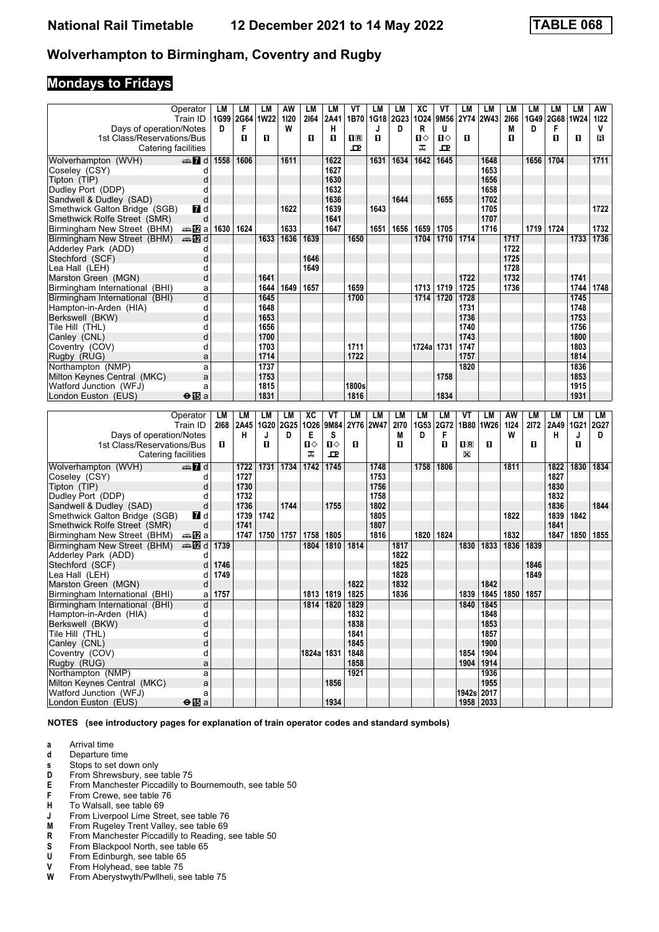# **Mondays to Fridays**

|                                                               | Operator                     | LM          | LM             | LМ           | AW        | LM         | LМ                 | VT           | LM               | LM               | ХC         | VT        | LM               | LM                      | LM        | LM        | LМ             | LM           | AW        |
|---------------------------------------------------------------|------------------------------|-------------|----------------|--------------|-----------|------------|--------------------|--------------|------------------|------------------|------------|-----------|------------------|-------------------------|-----------|-----------|----------------|--------------|-----------|
|                                                               | Train ID                     | D           | 1G99 2G64<br>F | 1W22         | 1120<br>W | 2164       | 2A41<br>н          | 1B70         | <b>1G18</b><br>J | <b>2G23</b><br>D | 1024<br>R  | 9M56<br>U | 2Y74             | <b>2W43</b>             | 2166<br>M | 1G49<br>D | 2G68 1W24<br>F |              | 1122<br>V |
| Days of operation/Notes<br>1st Class/Reservations/Bus         |                              |             | п              | O.           |           | п          | п                  | 1R           | п                |                  | О          | Ⅱ♦        | D.               |                         | О         |           | п              | 0            | В         |
| Catering facilities                                           |                              |             |                |              |           |            |                    | ᇁ            |                  |                  | ᠼ          | ᇁ         |                  |                         |           |           |                |              |           |
| Wolverhampton (WVH)                                           | $\mathbb{Z}$ d               | 1558        | 1606           |              | 1611      |            | 1622               |              | 1631             | 1634             | 1642       | 1645      |                  | 1648                    |           | 1656      | 1704           |              | 1711      |
| Coseley (CSY)                                                 | d                            |             |                |              |           |            | 1627               |              |                  |                  |            |           |                  | 1653                    |           |           |                |              |           |
| Tipton (TIP)                                                  | d                            |             |                |              |           |            | 1630               |              |                  |                  |            |           |                  | 1656                    |           |           |                |              |           |
| Dudley Port (DDP)                                             | d                            |             |                |              |           |            | 1632               |              |                  |                  |            |           |                  | 1658                    |           |           |                |              |           |
| Sandwell & Dudley (SAD)                                       | d                            |             |                |              |           |            | 1636               |              |                  | 1644             |            | 1655      |                  | 1702                    |           |           |                |              | 1722      |
| Smethwick Galton Bridge (SGB)<br>Smethwick Rolfe Street (SMR) | 7d<br>d                      |             |                |              | 1622      |            | 1639<br>1641       |              | 1643             |                  |            |           |                  | 1705<br>1707            |           |           |                |              |           |
| Birmingham New Street (BHM)                                   | des <mark>n</mark> ⊒ a       | 1630   1624 |                |              | 1633      |            | 1647               |              | 1651             | 1656             | 1659       | 1705      |                  | 1716                    |           | 1719      | 1724           |              | 1732      |
| Birmingham New Street (BHM)                                   | dan De d                     |             |                | 1633         | 1636      | 1639       |                    | 1650         |                  |                  | 1704       | 1710      | 1714             |                         | 1717      |           |                | 1733         | 1736      |
| Adderley Park (ADD)                                           | d                            |             |                |              |           |            |                    |              |                  |                  |            |           |                  |                         | 1722      |           |                |              |           |
| Stechford (SCF)                                               | d                            |             |                |              |           | 1646       |                    |              |                  |                  |            |           |                  |                         | 1725      |           |                |              |           |
| Lea Hall (LEH)                                                | d                            |             |                |              |           | 1649       |                    |              |                  |                  |            |           |                  |                         | 1728      |           |                |              |           |
| Marston Green (MGN)                                           | d                            |             |                | 1641         |           |            |                    |              |                  |                  |            |           | 1722             |                         | 1732      |           |                | 1741         |           |
| Birmingham International (BHI)                                | a                            |             |                | 1644         | 1649      | 1657       |                    | 1659         |                  |                  | 1713       | 1719      | 1725             |                         | 1736      |           |                | 1744         | 1748      |
| Birmingham International (BHI)                                | d                            |             |                | 1645         |           |            |                    | 1700         |                  |                  | 1714       | 1720      | 1728             |                         |           |           |                | 1745         |           |
| Hampton-in-Arden (HIA)                                        | d<br>d                       |             |                | 1648<br>1653 |           |            |                    |              |                  |                  |            |           | 1731<br>1736     |                         |           |           |                | 1748<br>1753 |           |
| Berkswell (BKW)<br>Tile Hill (THL)                            | d                            |             |                | 1656         |           |            |                    |              |                  |                  |            |           | 1740             |                         |           |           |                | 1756         |           |
| Canley (CNL)                                                  | d                            |             |                | 1700         |           |            |                    |              |                  |                  |            |           | 1743             |                         |           |           |                | 1800         |           |
| Coventry (COV)                                                | d                            |             |                | 1703         |           |            |                    | 1711         |                  |                  | 1724a 1731 |           | 1747             |                         |           |           |                | 1803         |           |
| Rugby (RUG)                                                   | a                            |             |                | 1714         |           |            |                    | 1722         |                  |                  |            |           | 1757             |                         |           |           |                | 1814         |           |
| Northampton (NMP)                                             | a                            |             |                | 1737         |           |            |                    |              |                  |                  |            |           | 1820             |                         |           |           |                | 1836         |           |
| Milton Keynes Central (MKC)                                   | a                            |             |                | 1753         |           |            |                    |              |                  |                  |            | 1758      |                  |                         |           |           |                | 1853         |           |
| Watford Junction (WFJ)                                        | a                            |             |                | 1815         |           |            |                    | 1800s        |                  |                  |            |           |                  |                         |           |           |                | 1915         |           |
| London Euston (EUS)                                           | $\Theta$ is a                |             |                | 1831         |           |            |                    | 1816         |                  |                  |            | 1834      |                  |                         |           |           |                | 1931         |           |
|                                                               |                              |             |                |              |           |            |                    |              |                  |                  |            |           |                  |                         |           |           |                |              |           |
|                                                               |                              |             |                |              |           |            |                    |              |                  |                  |            |           |                  |                         |           |           |                |              |           |
|                                                               | Operator                     | LM          | LМ             | LМ           | LM        | XC         | VT                 | LM           | LM               | LM               | LM         | LM        | VT               | LM                      | AW        | LM        | LМ             | LM           | LM        |
|                                                               | Train ID                     | 2168        | 2A45           | <b>1G20</b>  | 2G25      | 1026       | 9M84               |              | 2Y76 2W47        | 2170             | 1G53       | 2G72      | 1B80             | 1W26                    | 1124      | 2172      | 2A49           | 1G21         | 2G27      |
| Days of operation/Notes<br>1st Class/Reservations/Bus         |                              | П.          | н              | J<br>п       | D         | Е<br>О     | S<br>Ⅱ♦            | п            |                  | M<br>п           | D          | F<br>п    | $n_{\mathbb{R}}$ | п                       | W         | O         | н              | J<br>0       | D         |
| Catering facilities                                           |                              |             |                |              |           | ᠼ          | $\mathbf{P}$       |              |                  |                  |            |           | X                |                         |           |           |                |              |           |
|                                                               | d ann                        |             | 1722           | 1731         | 1734      | 1742       | 1745               |              | 1748             |                  | 1758       | 1806      |                  |                         | 1811      |           | 1822           | 1830         | 1834      |
| Wolverhampton (WVH)<br>Coseley (CSY)                          | d                            |             | 1727           |              |           |            |                    |              | 1753             |                  |            |           |                  |                         |           |           | 1827           |              |           |
| Tipton (TIP)                                                  | d                            |             | 1730           |              |           |            |                    |              | 1756             |                  |            |           |                  |                         |           |           | 1830           |              |           |
| Dudley Port (DDP)                                             | d                            |             | 1732           |              |           |            |                    |              | 1758             |                  |            |           |                  |                         |           |           | 1832           |              |           |
| Sandwell & Dudley (SAD)                                       | d                            |             | 1736           |              | 1744      |            | 1755               |              | 1802             |                  |            |           |                  |                         |           |           | 1836           |              | 1844      |
| Smethwick Galton Bridge (SGB)                                 | <b>7</b> d                   |             | 1739           | 1742         |           |            |                    |              | 1805             |                  |            |           |                  |                         | 1822      |           | 1839           | 1842         |           |
| Smethwick Rolfe Street (SMR)                                  | d                            |             | 1741           |              |           |            |                    |              | 1807             |                  |            |           |                  |                         |           |           | 1841           |              |           |
| Birmingham New Street (BHM)                                   | a≞12la                       |             | 1747           | 1750         | 1757      | 1758       | 1805               |              | 1816             |                  | 1820       | 1824      |                  |                         | 1832      |           | 1847           | 1850         | 1855      |
| Birmingham New Street (BHM)<br>Adderley Park (ADD)            | dan⊞<br>d                    | 1739        |                |              |           | 1804       | 1810               | 1814         |                  | 1817<br>1822     |            |           | 1830             | 1833                    | 1836      | 1839      |                |              |           |
| Stechford (SCF)                                               | d                            | 1746        |                |              |           |            |                    |              |                  | 1825             |            |           |                  |                         |           | 1846      |                |              |           |
| Lea Hall (LEH)                                                | d                            | 1749        |                |              |           |            |                    |              |                  | 1828             |            |           |                  |                         |           | 1849      |                |              |           |
| Marston Green (MGN)                                           | d                            |             |                |              |           |            |                    | 1822         |                  | 1832             |            |           |                  | 1842                    |           |           |                |              |           |
| Birmingham International (BHI)                                |                              | a 1757      |                |              |           |            | 1813 1819 1825     |              |                  | 1836             |            |           |                  | 1839 1845 1850 1857     |           |           |                |              |           |
| Birmingham International (BHI)                                | d                            |             |                |              |           |            | 1814   1820   1829 |              |                  |                  |            |           |                  | 1840   1845             |           |           |                |              |           |
| Hampton-in-Arden (HIA)                                        | d                            |             |                |              |           |            |                    | 1832         |                  |                  |            |           |                  | 1848                    |           |           |                |              |           |
| Berkswell (BKW)                                               | d                            |             |                |              |           |            |                    | 1838         |                  |                  |            |           |                  | 1853                    |           |           |                |              |           |
| Tile Hill (THL)                                               | d<br>þ                       |             |                |              |           |            |                    | 1841<br>1845 |                  |                  |            |           |                  | 1857<br>1900            |           |           |                |              |           |
| Canley (CNL)<br>Coventry (COV)                                | d                            |             |                |              |           | 1824a 1831 |                    | 1848         |                  |                  |            |           | 1854             | 1904                    |           |           |                |              |           |
| Rugby (RUG)                                                   | a                            |             |                |              |           |            |                    | 1858         |                  |                  |            |           | 1904             | 1914                    |           |           |                |              |           |
| Northampton (NMP)                                             | a                            |             |                |              |           |            |                    | 1921         |                  |                  |            |           |                  | 1936                    |           |           |                |              |           |
| Milton Keynes Central (MKC)                                   | $\mathsf{a}$                 |             |                |              |           |            | 1856               |              |                  |                  |            |           |                  | 1955                    |           |           |                |              |           |
| Watford Junction (WFJ)<br>London Euston (EUS)                 | a<br>$\Theta$ $\mathbf{E}$ a |             |                |              |           |            | 1934               |              |                  |                  |            |           |                  | 1942s 2017<br>1958 2033 |           |           |                |              |           |

**NOTES (see introductory pages for explanation of train operator codes and standard symbols)**

- **a** Arrival time<br>**d** Departure t
- **d** Departure time

**London Euston (EUS)** 

- **s** Stops to set down only
- **D** From Shrewsbury, see table 75<br>**E** From Manchester Piccadilly to E
- **E** From Manchester Piccadilly to Bournemouth, see table 50<br>**F** From Crewe, see table 76
- From Crewe, see table 76
- **+** To Walsall, see table 69<br>**J** From Liverpool Lime Stre
- **J** From Liverpool Lime Street, see table 76<br>**M** From Rugeley Trent Valley, see table 69
- **M** From Rugeley Trent Valley, see table 69<br>**R** From Manchester Piccadilly to Reading.
- From Manchester Piccadilly to Reading, see table 50
- **6** From Blackpool North, see table 65<br>**U** From Edinburgh, see table 65
- **8** From Edinburgh, see table 65<br>**8** From Holyhead, see table 75
- **V** From Holyhead, see table 75<br>**W** From Aberystwyth/Pwllheli, se
- From Aberystwyth/Pwllheli, see table 75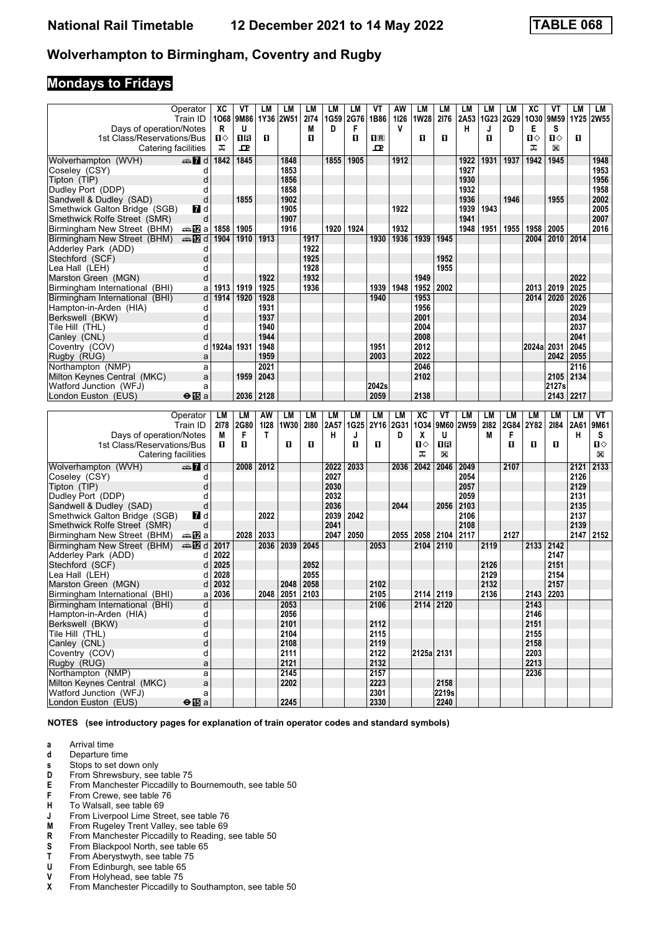#### **Mondays to Fridays**

|                                                  | Operator               | XC         | ٧T   | LМ   | LM           | <b>LM</b> | LM   | LM          | VT           | AW          | LМ          | LM        | LМ   | LM   | LM        | ХC         | ۷T          | LМ   | LM        |
|--------------------------------------------------|------------------------|------------|------|------|--------------|-----------|------|-------------|--------------|-------------|-------------|-----------|------|------|-----------|------------|-------------|------|-----------|
|                                                  | Train ID               | 1068       | 9M86 |      | 1Y36 2W51    | 2174      | 1G59 | 2G76        | 1B86         | 1126        | <b>1W28</b> | 2176      | 2A53 |      | 1G23 2G29 |            | 1030 9M59   |      | 1Y25 2W55 |
| Days of operation/Notes                          |                        | R          | U    |      |              | M         | D    | F           |              | v           |             |           | н    | J    | D         | Е          | S           |      |           |
| 1st Class/Reservations/Bus                       |                        | п⇔         | 1 R  | O.   |              | п         |      | O           | 1R           |             | п           | О         |      | п    |           | ்ப         | п⇔          | П    |           |
| Catering facilities                              |                        | ᠼ          | 모    |      |              |           |      |             | ᇁ            |             |             |           |      |      |           | ᠼ          | X           |      |           |
| Wolverhampton (WVH)                              | $\oplus$ 7 d           | 1842       | 1845 |      | 1848         |           | 1855 | 1905        |              | 1912        |             |           | 1922 | 1931 | 1937      | 1942       | 1945        |      | 1948      |
| Coseley (CSY)                                    | d                      |            |      |      | 1853         |           |      |             |              |             |             |           | 1927 |      |           |            |             |      | 1953      |
| Tipton (TIP)                                     | d                      |            |      |      | 1856         |           |      |             |              |             |             |           | 1930 |      |           |            |             |      | 1956      |
| Dudley Port (DDP)                                | d                      |            |      |      | 1858         |           |      |             |              |             |             |           | 1932 |      |           |            |             |      | 1958      |
| Sandwell & Dudley (SAD)                          | d                      |            | 1855 |      | 1902         |           |      |             |              |             |             |           | 1936 |      | 1946      |            | 1955        |      | 2002      |
| Smethwick Galton Bridge (SGB)                    | M d                    |            |      |      | 1905         |           |      |             |              | 1922        |             |           | 1939 | 1943 |           |            |             |      | 2005      |
| Smethwick Rolfe Street (SMR)                     | d                      |            |      |      | 1907         |           |      |             |              |             |             |           | 1941 |      |           |            |             |      | 2007      |
| Birmingham New Street (BHM)                      | dan <mark>ma</mark> Ωa | 1858       | 1905 |      | 1916         |           | 1920 | 1924        |              | 1932        |             |           | 1948 | 1951 | 1955      | 1958       | 2005        |      | 2016      |
| Birmingham New Street (BHM)                      | <b>en 12</b> d         | 1904       | 1910 | 1913 |              | 1917      |      |             | 1930         | 1936        | 1939        | 1945      |      |      |           | 2004       | 2010 2014   |      |           |
| Adderley Park (ADD)                              | d                      |            |      |      |              | 1922      |      |             |              |             |             |           |      |      |           |            |             |      |           |
| Stechford (SCF)                                  | d                      |            |      |      |              | 1925      |      |             |              |             |             | 1952      |      |      |           |            |             |      |           |
|                                                  | d                      |            |      |      |              | 1928      |      |             |              |             |             | 1955      |      |      |           |            |             |      |           |
| Lea Hall (LEH)                                   | d                      |            |      | 1922 |              | 1932      |      |             |              |             | 1949        |           |      |      |           |            |             | 2022 |           |
| Marston Green (MGN)                              |                        |            |      |      |              | 1936      |      |             |              |             |             | 2002      |      |      |           |            | 2019        | 2025 |           |
| Birmingham International (BHI)                   | a                      | 1913       | 1919 | 1925 |              |           |      |             | 1939         | 1948        | 1952        |           |      |      |           | 2013       |             |      |           |
| Birmingham International (BHI)                   | d                      | 1914       | 1920 | 1928 |              |           |      |             | 1940         |             | 1953        |           |      |      |           | 2014       | 2020        | 2026 |           |
| Hampton-in-Arden (HIA)                           | d                      |            |      | 1931 |              |           |      |             |              |             | 1956        |           |      |      |           |            |             | 2029 |           |
| Berkswell (BKW)                                  | d                      |            |      | 1937 |              |           |      |             |              |             | 2001        |           |      |      |           |            |             | 2034 |           |
| Tile Hill (THL)                                  | d                      |            |      | 1940 |              |           |      |             |              |             | 2004        |           |      |      |           |            |             | 2037 |           |
| Canley (CNL)                                     | d                      |            |      | 1944 |              |           |      |             |              |             | 2008        |           |      |      |           |            |             | 2041 |           |
| Coventry (COV)                                   | d                      | 1924a 1931 |      | 1948 |              |           |      |             | 1951         |             | 2012        |           |      |      |           | 2024a 2031 |             | 2045 |           |
| Rugby (RUG)                                      | a                      |            |      | 1959 |              |           |      |             | 2003         |             | 2022        |           |      |      |           |            | 2042        | 2055 |           |
| Northampton (NMP)                                | a                      |            |      | 2021 |              |           |      |             |              |             | 2046        |           |      |      |           |            |             | 2116 |           |
| Milton Keynes Central (MKC)                      | a                      |            | 1959 | 2043 |              |           |      |             |              |             | 2102        |           |      |      |           |            | 2105        | 2134 |           |
| Watford Junction (WFJ)                           | a                      |            |      |      |              |           |      |             | 2042s        |             |             |           |      |      |           |            | 2127s       |      |           |
| London Euston (EUS)                              | $\Theta$ is a          |            | 2036 | 2128 |              |           |      |             | 2059         |             | 2138        |           |      |      |           |            | 2143   2217 |      |           |
|                                                  |                        |            |      |      |              |           |      |             |              |             |             |           |      |      |           |            |             |      |           |
|                                                  |                        |            |      |      |              |           |      |             |              |             |             |           |      |      |           |            |             |      |           |
|                                                  | Operator               | LM         | LM   | AW   | LM           | LM        | LM   | LM          | <b>LM</b>    | LM          | <b>XC</b>   | ۷T        | LM   | LM   | LM        | LM         | LМ          | LM   | VT        |
|                                                  | Train ID               | 2178       | 2G80 | 1128 | 1W30         | 2180      | 2A57 | <b>1G25</b> | 2Y16         | <b>2G31</b> | 1034        | 9M60      | 2W59 | 2182 | 2G84      | 2Y82       | 2184        | 2A61 | 9M61      |
| Days of operation/Notes                          |                        | M          | F    | Т    |              |           | н    | J           |              | D           | X           | U         |      | M    | F         |            |             | н    | s         |
| 1st Class/Reservations/Bus                       |                        | П          | O    |      | п            | п         |      | O           | п            |             | Ⅱ◇          | 1R        |      |      | п         | п          | O           |      | Ⅱ♦        |
| Catering facilities                              |                        |            |      |      |              |           |      |             |              |             | ᠼ           | X         |      |      |           |            |             |      | X         |
|                                                  |                        |            |      |      |              |           |      |             |              |             |             |           |      |      |           |            |             |      |           |
| Wolverhampton (WVH)                              | d anno 17 d            |            | 2008 | 2012 |              |           | 2022 | 2033        |              | 2036        | 2042        | 2046      | 2049 |      | 2107      |            |             | 2121 | 2133      |
| Coseley (CSY)                                    | d                      |            |      |      |              |           | 2027 |             |              |             |             |           | 2054 |      |           |            |             | 2126 |           |
| Tipton (TIP)                                     | d                      |            |      |      |              |           | 2030 |             |              |             |             |           | 2057 |      |           |            |             | 2129 |           |
| Dudley Port (DDP)                                | d                      |            |      |      |              |           | 2032 |             |              |             |             |           | 2059 |      |           |            |             | 2131 |           |
| Sandwell & Dudley (SAD)                          | d                      |            |      |      |              |           | 2036 |             |              | 2044        |             | 2056      | 2103 |      |           |            |             | 2135 |           |
| Smethwick Galton Bridge (SGB)                    | MZ d                   |            |      | 2022 |              |           | 2039 | 2042        |              |             |             |           | 2106 |      |           |            |             | 2137 |           |
| Smethwick Rolfe Street (SMR)                     | d                      |            |      |      |              |           | 2041 |             |              |             |             |           | 2108 |      |           |            |             | 2139 |           |
| Birmingham New Street (BHM)                      | anaDa                  |            | 2028 | 2033 |              |           | 2047 | 2050        |              | 2055        | 2058        | 2104      | 2117 |      | 2127      |            |             | 2147 | 2152      |
| Birmingham New Street (BHM)                      | dan⊞                   | 2017       |      | 2036 | 2039         | 2045      |      |             | 2053         |             | 2104        | 2110      |      | 2119 |           | 2133 2142  |             |      |           |
| Adderley Park (ADD)                              | d                      | 2022       |      |      |              |           |      |             |              |             |             |           |      |      |           |            | 2147        |      |           |
| Stechford (SCF)                                  | d                      | 2025       |      |      |              | 2052      |      |             |              |             |             |           |      | 2126 |           |            | 2151        |      |           |
| Lea Hall (LEH)                                   | d                      | 2028       |      |      |              | 2055      |      |             |              |             |             |           |      | 2129 |           |            | 2154        |      |           |
| Marston Green (MGN)                              | d                      | 2032       |      |      | 2048         | 2058      |      |             | 2102         |             |             |           |      | 2132 |           |            | 2157        |      |           |
| Birmingham International (BHI)                   | а                      | 2036       |      | 2048 | 2051 2103    |           |      |             | 2105         |             |             | 2114 2119 |      | 2136 |           |            | 2143 2203   |      |           |
| Birmingham International (BHI)                   | d                      |            |      |      | 2053         |           |      |             | 2106         |             |             | 2114 2120 |      |      |           | 2143       |             |      |           |
| Hampton-in-Arden (HIA)                           | d                      |            |      |      | 2056         |           |      |             |              |             |             |           |      |      |           | 2146       |             |      |           |
| Berkswell (BKW)                                  | d                      |            |      |      | 2101         |           |      |             | 2112         |             |             |           |      |      |           | 2151       |             |      |           |
| Tile Hill (THL)                                  | d                      |            |      |      | 2104         |           |      |             | 2115         |             |             |           |      |      |           | 2155       |             |      |           |
| Canley (CNL)                                     | d                      |            |      |      | 2108         |           |      |             | 2119         |             |             |           |      |      |           | 2158       |             |      |           |
| Coventry (COV)                                   | d                      |            |      |      | 2111         |           |      |             | 2122         |             | 2125a 2131  |           |      |      |           | 2203       |             |      |           |
| Rugby (RUG)                                      | a                      |            |      |      | 2121         |           |      |             | 2132         |             |             |           |      |      |           | 2213       |             |      |           |
| Northampton (NMP)<br>Milton Kevnes Central (MKC) | a<br>$\mathsf{a}$      |            |      |      | 2145<br>2202 |           |      |             | 2157<br>2223 |             |             | 2158      |      |      |           | 2236       |             |      |           |

**NOTES (see introductory pages for explanation of train operator codes and standard symbols)**

 Milton Keynes Central (MKC) a **2202 2223 2158**  $\begin{array}{|c|c|c|c|c|c|c|c|} \hline \text{Wartford Junction (WFJ)} & \text{a} & \text{b} & \text{b} & \text{c} & \text{c} \\ \hline \text{London Euston (EUS)} & \text{ be }\text{I}\text{B} & & \text{c} & \text{c} & \text{c} \\ \hline \end{array}$ 

- **a** Arrival time<br>**d** Departure t
- **d** Departure time

**London Euston (EUS)** 

- **s** Stops to set down only
- 
- **D** From Shrewsbury, see table 75<br>**E** From Manchester Piccadilly to E **E** From Manchester Piccadilly to Bournemouth, see table 50<br>**F** From Crewe, see table 76
- From Crewe, see table 76
- **+** To Walsall, see table 69<br>**J** From Liverpool Lime Stree
- **J** From Liverpool Lime Street, see table 76<br>**M** From Rugeley Trent Valley, see table 69
- **M** From Rugeley Trent Valley, see table 69<br>**R** From Manchester Piccadilly to Reading.
- From Manchester Piccadilly to Reading, see table 50
- **6** From Blackpool North, see table 65<br>**T** From Aberystwyth, see table 75
- **T** From Aberystwyth, see table 75<br>**U** From Edinburgh, see table 65
- **8** From Edinburgh, see table 65<br>**8** From Holyhead, see table 75
- From Holyhead, see table 75
- **X** From Manchester Piccadilly to Southampton, see table 50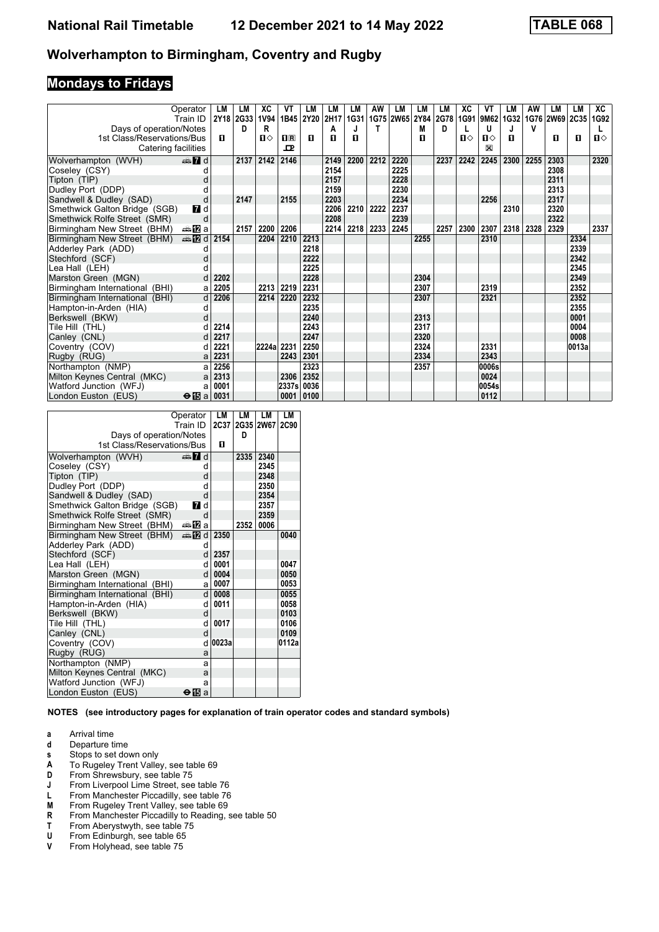## **Mondays to Fridays**

|                                | Operator                | LM   | LМ        | ХC           | VT          | LM        | LM     | LM   | AW   | LМ        | LM     | LM   | XC           | VT        | LM   | AW   | LМ             | LM    | XC   |
|--------------------------------|-------------------------|------|-----------|--------------|-------------|-----------|--------|------|------|-----------|--------|------|--------------|-----------|------|------|----------------|-------|------|
|                                | Train ID                |      | 2Y18 2G33 | 1V94         |             | 1B45 2Y20 | 2H17   | 1G31 |      | 1G75 2W65 | 2Y84   | 2G78 |              | 1G91 9M62 | 1G32 |      | 1G76 2W69 2C35 |       | 1G92 |
| Days of operation/Notes        |                         | п    | D         | R            | $n_{\rm R}$ | п         | Α<br>п |      |      |           | M<br>п | D    | $\mathbf{u}$ | U         | п    | v    |                |       |      |
| 1st Class/Reservations/Bus     |                         |      |           | $\mathbf{n}$ | ᇁ           |           |        | п    |      |           |        |      |              | Ⅱ◇<br>⊠   |      |      | п              | П     | Ⅱ♦   |
| Catering facilities            |                         |      |           |              |             |           |        |      |      |           |        |      |              |           |      |      |                |       |      |
| Wolverhampton (WVH)            | $\oplus$ 7 d            |      | 2137      | 2142         | 2146        |           | 2149   | 2200 | 2212 | 2220      |        | 2237 | 2242         | 2245      | 2300 | 2255 | 2303           |       | 2320 |
| Coseley (CSY)                  | d                       |      |           |              |             |           | 2154   |      |      | 2225      |        |      |              |           |      |      | 2308           |       |      |
| Tipton (TIP)                   | d                       |      |           |              |             |           | 2157   |      |      | 2228      |        |      |              |           |      |      | 2311           |       |      |
| Dudley Port (DDP)              |                         |      |           |              |             |           | 2159   |      |      | 2230      |        |      |              |           |      |      | 2313           |       |      |
| Sandwell & Dudley (SAD)        | d                       |      | 2147      |              | 2155        |           | 2203   |      |      | 2234      |        |      |              | 2256      |      |      | 2317           |       |      |
| Smethwick Galton Bridge (SGB)  | <b>7</b> d              |      |           |              |             |           | 2206   | 2210 | 2222 | 2237      |        |      |              |           | 2310 |      | 2320           |       |      |
| Smethwick Rolfe Street (SMR)   | d                       |      |           |              |             |           | 2208   |      |      | 2239      |        |      |              |           |      |      | 2322           |       |      |
| Birmingham New Street (BHM)    | ⇔anZa                   |      | 2157      | 2200         | 2206        |           | 2214   | 2218 | 2233 | 2245      |        | 2257 | 2300         | 2307      | 2318 | 2328 | 2329           |       | 2337 |
| Birmingham New Street (BHM)    | $\triangleq 2d$         | 2154 |           | 2204         | 2210        | 2213      |        |      |      |           | 2255   |      |              | 2310      |      |      |                | 2334  |      |
| Adderley Park (ADD)            |                         |      |           |              |             | 2218      |        |      |      |           |        |      |              |           |      |      |                | 2339  |      |
| Stechford (SCF)                | d                       |      |           |              |             | 2222      |        |      |      |           |        |      |              |           |      |      |                | 2342  |      |
| Lea Hall(LEH)                  | d                       |      |           |              |             | 2225      |        |      |      |           |        |      |              |           |      |      |                | 2345  |      |
| Marston Green (MGN)            | d                       | 2202 |           |              |             | 2228      |        |      |      |           | 2304   |      |              |           |      |      |                | 2349  |      |
| Birmingham International (BHI) | a                       | 2205 |           | 2213         | 2219        | 2231      |        |      |      |           | 2307   |      |              | 2319      |      |      |                | 2352  |      |
| Birmingham International (BHI) | d                       | 2206 |           | 2214         | 2220        | 2232      |        |      |      |           | 2307   |      |              | 2321      |      |      |                | 2352  |      |
| Hampton-in-Arden (HIA)         | d                       |      |           |              |             | 2235      |        |      |      |           |        |      |              |           |      |      |                | 2355  |      |
| Berkswell (BKW)                | d                       |      |           |              |             | 2240      |        |      |      |           | 2313   |      |              |           |      |      |                | 0001  |      |
| Tile Hill (THL)                |                         | 2214 |           |              |             | 2243      |        |      |      |           | 2317   |      |              |           |      |      |                | 0004  |      |
| Canley (CNL)                   | d                       | 2217 |           |              |             | 2247      |        |      |      |           | 2320   |      |              |           |      |      |                | 0008  |      |
| Coventry (COV)                 | d                       | 2221 |           | 2224a 2231   |             | 2250      |        |      |      |           | 2324   |      |              | 2331      |      |      |                | 0013a |      |
| Rugby (RUG)                    | a                       | 2231 |           |              | 2243        | 2301      |        |      |      |           | 2334   |      |              | 2343      |      |      |                |       |      |
| Northampton (NMP)              | a                       | 2256 |           |              |             | 2323      |        |      |      |           | 2357   |      |              | 0006s     |      |      |                |       |      |
| Milton Keynes Central (MKC)    | a                       | 2313 |           |              | 2306        | 2352      |        |      |      |           |        |      |              | 0024      |      |      |                |       |      |
| Watford Junction (WFJ)         | а                       | 0001 |           |              | 2337sl      | 0036      |        |      |      |           |        |      |              | 0054s     |      |      |                |       |      |
| London Euston (EUS)            | $\Theta$ $\mathbb{E}$ a | 0031 |           |              | 0001        | 0100      |        |      |      |           |        |      |              | 0112      |      |      |                |       |      |

|                                | Operator     | LM      | LМ   | LM        | LМ          |
|--------------------------------|--------------|---------|------|-----------|-------------|
|                                | Train ID     | 2C37    |      | 2G35 2W67 | <b>2C90</b> |
| Days of operation/Notes        |              |         | D    |           |             |
| 1st Class/Reservations/Bus     |              | п       |      |           |             |
| Wolverhampton (WVH)            | — Пd         |         | 2335 | 2340      |             |
| Coseley (CSY)                  | d            |         |      | 2345      |             |
| Tipton (TIP)                   | d            |         |      | 2348      |             |
| Dudley Port (DDP)              | d            |         |      | 2350      |             |
| Sandwell & Dudley (SAD)        | d            |         |      | 2354      |             |
| Smethwick Galton Bridge (SGB)  | <b>7</b> d   |         |      | 2357      |             |
| Smethwick Rolfe Street (SMR)   | d            |         |      | 2359      |             |
| Birmingham New Street (BHM)    | ⇔anZa        |         | 2352 | 0006      |             |
| Birmingham New Street (BHM)    | #E d         | 2350    |      |           | 0040        |
| Adderley Park (ADD)            | d            |         |      |           |             |
| Stechford (SCF)                | $\mathsf{d}$ | 2357    |      |           |             |
| Lea Hall (LEH)                 | d            | 0001    |      |           | 0047        |
| Marston Green (MGN)            | $\mathsf{d}$ | 0004    |      |           | 0050        |
| Birmingham International (BHI) | a            | 0007    |      |           | 0053        |
| Birmingham International (BHI) | $\mathsf{d}$ | 0008    |      |           | 0055        |
| Hampton-in-Arden (HIA)         | q            | 0011    |      |           | 0058        |
| Berkswell (BKW)                | d            |         |      |           | 0103        |
| Tile Hill (THL)                | q            | 0017    |      |           | 0106        |
| Canley (CNL)                   | <sub>d</sub> |         |      |           | 0109        |
| Coventry (COV)                 |              | d 0023a |      |           | 0112a       |
| Rugby (RUG)                    | a            |         |      |           |             |
| Northampton (NMP)              | a            |         |      |           |             |
| Milton Keynes Central (MKC)    | a            |         |      |           |             |
| Watford Junction (WFJ)         | a            |         |      |           |             |
| London Euston (EUS)            | ⊖l⊡<br>a     |         |      |           |             |

- **a** Arrival time
- **d** Departure time<br>**s** Stops to set do
- **8** Stops to set down only<br>**A** To Rugeley Trent Valle
- To Rugeley Trent Valley, see table 69
- **D** From Shrewsbury, see table 75<br>**J** From Liverpool Lime Street, see
- **J** From Liverpool Lime Street, see table 76<br>**L** From Manchester Piccadilly, see table 76
- **L** From Manchester Piccadilly, see table 76<br>**M** From Rugelev Trent Valley, see table 69
- **00**<br>**M** From Rugeley Trent Valley, see table 69<br>**R** From Manchester Piccadilly to Reading,
- **R** From Manchester Piccadilly to Reading, see table 50<br>**T** From Aberystwyth, see table 75
- **T** From Aberystwyth, see table 75<br>**U** From Edinburgh, see table 65
- **8 8** From Edinburgh, see table 65<br>**8** From Holyhead, see table 75
- From Holyhead, see table 75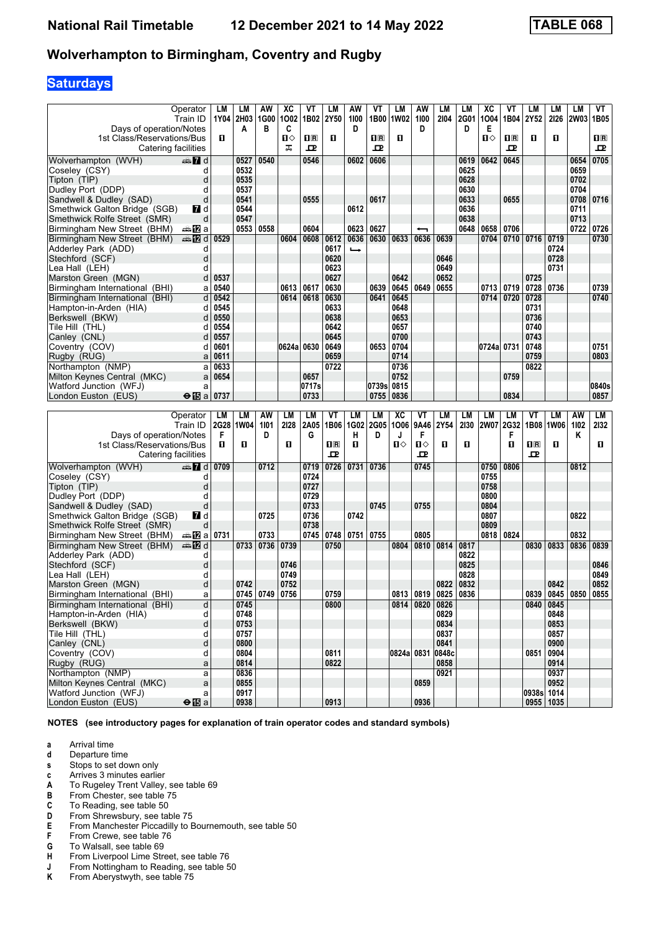# **Saturdays**

|                                                       | Operator<br>Train ID   | LМ   | LM<br>1Y04 2H03 | AW<br>1G00 | ХC<br>1002 | ۷T<br>1B02  | LM<br>2Y50          | AW<br>1100    | VT<br>1B00                                      | LМ<br><b>1W02</b> | AW<br>1100        | LM<br>2104 | LМ<br>2G01 | <b>XC</b><br>1004 | ۷T<br>1B04  | LM<br>2Y52   | LМ<br>2126  | LM<br><b>2W03</b> | VT<br>1B05 |
|-------------------------------------------------------|------------------------|------|-----------------|------------|------------|-------------|---------------------|---------------|-------------------------------------------------|-------------------|-------------------|------------|------------|-------------------|-------------|--------------|-------------|-------------------|------------|
| Days of operation/Notes<br>1st Class/Reservations/Bus |                        | п    | A               | в          | C<br>п     | $n_{\rm R}$ | п                   | D             | $\overline{\mathbf{H}}$ $\overline{\mathbf{R}}$ | O                 | D                 |            | D          | Е<br>Ⅱ◇           | $n_{\rm R}$ | п            | п           |                   | $\Pi$ R    |
| Catering facilities                                   |                        |      |                 |            | ᠼ          | ᇁ           |                     |               | ᇁ                                               |                   |                   |            |            |                   | ᇁ           |              |             |                   | 굔          |
| Wolverhampton (WVH)                                   | dan 7d                 |      | 0527            | 0540       |            | 0546        |                     | 0602          | 0606                                            |                   |                   |            | 0619       | 0642              | 0645        |              |             | 0654              | 0705       |
| Coseley (CSY)                                         | d                      |      | 0532            |            |            |             |                     |               |                                                 |                   |                   |            | 0625       |                   |             |              |             | 0659              |            |
| Tipton (TIP)                                          | d                      |      | 0535            |            |            |             |                     |               |                                                 |                   |                   |            | 0628       |                   |             |              |             | 0702              |            |
| Dudley Port (DDP)                                     | d                      |      | 0537            |            |            |             |                     |               |                                                 |                   |                   |            | 0630       |                   |             |              |             | 0704              |            |
| Sandwell & Dudley (SAD)                               | d                      |      | 0541            |            |            | 0555        |                     |               | 0617                                            |                   |                   |            | 0633       |                   | 0655        |              |             | 0708              | 0716       |
| Smethwick Galton Bridge (SGB)                         | <b>7</b> d             |      | 0544            |            |            |             |                     | 0612          |                                                 |                   |                   |            | 0636       |                   |             |              |             | 0711              |            |
| Smethwick Rolfe Street (SMR)                          | d                      |      | 0547            |            |            |             |                     |               |                                                 |                   |                   |            | 0638       |                   |             |              |             | 0713              |            |
| Birmingham New Street (BHM)                           | dan <mark>ma</mark> Ωa |      | 0553            | 0558       |            | 0604        |                     | 0623          | 0627                                            |                   |                   |            | 0648       | 0658              | 0706        |              |             | 0722              | 0726       |
| Birmingham New Street (BHM)                           | d≣ na mana             | 0529 |                 |            | 0604       | 0608        | 0612                | 0636          | 0630                                            | 0633              | 0636              | 0639       |            | 0704              | 0710        | 0716         | 0719        |                   | 0730       |
| Adderley Park (ADD)                                   | d                      |      |                 |            |            |             | 0617                | $\rightarrow$ |                                                 |                   |                   |            |            |                   |             |              | 0724        |                   |            |
| Stechford (SCF)                                       | d                      |      |                 |            |            |             | 0620                |               |                                                 |                   |                   | 0646       |            |                   |             |              | 0728        |                   |            |
| Lea Hall(LEH)                                         | d                      |      |                 |            |            |             | 0623                |               |                                                 |                   |                   | 0649       |            |                   |             |              | 0731        |                   |            |
| Marston Green (MGN)                                   | d                      | 0537 |                 |            |            |             | 0627                |               |                                                 | 0642              |                   | 0652       |            |                   |             | 0725         |             |                   |            |
| Birmingham International (BHI)                        | a                      | 0540 |                 |            | 0613       | 0617        | 0630                |               | 0639                                            | 0645              | 0649              | 0655       |            | 0713              | 0719        | 0728         | 0736        |                   | 0739       |
| Birmingham International (BHI)                        | d                      | 0542 |                 |            | 0614       | 0618        | 0630                |               | 0641                                            | 0645              |                   |            |            | 0714              | 0720        | 0728         |             |                   | 0740       |
| Hampton-in-Arden (HIA)                                | d                      | 0545 |                 |            |            |             | 0633                |               |                                                 | 0648              |                   |            |            |                   |             | 0731         |             |                   |            |
| Berkswell (BKW)                                       | d                      | 0550 |                 |            |            |             | 0638                |               |                                                 | 0653              |                   |            |            |                   |             | 0736         |             |                   |            |
| Tile Hill(THL)                                        | d                      | 0554 |                 |            |            |             | 0642                |               |                                                 | 0657              |                   |            |            |                   |             | 0740         |             |                   |            |
| Canley (CNL)                                          | d                      | 0557 |                 |            |            |             | 0645                |               |                                                 | 0700              |                   |            |            |                   |             | 0743         |             |                   |            |
| Coventry (COV)                                        | d                      | 0601 |                 |            | 0624a 0630 |             | 0649                |               | 0653                                            | 0704              |                   |            |            | 0724a 0731        |             | 0748         |             |                   | 0751       |
| Rugby (RUG)                                           | a                      | 0611 |                 |            |            |             | 0659                |               |                                                 | 0714              |                   |            |            |                   |             | 0759         |             |                   | 0803       |
| Northampton (NMP)                                     | a                      | 0633 |                 |            |            |             | 0722                |               |                                                 | 0736              |                   |            |            |                   |             | 0822         |             |                   |            |
| Milton Keynes Central (MKC)                           | a                      | 0654 |                 |            |            | 0657        |                     |               |                                                 | 0752              |                   |            |            |                   | 0759        |              |             |                   |            |
| Watford Junction (WFJ)                                | a                      |      |                 |            |            | 0717s       |                     |               | 0739s 0815                                      |                   |                   |            |            |                   |             |              |             |                   | 0840s      |
|                                                       | $\Theta$ is a          | 0737 |                 |            |            | 0733        |                     |               | 0755                                            | 0836              |                   |            |            |                   | 0834        |              |             |                   | 0857       |
|                                                       |                        |      |                 |            |            |             |                     |               |                                                 |                   |                   |            |            |                   |             |              |             |                   |            |
| London Euston (EUS)                                   |                        |      |                 |            |            |             |                     |               |                                                 |                   |                   |            |            |                   |             |              |             |                   |            |
|                                                       |                        |      |                 |            |            |             |                     |               |                                                 |                   |                   |            |            |                   |             |              |             |                   |            |
|                                                       | Operator               | LM   | LM              | AW         | LM         | LM          | VT                  | LM            | LM                                              | <b>XC</b>         | ۷T                | LM         | LМ         | LM                | LM          | VT           | LМ          | AW                | LM         |
|                                                       | Train ID               |      | 2G28 1W04       | 1101       | 2128       | 2A05        | 1B06                | 1G02          | <b>2G05</b>                                     | 1006              | 9A46              | 2Y54       | 2130       | <b>2W07</b>       | <b>2G32</b> | 1B08         | <b>1W06</b> | 1102              | 2132       |
| Days of operation/Notes                               |                        | F    |                 | D          |            | G           |                     | н             | D                                               | J                 | F                 |            |            |                   | F           |              |             | Κ                 |            |
| 1st Class/Reservations/Bus                            |                        | п    | П               |            | O          |             | $\mathbf{I}$ R<br>ᇁ | О             |                                                 | Ⅱ♦                | $\mathbf{u}$<br>굔 | O          | П          |                   | п           | $\mathbf{H}$ | O           |                   | O.         |
| Catering facilities                                   |                        |      |                 |            |            |             |                     |               |                                                 |                   |                   |            |            |                   |             | 모            |             |                   |            |
| Wolverhampton (WVH)                                   | d ann                  | 0709 |                 | 0712       |            | 0719        | 0726                | 0731          | 0736                                            |                   | 0745              |            |            | 0750              | 0806        |              |             | 0812              |            |
| Coseley (CSY)                                         | d                      |      |                 |            |            | 0724        |                     |               |                                                 |                   |                   |            |            | 0755              |             |              |             |                   |            |
| Tipton (TIP)                                          | d                      |      |                 |            |            | 0727        |                     |               |                                                 |                   |                   |            |            | 0758              |             |              |             |                   |            |
| Dudley Port (DDP)                                     | d                      |      |                 |            |            | 0729        |                     |               |                                                 |                   |                   |            |            | 0800              |             |              |             |                   |            |
| Sandwell & Dudley (SAD)                               | d                      |      |                 |            |            | 0733        |                     |               | 0745                                            |                   | 0755              |            |            | 0804              |             |              |             |                   |            |
| Smethwick Galton Bridge (SGB)                         | <b>7</b> d             |      |                 | 0725       |            | 0736        |                     | 0742          |                                                 |                   |                   |            |            | 0807              |             |              |             | 0822              |            |
| Smethwick Rolfe Street (SMR)                          | d                      |      |                 |            |            | 0738        |                     |               |                                                 |                   |                   |            |            | 0809              |             |              |             |                   |            |
| Birmingham New Street (BHM)                           | dan <mark>ma</mark> Ωa | 0731 |                 | 0733       |            | 0745        | 0748                | 0751          | 0755                                            |                   | 0805              |            |            | 0818              | 0824        |              |             | 0832              |            |
| Birmingham New Street (BHM)                           | dan <b>D</b> ig        |      | 0733            | 0736       | 0739       |             | 0750                |               |                                                 | 0804              | 0810              | 0814       | 0817       |                   |             | 0830         | 0833        | 0836              | 0839       |
| Adderley Park (ADD)                                   | d                      |      |                 |            |            |             |                     |               |                                                 |                   |                   |            | 0822       |                   |             |              |             |                   |            |
| Stechford (SCF)                                       | d                      |      |                 |            | 0746       |             |                     |               |                                                 |                   |                   |            | 0825       |                   |             |              |             |                   | 0846       |
| Lea Hall(LEH)                                         | d                      |      |                 |            | 0749       |             |                     |               |                                                 |                   |                   |            | 0828       |                   |             |              |             |                   | 0849       |
| Marston Green (MGN)                                   | d                      |      | 0742            |            | 0752       |             |                     |               |                                                 |                   |                   | 0822       | 0832       |                   |             |              | 0842        |                   | 0852       |
| Birmingham International (BHI)                        | a                      |      | 0745            | 0749       | 0756       |             | 0759                |               |                                                 | 0813              | 0819              | 0825       | 0836       |                   |             | 0839         | 0845        | 0850              | 0855       |
| Birmingham International (BHI)                        | d                      |      | 0745            |            |            |             | 0800                |               |                                                 |                   | 0814 0820 0826    |            |            |                   |             | 0840         | 0845        |                   |            |
| Hampton-in-Arden (HIA)                                | d                      |      | 0748            |            |            |             |                     |               |                                                 |                   |                   | 0829       |            |                   |             |              | 0848        |                   |            |
| Berkswell (BKW)                                       | d                      |      | 0753            |            |            |             |                     |               |                                                 |                   |                   | 0834       |            |                   |             |              | 0853        |                   |            |
| Tile Hill (THL)                                       | d                      |      | 0757            |            |            |             |                     |               |                                                 |                   |                   | 0837       |            |                   |             |              | 0857        |                   |            |
| Canley (CNL)                                          | d                      |      | 0800            |            |            |             |                     |               |                                                 |                   |                   | 0841       |            |                   |             |              | 0900        |                   |            |
| Coventry (COV)                                        | d                      |      | 0804            |            |            |             | 0811                |               |                                                 | 0824a 0831        |                   | 0848c      |            |                   |             | 0851         | 0904        |                   |            |
| Rugby (RUG)                                           | a                      |      | 0814            |            |            |             | 0822                |               |                                                 |                   |                   | 0858       |            |                   |             |              | 0914        |                   |            |
| Northampton (NMP)                                     | a                      |      | 0836            |            |            |             |                     |               |                                                 |                   |                   | 0921       |            |                   |             |              | 0937        |                   |            |
| Milton Keynes Central (MKC)                           | $\mathsf{a}$           |      | 0855            |            |            |             |                     |               |                                                 |                   | 0859              |            |            |                   |             |              | 0952        |                   |            |
| Watford Junction (WFJ)<br>London Euston (EUS)         | a<br>$\bigoplus$ a     |      | 0917<br>0938    |            |            |             | 0913                |               |                                                 |                   | 0936              |            |            |                   |             | 0938s 1014   | 0955 1035   |                   |            |

- **a** Arrival time<br>**d** Departure t
- **d** Departure time
- **s** Stops to set down only
- **c** Arrives 3 minutes earlier<br>**A** To Rugeley Trent Valley,
- **A** To Rugeley Trent Valley, see table 69<br>**B** From Chester, see table 75
- **B** From Chester, see table 75<br>**C** To Reading, see table 50
- **C** To Reading, see table 50<br>**D** From Shrewsbury, see tal
- **D** From Shrewsbury, see table 75<br>**E** From Manchester Piccadilly to E
- **E** From Manchester Piccadilly to Bournemouth, see table 50<br>**F** From Crewe, see table 76
- **F** From Crewe, see table 76<br>**G** To Walsall, see table 69
- **6** To Walsall, see table 69<br>**H** From Liverpool Lime Stre
- **+** From Liverpool Lime Street, see table 76<br>**J** From Nottingham to Reading, see table 5
- **J** From Nottingham to Reading, see table 50<br>**K** From Aberystwyth, see table 75
- From Aberystwyth, see table 75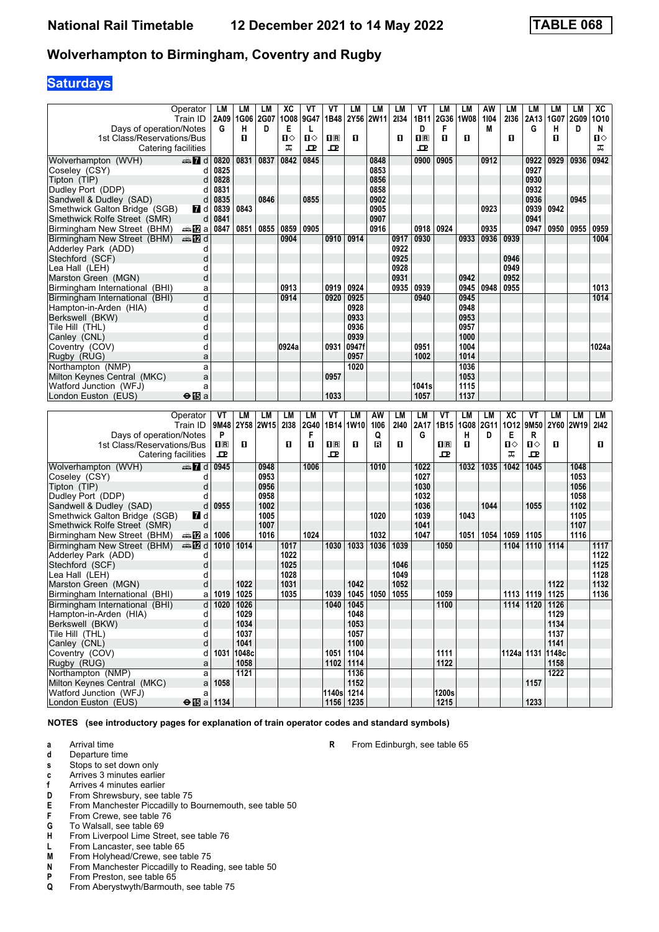# **Saturdays**

|                                | Operator<br>Train ID | LM<br>2A09 | LM<br>1G06 | LМ<br>2G07 | ХC<br>1008 9G47 | VT   | VT<br>1B48 | LM    | LМ<br>2Y56 2W11 | LМ<br>2134 | VT<br>1B11   | LM<br>2G36 1W08 | LM   | AW<br>1104 | LM<br>2136 | LM<br>2A13 | LМ<br>1G07 | <b>LM</b><br>2G09 | XC<br>1010   |
|--------------------------------|----------------------|------------|------------|------------|-----------------|------|------------|-------|-----------------|------------|--------------|-----------------|------|------------|------------|------------|------------|-------------------|--------------|
| Days of operation/Notes        |                      | G          | н          | D          | Е               |      |            |       |                 |            | D            | F               |      | М          |            | G          | н          | D                 | N            |
| 1st Class/Reservations/Bus     |                      |            | п          |            | $\mathbf{n}$    | ்ப   | 1R         | п     |                 | п          | $n_{\rm R}$  | п               | п    |            | п          |            | п          |                   | $\mathbf{u}$ |
|                                |                      |            |            |            | ᅚ               | ᇁ    | 고          |       |                 |            | $\mathbf{p}$ |                 |      |            |            |            |            |                   | ᅚ            |
| Catering facilities            |                      |            |            |            |                 |      |            |       |                 |            |              |                 |      |            |            |            |            |                   |              |
| Wolverhampton (WVH)            | $\oplus$ 7 d         | 0820       | 0831       | 0837       | 0842            | 0845 |            |       | 0848            |            | 0900         | 0905            |      | 0912       |            | 0922       | 0929       | 0936              | 0942         |
| Coseley (CSY)                  | d                    | 0825       |            |            |                 |      |            |       | 0853            |            |              |                 |      |            |            | 0927       |            |                   |              |
| Tipton (TIP)                   |                      | 0828       |            |            |                 |      |            |       | 0856            |            |              |                 |      |            |            | 0930       |            |                   |              |
| Dudley Port (DDP)              | d                    | 0831       |            |            |                 |      |            |       | 0858            |            |              |                 |      |            |            | 0932       |            |                   |              |
| Sandwell & Dudley (SAD)        | d                    | 0835       |            | 0846       |                 | 0855 |            |       | 0902            |            |              |                 |      |            |            | 0936       |            | 0945              |              |
| Smethwick Galton Bridge (SGB)  | $\blacksquare$ d     | 0839       | 0843       |            |                 |      |            |       | 0905            |            |              |                 |      | 0923       |            | 0939       | 0942       |                   |              |
| Smethwick Rolfe Street (SMR)   | $\mathsf{d}$         | 0841       |            |            |                 |      |            |       | 0907            |            |              |                 |      |            |            | 0941       |            |                   |              |
| Birmingham New Street (BHM)    | ⇔a <b>12</b> a       | 0847       | 0851       | 0855       | 0859            | 0905 |            |       | 0916            |            | 0918         | 0924            |      | 0935       |            | 0947       | 0950       | 0955              | 0959         |
| Birmingham New Street (BHM)    | <b>⊯ 12</b> d        |            |            |            | 0904            |      | 0910       | 0914  |                 | 0917       | 0930         |                 | 0933 | 0936       | 0939       |            |            |                   | 1004         |
| Adderley Park (ADD)            | d                    |            |            |            |                 |      |            |       |                 | 0922       |              |                 |      |            |            |            |            |                   |              |
| Stechford (SCF)                | d                    |            |            |            |                 |      |            |       |                 | 0925       |              |                 |      |            | 0946       |            |            |                   |              |
| Lea Hall (LEH)                 |                      |            |            |            |                 |      |            |       |                 | 0928       |              |                 |      |            | 0949       |            |            |                   |              |
| Marston Green (MGN)            | d                    |            |            |            |                 |      |            |       |                 | 0931       |              |                 | 0942 |            | 0952       |            |            |                   |              |
| Birmingham International (BHI) | a                    |            |            |            | 0913            |      | 0919       | 0924  |                 | 0935       | 0939         |                 | 0945 | 0948       | 0955       |            |            |                   | 1013         |
| Birmingham International (BHI) | d                    |            |            |            | 0914            |      | 0920       | 0925  |                 |            | 0940         |                 | 0945 |            |            |            |            |                   | 1014         |
| Hampton-in-Arden (HIA)         | d                    |            |            |            |                 |      |            | 0928  |                 |            |              |                 | 0948 |            |            |            |            |                   |              |
| Berkswell (BKW)                | d                    |            |            |            |                 |      |            | 0933  |                 |            |              |                 | 0953 |            |            |            |            |                   |              |
| Tile Hill (THL)                | n                    |            |            |            |                 |      |            | 0936  |                 |            |              |                 | 0957 |            |            |            |            |                   |              |
| Canley (CNL)                   | d                    |            |            |            |                 |      |            | 0939  |                 |            |              |                 | 1000 |            |            |            |            |                   |              |
| Coventry (COV)                 | d                    |            |            |            | 0924a           |      | 0931       | 0947f |                 |            | 0951         |                 | 1004 |            |            |            |            |                   | 1024a        |
| Rugby (RUG)                    | a                    |            |            |            |                 |      |            | 0957  |                 |            | 1002         |                 | 1014 |            |            |            |            |                   |              |
| Northampton (NMP)              | a                    |            |            |            |                 |      |            | 1020  |                 |            |              |                 | 1036 |            |            |            |            |                   |              |
| Milton Keynes Central (MKC)    | a                    |            |            |            |                 |      | 0957       |       |                 |            |              |                 | 1053 |            |            |            |            |                   |              |
| Watford Junction (WFJ)         | a                    |            |            |            |                 |      |            |       |                 |            | 1041s        |                 | 1115 |            |            |            |            |                   |              |
| London Euston (EUS)            | $\Theta$ is a        |            |            |            |                 |      | 1033       |       |                 |            | 1057         |                 | 1137 |            |            |            |            |                   |              |
|                                |                      |            |            |            |                 |      |            |       |                 |            |              |                 |      |            |            |            |            |                   |              |

|                                | Operator           | VT   | LM        | LМ   | LM   | LM   | VT           | LM        | AW   | LМ   | LM   | VT      | LM   | LM   | XC         | VT   | LM        | LM   | LМ   |
|--------------------------------|--------------------|------|-----------|------|------|------|--------------|-----------|------|------|------|---------|------|------|------------|------|-----------|------|------|
|                                | Train ID           | 9M48 | 2Y58 2W15 |      | 2138 | 2G40 |              | 1B14 1W10 | 1106 | 2140 | 2A17 | 1B15    | 1G08 | 2G11 | 1012       | 9M50 | 2Y60 2W19 |      | 2142 |
| Days of operation/Notes        |                    | P    |           |      |      |      |              |           | Q    |      | G    |         | н    | D    | Е          | R    |           |      |      |
| 1st Class/Reservations/Bus     |                    | nR   | п         |      | П    | п    | nR           | п         | R    | п    |      | $\Pi$ R | п    |      | $\Pi$      | П⇔   | п         |      | п    |
| Catering facilities            |                    | ᇁ    |           |      |      |      | $\mathbf{p}$ |           |      |      |      | 고       |      |      | ᠼ          | ᇁ    |           |      |      |
| Wolverhampton (WVH)            | d and              | 0945 |           | 0948 |      | 1006 |              |           | 1010 |      | 1022 |         | 1032 | 1035 | 1042       | 1045 |           | 1048 |      |
| Coseley (CSY)                  |                    |      |           | 0953 |      |      |              |           |      |      | 1027 |         |      |      |            |      |           | 1053 |      |
| Tipton (TIP)                   | d                  |      |           | 0956 |      |      |              |           |      |      | 1030 |         |      |      |            |      |           | 1056 |      |
| Dudley Port (DDP)              |                    |      |           | 0958 |      |      |              |           |      |      | 1032 |         |      |      |            |      |           | 1058 |      |
| Sandwell & Dudley (SAD)        | d                  | 0955 |           | 1002 |      |      |              |           |      |      | 1036 |         |      | 1044 |            | 1055 |           | 1102 |      |
| Smethwick Galton Bridge (SGB)  | <b>7</b> d         |      |           | 1005 |      |      |              |           | 1020 |      | 1039 |         | 1043 |      |            |      |           | 1105 |      |
| Smethwick Rolfe Street (SMR)   | d                  |      |           | 1007 |      |      |              |           |      |      | 1041 |         |      |      |            |      |           | 1107 |      |
| Birmingham New Street (BHM)    | ⇔an⊠a              | 1006 |           | 1016 |      | 1024 |              |           | 1032 |      | 1047 |         | 1051 | 1054 | 1059       | 1105 |           | 1116 |      |
| Birmingham New Street (BHM)    | <b>en Z</b> d      | 1010 | 1014      |      | 1017 |      | 1030         | 1033      | 1036 | 1039 |      | 1050    |      |      | 1104       | 1110 | 1114      |      | 1117 |
| Adderley Park (ADD)            | d                  |      |           |      | 1022 |      |              |           |      |      |      |         |      |      |            |      |           |      | 1122 |
| Stechford (SCF)                | d                  |      |           |      | 1025 |      |              |           |      | 1046 |      |         |      |      |            |      |           |      | 1125 |
| Lea Hall(LEH)                  | d                  |      |           |      | 1028 |      |              |           |      | 1049 |      |         |      |      |            |      |           |      | 1128 |
| Marston Green (MGN)            | d                  |      | 1022      |      | 1031 |      |              | 1042      |      | 1052 |      |         |      |      |            |      | 1122      |      | 1132 |
| Birmingham International (BHI) | a                  | 1019 | 1025      |      | 1035 |      | 1039         | 1045      | 1050 | 1055 |      | 1059    |      |      | 1113       | 1119 | 1125      |      | 1136 |
| Birmingham International (BHI) | d                  | 1020 | 1026      |      |      |      | 1040         | 1045      |      |      |      | 1100    |      |      | 1114       | 1120 | 1126      |      |      |
| Hampton-in-Arden (HIA)         | d                  |      | 1029      |      |      |      |              | 1048      |      |      |      |         |      |      |            |      | 1129      |      |      |
| Berkswell (BKW)                | d                  |      | 1034      |      |      |      |              | 1053      |      |      |      |         |      |      |            |      | 1134      |      |      |
| Tile Hill (THL)                | d                  |      | 1037      |      |      |      |              | 1057      |      |      |      |         |      |      |            |      | 1137      |      |      |
| Canley (CNL)                   | d                  |      | 1041      |      |      |      |              | 1100      |      |      |      |         |      |      |            |      | 1141      |      |      |
| Coventry (COV)                 | d                  | 1031 | 1048c     |      |      |      | 1051         | 1104      |      |      |      | 1111    |      |      | 1124a 1131 |      | 1148c     |      |      |
| Rugby (RUG)                    | a                  |      | 1058      |      |      |      | 1102         | 1114      |      |      |      | 1122    |      |      |            |      | 1158      |      |      |
| Northampton (NMP)              | a                  |      | 1121      |      |      |      |              | 1136      |      |      |      |         |      |      |            |      | 1222      |      |      |
| Milton Keynes Central (MKC)    | a                  | 1058 |           |      |      |      |              | 1152      |      |      |      |         |      |      |            | 1157 |           |      |      |
| Watford Junction (WFJ)         | a                  |      |           |      |      |      | 1140s        | 1214      |      |      |      | 1200s   |      |      |            |      |           |      |      |
| London Euston (EUS)            | $\Theta$ is a 1134 |      |           |      |      |      | 1156         | 1235      |      |      |      | 1215    |      |      |            | 1233 |           |      |      |

**NOTES (see introductory pages for explanation of train operator codes and standard symbols)**

**a** Arrival time<br>**d** Departure t

**d** Departure time

**s** Stops to set down only

- **c** Arrives 3 minutes earlier
- **f** Arrives 4 minutes earlier<br>**D** From Shrewsbury, see ta
- From Shrewsbury, see table 75
- **E** From Manchester Piccadilly to Bournemouth, see table 50<br>**F** From Crewe, see table 76
- **F** From Crewe, see table 76<br>**G** To Walsall, see table 69
- **6** To Walsall, see table 69<br>**H** From Liverpool Lime Stre
- **From Liverpool Lime Street, see table 76**
- **L** From Lancaster, see table 65<br>**M** From Holyhead/Crewe, see ta
- **M** From Holyhead/Crewe, see table 75<br>**N** From Manchester Piccadilly to Readi
- **N** From Manchester Piccadilly to Reading, see table 50<br>**P** From Preston, see table 65
- From Preston, see table 65
- **Q** From Aberystwyth/Barmouth, see table 75

**R** From Edinburgh, see table 65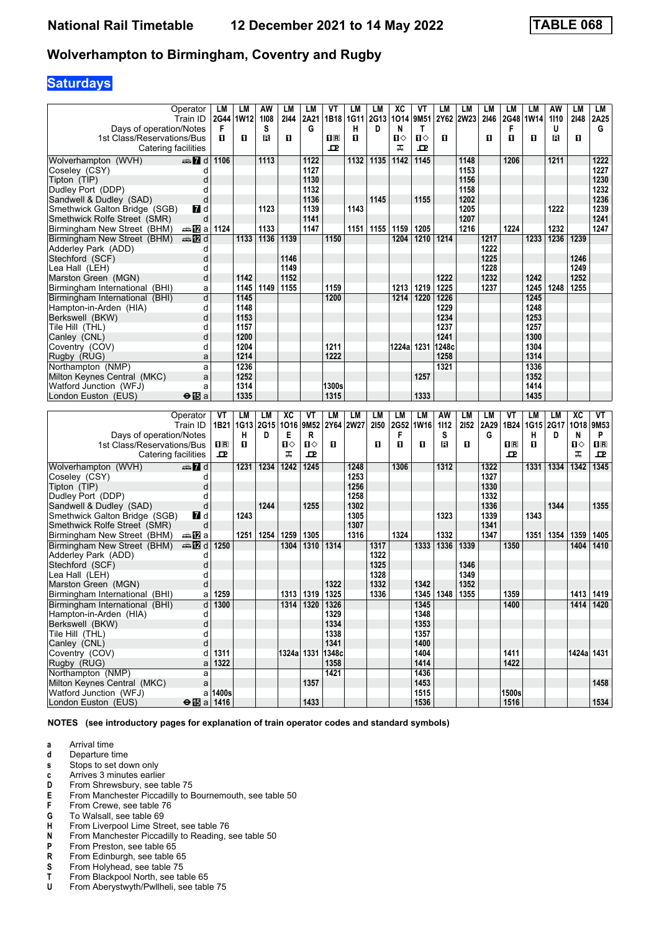# **Saturdays**

|                                                             | Operator            | LM      | LМ          | AW        | LM         | LM                 | VT    | LM             | LM        | ХC        | ۷T                   | LМ        | LМ        | LМ           | LM                      | LM        | AW        | LM           | LM          |
|-------------------------------------------------------------|---------------------|---------|-------------|-----------|------------|--------------------|-------|----------------|-----------|-----------|----------------------|-----------|-----------|--------------|-------------------------|-----------|-----------|--------------|-------------|
| Days of operation/Notes                                     | Train ID            | F       | 2G44   1W12 | 1108<br>s | 2144       | 2A21<br>G          |       | 1B18 1G11<br>н | 2G13<br>D | 1014<br>N | 9M51<br>$\mathsf{T}$ |           | 2Y62 2W23 | 2146         | F                       | 2G48 1W14 | 1110<br>U | 2148         | 2A25<br>G   |
| 1st Class/Reservations/Bus                                  |                     | П.      | П           | B         | 0          |                    | 0 B   | п              |           | ்ப        | Ⅱ◇                   | O         |           | O            | 0                       | П         | в         | 0            |             |
| Catering facilities                                         |                     |         |             |           |            |                    | 굔     |                |           | ᠼ         | 모                    |           |           |              |                         |           |           |              |             |
| Wolverhampton (WVH)                                         | d≣ 7d               | 1106    |             | 1113      |            | 1122               |       | 1132           | 1135      | 1142      | 1145                 |           | 1148      |              | 1206                    |           | 1211      |              | 1222        |
| Coseley (CSY)                                               | d                   |         |             |           |            | 1127               |       |                |           |           |                      |           | 1153      |              |                         |           |           |              | 1227        |
| Tipton (TIP)                                                | d                   |         |             |           |            | 1130               |       |                |           |           |                      |           | 1156      |              |                         |           |           |              | 1230        |
| Dudley Port (DDP)                                           | d                   |         |             |           |            | 1132               |       |                |           |           |                      |           | 1158      |              |                         |           |           |              | 1232        |
| Sandwell & Dudley (SAD)                                     | d                   |         |             |           |            | 1136               |       |                | 1145      |           | 1155                 |           | 1202      |              |                         |           |           |              | 1236        |
| Smethwick Galton Bridge (SGB)                               | 7d                  |         |             | 1123      |            | 1139               |       | 1143           |           |           |                      |           | 1205      |              |                         |           | 1222      |              | 1239        |
| Smethwick Rolfe Street (SMR)                                | d                   |         |             |           |            | 1141               |       |                |           |           |                      |           | 1207      |              |                         |           |           |              | 1241        |
| Birmingham New Street (BHM)                                 | a≞12la              | 1124    |             | 1133      |            | 1147               |       | 1151           | 1155      | 1159      | 1205                 |           | 1216      |              | 1224                    |           | 1232      |              | 1247        |
| Birmingham New Street (BHM)                                 | dan <b>in in</b> d  |         | 1133        | 1136      | 1139       |                    | 1150  |                |           | 1204      | 1210                 | 1214      |           | 1217         |                         | 1233      | 1236      | 1239         |             |
| Adderley Park (ADD)<br>Stechford (SCF)                      | d<br>d              |         |             |           | 1146       |                    |       |                |           |           |                      |           |           | 1222<br>1225 |                         |           |           | 1246         |             |
| Lea Hall (LEH)                                              | d                   |         |             |           | 1149       |                    |       |                |           |           |                      |           |           | 1228         |                         |           |           | 1249         |             |
| Marston Green (MGN)                                         | d                   |         | 1142        |           | 1152       |                    |       |                |           |           |                      | 1222      |           | 1232         |                         | 1242      |           | 1252         |             |
| Birmingham International (BHI)                              | a                   |         | 1145        | 1149      | 1155       |                    | 1159  |                |           | 1213      | 1219                 | 1225      |           | 1237         |                         | 1245      | 1248      | 1255         |             |
| Birmingham International (BHI)                              | d                   |         | 1145        |           |            |                    | 1200  |                |           | 1214      | 1220                 | 1226      |           |              |                         | 1245      |           |              |             |
| Hampton-in-Arden (HIA)                                      | d                   |         | 1148        |           |            |                    |       |                |           |           |                      | 1229      |           |              |                         | 1248      |           |              |             |
| Berkswell (BKW)                                             | d                   |         | 1153        |           |            |                    |       |                |           |           |                      | 1234      |           |              |                         | 1253      |           |              |             |
| Tile Hill (THL)                                             | d                   |         | 1157        |           |            |                    |       |                |           |           |                      | 1237      |           |              |                         | 1257      |           |              |             |
| Canley (CNL)                                                | d                   |         | 1200        |           |            |                    |       |                |           |           |                      | 1241      |           |              |                         | 1300      |           |              |             |
| Coventry (COV)                                              | d                   |         | 1204        |           |            |                    | 1211  |                |           | 1224al    | 1231                 | 1248c     |           |              |                         | 1304      |           |              |             |
| Rugby (RUG)                                                 | a                   |         | 1214        |           |            |                    | 1222  |                |           |           |                      | 1258      |           |              |                         | 1314      |           |              |             |
| Northampton (NMP)                                           | a                   |         | 1236        |           |            |                    |       |                |           |           |                      | 1321      |           |              |                         | 1336      |           |              |             |
| Milton Keynes Central (MKC)                                 | a                   |         | 1252        |           |            |                    |       |                |           |           | 1257                 |           |           |              |                         | 1352      |           |              |             |
| Watford Junction (WFJ)                                      | a                   |         | 1314        |           |            |                    | 1300s |                |           |           |                      |           |           |              |                         | 1414      |           |              |             |
| London Euston (EUS)                                         | $\Theta$ is a       |         | 1335        |           |            |                    | 1315  |                |           |           | 1333                 |           |           |              |                         | 1435      |           |              |             |
|                                                             |                     |         |             |           |            |                    |       |                |           |           |                      |           |           |              |                         |           |           |              |             |
|                                                             |                     |         |             |           |            |                    |       |                |           |           |                      |           |           |              |                         |           |           |              |             |
|                                                             | Operator            | VT      | <b>LM</b>   | LМ        | <b>XC</b>  | VT                 | LM    | LM             | LM        | LМ        | <b>LM</b>            | <b>AW</b> | LM        | LM           | VT                      | <b>LM</b> | LМ        | <b>XC</b>    | VT          |
|                                                             | Train ID            | 1B21    | 1G13        | 2G15      | 1016       | 9M <sub>52</sub>   | 2Y64  | <b>2W27</b>    | 2150      | 2G52      | <b>1W16</b>          | 1112      | 2152      | 2A29         | 1B24                    | 1G15      | 2G17      | 1018         | 9M53        |
| Days of operation/Notes                                     |                     |         | н           | D         | Е          | R                  |       |                |           | F         |                      | S         |           | G            |                         | H.        | D         | N            | P           |
| 1st Class/Reservations/Bus                                  |                     | $\Pi$ R | О           |           | п⇔         | Ⅱ◇                 | п     |                | п         | п         | п                    | в         | O         |              | $\overline{\mathbf{R}}$ | О         |           | $\mathbf{u}$ | $\Pi$ R     |
| Catering facilities                                         |                     | ᇁ       |             |           | ᠼ          | 굔                  |       |                |           |           |                      |           |           |              | ᇁ                       |           |           | ᠼ            | ᇁ           |
| Wolverhampton (WVH)                                         | d≣ <mark>7</mark> d |         | 1231        | 1234      | 1242       | 1245               |       | 1248           |           | 1306      |                      | 1312      |           | 1322         |                         | 1331      | 1334      | 1342         | 1345        |
| Coseley (CSY)                                               | d                   |         |             |           |            |                    |       | 1253           |           |           |                      |           |           | 1327         |                         |           |           |              |             |
| Tipton (TIP)                                                | d                   |         |             |           |            |                    |       | 1256           |           |           |                      |           |           | 1330         |                         |           |           |              |             |
| Dudley Port (DDP)                                           | d                   |         |             |           |            |                    |       | 1258           |           |           |                      |           |           | 1332         |                         |           |           |              |             |
| Sandwell & Dudley (SAD)                                     | d                   |         |             | 1244      |            | 1255               |       | 1302           |           |           |                      |           |           | 1336         |                         |           | 1344      |              | 1355        |
| Smethwick Galton Bridge (SGB)                               | <b>7</b> d<br>d     |         | 1243        |           |            |                    |       | 1305<br>1307   |           |           |                      | 1323      |           | 1339<br>1341 |                         | 1343      |           |              |             |
| Smethwick Rolfe Street (SMR)<br>Birmingham New Street (BHM) | anaDa               |         | 1251        | 1254      | 1259       | 1305               |       | 1316           |           | 1324      |                      | 1332      |           | 1347         |                         | 1351      | 1354      | 1359         | 1405        |
| Birmingham New Street (BHM)                                 | den <b>in</b> d     | 1250    |             |           | 1304       | 1310               | 1314  |                | 1317      |           | 1333                 | 1336      | 1339      |              | 1350                    |           |           | 1404         | 1410        |
| Adderley Park (ADD)                                         | d                   |         |             |           |            |                    |       |                | 1322      |           |                      |           |           |              |                         |           |           |              |             |
| Stechford (SCF)                                             | d                   |         |             |           |            |                    |       |                | 1325      |           |                      |           | 1346      |              |                         |           |           |              |             |
| Lea Hall (LEH)                                              | d                   |         |             |           |            |                    |       |                | 1328      |           |                      |           | 1349      |              |                         |           |           |              |             |
| Marston Green (MGN)                                         | d                   |         |             |           |            |                    | 1322  |                | 1332      |           | 1342                 |           | 1352      |              |                         |           |           |              |             |
| Birmingham International (BHI)                              | a                   | 1259    |             |           |            | 1313 1319          | 1325  |                | 1336      |           | 1345                 | 1348      | 1355      |              | 1359                    |           |           |              | 1413 1419   |
| Birmingham International (BHI)                              | d                   | 1300    |             |           |            | 1314   1320   1326 |       |                |           |           | 1345                 |           |           |              | 1400                    |           |           |              | 1414   1420 |
| Hampton-in-Arden (HIA)                                      | d                   |         |             |           |            |                    | 1329  |                |           |           | 1348                 |           |           |              |                         |           |           |              |             |
| Berkswell (BKW)                                             | d                   |         |             |           |            |                    | 1334  |                |           |           | 1353                 |           |           |              |                         |           |           |              |             |
| Tile Hill (THL)                                             | d                   |         |             |           |            |                    | 1338  |                |           |           | 1357                 |           |           |              |                         |           |           |              |             |
| Canley (CNL)                                                | d                   |         |             |           |            |                    | 1341  |                |           |           | 1400                 |           |           |              |                         |           |           |              |             |
| Coventry (COV)                                              | d                   | 1311    |             |           | 1324a 1331 |                    | 1348c |                |           |           | 1404                 |           |           |              | 1411                    |           |           | 1424a 1431   |             |
| Rugby (RUG)                                                 | a                   | 1322    |             |           |            |                    | 1358  |                |           |           | 1414                 |           |           |              | 1422                    |           |           |              |             |
| Northampton (NMP)<br>Milton Keynes Central (MKC)            | a<br>a              |         |             |           |            | 1357               | 1421  |                |           |           | 1436<br>1453         |           |           |              |                         |           |           |              | 1458        |

 Milton Keynes Central (MKC) a **1357 1453 1458**

**London Euston (EUS)** ● 图 a **1416 1534 1433 1516 1536 1516 1534 1534** 

**NOTES (see introductory pages for explanation of train operator codes and standard symbols)**

**Watford Junction (WFJ)** a **1400s** a **1400s** a **1516** a **1516** a **1516** a **1516** a **1516** a **1516** 

- **a** Arrival time<br>**d** Departure t
- **d** Departure time
- **s** Stops to set down only
- **c** Arrives 3 minutes earlier<br>**D** From Shrewsbury, see ta
- **D** From Shrewsbury, see table 75<br>**E** From Manchester Piccadilly to E
- **E** From Manchester Piccadilly to Bournemouth, see table 50<br>**F** From Crewe, see table 76
- **F** From Crewe, see table 76<br>**G** To Walsall, see table 69
- **6** To Walsall, see table 69<br>**H** From Liverpool Lime Stre
- **+** From Liverpool Lime Street, see table 76<br>**N** From Manchester Piccadilly to Reading.
- **N** From Manchester Piccadilly to Reading, see table 50<br>**P** From Preston, see table 65
- **P** From Preston, see table 65<br>**R** From Edinburgh, see table
- **R** From Edinburgh, see table 65<br>**S** From Holyhead, see table 75
- **6** From Holyhead, see table 75<br>**T** From Blackpool North, see ta
- From Blackpool North, see table 65
- **8** From Aberystwyth/Pwllheli, see table 75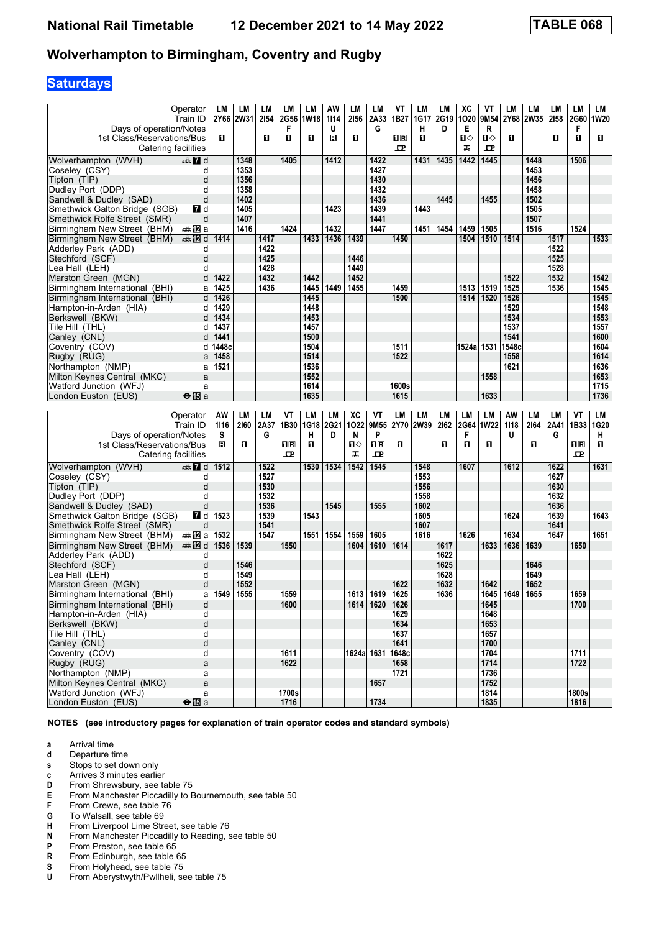# **Saturdays**

| Operator                                                                      | LM        | LM           | LМ        | LМ             | LM           | AW        | LM        | LM                      | VT          | LM          | LM   | ХC        | ۷T           | LM        | LM           | LМ        | LM                                              | LM           |
|-------------------------------------------------------------------------------|-----------|--------------|-----------|----------------|--------------|-----------|-----------|-------------------------|-------------|-------------|------|-----------|--------------|-----------|--------------|-----------|-------------------------------------------------|--------------|
| Train ID                                                                      |           | 2Y66 2W31    | 2154      | <b>2G56</b>    | ∣1W18        | 1114      | 2156      | 2A33                    | 1B27        | 1G17        | 2G19 | 1020      | 9M54         | 2Y68      | <b>2W35</b>  | 2158      | <b>2G60</b>                                     | 1W20         |
| Days of operation/Notes                                                       |           |              |           | F              |              | U         |           | G                       |             | н           | D    | Е         | R            |           |              |           | F                                               |              |
| 1st Class/Reservations/Bus                                                    | 0         |              | O         | 0              | О            | B         | O         |                         | $n_{\rm R}$ | п           |      | п⇔        | Ⅱ◇           | 0         |              | п         | O                                               | O            |
| Catering facilities                                                           |           |              |           |                |              |           |           |                         | ᅭ           |             |      | ᠼ         | ᇁ            |           |              |           |                                                 |              |
| Wolverhampton (WVH)<br>dan 7d                                                 |           | 1348         |           | 1405           |              | 1412      |           | 1422                    |             | 1431        | 1435 | 1442      | 1445         |           | 1448         |           | 1506                                            |              |
| Coseley (CSY)<br>d                                                            |           | 1353         |           |                |              |           |           | 1427                    |             |             |      |           |              |           | 1453         |           |                                                 |              |
| Tipton (TIP)<br>d                                                             |           | 1356         |           |                |              |           |           | 1430                    |             |             |      |           |              |           | 1456         |           |                                                 |              |
| Dudley Port (DDP)<br>d                                                        |           | 1358<br>1402 |           |                |              |           |           | 1432<br>1436            |             |             |      |           |              |           | 1458<br>1502 |           |                                                 |              |
| Sandwell & Dudley (SAD)<br>d<br>17 d                                          |           | 1405         |           |                |              | 1423      |           | 1439                    |             | 1443        | 1445 |           | 1455         |           | 1505         |           |                                                 |              |
| Smethwick Galton Bridge (SGB)<br>Smethwick Rolfe Street (SMR)<br>d            |           | 1407         |           |                |              |           |           | 1441                    |             |             |      |           |              |           | 1507         |           |                                                 |              |
| Birmingham New Street (BHM)<br>dan <mark>a</mark> n <mark>a</mark>            |           | 1416         |           | 1424           |              | 1432      |           | 1447                    |             | 1451        | 1454 | 1459      | 1505         |           | 1516         |           | 1524                                            |              |
| <b>en 12</b> d<br>Birmingham New Street (BHM)                                 | 1414      |              | 1417      |                | 1433         | 1436      | 1439      |                         | 1450        |             |      | 1504      | 1510         | 1514      |              | 1517      |                                                 | 1533         |
| Adderley Park (ADD)<br>d                                                      |           |              | 1422      |                |              |           |           |                         |             |             |      |           |              |           |              | 1522      |                                                 |              |
| Stechford (SCF)<br>d                                                          |           |              | 1425      |                |              |           | 1446      |                         |             |             |      |           |              |           |              | 1525      |                                                 |              |
| Lea Hall (LEH)<br>d                                                           |           |              | 1428      |                |              |           | 1449      |                         |             |             |      |           |              |           |              | 1528      |                                                 |              |
| Marston Green (MGN)<br>d                                                      | 1422      |              | 1432      |                | 1442         |           | 1452      |                         |             |             |      |           |              | 1522      |              | 1532      |                                                 | 1542         |
| Birmingham International (BHI)<br>a                                           | 1425      |              | 1436      |                | 1445         | 1449      | 1455      |                         | 1459        |             |      | 1513      | 1519         | 1525      |              | 1536      |                                                 | 1545         |
| d<br>Birmingham International (BHI)                                           | 1426      |              |           |                | 1445         |           |           |                         | 1500        |             |      | 1514      | 1520         | 1526      |              |           |                                                 | 1545         |
| Hampton-in-Arden (HIA)<br>d                                                   | 1429      |              |           |                | 1448         |           |           |                         |             |             |      |           |              | 1529      |              |           |                                                 | 1548         |
| Berkswell (BKW)<br>d                                                          | 1434      |              |           |                | 1453         |           |           |                         |             |             |      |           |              | 1534      |              |           |                                                 | 1553         |
| Tile Hill (THL)<br>d                                                          | 1437      |              |           |                | 1457         |           |           |                         |             |             |      |           |              | 1537      |              |           |                                                 | 1557         |
| Canley (CNL)<br>d                                                             | 1441      |              |           |                | 1500         |           |           |                         |             |             |      |           |              | 1541      |              |           |                                                 | 1600         |
| Coventry (COV)<br>d                                                           | 1448c     |              |           |                | 1504         |           |           |                         | 1511        |             |      | 1524a     | 1531         | 1548c     |              |           |                                                 | 1604         |
| Rugby (RUG)<br>a                                                              | 1458      |              |           |                | 1514         |           |           |                         | 1522        |             |      |           |              | 1558      |              |           |                                                 | 1614         |
| Northampton (NMP)<br>a                                                        | 1521      |              |           |                | 1536         |           |           |                         |             |             |      |           |              | 1621      |              |           |                                                 | 1636         |
| Milton Keynes Central (MKC)<br>a                                              |           |              |           |                | 1552         |           |           |                         |             |             |      |           | 1558         |           |              |           |                                                 | 1653         |
| Watford Junction (WFJ)<br>a                                                   |           |              |           |                | 1614<br>1635 |           |           |                         | 1600s       |             |      |           | 1633         |           |              |           |                                                 | 1715<br>1736 |
| London Euston (EUS)<br>$\Theta$ is a                                          |           |              |           |                |              |           |           |                         | 1615        |             |      |           |              |           |              |           |                                                 |              |
|                                                                               |           |              |           |                |              |           |           |                         |             |             |      |           |              |           |              |           |                                                 |              |
|                                                                               |           |              |           |                |              |           |           |                         |             |             |      |           |              |           |              |           |                                                 |              |
| Operator                                                                      | AW        | <b>LM</b>    | LМ        | VT             | <b>LM</b>    | <b>LM</b> | <b>XC</b> | VT                      | <b>LM</b>   | LM          | LM   | LМ        | <b>LM</b>    | AW        | LM           | LМ        | ۷T                                              | LM           |
| Train ID                                                                      | 1116<br>s | 2160         | 2A37<br>G | 1B30           | 1G18<br>н    | 2G21<br>D | 1022<br>N | 9M55<br>P               | 2Y70        | <b>2W39</b> | 2162 | 2G64<br>F | <b>1W22</b>  | 1118<br>U | 2164         | 2A41<br>G | 1B33                                            | 1G20<br>н    |
| Days of operation/Notes<br>1st Class/Reservations/Bus                         | в         | п            |           | 1 <sup>R</sup> | п            |           | п⇔        | $\overline{\mathbf{R}}$ | п           |             | П    | О         | п            |           | п            |           | $\overline{\mathbf{H}}$ $\overline{\mathbf{R}}$ | п            |
| Catering facilities                                                           |           |              |           | ᇁ              |              |           | ᠼ         | ᇁ                       |             |             |      |           |              |           |              |           | 고                                               |              |
| d anno 17 d                                                                   | 1512      |              | 1522      |                | 1530         | 1534      | 1542      | 1545                    |             | 1548        |      | 1607      |              | 1612      |              | 1622      |                                                 | 1631         |
| Wolverhampton (WVH)<br>Coseley (CSY)<br>d                                     |           |              | 1527      |                |              |           |           |                         |             | 1553        |      |           |              |           |              | 1627      |                                                 |              |
| d<br>Tipton (TIP)                                                             |           |              | 1530      |                |              |           |           |                         |             | 1556        |      |           |              |           |              | 1630      |                                                 |              |
| Dudley Port (DDP)<br>d                                                        |           |              | 1532      |                |              |           |           |                         |             | 1558        |      |           |              |           |              | 1632      |                                                 |              |
| Sandwell & Dudley (SAD)<br>d                                                  |           |              | 1536      |                |              | 1545      |           | 1555                    |             | 1602        |      |           |              |           |              | 1636      |                                                 |              |
| Smethwick Galton Bridge (SGB)<br><b>Z</b> d                                   | 1523      |              | 1539      |                | 1543         |           |           |                         |             | 1605        |      |           |              | 1624      |              | 1639      |                                                 | 1643         |
| Smethwick Rolfe Street (SMR)<br>d                                             |           |              | 1541      |                |              |           |           |                         |             | 1607        |      |           |              |           |              | 1641      |                                                 |              |
| Birmingham New Street (BHM)<br>anaDa                                          | 1532      |              | 1547      |                | 1551         | 1554      | 1559      | 1605                    |             | 1616        |      | 1626      |              | 1634      |              | 1647      |                                                 | 1651         |
| Birmingham New Street (BHM)<br><b>美卫d</b>                                     | 1536      | 1539         |           | 1550           |              |           | 1604      | 1610                    | 1614        |             | 1617 |           | 1633         | 1636      | 1639         |           | 1650                                            |              |
| Adderley Park (ADD)<br>d                                                      |           |              |           |                |              |           |           |                         |             |             | 1622 |           |              |           |              |           |                                                 |              |
| d<br>Stechford (SCF)                                                          |           | 1546         |           |                |              |           |           |                         |             |             | 1625 |           |              |           | 1646         |           |                                                 |              |
| Lea Hall (LEH)<br>d                                                           |           | 1549         |           |                |              |           |           |                         |             |             | 1628 |           |              |           | 1649         |           |                                                 |              |
| Marston Green (MGN)<br>d                                                      |           | 1552         |           |                |              |           |           |                         | 1622        |             | 1632 |           | 1642         |           | 1652         |           |                                                 |              |
| Birmingham International (BHI)<br>а                                           | 1549      | 1555         |           | 1559           |              |           | 1613      | 1619                    | 1625        |             | 1636 |           | 1645         | 1649      | 1655         |           | 1659                                            |              |
| d<br>Birmingham International (BHI)<br>d                                      |           |              |           | 1600           |              |           |           | 1614 1620 1626          | 1629        |             |      |           | 1645<br>1648 |           |              |           | 1700                                            |              |
| Hampton-in-Arden (HIA)<br>d<br>Berkswell (BKW)                                |           |              |           |                |              |           |           |                         | 1634        |             |      |           | 1653         |           |              |           |                                                 |              |
| Tile Hill (THL)<br>d                                                          |           |              |           |                |              |           |           |                         | 1637        |             |      |           | 1657         |           |              |           |                                                 |              |
| d<br>Canley (CNL)                                                             |           |              |           |                |              |           |           |                         | 1641        |             |      |           | 1700         |           |              |           |                                                 |              |
| Coventry (COV)<br>d                                                           |           |              |           | 1611           |              |           |           | 1624a 1631              | 1648c       |             |      |           | 1704         |           |              |           | 1711                                            |              |
| Rugby (RUG)<br>a                                                              |           |              |           | 1622           |              |           |           |                         | 1658        |             |      |           | 1714         |           |              |           | 1722                                            |              |
| Northampton (NMP)<br>a                                                        |           |              |           |                |              |           |           |                         | 1721        |             |      |           | 1736         |           |              |           |                                                 |              |
| Milton Kevnes Central (MKC)<br>$\mathsf{a}$                                   |           |              |           |                |              |           |           | 1657                    |             |             |      |           | 1752         |           |              |           |                                                 |              |
| Watford Junction (WFJ)<br>a<br>$\Theta$ $\mathbf{E}$ a<br>London Euston (EUS) |           |              |           | 1700s<br>1716  |              |           |           | 1734                    |             |             |      |           | 1814<br>1835 |           |              |           | 1800s<br>1816                                   |              |

- **a** Arrival time<br>**d** Departure t
- **d** Departure time
- **s** Stops to set down only
- **c** Arrives 3 minutes earlier<br>**D** From Shrewsbury, see ta
- **D** From Shrewsbury, see table 75<br>**E** From Manchester Piccadilly to E
- **E** From Manchester Piccadilly to Bournemouth, see table 50<br>**F** From Crewe, see table 76
- **F** From Crewe, see table 76<br>**G** To Walsall, see table 69
- **6** To Walsall, see table 69<br>**H** From Liverpool Lime Stre
- **+** From Liverpool Lime Street, see table 76<br>**N** From Manchester Piccadilly to Reading, s
- **N** From Manchester Piccadilly to Reading, see table 50<br>**P** From Preston, see table 65
- **P** From Preston, see table 65<br>**R** From Edinburgh, see table 6
- **R** From Edinburgh, see table 65<br>**S** From Holyhead, see table 75
- **6** From Holyhead, see table 75<br>**U** From Aberystwyth/Pwllheli, se
- From Aberystwyth/Pwllheli, see table 75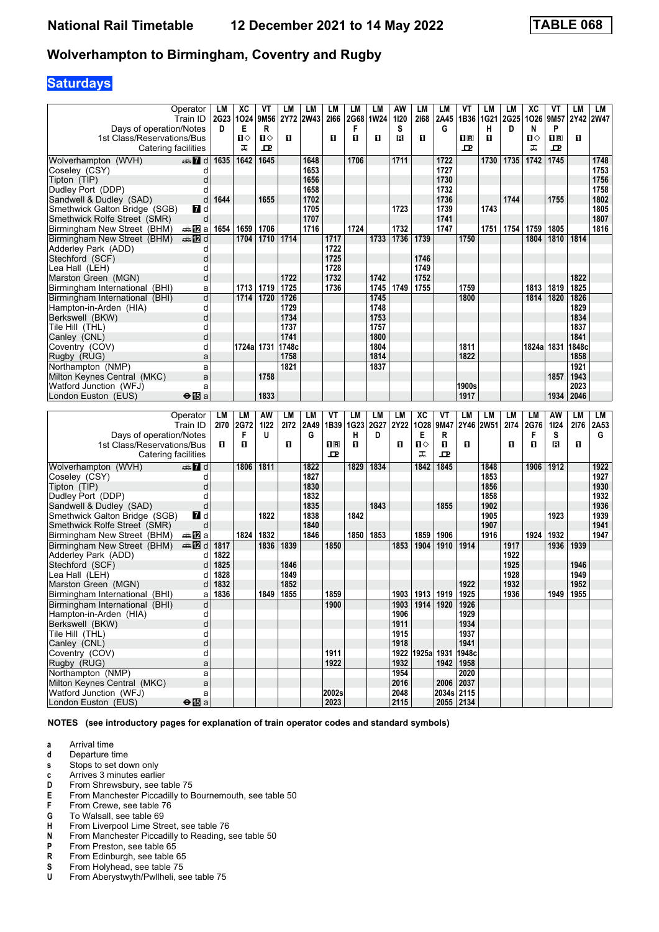# **Saturdays**

|                                | Operator               | LM   | XC          | VT   | LM    | LM        | LM    | LM          | LM        | AW        | LМ        | LM                 | VT               | LM        | LМ          | ХC         | VT                                              | LM        | LM        |
|--------------------------------|------------------------|------|-------------|------|-------|-----------|-------|-------------|-----------|-----------|-----------|--------------------|------------------|-----------|-------------|------------|-------------------------------------------------|-----------|-----------|
|                                | Train ID               |      | 2G23 1024   | 9M56 |       | 2Y72 2W43 | 2166  | 2G68        | 1W24      | 1120      | 2168      | 2A45               | 1B36             | 1G21      | <b>2G25</b> | 1026       | 9M <sub>57</sub>                                |           | 2Y42 2W47 |
| Days of operation/Notes        |                        | D    | Е           | R    |       |           |       | F           |           | s         |           | G                  |                  | н         | D           | N          | P                                               |           |           |
| 1st Class/Reservations/Bus     |                        |      | ்ப          | п⇔   | O     |           | п     | п           | п         | В         | п         |                    | $n_{\mathbb{R}}$ | п         |             | ்ப         | $\overline{\mathbf{H}}$ $\overline{\mathbf{R}}$ | П         |           |
|                                |                        |      | ᠼ           | ᅭ    |       |           |       |             |           |           |           |                    | ᇁ                |           |             | ᠼ          | ᇁ                                               |           |           |
| Catering facilities            |                        |      |             |      |       |           |       |             |           |           |           |                    |                  |           |             |            |                                                 |           |           |
| Wolverhampton (WVH)            | dan 7d                 | 1635 | 1642        | 1645 |       | 1648      |       | 1706        |           | 1711      |           | 1722               |                  | 1730      | 1735        | 1742       | 1745                                            |           | 1748      |
| Coseley (CSY)                  | d                      |      |             |      |       | 1653      |       |             |           |           |           | 1727               |                  |           |             |            |                                                 |           | 1753      |
| Tipton (TIP)                   | d                      |      |             |      |       | 1656      |       |             |           |           |           | 1730               |                  |           |             |            |                                                 |           | 1756      |
| Dudley Port (DDP)              | d                      |      |             |      |       | 1658      |       |             |           |           |           | 1732               |                  |           |             |            |                                                 |           | 1758      |
|                                | d                      | 1644 |             | 1655 |       | 1702      |       |             |           |           |           | 1736               |                  |           | 1744        |            | 1755                                            |           | 1802      |
| Sandwell & Dudley (SAD)        |                        |      |             |      |       |           |       |             |           |           |           |                    |                  |           |             |            |                                                 |           |           |
| Smethwick Galton Bridge (SGB)  | 7d                     |      |             |      |       | 1705      |       |             |           | 1723      |           | 1739               |                  | 1743      |             |            |                                                 |           | 1805      |
| Smethwick Rolfe Street (SMR)   | d                      |      |             |      |       | 1707      |       |             |           |           |           | 1741               |                  |           |             |            |                                                 |           | 1807      |
| Birmingham New Street (BHM)    | dan <mark>n</mark> i⊠a | 1654 | 1659        | 1706 |       | 1716      |       | 1724        |           | 1732      |           | 1747               |                  | 1751      | 1754        | 1759       | 1805                                            |           | 1816      |
| Birmingham New Street (BHM)    | <b>en 12</b> d         |      | 1704        | 1710 | 1714  |           | 1717  |             | 1733      | 1736      | 1739      |                    | 1750             |           |             | 1804       | 1810                                            | 1814      |           |
| Adderley Park (ADD)            | d                      |      |             |      |       |           | 1722  |             |           |           |           |                    |                  |           |             |            |                                                 |           |           |
| Stechford (SCF)                | d                      |      |             |      |       |           | 1725  |             |           |           | 1746      |                    |                  |           |             |            |                                                 |           |           |
| Lea Hall (LEH)                 | d                      |      |             |      |       |           | 1728  |             |           |           | 1749      |                    |                  |           |             |            |                                                 |           |           |
|                                |                        |      |             |      | 1722  |           | 1732  |             | 1742      |           | 1752      |                    |                  |           |             |            |                                                 | 1822      |           |
| Marston Green (MGN)            | d                      |      |             |      |       |           |       |             |           |           |           |                    |                  |           |             |            |                                                 |           |           |
| Birmingham International (BHI) | а                      |      | 1713        | 1719 | 1725  |           | 1736  |             | 1745      | 1749      | 1755      |                    | 1759             |           |             | 1813       | 1819                                            | 1825      |           |
| Birmingham International (BHI) | d                      |      | 1714        | 1720 | 1726  |           |       |             | 1745      |           |           |                    | 1800             |           |             | 1814       | 1820                                            | 1826      |           |
| Hampton-in-Arden (HIA)         | d                      |      |             |      | 1729  |           |       |             | 1748      |           |           |                    |                  |           |             |            |                                                 | 1829      |           |
| Berkswell (BKW)                | d                      |      |             |      | 1734  |           |       |             | 1753      |           |           |                    |                  |           |             |            |                                                 | 1834      |           |
| Tile Hill (THL)                | d                      |      |             |      | 1737  |           |       |             | 1757      |           |           |                    |                  |           |             |            |                                                 | 1837      |           |
| Canley (CNL)                   | d                      |      |             |      | 1741  |           |       |             | 1800      |           |           |                    |                  |           |             |            |                                                 | 1841      |           |
| Coventry (COV)                 | d                      |      | 1724a  1731 |      | 1748c |           |       |             | 1804      |           |           |                    | 1811             |           |             | 1824a 1831 |                                                 | 1848c     |           |
|                                |                        |      |             |      | 1758  |           |       |             |           |           |           |                    | 1822             |           |             |            |                                                 | 1858      |           |
| Rugby (RUG)                    | a                      |      |             |      |       |           |       |             | 1814      |           |           |                    |                  |           |             |            |                                                 |           |           |
| Northampton (NMP)              | a                      |      |             |      | 1821  |           |       |             | 1837      |           |           |                    |                  |           |             |            |                                                 | 1921      |           |
| Milton Keynes Central (MKC)    | a                      |      |             | 1758 |       |           |       |             |           |           |           |                    |                  |           |             |            | 1857                                            | 1943      |           |
| Watford Junction (WFJ)         | a                      |      |             |      |       |           |       |             |           |           |           |                    | 1900s            |           |             |            |                                                 | 2023      |           |
| London Euston (EUS)            | $\Theta$ is a          |      |             | 1833 |       |           |       |             |           |           |           |                    |                  |           |             |            | 1934                                            | 2046      |           |
|                                |                        |      |             |      |       |           |       |             |           |           |           |                    | 1917             |           |             |            |                                                 |           |           |
|                                |                        |      |             |      |       |           |       |             |           |           |           |                    |                  |           |             |            |                                                 |           |           |
|                                |                        |      |             |      |       |           | VT    | LM          | <b>LM</b> | <b>LM</b> |           | VT                 | LM               |           |             |            |                                                 |           |           |
|                                | Operator               | LM   | LM          | AW   | LM    | LM        |       |             |           |           | <b>XC</b> |                    |                  | LM        | LM          | LМ         | AW                                              | <b>LM</b> | LM        |
|                                | Train ID               | 2170 | <b>2G72</b> | 1122 | 2172  | 2A49      | 1B39  | <b>1G23</b> | 2G27      | 2Y22      | 1028      | 9M47               |                  | 2Y46 2W51 | 2174        | 2G76       | 1124                                            | 2176      | 2A53      |
| Days of operation/Notes        |                        |      | F           | U    |       | G         |       | н           | D         |           | Е         | R                  |                  |           |             | F          | S                                               |           | G         |
| 1st Class/Reservations/Bus     |                        | п    | O           |      | O     |           | 0 B   | O           |           | п         | Ⅱ◇        | П                  | O                |           | 0           | О          | в                                               | П         |           |
| Catering facilities            |                        |      |             |      |       |           | 굔     |             |           |           | ᠼ         | ᇁ                  |                  |           |             |            |                                                 |           |           |
| Wolverhampton (WVH)            | d anno 17 d            |      | 1806        | 1811 |       | 1822      |       | 1829        | 1834      |           | 1842      | 1845               |                  | 1848      |             | 1906       | 1912                                            |           | 1922      |
| Coseley (CSY)                  | d                      |      |             |      |       | 1827      |       |             |           |           |           |                    |                  | 1853      |             |            |                                                 |           | 1927      |
|                                | d                      |      |             |      |       |           |       |             |           |           |           |                    |                  | 1856      |             |            |                                                 |           |           |
| Tipton (TIP)                   | d                      |      |             |      |       | 1830      |       |             |           |           |           |                    |                  |           |             |            |                                                 |           | 1930      |
| Dudley Port (DDP)              |                        |      |             |      |       | 1832      |       |             |           |           |           |                    |                  | 1858      |             |            |                                                 |           | 1932      |
| Sandwell & Dudley (SAD)        | d                      |      |             |      |       | 1835      |       |             | 1843      |           |           | 1855               |                  | 1902      |             |            |                                                 |           | 1936      |
| Smethwick Galton Bridge (SGB)  | MZ d                   |      |             | 1822 |       | 1838      |       | 1842        |           |           |           |                    |                  | 1905      |             |            | 1923                                            |           | 1939      |
| Smethwick Rolfe Street (SMR)   | d                      |      |             |      |       | 1840      |       |             |           |           |           |                    |                  | 1907      |             |            |                                                 |           | 1941      |
| Birmingham New Street (BHM)    | dan Da                 |      | 1824        | 1832 |       | 1846      |       | 1850        | 1853      |           | 1859      | 1906               |                  | 1916      |             | 1924       | 1932                                            |           | 1947      |
| Birmingham New Street (BHM)    | <b>▲IZ</b> d           | 1817 |             | 1836 | 1839  |           | 1850  |             |           | 1853      | 1904      | 1910               | 1914             |           | 1917        |            | 1936                                            | 1939      |           |
| Adderley Park (ADD)            | d                      | 1822 |             |      |       |           |       |             |           |           |           |                    |                  |           | 1922        |            |                                                 |           |           |
| Stechford (SCF)                | d                      | 1825 |             |      | 1846  |           |       |             |           |           |           |                    |                  |           | 1925        |            |                                                 | 1946      |           |
|                                | d                      | 1828 |             |      | 1849  |           |       |             |           |           |           |                    |                  |           | 1928        |            |                                                 | 1949      |           |
| Lea Hall (LEH)                 |                        |      |             |      |       |           |       |             |           |           |           |                    |                  |           |             |            |                                                 |           |           |
| Marston Green (MGN)            | d                      | 1832 |             |      | 1852  |           |       |             |           |           |           |                    | 1922             |           | 1932        |            |                                                 | 1952      |           |
| Birmingham International (BHI) | а                      | 1836 |             | 1849 | 1855  |           | 1859  |             |           | 1903      | 1913      | 1919               | 1925             |           | 1936        |            | 1949                                            | 1955      |           |
| Birmingham International (BHI) | d                      |      |             |      |       |           | 1900  |             |           | 1903      |           | 1914   1920   1926 |                  |           |             |            |                                                 |           |           |
| Hampton-in-Arden (HIA)         | d                      |      |             |      |       |           |       |             |           | 1906      |           |                    | 1929             |           |             |            |                                                 |           |           |
| Berkswell (BKW)                | d                      |      |             |      |       |           |       |             |           | 1911      |           |                    | 1934             |           |             |            |                                                 |           |           |
| Tile Hill (THL)                | d                      |      |             |      |       |           |       |             |           | 1915      |           |                    | 1937             |           |             |            |                                                 |           |           |
| Canley (CNL)                   | d                      |      |             |      |       |           |       |             |           | 1918      |           |                    | 1941             |           |             |            |                                                 |           |           |
| Coventry (COV)                 | d                      |      |             |      |       |           | 1911  |             |           | 1922      |           | 1925a 1931 1948c   |                  |           |             |            |                                                 |           |           |
| Rugby (RUG)                    | a                      |      |             |      |       |           | 1922  |             |           | 1932      |           |                    | 1942   1958      |           |             |            |                                                 |           |           |
| Northampton (NMP)              | a                      |      |             |      |       |           |       |             |           | 1954      |           |                    | 2020             |           |             |            |                                                 |           |           |
| Milton Keynes Central (MKC)    | $\mathsf{a}$           |      |             |      |       |           | 2002s |             |           | 2016      |           |                    | 2006 2037        |           |             |            |                                                 |           |           |

**NOTES (see introductory pages for explanation of train operator codes and standard symbols)**

**Watford Junction (WFJ)** a a **2002s 2003 2048 2034s 2115 2003 2013 2013 2023 2115 2055 2134** 

- **a** Arrival time<br>**d** Departure t
- **d** Departure time

**London Euston (EUS)** 

- **s** Stops to set down only
- **c** Arrives 3 minutes earlier<br>**D** From Shrewsbury, see ta
- **D** From Shrewsbury, see table 75<br>**E** From Manchester Piccadilly to E
- **E** From Manchester Piccadilly to Bournemouth, see table 50<br>**F** From Crewe, see table 76
- **F** From Crewe, see table 76<br>**G** To Walsall, see table 69
- **6** To Walsall, see table 69<br>**H** From Liverpool Lime Stre
- **+** From Liverpool Lime Street, see table 76<br>**N** From Manchester Piccadilly to Reading.
- **N** From Manchester Piccadilly to Reading, see table 50<br>**P** From Preston, see table 65
- **P** From Preston, see table 65<br>**R** From Edinburgh, see table 6
- **R** From Edinburgh, see table 65<br>**S** From Holyhead, see table 75
- **6** From Holyhead, see table 75<br>**U** From Aberystwyth/Pwllheli, see
- From Aberystwyth/Pwllheli, see table 75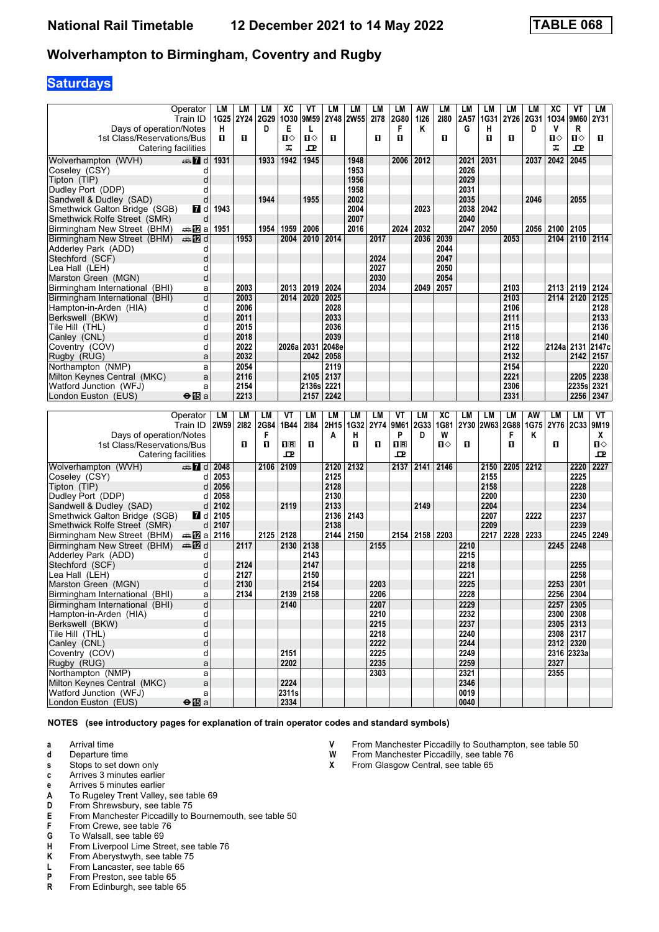# **Saturdays**

|                                               | Operator                     | LM          | LМ        | LМ          | XC            | ۷T     | LM        | LM          | LМ   | LM               | AW   | LM   | LM           | LМ        | LM   | LM   | XC             | VT             | LM    |
|-----------------------------------------------|------------------------------|-------------|-----------|-------------|---------------|--------|-----------|-------------|------|------------------|------|------|--------------|-----------|------|------|----------------|----------------|-------|
|                                               | Train ID                     |             | 1G25 2Y24 | <b>2G29</b> | 1030          | 9M59   | 2Y48      | <b>2W55</b> | 2178 | 2G80             | 1126 | 2180 | 2A57         | 1G31      | 2Y26 | 2G31 | 1034           | 9M60           | 2Y31  |
| Days of operation/Notes                       |                              | н           |           | D           | Е             | L      |           |             |      | F                | Κ    |      | G            | н         |      | D    | v              | R              |       |
| 1st Class/Reservations/Bus                    |                              | п           | O         |             | П⇔            | П⇔     | п         |             | О    | п                |      | п    |              | п         | 0    |      | $\mathbf{u}$   | п⇔             | п     |
| Catering facilities                           |                              |             |           |             | ᠼ             | ᇁ      |           |             |      |                  |      |      |              |           |      |      | ᠼ              | ᇁ              |       |
| Wolverhampton (WVH)                           | dan 7d                       | 1931        |           | 1933        | 1942          | 1945   |           | 1948        |      | 2006             | 2012 |      | 2021         | 2031      |      | 2037 | 2042           | 2045           |       |
| Coseley (CSY)                                 | d                            |             |           |             |               |        |           | 1953        |      |                  |      |      | 2026         |           |      |      |                |                |       |
| Tipton (TIP)                                  | d                            |             |           |             |               |        |           | 1956        |      |                  |      |      | 2029         |           |      |      |                |                |       |
| Dudley Port (DDP)                             | d                            |             |           |             |               |        |           | 1958        |      |                  |      |      | 2031         |           |      |      |                |                |       |
| Sandwell & Dudley (SAD)                       | d                            |             |           | 1944        |               | 1955   |           | 2002        |      |                  |      |      | 2035         |           |      | 2046 |                | 2055           |       |
| Smethwick Galton Bridge (SGB)                 | <b>7</b> d                   | 1943        |           |             |               |        |           | 2004        |      |                  | 2023 |      | 2038         | 2042      |      |      |                |                |       |
| Smethwick Rolfe Street (SMR)                  | d                            |             |           |             |               |        |           | 2007        |      |                  |      |      | 2040         |           |      |      |                |                |       |
| Birmingham New Street (BHM)                   | a≞122la                      | 1951        |           | 1954        | 1959          | 2006   |           | 2016        |      | 2024             | 2032 |      | 2047         | 2050      |      | 2056 | 2100           | 2105           |       |
| Birmingham New Street (BHM)                   | <b>en 12</b> d               |             | 1953      |             | 2004          | 2010   | 2014      |             | 2017 |                  | 2036 | 2039 |              |           | 2053 |      |                | 2104 2110 2114 |       |
|                                               |                              |             |           |             |               |        |           |             |      |                  |      | 2044 |              |           |      |      |                |                |       |
| Adderley Park (ADD)                           | d                            |             |           |             |               |        |           |             |      |                  |      |      |              |           |      |      |                |                |       |
| Stechford (SCF)                               | d                            |             |           |             |               |        |           |             | 2024 |                  |      | 2047 |              |           |      |      |                |                |       |
| Lea Hall(LEH)                                 | d                            |             |           |             |               |        |           |             | 2027 |                  |      | 2050 |              |           |      |      |                |                |       |
| Marston Green (MGN)                           | d                            |             |           |             |               |        |           |             | 2030 |                  |      | 2054 |              |           |      |      |                |                |       |
| Birmingham International (BHI)                | а                            |             | 2003      |             | 2013          | 2019   | 2024      |             | 2034 |                  | 2049 | 2057 |              |           | 2103 |      | 2113 2119      |                | 2124  |
| Birmingham International (BHI)                | d                            |             | 2003      |             | 2014          | 2020   | 2025      |             |      |                  |      |      |              |           | 2103 |      | 2114 2120      |                | 2125  |
| Hampton-in-Arden (HIA)                        | d                            |             | 2006      |             |               |        | 2028      |             |      |                  |      |      |              |           | 2106 |      |                |                | 2128  |
| Berkswell (BKW)                               | d                            |             | 2011      |             |               |        | 2033      |             |      |                  |      |      |              |           | 2111 |      |                |                | 2133  |
| Tile Hill(THL)                                | d                            |             | 2015      |             |               |        | 2036      |             |      |                  |      |      |              |           | 2115 |      |                |                | 2136  |
| Canley (CNL)                                  | d                            |             | 2018      |             |               |        | 2039      |             |      |                  |      |      |              |           | 2118 |      |                |                | 2140  |
| Coventry (COV)                                | d                            |             | 2022      |             | 2026a 2031    |        | 2048e     |             |      |                  |      |      |              |           | 2122 |      | 2124a 2131     |                | 2147c |
| Rugby (RUG)                                   | a                            |             | 2032      |             |               | 2042   | 2058      |             |      |                  |      |      |              |           | 2132 |      |                | 2142           | 2157  |
| Northampton (NMP)                             | a                            |             | 2054      |             |               |        | 2119      |             |      |                  |      |      |              |           | 2154 |      |                |                | 2220  |
| Milton Keynes Central (MKC)                   | a                            |             | 2116      |             |               | 2105   | 2137      |             |      |                  |      |      |              |           | 2221 |      |                | 2205           | 2238  |
| Watford Junction (WFJ)                        | a                            |             | 2154      |             |               | 2136sl | 2221      |             |      |                  |      |      |              |           | 2306 |      |                | 2235s          | 2321  |
| London Euston (EUS)                           | $\Theta$ is a                |             | 2213      |             |               | 2157   | 2242      |             |      |                  |      |      |              |           | 2331 |      |                | 2256           | 2347  |
|                                               |                              |             |           |             |               |        |           |             |      |                  |      |      |              |           |      |      |                |                |       |
|                                               |                              |             |           |             |               |        |           |             |      |                  |      |      |              |           |      |      |                |                |       |
|                                               |                              |             |           |             |               |        |           |             |      |                  |      |      |              |           |      |      |                |                |       |
|                                               | Operator                     | LM          | LM        | LМ          | ۷T            | LM     | <b>LM</b> | LM          | LM   | VT               | LM   | XC   | LM           | LM        | LM   | AW   | LМ             | LM             | VT    |
|                                               | Train ID                     | <b>2W59</b> | 2182      | 2G84        | 1B44          | 2184   | 2H15      | 1G32        | 2Y74 | 9M61             | 2G33 | 1G81 | 2Y30         | 2W63 2G88 |      | 1G75 | 2Y76 2C33 9M19 |                |       |
| Days of operation/Notes                       |                              |             |           | F           |               |        | A         | н           |      | P                | D    | W    |              |           | F    | Κ    |                |                | X     |
| 1st Class/Reservations/Bus                    |                              |             | O.        | 0           | $\P$ R        | п      |           | п           | O    | $n_{\mathbb{R}}$ |      | П⇔   | O            |           | O    |      | O              |                | П⇔    |
| Catering facilities                           |                              |             |           |             | ᇁ             |        |           |             |      | 굔                |      |      |              |           |      |      |                |                | ᇁ     |
| Wolverhampton (WVH)                           | $\mathbf{Z}$ d               | 2048        |           | 2106        | 2109          |        | 2120      | 2132        |      | 2137             | 2141 | 2146 |              | 2150      | 2205 | 2212 |                | 2220           | 2227  |
| Coseley (CSY)                                 | d                            | 2053        |           |             |               |        | 2125      |             |      |                  |      |      |              | 2155      |      |      |                | 2225           |       |
| Tipton (TIP)                                  | d                            | 2056        |           |             |               |        | 2128      |             |      |                  |      |      |              | 2158      |      |      |                | 2228           |       |
| Dudley Port (DDP)                             | d                            | 2058        |           |             |               |        | 2130      |             |      |                  |      |      |              | 2200      |      |      |                | 2230           |       |
| Sandwell & Dudley (SAD)                       | d                            | 2102        |           |             | 2119          |        | 2133      |             |      |                  | 2149 |      |              | 2204      |      |      |                | 2234           |       |
| Smethwick Galton Bridge (SGB)                 | <b>7</b> d                   | 2105        |           |             |               |        | 2136      | 2143        |      |                  |      |      |              | 2207      |      | 2222 |                | 2237           |       |
| Smethwick Rolfe Street (SMR)                  | d                            | 2107        |           |             |               |        | 2138      |             |      |                  |      |      |              | 2209      |      |      |                | 2239           |       |
| Birmingham New Street (BHM)                   | anaDa                        | 2116        |           | 2125        | 2128          |        | 2144      | 2150        |      | 2154             | 2158 | 2203 |              | 2217      | 2228 | 2233 |                | 2245           | 2249  |
| Birmingham New Street (BHM)                   | dan <b>in</b> d              |             | 2117      |             | 2130          | 2138   |           |             | 2155 |                  |      |      | 2210         |           |      |      | 2245           | 2248           |       |
|                                               | d                            |             |           |             |               | 2143   |           |             |      |                  |      |      | 2215         |           |      |      |                |                |       |
| Adderley Park (ADD)                           | d                            |             | 2124      |             |               | 2147   |           |             |      |                  |      |      | 2218         |           |      |      |                | 2255           |       |
| Stechford (SCF)                               | d                            |             | 2127      |             |               | 2150   |           |             |      |                  |      |      | 2221         |           |      |      |                | 2258           |       |
| Lea Hall(LEH)                                 | d                            |             | 2130      |             |               | 2154   |           |             | 2203 |                  |      |      | 2225         |           |      |      |                |                |       |
| Marston Green (MGN)                           | a                            |             | 2134      |             | 2139          | 2158   |           |             | 2206 |                  |      |      | 2228         |           |      |      | 2253<br>2256   | 2301<br>2304   |       |
| Birmingham International (BHI)                |                              |             |           |             |               |        |           |             |      |                  |      |      |              |           |      |      |                |                |       |
| Birmingham International (BHI)                | d                            |             |           |             | 2140          |        |           |             | 2207 |                  |      |      | 2229         |           |      |      | 2257 2305      |                |       |
| Hampton-in-Arden (HIA)                        | d                            |             |           |             |               |        |           |             | 2210 |                  |      |      | 2232         |           |      |      | 2300 2308      |                |       |
| Berkswell (BKW)                               | þ                            |             |           |             |               |        |           |             | 2215 |                  |      |      | 2237         |           |      |      | $2305$ 2313    |                |       |
| Tile Hill (THL)                               | d                            |             |           |             |               |        |           |             | 2218 |                  |      |      | 2240         |           |      |      | 2308 2317      |                |       |
| Canley (CNL)                                  | d                            |             |           |             |               |        |           |             | 2222 |                  |      |      | 2244         |           |      |      | 2312 2320      |                |       |
| Coventry (COV)                                | d                            |             |           |             | 2151          |        |           |             | 2225 |                  |      |      | 2249         |           |      |      |                | 2316 2323a     |       |
| Rugby (RUG)                                   | a                            |             |           |             | 2202          |        |           |             | 2235 |                  |      |      | 2259         |           |      |      | 2327           |                |       |
| Northampton (NMP)                             | a                            |             |           |             |               |        |           |             | 2303 |                  |      |      | 2321         |           |      |      | 2355           |                |       |
| Milton Kevnes Central (MKC)                   | $\mathsf{a}$                 |             |           |             | 2224          |        |           |             |      |                  |      |      | 2346         |           |      |      |                |                |       |
| Watford Junction (WFJ)<br>London Euston (EUS) | a<br>$\Theta$ $\mathbf{E}$ a |             |           |             | 2311s<br>2334 |        |           |             |      |                  |      |      | 0019<br>0040 |           |      |      |                |                |       |

- **a** Arrival time<br>**d** Departure t
- **d** Departure time
- **s** Stops to set down only
- **c** Arrives 3 minutes earlier
- **e** Arrives 5 minutes earlier<br>**A** To Rugeley Trent Valley.
- **A** To Rugeley Trent Valley, see table 69<br>**D** From Shrewsbury, see table 75
- **D** From Shrewsbury, see table 75<br>**E** From Manchester Piccadilly to E **E** From Manchester Piccadilly to Bournemouth, see table 50<br>**F** From Crewe, see table 76
- **F** From Crewe, see table 76<br>**G** To Walsall, see table 69
- To Walsall, see table 69
- **+** From Liverpool Lime Street, see table 76<br>**K** From Aberystwyth, see table 75
- **K** From Aberystwyth, see table 75<br>**L** From Lancaster, see table 65
- **L** From Lancaster, see table 65<br>**P** From Preston, see table 65
- 
- **P** From Preston, see table 65<br>**R** From Edinburgh, see table From Edinburgh, see table 65
- **9** From Manchester Piccadilly to Southampton, see table 50 **W** From Manchester Piccadilly, see table 76
- **W** From Manchester Piccadilly, see table 76<br>**X** From Glasgow Central, see table 65
- From Glasgow Central, see table 65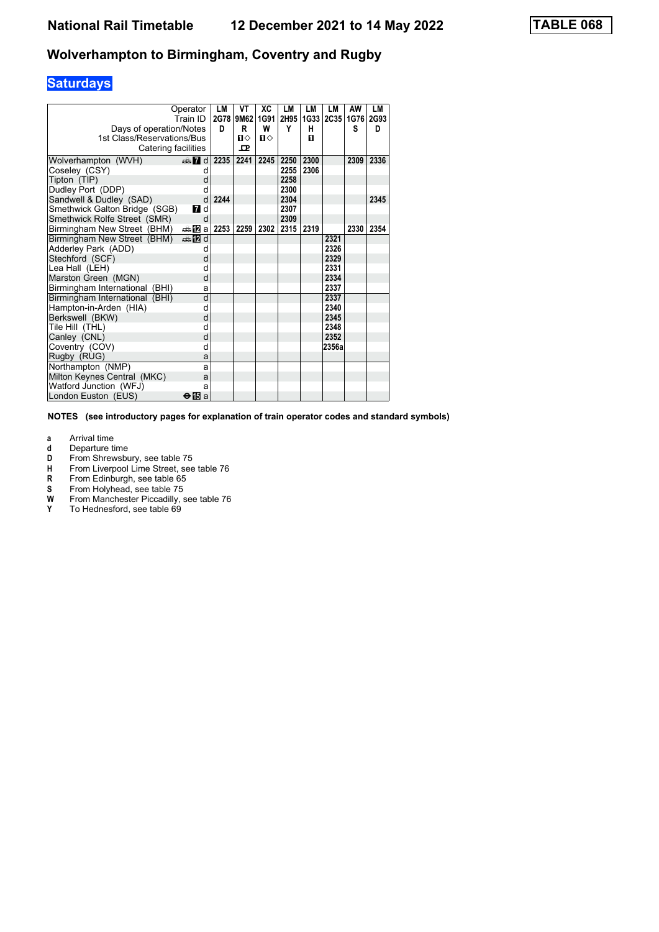# **Saturdays**

|                                   | Operator         | LM   | VT           | XC   | LM   | LM   | LМ          | AW   | LM   |
|-----------------------------------|------------------|------|--------------|------|------|------|-------------|------|------|
|                                   | Train ID         | 2G78 | 9M62         | 1G91 | 2H95 | 1G33 | <b>2C35</b> | 1G76 | 2G93 |
| Days of operation/Notes           |                  | D    | R            | W    | Y    | н    |             | S    | D    |
| 1st Class/Reservations/Bus        |                  |      | $\mathbf{u}$ | П⇔   |      | п    |             |      |      |
| Catering facilities               |                  |      | ᇁ            |      |      |      |             |      |      |
| Wolverhampton (WVH)               | $\oplus$ 7 d     | 2235 | 2241         | 2245 | 2250 | 2300 |             | 2309 | 2336 |
| Coseley (CSY)                     | d                |      |              |      | 2255 | 2306 |             |      |      |
| Tipton (TIP)                      | d                |      |              |      | 2258 |      |             |      |      |
| Dudley Port (DDP)                 | d                |      |              |      | 2300 |      |             |      |      |
| Sandwell & Dudley (SAD)           | d                | 2244 |              |      | 2304 |      |             |      | 2345 |
| Smethwick Galton Bridge (SGB)     | $\blacksquare$ d |      |              |      | 2307 |      |             |      |      |
| Smethwick Rolfe Street (SMR)      | d                |      |              |      | 2309 |      |             |      |      |
| Birmingham New Street (BHM)       | <b>▲囮 a 2253</b> |      | 2259         | 2302 | 2315 | 2319 |             | 2330 | 2354 |
| Birmingham New Street (BHM)       | <b>en 12</b> d   |      |              |      |      |      | 2321        |      |      |
| Adderley Park (ADD)               | d                |      |              |      |      |      | 2326        |      |      |
| Stechford (SCF)                   | d                |      |              |      |      |      | 2329        |      |      |
| Lea Hall (LEH)                    | d                |      |              |      |      |      | 2331        |      |      |
| Marston Green (MGN)               | d                |      |              |      |      |      | 2334        |      |      |
| Birmingham International<br>(BHI) | a                |      |              |      |      |      | 2337        |      |      |
| Birmingham International (BHI)    | d                |      |              |      |      |      | 2337        |      |      |
| Hampton-in-Arden (HIA)            | d                |      |              |      |      |      | 2340        |      |      |
| Berkswell (BKW)                   | d                |      |              |      |      |      | 2345        |      |      |
| Tile Hill(THL)                    | d                |      |              |      |      |      | 2348        |      |      |
| Canley (CNL)                      | d                |      |              |      |      |      | 2352        |      |      |
| Coventry (COV)                    | d                |      |              |      |      |      | 2356a       |      |      |
| Rugby (RUG)                       | a                |      |              |      |      |      |             |      |      |
| Northampton (NMP)                 | a                |      |              |      |      |      |             |      |      |
| Milton Keynes Central (MKC)       | a                |      |              |      |      |      |             |      |      |
| Watford Junction (WFJ)            | a                |      |              |      |      |      |             |      |      |
| London Euston (EUS)               | <b>⊖ T</b> a     |      |              |      |      |      |             |      |      |

- **a** Arrival time<br>**d** Departure ti
- **d** Departure time<br>**D** From Shrewsbu
- **D** From Shrewsbury, see table 75<br>**H** From Liverpool Lime Street, see
- **+** From Liverpool Lime Street, see table 76<br>**R** From Edinburgh, see table 65
- 
- From Holyhead, see table 75
- **R** From Edinburgh, see table 65<br>**S** From Holyhead, see table 75<br>**W** From Manchester Piccadilly, s **W** From Manchester Piccadilly, see table 76<br>Y To Hednesford, see table 69
- To Hednesford, see table 69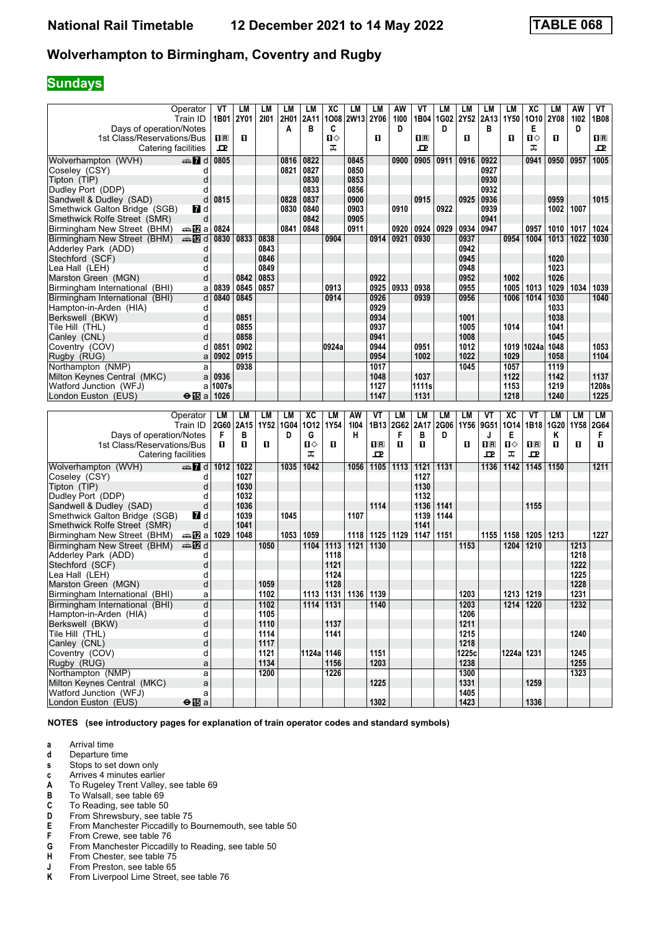# **Sundays**

|                                | Operator               | VT             | LМ   | LМ   | LM   | LM         | XC            | LM        | LM             | AW          | VT        | LM   | LМ    | LM      | LМ         | ХC             | LM          | AW   | VT          |
|--------------------------------|------------------------|----------------|------|------|------|------------|---------------|-----------|----------------|-------------|-----------|------|-------|---------|------------|----------------|-------------|------|-------------|
|                                | Train ID               | 1B01           | 2Y01 | 2101 | 2H01 | 2A11       | 1008          | 2W13 2Y06 |                | 1100        | 1B04      | 1G02 | 2Y52  | 2A13    | 1Y50       | 1010           | <b>2Y08</b> | 1102 | 1B08        |
| Days of operation/Notes        |                        |                |      |      | A    | в          | C             |           |                | D           |           | D    |       | в       |            | Е              |             | D    |             |
| 1st Class/Reservations/Bus     |                        | $\mathbf{H}$ R | п    |      |      |            | Ω             |           | О              |             | 1R        |      | O     |         | 0          | ்ப             | п           |      | $n_{\rm R}$ |
| Catering facilities            |                        | ᇁ              |      |      |      |            | ᠼ             |           |                |             | ᇁ         |      |       |         |            | ᠼ              |             |      | ᇁ           |
|                                |                        |                |      |      |      |            |               |           |                |             |           |      |       |         |            |                |             |      |             |
| Wolverhampton (WVH)            | dan 7d                 | 0805           |      |      | 0816 | 0822       |               | 0845      |                | 0900        | 0905      | 0911 | 0916  | 0922    |            | 0941           | 0950        | 0957 | 1005        |
| Coseley (CSY)                  | d                      |                |      |      | 0821 | 0827       |               | 0850      |                |             |           |      |       | 0927    |            |                |             |      |             |
| Tipton (TIP)                   | d                      |                |      |      |      | 0830       |               | 0853      |                |             |           |      |       | 0930    |            |                |             |      |             |
| Dudley Port (DDP)              | d                      |                |      |      |      | 0833       |               | 0856      |                |             |           |      |       | 0932    |            |                |             |      |             |
|                                |                        |                |      |      |      |            |               |           |                |             |           |      |       |         |            |                |             |      |             |
| Sandwell & Dudley (SAD)        | d                      | 0815           |      |      | 0828 | 0837       |               | 0900      |                |             | 0915      |      | 0925  | 0936    |            |                | 0959        |      | 1015        |
| Smethwick Galton Bridge (SGB)  | 7d                     |                |      |      | 0830 | 0840       |               | 0903      |                | 0910        |           | 0922 |       | 0939    |            |                | 1002        | 1007 |             |
| Smethwick Rolfe Street (SMR)   | d                      |                |      |      |      | 0842       |               | 0905      |                |             |           |      |       | 0941    |            |                |             |      |             |
| Birmingham New Street (BHM)    | dan <mark>ma</mark> Ωa | 0824           |      |      | 0841 | 0848       |               | 0911      |                | 0920        | 0924      | 0929 | 0934  | 0947    |            | 0957           | 1010        | 1017 | 1024        |
| Birmingham New Street (BHM)    | dan 122 d              | 0830           | 0833 | 0838 |      |            | 0904          |           | 0914           | 0921        | 0930      |      | 0937  |         | 0954       | 1004           | 1013        | 1022 | 1030        |
| Adderley Park (ADD)            | d                      |                |      | 0843 |      |            |               |           |                |             |           |      | 0942  |         |            |                |             |      |             |
| Stechford (SCF)                | d                      |                |      | 0846 |      |            |               |           |                |             |           |      | 0945  |         |            |                | 1020        |      |             |
|                                |                        |                |      |      |      |            |               |           |                |             |           |      |       |         |            |                |             |      |             |
| Lea Hall (LEH)                 | d                      |                |      | 0849 |      |            |               |           |                |             |           |      | 0948  |         |            |                | 1023        |      |             |
| Marston Green (MGN)            | d                      |                | 0842 | 0853 |      |            |               |           | 0922           |             |           |      | 0952  |         | 1002       |                | 1026        |      |             |
| Birmingham International (BHI) | a                      | 0839           | 0845 | 0857 |      |            | 0913          |           | 0925           | 0933        | 0938      |      | 0955  |         | 1005       | 1013           | 1029        | 1034 | 1039        |
| Birmingham International (BHI) | d                      | 0840           | 0845 |      |      |            | 0914          |           | 0926           |             | 0939      |      | 0956  |         | 1006       | 1014           | 1030        |      | 1040        |
| Hampton-in-Arden (HIA)         | d                      |                |      |      |      |            |               |           | 0929           |             |           |      |       |         |            |                | 1033        |      |             |
| Berkswell (BKW)                | d                      |                | 0851 |      |      |            |               |           | 0934           |             |           |      | 1001  |         |            |                | 1038        |      |             |
|                                |                        |                |      |      |      |            |               |           |                |             |           |      |       |         |            |                |             |      |             |
| Tile Hill (THL)                | d                      |                | 0855 |      |      |            |               |           | 0937           |             |           |      | 1005  |         | 1014       |                | 1041        |      |             |
| Canley (CNL)                   | d                      |                | 0858 |      |      |            |               |           | 0941           |             |           |      | 1008  |         |            |                | 1045        |      |             |
| Coventry (COV)                 | d                      | 0851           | 0902 |      |      |            | 0924a         |           | 0944           |             | 0951      |      | 1012  |         |            | 1019 1024a     | 1048        |      | 1053        |
| Rugby (RUG)                    | a                      | 0902           | 0915 |      |      |            |               |           | 0954           |             | 1002      |      | 1022  |         | 1029       |                | 1058        |      | 1104        |
| Northampton (NMP)              | a                      |                | 0938 |      |      |            |               |           | 1017           |             |           |      | 1045  |         | 1057       |                | 1119        |      |             |
| Milton Keynes Central (MKC)    | a                      | 0936           |      |      |      |            |               |           | 1048           |             | 1037      |      |       |         | 1122       |                | 1142        |      | 1137        |
| Watford Junction (WFJ)         |                        | 1007s          |      |      |      |            |               |           | 1127           |             | 1111s     |      |       |         | 1153       |                | 1219        |      | 1208s       |
|                                | a                      |                |      |      |      |            |               |           |                |             |           |      |       |         |            |                |             |      |             |
| London Euston (EUS)            | $\Theta$ is a 1026     |                |      |      |      |            |               |           | 1147           |             | 1131      |      |       |         | 1218       |                | 1240        |      | 1225        |
|                                |                        |                |      |      |      |            |               |           |                |             |           |      |       |         |            |                |             |      |             |
|                                |                        |                |      |      |      |            |               |           |                |             |           |      |       |         |            |                |             |      |             |
|                                | Operator               | LM             | LM   | LМ   | LM   | XC         | LM            | AW        | VT             | <b>LM</b>   | <b>LM</b> | LM   | LM    | ٧T      | <b>XC</b>  | VT             | LМ          | LM   | LM          |
|                                | Train ID               | <b>2G60</b>    | 2A15 | 1Y52 | 1G04 | 1012       | 1Y54          | 1104      |                | 1B13 2G62   | 2A17      | 2G06 | 1Y56  | 9G51    | 1014       | 1B18           | 1G20        | 1Y58 | 2G64        |
|                                |                        | F              | в    |      | D    | G          |               | н         |                | F           | в         | D    |       | J       | Е          |                | Κ           |      | F           |
| Days of operation/Notes        |                        | п              | п    | O    |      | П⇔         | O             |           | 1 <sup>R</sup> | D.          | п         |      | O     |         | ப⇔         | $\mathbf{H}$ R | п           | O    | O           |
| 1st Class/Reservations/Bus     |                        |                |      |      |      |            |               |           | ᇁ              |             |           |      |       | $\Pi$ R |            |                |             |      |             |
| Catering facilities            |                        |                |      |      |      | ᠼ          |               |           |                |             |           |      |       | ᇁ       | ᠼ          | ᇁ              |             |      |             |
| Wolverhampton (WVH)            | d≣n 7d                 | 1012           | 1022 |      | 1035 | 1042       |               | 1056      | 1105           | 1113        | 1121      | 1131 |       | 1136    | 1142       | 1145           | 1150        |      | 1211        |
| Coseley (CSY)                  | d                      |                | 1027 |      |      |            |               |           |                |             | 1127      |      |       |         |            |                |             |      |             |
| Tipton (TIP)                   | d                      |                | 1030 |      |      |            |               |           |                |             | 1130      |      |       |         |            |                |             |      |             |
| Dudley Port (DDP)              | d                      |                | 1032 |      |      |            |               |           |                |             | 1132      |      |       |         |            |                |             |      |             |
|                                | d                      |                | 1036 |      |      |            |               |           | 1114           |             | 1136      | 1141 |       |         |            | 1155           |             |      |             |
| Sandwell & Dudley (SAD)        |                        |                |      |      |      |            |               |           |                |             |           |      |       |         |            |                |             |      |             |
| Smethwick Galton Bridge (SGB)  | MZ d                   |                | 1039 |      | 1045 |            |               | 1107      |                |             | 1139      | 1144 |       |         |            |                |             |      |             |
| Smethwick Rolfe Street (SMR)   | d                      |                | 1041 |      |      |            |               |           |                |             | 1141      |      |       |         |            |                |             |      |             |
| Birmingham New Street (BHM)    | a≞12la                 | 1029           | 1048 |      | 1053 | 1059       |               | 1118      |                | 1125   1129 | 1147      | 1151 |       | 1155    | 1158       | 1205           | 1213        |      | 1227        |
| Birmingham New Street (BHM)    | dan <mark>man</mark> d |                |      | 1050 |      | 1104       | 1113          | 1121      | 1130           |             |           |      | 1153  |         | 1204       | 1210           |             | 1213 |             |
| Adderley Park (ADD)            | d                      |                |      |      |      |            | 1118          |           |                |             |           |      |       |         |            |                |             | 1218 |             |
| Stechford (SCF)                | d                      |                |      |      |      |            | 1121          |           |                |             |           |      |       |         |            |                |             | 1222 |             |
|                                | d                      |                |      |      |      |            | 1124          |           |                |             |           |      |       |         |            |                |             | 1225 |             |
| Lea Hall (LEH)                 |                        |                |      |      |      |            |               |           |                |             |           |      |       |         |            |                |             |      |             |
| Marston Green (MGN)            | d                      |                |      | 1059 |      |            | 1128          |           |                |             |           |      |       |         |            |                |             | 1228 |             |
| Birmingham International (BHI) | а                      |                |      | 1102 |      | 1113       | 1131          | 1136      | 1139           |             |           |      | 1203  |         | 1213       | 1219           |             | 1231 |             |
| Birmingham International (BHI) | d                      |                |      | 1102 |      |            | $1114$   1131 |           | 1140           |             |           |      | 1203  |         |            | $1214$ 1220    |             | 1232 |             |
| Hampton-in-Arden (HIA)         | d                      |                |      | 1105 |      |            |               |           |                |             |           |      | 1206  |         |            |                |             |      |             |
| Berkswell (BKW)                | d                      |                |      | 1110 |      |            | 1137          |           |                |             |           |      | 1211  |         |            |                |             |      |             |
| Tile Hill (THL)                | d                      |                |      | 1114 |      |            | 1141          |           |                |             |           |      | 1215  |         |            |                |             | 1240 |             |
|                                |                        |                |      |      |      |            |               |           |                |             |           |      |       |         |            |                |             |      |             |
| Canley (CNL)                   | d                      |                |      | 1117 |      |            |               |           |                |             |           |      | 1218  |         |            |                |             |      |             |
| Coventry (COV)                 | d                      |                |      | 1121 |      | 1124a 1146 |               |           | 1151           |             |           |      | 1225c |         | 1224a 1231 |                |             | 1245 |             |
| Rugby (RUG)                    | a                      |                |      | 1134 |      |            | 1156          |           | 1203           |             |           |      | 1238  |         |            |                |             | 1255 |             |
| Northampton (NMP)              | a                      |                |      | 1200 |      |            | 1226          |           |                |             |           |      | 1300  |         |            |                |             | 1323 |             |
| Milton Keynes Central (MKC)    | a                      |                |      |      |      |            |               |           | 1225           |             |           |      | 1331  |         |            | 1259           |             |      |             |
| Watford Junction (WFJ)         | a                      |                |      |      |      |            |               |           |                |             |           |      | 1405  |         |            |                |             |      |             |
| London Euston (EUS)            | $\Theta$ $B$ a         |                |      |      |      |            |               |           | 1302           |             |           |      | 1423  |         |            | 1336           |             |      |             |

- **a** Arrival time<br>**d** Departure t
- **d** Departure time
- **s** Stops to set down only
- **c** Arrives 4 minutes earlier<br>**A** To Rugeley Trent Valley,
- **A** To Rugeley Trent Valley, see table 69<br>**B** To Walsall, see table 69
- **B** To Walsall, see table 69<br>**C** To Reading, see table 5
- **C** To Reading, see table 50<br>**D** From Shrewsbury, see tal
- **D** From Shrewsbury, see table 75<br>**E** From Manchester Piccadilly to E
- **E** From Manchester Piccadilly to Bournemouth, see table 50<br>**F** From Crewe, see table 76
- **F** From Crewe, see table 76<br>**G** From Manchester Piccadil
- **6** From Manchester Piccadilly to Reading, see table 50 **H** From Chester, see table 75
- **+** From Chester, see table 75<br>**+** From Preston, see table 65
- **J** From Preston, see table 65<br>**K** From Liverpool Lime Street,
- From Liverpool Lime Street, see table 76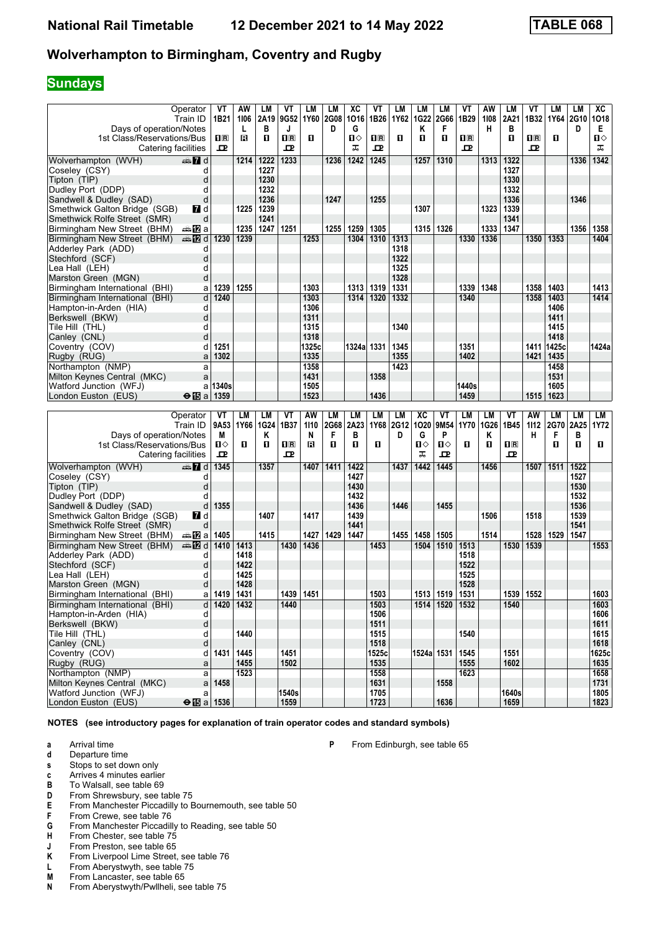# **Sundays**

| Operator                                                      | VT                                  | AW              | LМ          | VT                      | LМ        | LМ   | ХC           | VT           | LМ   | LM          | LМ                 | VT               | AW   | LM             | VT          | LМ        | LM   | XC           |
|---------------------------------------------------------------|-------------------------------------|-----------------|-------------|-------------------------|-----------|------|--------------|--------------|------|-------------|--------------------|------------------|------|----------------|-------------|-----------|------|--------------|
| Train ID                                                      | 1B21                                | 1106            | 2A19        | 9G52                    | 1Y60      | 2G08 | 1016         | 1B26         | 1Y62 | <b>1G22</b> | 2G66               | 1B29             | 1108 | 2A21           | 1B32        | 1Y64 2G10 |      | 1018         |
| Days of operation/Notes                                       |                                     | L               | в           | J                       |           | D    | G            |              |      | Κ           | F                  |                  | н    | в              |             |           | D    | E.           |
| 1st Class/Reservations/Bus                                    | $\mathbf{1} \mathbf{R}$             | в               | п           | $\overline{\mathbf{R}}$ | п         |      | $\mathbf{u}$ | $n_{\rm R}$  | п    | п           | O                  | $n_{\mathbb{R}}$ |      | п              | $n_{\rm R}$ | п         |      | ப⇔           |
| Catering facilities                                           | ᇁ                                   |                 |             | 굔                       |           |      | ᠼ            | 굔            |      |             |                    | 고                |      |                | 굔           |           |      | ᠼ            |
| $\mathbb{Z}$ d<br>Wolverhampton (WVH)                         |                                     | 1214            | 1222        | 1233                    |           | 1236 | 1242         | 1245         |      | 1257        | 1310               |                  | 1313 | 1322           |             |           | 1336 | 1342         |
| Coseley (CSY)                                                 | d                                   |                 | 1227        |                         |           |      |              |              |      |             |                    |                  |      | 1327           |             |           |      |              |
| Tipton (TIP)                                                  | d                                   |                 | 1230        |                         |           |      |              |              |      |             |                    |                  |      | 1330           |             |           |      |              |
| Dudley Port (DDP)                                             | d                                   |                 | 1232        |                         |           |      |              |              |      |             |                    |                  |      | 1332           |             |           |      |              |
| Sandwell & Dudley (SAD)                                       | d                                   |                 | 1236        |                         |           | 1247 |              | 1255         |      |             |                    |                  |      | 1336           |             |           | 1346 |              |
| Smethwick Galton Bridge (SGB)<br>7 d                          |                                     | 1225            | 1239        |                         |           |      |              |              |      | 1307        |                    |                  | 1323 | 1339           |             |           |      |              |
| Smethwick Rolfe Street (SMR)                                  | d                                   |                 | 1241        |                         |           |      |              |              |      |             |                    |                  |      | 1341           |             |           |      |              |
| Birmingham New Street (BHM)<br>dan <mark>i</mark> n⊉a         |                                     | 1235            | 1247        | 1251                    |           | 1255 | 1259         | 1305         |      | 1315        | 1326               |                  | 1333 | 1347           |             |           | 1356 | 1358         |
| <b>en 12</b> d<br>Birmingham New Street (BHM)                 | 1230                                | 1239            |             |                         | 1253      |      | 1304         | 1310         | 1313 |             |                    | 1330             | 1336 |                | 1350        | 1353      |      | 1404         |
| Adderley Park (ADD)                                           | d                                   |                 |             |                         |           |      |              |              | 1318 |             |                    |                  |      |                |             |           |      |              |
| Stechford (SCF)                                               | d                                   |                 |             |                         |           |      |              |              | 1322 |             |                    |                  |      |                |             |           |      |              |
| Lea Hall (LEH)                                                | d                                   |                 |             |                         |           |      |              |              | 1325 |             |                    |                  |      |                |             |           |      |              |
| Marston Green (MGN)                                           | d                                   |                 |             |                         |           |      |              |              | 1328 |             |                    |                  |      |                |             |           |      |              |
| Birmingham International (BHI)                                | 1239<br>a                           | 1255            |             |                         | 1303      |      | 1313         | 1319         | 1331 |             |                    | 1339             | 1348 |                | 1358        | 1403      |      | 1413         |
| Birmingham International (BHI)                                | d<br>1240                           |                 |             |                         | 1303      |      | 1314         | 1320         | 1332 |             |                    | 1340             |      |                | 1358        | 1403      |      | 1414         |
|                                                               | d                                   |                 |             |                         | 1306      |      |              |              |      |             |                    |                  |      |                |             | 1406      |      |              |
| Hampton-in-Arden (HIA)                                        | d                                   |                 |             |                         | 1311      |      |              |              |      |             |                    |                  |      |                |             | 1411      |      |              |
| Berkswell (BKW)                                               |                                     |                 |             |                         | 1315      |      |              |              | 1340 |             |                    |                  |      |                |             | 1415      |      |              |
| Tile Hill (THL)                                               | d                                   |                 |             |                         | 1318      |      |              |              |      |             |                    |                  |      |                |             | 1418      |      |              |
| Canley (CNL)                                                  | d<br>1251                           |                 |             |                         |           |      |              | 1331         |      |             |                    | 1351             |      |                |             |           |      | 1424a        |
| Coventry (COV)                                                | d                                   |                 |             |                         | 1325c     |      | 1324al       |              | 1345 |             |                    |                  |      |                | 1411        | 1425c     |      |              |
| Rugby (RUG)                                                   | 1302<br>a                           |                 |             |                         | 1335      |      |              |              | 1355 |             |                    | 1402             |      |                | 1421        | 1435      |      |              |
| Northampton (NMP)                                             | a                                   |                 |             |                         | 1358      |      |              |              | 1423 |             |                    |                  |      |                |             | 1458      |      |              |
| Milton Keynes Central (MKC)                                   | a                                   |                 |             |                         | 1431      |      |              | 1358         |      |             |                    |                  |      |                |             | 1531      |      |              |
| Watford Junction (WFJ)                                        | 1340s<br>a                          |                 |             |                         | 1505      |      |              |              |      |             |                    | 1440s            |      |                |             | 1605      |      |              |
| London Euston (EUS)                                           | $\Theta$ is a   1359                |                 |             |                         | 1523      |      |              | 1436         |      |             |                    | 1459             |      |                | 1515        | 1623      |      |              |
|                                                               |                                     |                 |             |                         |           |      |              |              |      |             |                    |                  |      |                |             |           |      |              |
|                                                               |                                     |                 |             |                         |           |      |              |              |      |             |                    |                  |      |                |             |           |      |              |
| Operator                                                      | VT                                  | LM              | LM          | VT                      | <b>AW</b> | LМ   | LM           | LM           | LM   | <b>XC</b>   | VT                 | <b>LM</b>        | LM   | VT             | <b>AW</b>   | LМ        | LM   | LM           |
| Train ID                                                      | 9A53                                | 1Y66            | <b>1G24</b> | 1B37                    | 1110      | 2G68 | 2A23         | 1Y68         | 2G12 | 1020        | 9M54               | 1Y70             | 1G26 | 1B45           | 1112        | 2G70      | 2A25 | <b>1Y72</b>  |
| Days of operation/Notes                                       | м                                   |                 | Κ           |                         | N         | F    | в            |              | D    | G           | P                  |                  | Κ    |                | н           | F         | в    |              |
| 1st Class/Reservations/Bus                                    | п⇔                                  | O               | 0           | $\overline{\mathbf{R}}$ | в         | п    | O            | O            |      | Ⅱ♦          | П⇔                 | п                | п    | 1 <sup>R</sup> |             | п         | O    | п            |
| Catering facilities                                           | ᇁ                                   |                 |             | 굔                       |           |      |              |              |      | ᠼ           | ᇁ                  |                  |      | 고              |             |           |      |              |
| Wolverhampton (WVH)<br>d≣n 7d                                 | 1345                                |                 | 1357        |                         | 1407      | 1411 | 1422         |              | 1437 | 1442        | 1445               |                  | 1456 |                | 1507        | 1511      | 1522 |              |
| Coseley (CSY)                                                 | d                                   |                 |             |                         |           |      | 1427         |              |      |             |                    |                  |      |                |             |           | 1527 |              |
| Tipton (TIP)                                                  | d                                   |                 |             |                         |           |      | 1430         |              |      |             |                    |                  |      |                |             |           | 1530 |              |
| Dudley Port (DDP)                                             | d                                   |                 |             |                         |           |      | 1432         |              |      |             |                    |                  |      |                |             |           | 1532 |              |
| Sandwell & Dudley (SAD)                                       | 1355<br>d                           |                 |             |                         |           |      | 1436         |              | 1446 |             | 1455               |                  |      |                |             |           | 1536 |              |
| <b>7</b> d                                                    |                                     |                 | 1407        |                         | 1417      |      | 1439         |              |      |             |                    |                  | 1506 |                | 1518        |           | 1539 |              |
| Smethwick Galton Bridge (SGB)<br>Smethwick Rolfe Street (SMR) | d                                   |                 |             |                         |           |      | 1441         |              |      |             |                    |                  |      |                |             |           | 1541 |              |
| Birmingham New Street (BHM)<br>a≞12la                         | 1405                                |                 | 1415        |                         | 1427      | 1429 | 1447         |              | 1455 | 1458        | 1505               |                  | 1514 |                | 1528        | 1529      | 1547 |              |
| Birmingham New Street (BHM)<br>dan <b>in</b> d                | 1410                                | 1413            |             | 1430                    | 1436      |      |              | 1453         |      | 1504        | 1510               | 1513             |      | 1530           | 1539        |           |      | 1553         |
| Adderley Park (ADD)                                           | d                                   | 1418            |             |                         |           |      |              |              |      |             |                    | 1518             |      |                |             |           |      |              |
|                                                               | d                                   | 1422            |             |                         |           |      |              |              |      |             |                    | 1522             |      |                |             |           |      |              |
| Stechford (SCF)                                               | d                                   |                 |             |                         |           |      |              |              |      |             |                    |                  |      |                |             |           |      |              |
| Lea Hall (LEH)                                                | d                                   | 1425<br>1428    |             |                         |           |      |              |              |      |             |                    | 1525<br>1528     |      |                |             |           |      |              |
| Marston Green (MGN)                                           |                                     |                 |             |                         |           |      |              |              |      |             |                    |                  |      |                |             |           |      |              |
| Birmingham International (BHI)                                | 1419<br>а                           | 1431            |             | 1439<br>1440            | 1451      |      |              | 1503         |      | 1513        | 1519               | 1531             |      | 1539           | 1552        |           |      | 1603         |
| Birmingham International (BHI)                                | d                                   | d   1420   1432 |             |                         |           |      |              | 1503<br>1506 |      |             | 1514   1520   1532 |                  |      | 1540           |             |           |      | 1603         |
| Hampton-in-Arden (HIA)                                        |                                     |                 |             |                         |           |      |              |              |      |             |                    |                  |      |                |             |           |      | 1606         |
| Berkswell (BKW)                                               | d<br>d                              |                 |             |                         |           |      |              | 1511         |      |             |                    |                  |      |                |             |           |      | 1611         |
| Tile Hill (THL)                                               |                                     | 1440            |             |                         |           |      |              | 1515         |      |             |                    | 1540             |      |                |             |           |      | 1615         |
| Canley (CNL)                                                  | d                                   |                 |             |                         |           |      |              | 1518         |      |             |                    |                  |      |                |             |           |      | 1618         |
| Coventry (COV)                                                | 1431<br>d                           | 1445            |             | 1451                    |           |      |              | 1525c        |      |             | 1524a 1531         | 1545             |      | 1551           |             |           |      | 1625c        |
| Rugby (RUG)                                                   | a                                   | 1455            |             | 1502                    |           |      |              | 1535         |      |             |                    | 1555             |      | 1602           |             |           |      | 1635         |
| Northampton (NMP)                                             | a                                   | 1523            |             |                         |           |      |              | 1558         |      |             |                    | 1623             |      |                |             |           |      | 1658         |
| Milton Keynes Central (MKC)                                   | $a$ 1458                            |                 |             |                         |           |      |              | 1631         |      |             | 1558               |                  |      |                |             |           |      | 1731         |
| Watford Junction (WFJ)<br>London Euston (EUS)                 | a<br>$\Theta$ $\overline{B}$ a 1536 |                 |             | 1540s<br>1559           |           |      |              | 1705<br>1723 |      |             | 1636               |                  |      | 1640s<br>1659  |             |           |      | 1805<br>1823 |

**NOTES (see introductory pages for explanation of train operator codes and standard symbols)**

- **a** Arrival time<br>**d** Departure t
- **d** Departure time

**s** Stops to set down only

- **c** Arrives 4 minutes earlier<br>**B** To Walsall, see table 69
- **B** To Walsall, see table 69<br>**D** From Shrewsbury, see ta
- From Shrewsbury, see table 75
- **E** From Manchester Piccadilly to Bournemouth, see table 50<br>**F** From Crewe, see table 76
- **F** From Crewe, see table 76<br>**G** From Manchester Piccadill
- **6** From Manchester Piccadilly to Reading, see table 50<br>**H** From Chester, see table 75
- **From Chester, see table 75**
- **J** From Preston, see table 65<br>**K** From Liverpool Lime Street,
- **K** From Liverpool Lime Street, see table 76<br>**L** From Aberystwyth, see table 75
- **L** From Aberystwyth, see table 75<br>**M** From Lancaster, see table 65
- **M** From Lancaster, see table 65<br>**N** From Aberystwyth/Pwllheli, se
- From Aberystwyth/Pwllheli, see table 75

**P** From Edinburgh, see table 65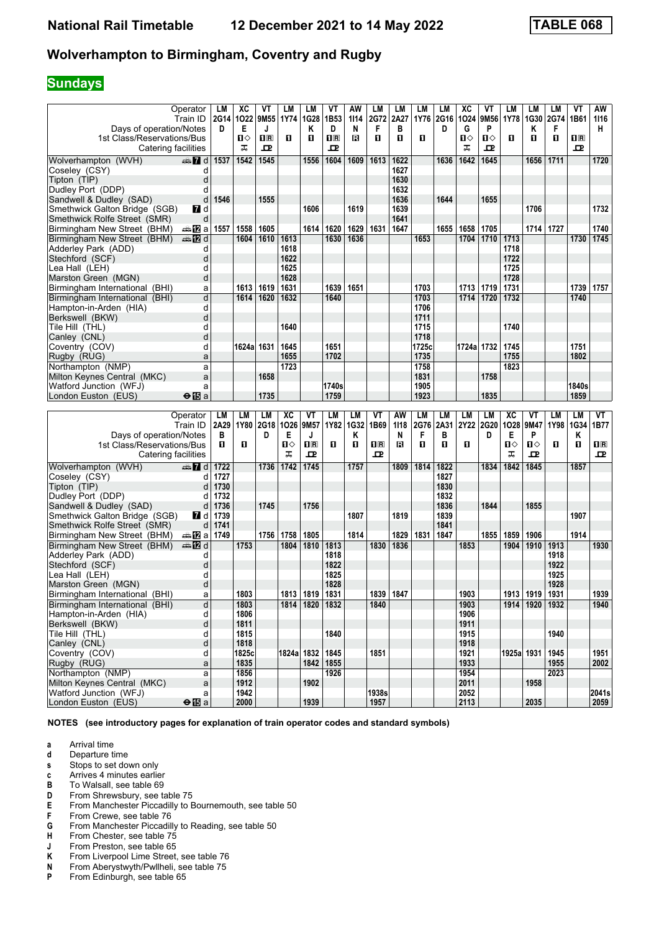# **Sundays**

| Operator                                                         | LM           | XC          | VT               | LM              | LM             | VT                      | AW        | LM                      | LM           | LM            | LM           | ХC         | VT        | LM              | LM   | LМ        | VT           | AW             |
|------------------------------------------------------------------|--------------|-------------|------------------|-----------------|----------------|-------------------------|-----------|-------------------------|--------------|---------------|--------------|------------|-----------|-----------------|------|-----------|--------------|----------------|
| Train ID                                                         |              | 2G14 1022   | 9M <sub>55</sub> |                 | 1Y74 1G28      | 1B <sub>53</sub>        | 1114      | 2G72                    | 2A27         | 1Y76          | 2G16         | 1024       | 9M56      | 1Y78            |      | 1G30 2G74 | 1B61         | 1116           |
| Days of operation/Notes                                          | D            | E           | J                |                 | Κ              | D                       | N         | F                       | B            |               | D            | G          | P         |                 | κ    | F         |              | н              |
| 1st Class/Reservations/Bus                                       |              | Ⅱ♦          | $n_{\rm R}$      | O               | $\mathbf{u}$   | $\overline{\mathbf{H}}$ | в         | $\mathbf{u}$            | $\mathbf{u}$ | п             |              | Ω          | Ⅱ◇        | O               | п    | п         | 1R           |                |
| Catering facilities                                              |              | ᠼ           | 고                |                 |                | ᇁ                       |           |                         |              |               |              | ᅚ          | ᇁ         |                 |      |           | 고            |                |
| Wolverhampton (WVH)                                              | 1537         | 1542        | 1545             |                 | 1556           | 1604                    | 1609      | 1613                    | 1622         |               | 1636         | 1642       | 1645      |                 | 1656 | 1711      |              | 1720           |
| Coseley (CSY)                                                    | d            |             |                  |                 |                |                         |           |                         | 1627         |               |              |            |           |                 |      |           |              |                |
| Tipton (TIP)                                                     | d            |             |                  |                 |                |                         |           |                         | 1630         |               |              |            |           |                 |      |           |              |                |
| Dudley Port (DDP)                                                | d            |             |                  |                 |                |                         |           |                         | 1632         |               |              |            |           |                 |      |           |              |                |
| Sandwell & Dudley (SAD)                                          | d<br>1546    |             | 1555             |                 |                |                         |           |                         | 1636         |               | 1644         |            | 1655      |                 |      |           |              |                |
| Smethwick Galton Bridge (SGB)<br><b>7</b> d                      |              |             |                  |                 | 1606           |                         | 1619      |                         | 1639         |               |              |            |           |                 | 1706 |           |              | 1732           |
| Smethwick Rolfe Street (SMR)                                     | d            |             |                  |                 |                |                         |           |                         | 1641         |               |              |            |           |                 |      |           |              |                |
| Birmingham New Street (BHM)<br>dan <mark>12</mark> ≀al           | 1557         | 1558        | 1605             |                 | 1614           | 1620                    | 1629      | 1631                    | 1647         |               | 1655         | 1658       | 1705      |                 | 1714 | 1727      |              | 1740           |
| Birmingham New Street (BHM)<br>danna ann an Druaid ann ann an    |              | 1604        | 1610             | 1613            |                | 1630                    | 1636      |                         |              | 1653          |              | 1704       | 1710      | 1713            |      |           | 1730         | 1745           |
| Adderley Park (ADD)                                              | d            |             |                  | 1618            |                |                         |           |                         |              |               |              |            |           | 1718            |      |           |              |                |
| Stechford (SCF)                                                  | d            |             |                  | 1622            |                |                         |           |                         |              |               |              |            |           | 1722            |      |           |              |                |
| Lea Hall (LEH)                                                   | d            |             |                  | 1625            |                |                         |           |                         |              |               |              |            |           | 1725            |      |           |              |                |
| Marston Green (MGN)                                              | d            |             |                  | 1628            |                |                         |           |                         |              |               |              |            |           | 1728            |      |           |              |                |
| Birmingham International (BHI)                                   | a            | 1613        | 1619             | 1631            |                | 1639                    | 1651      |                         |              | 1703          |              |            | 1713 1719 | 1731            |      |           | 1739         | 1757           |
| Birmingham International (BHI)                                   | d            | 1614        | 1620             | 1632            |                | 1640                    |           |                         |              | 1703          |              | 1714       | 1720      | 1732            |      |           | 1740         |                |
|                                                                  | d            |             |                  |                 |                |                         |           |                         |              | 1706          |              |            |           |                 |      |           |              |                |
| Hampton-in-Arden (HIA)                                           | d            |             |                  |                 |                |                         |           |                         |              | 1711          |              |            |           |                 |      |           |              |                |
| Berkswell (BKW)                                                  |              |             |                  | 1640            |                |                         |           |                         |              | 1715          |              |            |           | 1740            |      |           |              |                |
| Tile Hill (THL)                                                  | d            |             |                  |                 |                |                         |           |                         |              |               |              |            |           |                 |      |           |              |                |
| Canley (CNL)                                                     | d            |             |                  |                 |                |                         |           |                         |              | 1718          |              |            |           | 1745            |      |           |              |                |
| Coventry (COV)                                                   | d            |             | 1624a 1631       | 1645            |                | 1651                    |           |                         |              | 1725c<br>1735 |              | 1724a 1732 |           |                 |      |           | 1751         |                |
| Rugby (RUG)                                                      | a            |             |                  | 1655            |                | 1702                    |           |                         |              |               |              |            |           | 1755            |      |           | 1802         |                |
| Northampton (NMP)                                                | a            |             |                  | 1723            |                |                         |           |                         |              | 1758          |              |            |           | 1823            |      |           |              |                |
| Milton Keynes Central (MKC)                                      | a            |             | 1658             |                 |                |                         |           |                         |              | 1831          |              |            | 1758      |                 |      |           |              |                |
| Watford Junction (WFJ)                                           | a            |             |                  |                 |                | 1740s                   |           |                         |              | 1905          |              |            |           |                 |      |           | 1840s        |                |
| $\Theta$ <b>I</b> Ba<br>London Euston (EUS)                      |              |             | 1735             |                 |                | 1759                    |           |                         |              | 1923          |              |            | 1835      |                 |      |           | 1859         |                |
|                                                                  |              |             |                  |                 |                |                         |           |                         |              |               |              |            |           |                 |      |           |              |                |
| Operator                                                         | LM           | <b>LM</b>   | LM               | $\overline{AC}$ | VT             | <b>LM</b>               | <b>LM</b> | $\overline{VI}$         | <b>AW</b>    | <b>LM</b>     | LM           | <b>LM</b>  | <b>LM</b> | $\overline{AC}$ | VT   | LM        | <b>LM</b>    | VT             |
| Train ID                                                         | 2A29         | <b>1Y80</b> | 2G18             |                 | 1026 9M57      | 1Y82                    | 1G32      | 1B69                    | 1118         | 2G76          | 2A31         | 2Y22       | 2G20      | 1028            | 9M47 | 1Y98 1G34 |              | 1B77           |
| Days of operation/Notes                                          | в            |             | D                | Е               | J              |                         | Κ         |                         | N            | F             | В            |            | D         | Е               | P    |           | K            |                |
| 1st Class/Reservations/Bus                                       | п            | п           |                  | О               | $\mathbf{I}$ R | п                       | п         | $\overline{\mathbf{B}}$ | в            | п             | $\mathbf{u}$ | п          |           | $\mathbf{u}$    | Ⅱ◇   | п         | $\mathbf{u}$ | $\mathbf{1}$ R |
| Catering facilities                                              |              |             |                  | ᅚ               | ᅭ              |                         |           | $\mathbf{p}$            |              |               |              |            |           | ᠼ               | ᇁ    |           |              | ᅭ              |
| Wolverhampton (WVH)<br>d Manamarkan                              | 1722         |             | 1736             | 1742            | 1745           |                         | 1757      |                         | 1809         | 1814          | 1822         |            | 1834      | 1842            | 1845 |           | 1857         |                |
| Coseley (CSY)                                                    | 1727<br>d    |             |                  |                 |                |                         |           |                         |              |               | 1827         |            |           |                 |      |           |              |                |
| Tipton (TIP)                                                     | 1730<br>d    |             |                  |                 |                |                         |           |                         |              |               | 1830         |            |           |                 |      |           |              |                |
| Dudley Port (DDP)                                                | 1732<br>d    |             |                  |                 |                |                         |           |                         |              |               | 1832         |            |           |                 |      |           |              |                |
| Sandwell & Dudley (SAD)                                          | 1736<br>d    |             | 1745             |                 | 1756           |                         |           |                         |              |               | 1836         |            | 1844      |                 | 1855 |           |              |                |
| Smethwick Galton Bridge (SGB)<br>7 d                             | 1739         |             |                  |                 |                |                         | 1807      |                         | 1819         |               | 1839         |            |           |                 |      |           | 1907         |                |
| Smethwick Rolfe Street (SMR)                                     | d<br>1741    |             |                  |                 |                |                         |           |                         |              |               | 1841         |            |           |                 |      |           |              |                |
| Birmingham New Street (BHM)<br><b>▲卫</b> a                       | 1749         |             | 1756             | 1758            | 1805           |                         | 1814      |                         | 1829         | 1831          | 1847         |            | 1855      | 1859            | 1906 |           | 1914         |                |
| Birmingham New Street (BHM)<br>$\blacksquare$ $\blacksquare$ $d$ |              | 1753        |                  | 1804            | 1810           | 1813                    |           | 1830                    | 1836         |               |              | 1853       |           | 1904            | 1910 | 1913      |              | 1930           |
| Adderley Park (ADD)                                              | d            |             |                  |                 |                | 1818                    |           |                         |              |               |              |            |           |                 |      | 1918      |              |                |
| Stechford (SCF)                                                  | d            |             |                  |                 |                | 1822                    |           |                         |              |               |              |            |           |                 |      | 1922      |              |                |
| Lea Hall (LEH)                                                   | d            |             |                  |                 |                | 1825                    |           |                         |              |               |              |            |           |                 |      | 1925      |              |                |
| Marston Green (MGN)                                              | <sub>d</sub> |             |                  |                 |                | 1828                    |           |                         |              |               |              |            |           |                 |      | 1928      |              |                |

Marston Green (MGN) d **1928** 1828 1 1928  Birmingham International (BHI) a **1803 1813 1819 1831 1839 1847 1903 1913 1919 1931 1939**  Birmingham International (BHI) d **1803 1814 1820 1832 1840 1903 1914 1920 1932 1940**  Hampton-in-Arden (HIA) d **1806 1906**  Berkswell (BKW) d **1811 1911**  Tile Hill (THL) d **1815 1840 1915 1940**  Canley (CNL) d **1818 1918**  Coventry (CO9) d **1825c 1824a 1832 1845 1851 1921 1925a 1931 1945 1951**  Rugby (RUG) a **1835 1842 1855 1933 1955 2002**  Northampton (NMP) a **1856 1926 1954 2023**  Milton Keynes Central (MKC) a **1912 1902 2011 1958 Watford Junction (WFJ)** a **1942 1938 1938s 1938s 2041s 2059 2041s 2059 2041s 2059 2059 2059 2059 London Euston (EUS)** 

**NOTES (see introductory pages for explanation of train operator codes and standard symbols)**

**a** Arrival time<br>**d** Departure t

**d** Departure time

**s** Stops to set down only

- **c** Arrives 4 minutes earlier<br>**B** To Walsall, see table 69
- **B** To Walsall, see table 69<br>**D** From Shrewsbury, see ta From Shrewsbury, see table 75
- 
- **E** From Manchester Piccadilly to Bournemouth, see table 50<br>**F** From Crewe, see table 76
- **F** From Crewe, see table 76<br>**G** From Manchester Piccadil
- **6** From Manchester Piccadilly to Reading, see table 50<br>**H** From Chester, see table 75 **From Chester, see table 75**
- 
- **J** From Preston, see table 65<br>**K** From Liverpool Lime Street,
- **K** From Liverpool Lime Street, see table 76<br>**N** From Aberystwyth/Pwllheli, see table 75 **N** From Aberystwyth/Pwllheli, see table 75<br>**P** From Edinburgh, see table 65
- From Edinburgh, see table 65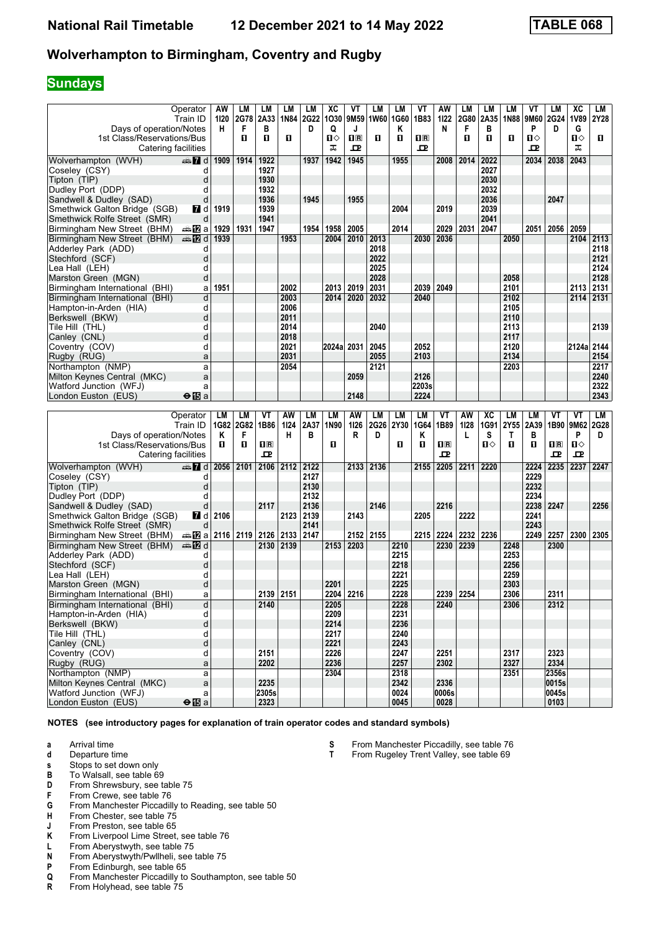## **Sundays**

| Operator<br>Train ID                                  |                        | AW<br>1120<br>н | LM<br>2G78 | LM<br>2A33     | LМ<br>1N84 | LM<br>2G22<br>D | XC<br>1030 | VT<br>9M59       | LM<br>1W60 | <b>LM</b><br>1G60 | VT<br>1B83              | AW<br>1122<br>N | <b>LM</b><br>2G80<br>F | <b>LM</b><br>2A35 | <b>LM</b><br><b>1N88</b> | VT<br>9M60<br>P | LM<br>2G24<br>D | XC<br><b>1V89</b> | LM<br>2Y28 |
|-------------------------------------------------------|------------------------|-----------------|------------|----------------|------------|-----------------|------------|------------------|------------|-------------------|-------------------------|-----------------|------------------------|-------------------|--------------------------|-----------------|-----------------|-------------------|------------|
| Days of operation/Notes<br>1st Class/Reservations/Bus |                        |                 | F<br>п     | в<br>п         | п          |                 | Q<br>Ⅱ◇    | J<br>$n_{\rm R}$ | п          | Κ<br>п            | $\overline{\mathbf{H}}$ |                 | п                      | В<br>п            | п                        | $\mathbf{u}$    |                 | G<br>$\mathbf{u}$ | п          |
| Catering facilities                                   |                        |                 |            |                |            |                 | ᠼ          | ᅭ                |            |                   | 고                       |                 |                        |                   |                          | ᇁ               |                 | ᠼ                 |            |
| Wolverhampton (WVH)                                   | d and                  | 1909            | 1914       | 1922           |            | 1937            | 1942       | 1945             |            | 1955              |                         | 2008            | 2014                   | 2022              |                          | 2034            | 2038            | 2043              |            |
| Coseley (CSY)                                         | d                      |                 |            | 1927           |            |                 |            |                  |            |                   |                         |                 |                        | 2027              |                          |                 |                 |                   |            |
| Tipton (TIP)                                          | d                      |                 |            | 1930           |            |                 |            |                  |            |                   |                         |                 |                        | 2030              |                          |                 |                 |                   |            |
| Dudley Port (DDP)                                     |                        |                 |            | 1932           |            |                 |            |                  |            |                   |                         |                 |                        | 2032              |                          |                 |                 |                   |            |
| Sandwell & Dudley (SAD)                               |                        |                 |            | 1936           |            | 1945            |            | 1955             |            |                   |                         |                 |                        | 2036              |                          |                 | 2047            |                   |            |
| Smethwick Galton Bridge (SGB)                         | <b>7</b> d             | 1919            |            | 1939           |            |                 |            |                  |            | 2004              |                         | 2019            |                        | 2039              |                          |                 |                 |                   |            |
| Smethwick Rolfe Street (SMR)                          | d                      |                 |            | 1941           |            |                 |            |                  |            |                   |                         |                 |                        | 2041              |                          |                 |                 |                   |            |
| Birmingham New Street (BHM)                           | ana <mark>na</mark> ⊡a | 1929            | 1931       | 1947           |            | 1954            | 1958       | 2005             |            | 2014              |                         | 2029            | 2031                   | 2047              |                          | 2051            | 2056            | 2059              |            |
| Birmingham New Street (BHM)                           | nnen <b>na</b> d       | 1939            |            |                | 1953       |                 | 2004       | 2010             | 2013       |                   | 2030                    | 2036            |                        |                   | 2050                     |                 |                 | 2104              | 2113       |
| Adderley Park (ADD)                                   | d                      |                 |            |                |            |                 |            |                  | 2018       |                   |                         |                 |                        |                   |                          |                 |                 |                   | 2118       |
| Stechford (SCF)                                       | d                      |                 |            |                |            |                 |            |                  | 2022       |                   |                         |                 |                        |                   |                          |                 |                 |                   | 2121       |
| Lea Hall (LEH)                                        | d                      |                 |            |                |            |                 |            |                  | 2025       |                   |                         |                 |                        |                   |                          |                 |                 |                   | 2124       |
| Marston Green (MGN)                                   | d                      |                 |            |                |            |                 |            |                  | 2028       |                   |                         |                 |                        |                   | 2058                     |                 |                 |                   | 2128       |
| Birmingham International (BHI)                        | a                      | 1951            |            |                | 2002       |                 | 2013       | 2019             | 2031       |                   | 2039                    | 2049            |                        |                   | 2101                     |                 |                 | 2113              | 2131       |
| Birmingham International (BHI)                        | d                      |                 |            |                | 2003       |                 | 2014       | 2020             | 2032       |                   | 2040                    |                 |                        |                   | 2102                     |                 |                 | 2114              | 2131       |
| Hampton-in-Arden (HIA)                                | d                      |                 |            |                | 2006       |                 |            |                  |            |                   |                         |                 |                        |                   | 2105                     |                 |                 |                   |            |
| Berkswell (BKW)                                       | d                      |                 |            |                | 2011       |                 |            |                  |            |                   |                         |                 |                        |                   | 2110                     |                 |                 |                   |            |
| Tile Hill (THL)                                       | d                      |                 |            |                | 2014       |                 |            |                  | 2040       |                   |                         |                 |                        |                   | 2113                     |                 |                 |                   | 2139       |
| Canley (CNL)                                          | d                      |                 |            |                | 2018       |                 |            |                  |            |                   |                         |                 |                        |                   | 2117                     |                 |                 |                   |            |
| Coventry (COV)                                        | d                      |                 |            |                | 2021       |                 | 2024a 2031 |                  | 2045       |                   | 2052                    |                 |                        |                   | 2120                     |                 |                 | 2124a             | 2144       |
| Rugby (RUG)                                           | a                      |                 |            |                | 2031       |                 |            |                  | 2055       |                   | 2103                    |                 |                        |                   | 2134                     |                 |                 |                   | 2154       |
| Northampton (NMP)                                     | a                      |                 |            |                | 2054       |                 |            |                  | 2121       |                   |                         |                 |                        |                   | 2203                     |                 |                 |                   | 2217       |
| Milton Keynes Central (MKC)                           | a                      |                 |            |                |            |                 |            | 2059             |            |                   | 2126                    |                 |                        |                   |                          |                 |                 |                   | 2240       |
| Watford Junction (WFJ)                                | a                      |                 |            |                |            |                 |            |                  |            |                   | 2203s                   |                 |                        |                   |                          |                 |                 |                   | 2322       |
| London Euston (EUS)                                   | $\Theta$ is a          |                 |            |                |            |                 |            | 2148             |            |                   | 2224                    |                 |                        |                   |                          |                 |                 |                   | 2343       |
|                                                       |                        |                 |            |                |            |                 |            |                  |            |                   |                         |                 |                        |                   |                          |                 |                 |                   |            |
| Operator                                              |                        | LM              | <b>LM</b>  | VT             | AW         | LM              | LM         | AW               | <b>LM</b>  | <b>LM</b>         | <b>LM</b>               | VT              | AW                     | XC                | <b>LM</b>                | <b>LM</b>       | VT              | VT                | LM         |
| Train ID                                              |                        |                 | 1G82 2G82  | 1B86           | 1124       | 2A37            | 1N90       | 1126             | 2G26       | 2Y30              | 1G64                    | 1B89            | 1128                   | 1G91              | 2Y55                     | 2A39            |                 | 1B90 9M62         | 2G28       |
| Days of operation/Notes                               |                        | Κ               | F          |                | н          | в               |            | R                | D          |                   | ĸ                       |                 | L                      | S                 | Т                        | В               |                 | P                 | D.         |
| 1st Class/Reservations/Bus                            |                        | п               | п          | $\mathbf{H}$ R |            |                 | п          |                  |            | п                 | п                       | $\mathbf{1}$ R  |                        | $\mathbf{u}$      | п                        | п               | 1R              | 0                 |            |
| Catering facilities                                   |                        |                 |            | $\mathbf{P}$   |            |                 |            |                  |            |                   |                         | 모               |                        |                   |                          |                 | 모               | 모                 |            |
| Wolverhampton (WVH)                                   | $\oplus$ 7 d           | 2056            | 2101       | 2106           | 2112       | 2122            |            | 2133             | 2136       |                   | 2155                    | 2205            | 2211                   | 2220              |                          | 2224            | 2235            | 2237              | 2247       |
| Coseley (CSY)                                         | d                      |                 |            |                |            | 2127            |            |                  |            |                   |                         |                 |                        |                   |                          | 2229            |                 |                   |            |
| Tipton (TIP)                                          | d                      |                 |            |                |            | 2130            |            |                  |            |                   |                         |                 |                        |                   |                          | 2232            |                 |                   |            |
| Dudley Port (DDP)                                     | Ч                      |                 |            |                |            | 2132            |            |                  |            |                   |                         |                 |                        |                   |                          | 2234            |                 |                   |            |

| Coseley (CSY)                  |                                                       |      |           |      | 2127 |      |      |           |      |      |       |           |      | 2229 |       |      |      |
|--------------------------------|-------------------------------------------------------|------|-----------|------|------|------|------|-----------|------|------|-------|-----------|------|------|-------|------|------|
| Tipton (TIP)                   |                                                       |      |           |      | 2130 |      |      |           |      |      |       |           |      | 2232 |       |      |      |
| Dudley Port (DDP)              |                                                       |      |           |      | 2132 |      |      |           |      |      |       |           |      | 2234 |       |      |      |
| Sandwell & Dudley (SAD)        |                                                       |      | 2117      |      | 2136 |      |      | 2146      |      |      | 2216  |           |      | 2238 | 2247  |      | 2256 |
| Smethwick Galton Bridge (SGB)  | 7 d                                                   | 2106 |           | 2123 | 2139 |      | 2143 |           |      | 2205 |       | 2222      |      | 2241 |       |      |      |
| Smethwick Rolfe Street (SMR)   | d                                                     |      |           |      | 2141 |      |      |           |      |      |       |           |      | 2243 |       |      |      |
| Birmingham New Street (BHM)    | $\Rightarrow$ 20 a   2116   2119   2126   2133   2147 |      |           |      |      |      |      | 2152 2155 |      | 2215 | 2224  | 2232 2236 |      | 2249 | 2257  | 2300 | 2305 |
| Birmingham New Street (BHM)    | dan <b>in</b> d                                       |      | 2130 2139 |      |      | 2153 | 2203 |           | 2210 |      | 2230  | 2239      | 2248 |      | 2300  |      |      |
| Adderley Park (ADD)            |                                                       |      |           |      |      |      |      |           | 2215 |      |       |           | 2253 |      |       |      |      |
| Stechford (SCF)                |                                                       |      |           |      |      |      |      |           | 2218 |      |       |           | 2256 |      |       |      |      |
| Lea Hall (LEH)                 |                                                       |      |           |      |      |      |      |           | 2221 |      |       |           | 2259 |      |       |      |      |
| Marston Green (MGN)            | d                                                     |      |           |      |      | 2201 |      |           | 2225 |      |       |           | 2303 |      |       |      |      |
| Birmingham International (BHI) | а                                                     |      | 2139 2151 |      |      | 2204 | 2216 |           | 2228 |      | 2239  | 2254      | 2306 |      | 2311  |      |      |
| Birmingham International (BHI) | d                                                     |      | 2140      |      |      | 2205 |      |           | 2228 |      | 2240  |           | 2306 |      | 2312  |      |      |
| Hampton-in-Arden (HIA)         |                                                       |      |           |      |      | 2209 |      |           | 2231 |      |       |           |      |      |       |      |      |
| Berkswell (BKW)                |                                                       |      |           |      |      | 2214 |      |           | 2236 |      |       |           |      |      |       |      |      |
| Tile Hill (THL)                |                                                       |      |           |      |      | 2217 |      |           | 2240 |      |       |           |      |      |       |      |      |
| Canley (CNL)                   |                                                       |      |           |      |      | 2221 |      |           | 2243 |      |       |           |      |      |       |      |      |
| Coventry (COV)                 |                                                       |      | 2151      |      |      | 2226 |      |           | 2247 |      | 2251  |           | 2317 |      | 2323  |      |      |
| Rugby (RUG)                    | а                                                     |      | 2202      |      |      | 2236 |      |           | 2257 |      | 2302  |           | 2327 |      | 2334  |      |      |
| Northampton (NMP)              | a                                                     |      |           |      |      | 2304 |      |           | 2318 |      |       |           | 2351 |      | 2356s |      |      |
| Milton Keynes Central (MKC)    | a                                                     |      | 2235      |      |      |      |      |           | 2342 |      | 2336  |           |      |      | 0015s |      |      |
| Watford Junction (WFJ)         |                                                       |      | 2305s     |      |      |      |      |           | 0024 |      | 0006s |           |      |      | 0045s |      |      |
| London Euston (EUS)            | $\Theta$ is a                                         |      | 2323      |      |      |      |      |           | 0045 |      | 0028  |           |      |      | 0103  |      |      |

- **a** Arrival time<br>**d** Departure t
- **d** Departure time
- **s** Stops to set down only
- **B** To Walsall, see table 69<br>**D** From Shrewsbury, see ta
- **D** From Shrewsbury, see table 75<br>**F** From Crewe, see table 76
- **F** From Crewe, see table 76<br>**G** From Manchester Piccadil
- **6** From Manchester Piccadilly to Reading, see table 50 **H** From Chester, see table 75
- **+** From Chester, see table 75<br>**+** From Preston, see table 65
- **J** From Preston, see table 65<br>**K** From Liverpool Lime Street.
- From Liverpool Lime Street, see table 76
- **L** From Aberystwyth, see table 75<br>**N** From Aberystwyth/Pwllheli, see
- **N** From Aberystwyth/Pwllheli, see table 75<br>**P** From Edinburgh, see table 65
- **P** From Edinburgh, see table 65<br>**Q** From Manchester Piccadilly to
- From Manchester Piccadilly to Southampton, see table 50
- **R** From Holyhead, see table 75
- **6** From Manchester Piccadilly, see table 76<br>**T** From Rugeley Trent Valley, see table 69
	- From Rugeley Trent Valley, see table 69